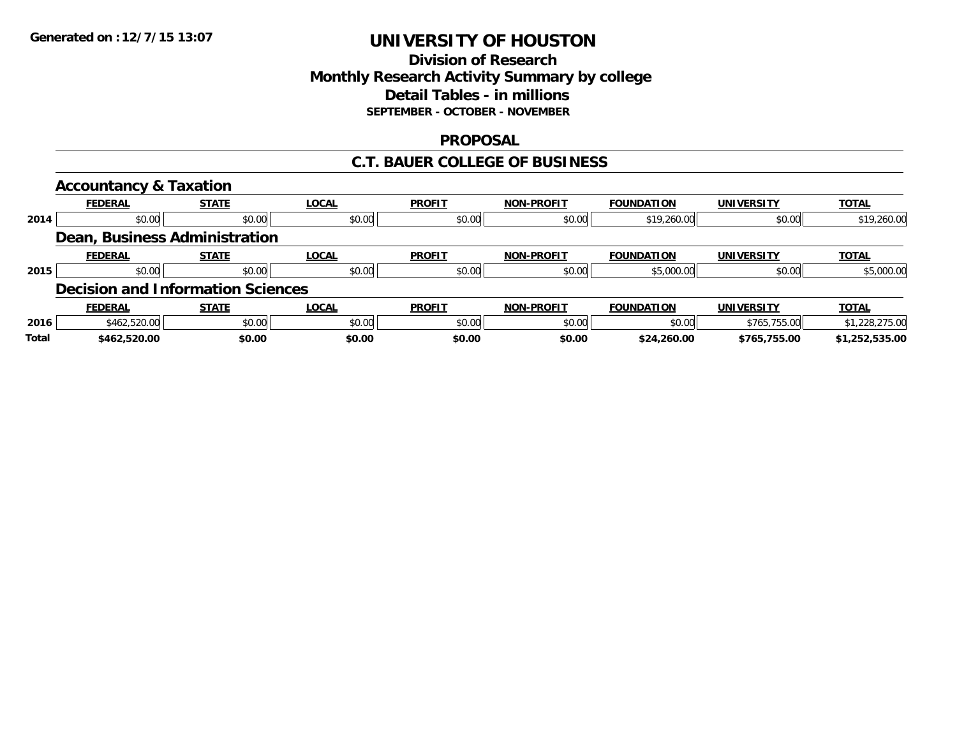### **Division of Research Monthly Research Activity Summary by college Detail Tables - in millions SEPTEMBER - OCTOBER - NOVEMBER**

### **PROPOSAL**

### **C.T. BAUER COLLEGE OF BUSINESS**

|              | <b>Accountancy &amp; Taxation</b>        |              |              |               |                   |                   |                   |                |
|--------------|------------------------------------------|--------------|--------------|---------------|-------------------|-------------------|-------------------|----------------|
|              | <b>FEDERAL</b>                           | <b>STATE</b> | <b>LOCAL</b> | <b>PROFIT</b> | <b>NON-PROFIT</b> | <b>FOUNDATION</b> | <b>UNIVERSITY</b> | <b>TOTAL</b>   |
| 2014         | \$0.00                                   | \$0.00       | \$0.00       | \$0.00        | \$0.00            | \$19,260.00       | \$0.00            | \$19,260.00    |
|              | Dean, Business Administration            |              |              |               |                   |                   |                   |                |
|              | <b>FEDERAL</b>                           | <b>STATE</b> | <b>LOCAL</b> | <b>PROFIT</b> | <b>NON-PROFIT</b> | <b>FOUNDATION</b> | <b>UNIVERSITY</b> | <b>TOTAL</b>   |
| 2015         | \$0.00                                   | \$0.00       | \$0.00       | \$0.00        | \$0.00            | \$5,000.00        | \$0.00            | \$5,000.00     |
|              | <b>Decision and Information Sciences</b> |              |              |               |                   |                   |                   |                |
|              | <b>FEDERAL</b>                           | <b>STATE</b> | <b>LOCAL</b> | <b>PROFIT</b> | <b>NON-PROFIT</b> | <b>FOUNDATION</b> | <b>UNIVERSITY</b> | <b>TOTAL</b>   |
| 2016         | \$462,520.00                             | \$0.00       | \$0.00       | \$0.00        | \$0.00            | \$0.00            | \$765,755.00      | \$1,228,275.00 |
| <b>Total</b> | \$462,520.00                             | \$0.00       | \$0.00       | \$0.00        | \$0.00            | \$24,260.00       | \$765.755.00      | \$1,252,535.00 |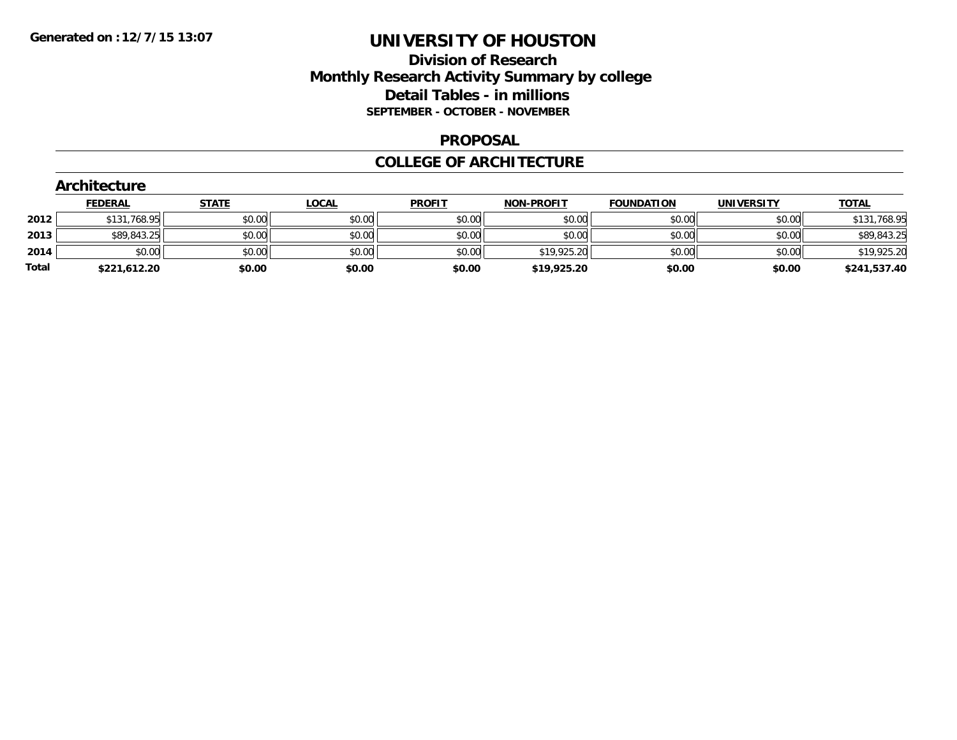### **Division of Research Monthly Research Activity Summary by college Detail Tables - in millions SEPTEMBER - OCTOBER - NOVEMBER**

#### **PROPOSAL**

#### **COLLEGE OF ARCHITECTURE**

|       | Architecture   |              |              |               |                   |                   |                   |              |  |  |  |
|-------|----------------|--------------|--------------|---------------|-------------------|-------------------|-------------------|--------------|--|--|--|
|       | <b>FEDERAL</b> | <b>STATE</b> | <b>LOCAL</b> | <b>PROFIT</b> | <b>NON-PROFIT</b> | <b>FOUNDATION</b> | <b>UNIVERSITY</b> | <b>TOTAL</b> |  |  |  |
| 2012  | \$131,768.95   | \$0.00       | \$0.00       | \$0.00        | \$0.00            | \$0.00            | \$0.00            | \$131,768.95 |  |  |  |
| 2013  | \$89,843.25    | \$0.00       | \$0.00       | \$0.00        | \$0.00            | \$0.00            | \$0.00            | \$89,843.25  |  |  |  |
| 2014  | \$0.00         | \$0.00       | \$0.00       | \$0.00        | \$19,925.20       | \$0.00            | \$0.00            | \$19,925.20  |  |  |  |
| Total | \$221,612.20   | \$0.00       | \$0.00       | \$0.00        | \$19,925.20       | \$0.00            | \$0.00            | \$241,537.40 |  |  |  |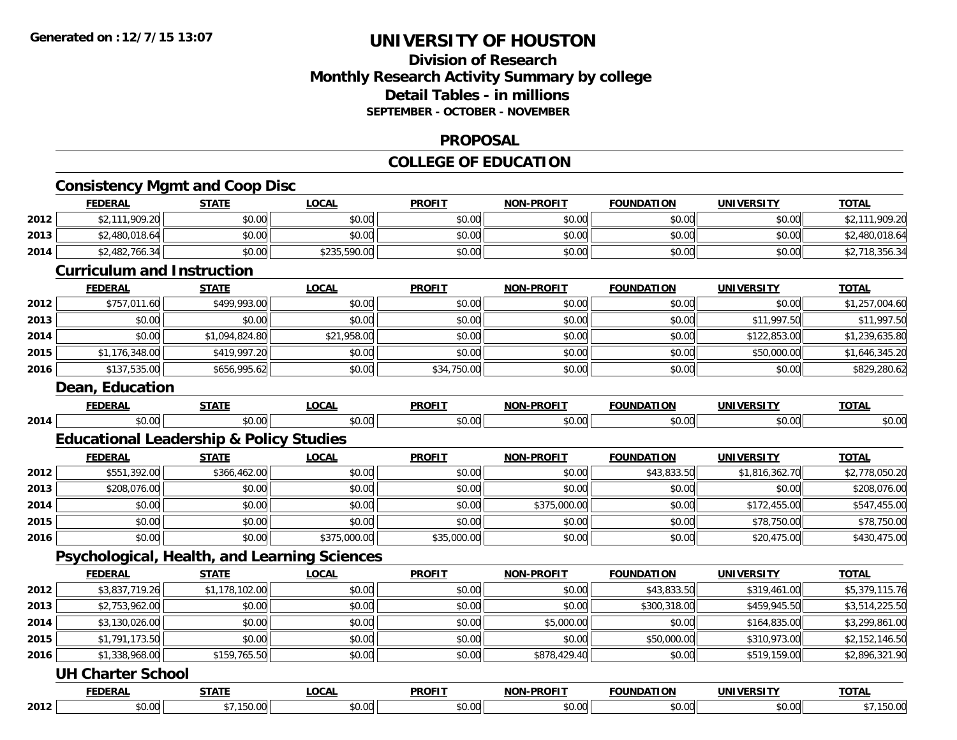### **Division of Research Monthly Research Activity Summary by college Detail Tables - in millions SEPTEMBER - OCTOBER - NOVEMBER**

#### **PROPOSAL**

#### **COLLEGE OF EDUCATION**

|      | <b>FEDERAL</b>                                     | <b>STATE</b>   | <b>LOCAL</b> | <b>PROFIT</b> | <b>NON-PROFIT</b> | <b>FOUNDATION</b> | <b>UNIVERSITY</b> | <b>TOTAL</b>   |
|------|----------------------------------------------------|----------------|--------------|---------------|-------------------|-------------------|-------------------|----------------|
| 2012 | \$2,111,909.20                                     | \$0.00         | \$0.00       | \$0.00        | \$0.00            | \$0.00            | \$0.00            | \$2,111,909.20 |
| 2013 | \$2,480,018.64                                     | \$0.00         | \$0.00       | \$0.00        | \$0.00            | \$0.00            | \$0.00            | \$2,480,018.64 |
| 2014 | \$2,482,766.34                                     | \$0.00         | \$235,590.00 | \$0.00        | \$0.00            | \$0.00            | \$0.00            | \$2,718,356.34 |
|      | <b>Curriculum and Instruction</b>                  |                |              |               |                   |                   |                   |                |
|      | <b>FEDERAL</b>                                     | <b>STATE</b>   | <b>LOCAL</b> | <b>PROFIT</b> | <b>NON-PROFIT</b> | <b>FOUNDATION</b> | <b>UNIVERSITY</b> | <b>TOTAL</b>   |
| 2012 | \$757,011.60                                       | \$499,993.00   | \$0.00       | \$0.00        | \$0.00            | \$0.00            | \$0.00            | \$1,257,004.60 |
| 2013 | \$0.00                                             | \$0.00         | \$0.00       | \$0.00        | \$0.00            | \$0.00            | \$11,997.50       | \$11,997.50    |
| 2014 | \$0.00                                             | \$1,094,824.80 | \$21,958.00  | \$0.00        | \$0.00            | \$0.00            | \$122,853.00      | \$1,239,635.80 |
| 2015 | \$1,176,348.00                                     | \$419,997.20   | \$0.00       | \$0.00        | \$0.00            | \$0.00            | \$50,000.00       | \$1,646,345.20 |
| 2016 | \$137,535.00                                       | \$656,995.62   | \$0.00       | \$34,750.00   | \$0.00            | \$0.00            | \$0.00            | \$829,280.62   |
|      | <b>Dean, Education</b>                             |                |              |               |                   |                   |                   |                |
|      | <b>FEDERAL</b>                                     | <b>STATE</b>   | <b>LOCAL</b> | <b>PROFIT</b> | <b>NON-PROFIT</b> | <b>FOUNDATION</b> | <b>UNIVERSITY</b> | <b>TOTAL</b>   |
| 2014 | \$0.00                                             | \$0.00         | \$0.00       | \$0.00        | \$0.00            | \$0.00            | \$0.00            | \$0.00         |
|      | <b>Educational Leadership &amp; Policy Studies</b> |                |              |               |                   |                   |                   |                |
|      | <b>FEDERAL</b>                                     | <b>STATE</b>   | <b>LOCAL</b> | <b>PROFIT</b> | <b>NON-PROFIT</b> | <b>FOUNDATION</b> | <b>UNIVERSITY</b> | <b>TOTAL</b>   |
| 2012 | \$551,392.00                                       | \$366,462.00   | \$0.00       | \$0.00        | \$0.00            | \$43,833.50       | \$1,816,362.70    | \$2,778,050.20 |
| 2013 | \$208,076.00                                       | \$0.00         | \$0.00       | \$0.00        | \$0.00            | \$0.00            | \$0.00            | \$208,076.00   |
| 2014 | \$0.00                                             | \$0.00         | \$0.00       | \$0.00        | \$375,000.00      | \$0.00            | \$172,455.00      | \$547,455.00   |
| 2015 | \$0.00                                             | \$0.00         | \$0.00       | \$0.00        | \$0.00            | \$0.00            | \$78,750.00       | \$78,750.00    |
| 2016 | \$0.00                                             | \$0.00         | \$375,000.00 | \$35,000.00   | \$0.00            | \$0.00            | \$20,475.00       | \$430,475.00   |
|      | Psychological, Health, and Learning Sciences       |                |              |               |                   |                   |                   |                |
|      | <b>FEDERAL</b>                                     | <b>STATE</b>   | <b>LOCAL</b> | <b>PROFIT</b> | <b>NON-PROFIT</b> | <b>FOUNDATION</b> | <b>UNIVERSITY</b> | <b>TOTAL</b>   |
| 2012 | \$3,837,719.26                                     | \$1,178,102.00 | \$0.00       | \$0.00        | \$0.00            | \$43,833.50       | \$319,461.00      | \$5,379,115.76 |
| 2013 | \$2,753,962.00                                     | \$0.00         | \$0.00       | \$0.00        | \$0.00            | \$300,318.00      | \$459,945.50      | \$3,514,225.50 |
| 2014 | \$3,130,026.00                                     | \$0.00         | \$0.00       | \$0.00        | \$5,000.00        | \$0.00            | \$164,835.00      | \$3,299,861.00 |
| 2015 | \$1,791,173.50                                     | \$0.00         | \$0.00       | \$0.00        | \$0.00            | \$50,000.00       | \$310,973.00      | \$2,152,146.50 |
| 2016 | \$1,338,968.00                                     | \$159,765.50   | \$0.00       | \$0.00        | \$878,429.40      | \$0.00            | \$519,159.00      | \$2,896,321.90 |
|      | <b>UH Charter School</b>                           |                |              |               |                   |                   |                   |                |
|      | <b>FEDERAL</b>                                     | <b>STATE</b>   | <b>LOCAL</b> | <b>PROFIT</b> | <b>NON-PROFIT</b> | <b>FOUNDATION</b> | <b>UNIVERSITY</b> | <b>TOTAL</b>   |
| 2012 | \$0.00                                             | \$7,150.00     | \$0.00       | \$0.00        | \$0.00            | \$0.00            | \$0.00            | \$7,150.00     |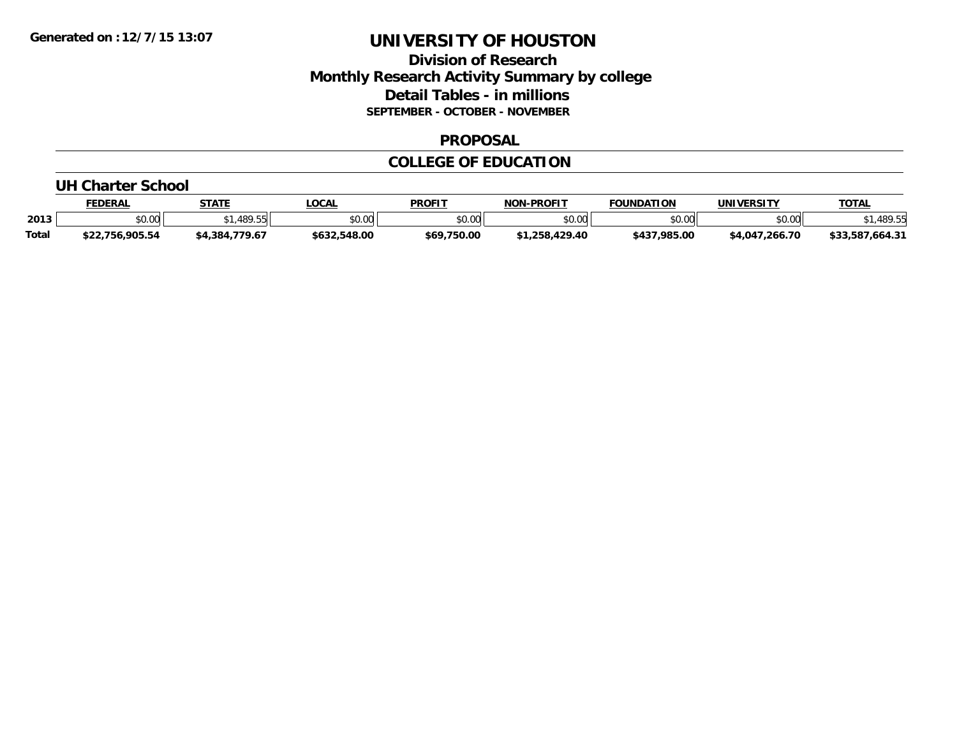### **Division of Research Monthly Research Activity Summary by college Detail Tables - in millions SEPTEMBER - OCTOBER - NOVEMBER**

#### **PROPOSAL**

#### **COLLEGE OF EDUCATION**

#### **UH Charter School**

|              | <b>FEDERAL</b>  | <b>STATE</b>       | <b>_OCAL</b> | <b>PROFIT</b> | <b>NON-PROFIT</b> | <b>FOUNDATION</b>                   | UNIVERSITY     | <b>TOTAL</b>          |
|--------------|-----------------|--------------------|--------------|---------------|-------------------|-------------------------------------|----------------|-----------------------|
| 2013         | \$0.00          | .489.55            | \$0.00       | \$0.00        | \$0.00            | $\uparrow$ $\land$ $\land$<br>งบ.บบ | \$0.00         | 489.55                |
| <b>Total</b> | \$22,756,905.54 | .779.67<br>\$4,384 | \$632,548.00 | \$69,750.00   | \$1.258.429.40    | \$437,985.00                        | \$4,047,266.70 | /.664.31<br>\$33.587. |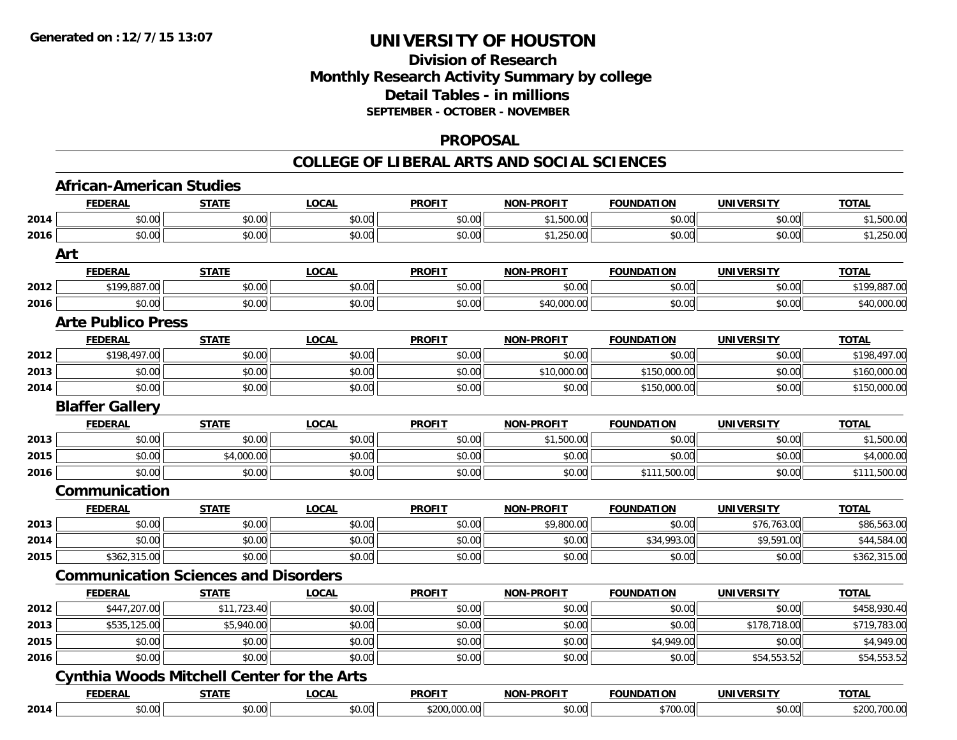### **Division of Research Monthly Research Activity Summary by college Detail Tables - in millions SEPTEMBER - OCTOBER - NOVEMBER**

#### **PROPOSAL**

|      | <b>African-American Studies</b>                   |              |              |               |                   |                   |                   |              |
|------|---------------------------------------------------|--------------|--------------|---------------|-------------------|-------------------|-------------------|--------------|
|      | <b>FEDERAL</b>                                    | <b>STATE</b> | <b>LOCAL</b> | <b>PROFIT</b> | <b>NON-PROFIT</b> | <b>FOUNDATION</b> | <b>UNIVERSITY</b> | <b>TOTAL</b> |
| 2014 | \$0.00                                            | \$0.00       | \$0.00       | \$0.00        | \$1,500.00        | \$0.00            | \$0.00            | \$1,500.00   |
| 2016 | \$0.00                                            | \$0.00       | \$0.00       | \$0.00        | \$1,250.00        | \$0.00            | \$0.00            | \$1,250.00   |
|      | Art                                               |              |              |               |                   |                   |                   |              |
|      | <b>FEDERAL</b>                                    | <b>STATE</b> | <b>LOCAL</b> | <b>PROFIT</b> | <b>NON-PROFIT</b> | <b>FOUNDATION</b> | <b>UNIVERSITY</b> | <b>TOTAL</b> |
| 2012 | \$199,887.00                                      | \$0.00       | \$0.00       | \$0.00        | \$0.00            | \$0.00            | \$0.00            | \$199,887.00 |
| 2016 | \$0.00                                            | \$0.00       | \$0.00       | \$0.00        | \$40,000.00       | \$0.00            | \$0.00            | \$40,000.00  |
|      | <b>Arte Publico Press</b>                         |              |              |               |                   |                   |                   |              |
|      | <b>FEDERAL</b>                                    | <b>STATE</b> | <b>LOCAL</b> | <b>PROFIT</b> | <b>NON-PROFIT</b> | <b>FOUNDATION</b> | <b>UNIVERSITY</b> | <b>TOTAL</b> |
| 2012 | \$198,497.00                                      | \$0.00       | \$0.00       | \$0.00        | \$0.00            | \$0.00            | \$0.00            | \$198,497.00 |
| 2013 | \$0.00                                            | \$0.00       | \$0.00       | \$0.00        | \$10,000.00       | \$150,000.00      | \$0.00            | \$160,000.00 |
| 2014 | \$0.00                                            | \$0.00       | \$0.00       | \$0.00        | \$0.00            | \$150,000.00      | \$0.00            | \$150,000.00 |
|      | <b>Blaffer Gallery</b>                            |              |              |               |                   |                   |                   |              |
|      | <b>FEDERAL</b>                                    | <b>STATE</b> | <b>LOCAL</b> | <b>PROFIT</b> | <b>NON-PROFIT</b> | <b>FOUNDATION</b> | <b>UNIVERSITY</b> | <b>TOTAL</b> |
| 2013 | \$0.00                                            | \$0.00       | \$0.00       | \$0.00        | \$1,500.00        | \$0.00            | \$0.00            | \$1,500.00   |
| 2015 | \$0.00                                            | \$4,000.00   | \$0.00       | \$0.00        | \$0.00            | \$0.00            | \$0.00            | \$4,000.00   |
| 2016 | \$0.00                                            | \$0.00       | \$0.00       | \$0.00        | \$0.00            | \$111,500.00      | \$0.00            | \$111,500.00 |
|      | Communication                                     |              |              |               |                   |                   |                   |              |
|      | <b>FEDERAL</b>                                    | <b>STATE</b> | <b>LOCAL</b> | <b>PROFIT</b> | <b>NON-PROFIT</b> | <b>FOUNDATION</b> | <b>UNIVERSITY</b> | <b>TOTAL</b> |
| 2013 | \$0.00                                            | \$0.00       | \$0.00       | \$0.00        | \$9,800.00        | \$0.00            | \$76,763.00       | \$86,563.00  |
| 2014 | \$0.00                                            | \$0.00       | \$0.00       | \$0.00        | \$0.00            | \$34,993.00       | \$9,591.00        | \$44,584.00  |
| 2015 | \$362,315.00                                      | \$0.00       | \$0.00       | \$0.00        | \$0.00            | \$0.00            | \$0.00            | \$362,315.00 |
|      | <b>Communication Sciences and Disorders</b>       |              |              |               |                   |                   |                   |              |
|      | <b>FEDERAL</b>                                    | <b>STATE</b> | <b>LOCAL</b> | <b>PROFIT</b> | <b>NON-PROFIT</b> | <b>FOUNDATION</b> | <b>UNIVERSITY</b> | <b>TOTAL</b> |
| 2012 | \$447,207.00                                      | \$11,723.40  | \$0.00       | \$0.00        | \$0.00            | \$0.00            | \$0.00            | \$458,930.40 |
| 2013 | \$535,125.00                                      | \$5,940.00   | \$0.00       | \$0.00        | \$0.00            | \$0.00            | \$178,718.00      | \$719,783.00 |
| 2015 | \$0.00                                            | \$0.00       | \$0.00       | \$0.00        | \$0.00            | \$4,949.00        | \$0.00            | \$4,949.00   |
| 2016 | \$0.00                                            | \$0.00       | \$0.00       | \$0.00        | \$0.00            | \$0.00            | \$54,553.52       | \$54,553.52  |
|      | <b>Cynthia Woods Mitchell Center for the Arts</b> |              |              |               |                   |                   |                   |              |
|      | <b>FEDERAL</b>                                    | <b>STATE</b> | <b>LOCAL</b> | <b>PROFIT</b> | <b>NON-PROFIT</b> | <b>FOUNDATION</b> | <b>UNIVERSITY</b> | <b>TOTAL</b> |
| 2014 | \$0.00                                            | \$0.00       | \$0.00       | \$200,000.00  | \$0.00            | \$700.00          | \$0.00            | \$200,700.00 |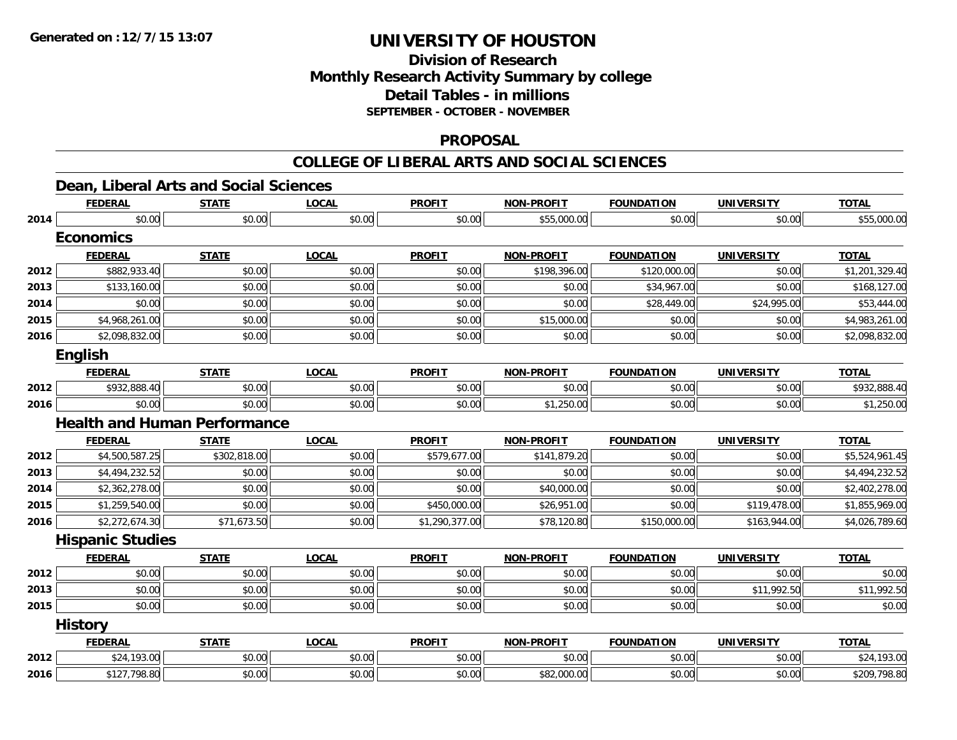## **Division of ResearchMonthly Research Activity Summary by college Detail Tables - in millions SEPTEMBER - OCTOBER - NOVEMBER**

#### **PROPOSAL**

#### **COLLEGE OF LIBERAL ARTS AND SOCIAL SCIENCES**

### **Dean, Liberal Arts and Social Sciences**

|      | <b>FEDERAL</b>          | <b>STATE</b>                        | <b>LOCAL</b> | <b>PROFIT</b>  | <b>NON-PROFIT</b> | <b>FOUNDATION</b> | <b>UNIVERSITY</b> | <b>TOTAL</b>   |
|------|-------------------------|-------------------------------------|--------------|----------------|-------------------|-------------------|-------------------|----------------|
| 2014 | \$0.00                  | \$0.00                              | \$0.00       | \$0.00         | \$55,000.00       | \$0.00            | \$0.00            | \$55,000.00    |
|      | <b>Economics</b>        |                                     |              |                |                   |                   |                   |                |
|      | <b>FEDERAL</b>          | <b>STATE</b>                        | <b>LOCAL</b> | <b>PROFIT</b>  | <b>NON-PROFIT</b> | <b>FOUNDATION</b> | <b>UNIVERSITY</b> | <b>TOTAL</b>   |
| 2012 | \$882,933.40            | \$0.00                              | \$0.00       | \$0.00         | \$198,396.00      | \$120,000.00      | \$0.00            | \$1,201,329.40 |
| 2013 | \$133,160.00            | \$0.00                              | \$0.00       | \$0.00         | \$0.00            | \$34,967.00       | \$0.00            | \$168,127.00   |
| 2014 | \$0.00                  | \$0.00                              | \$0.00       | \$0.00         | \$0.00            | \$28,449.00       | \$24,995.00       | \$53,444.00    |
| 2015 | \$4,968,261.00          | \$0.00                              | \$0.00       | \$0.00         | \$15,000.00       | \$0.00            | \$0.00            | \$4,983,261.00 |
| 2016 | \$2,098,832.00          | \$0.00                              | \$0.00       | \$0.00         | \$0.00            | \$0.00            | \$0.00            | \$2,098,832.00 |
|      | English                 |                                     |              |                |                   |                   |                   |                |
|      | <b>FEDERAL</b>          | <b>STATE</b>                        | <b>LOCAL</b> | <b>PROFIT</b>  | <b>NON-PROFIT</b> | <b>FOUNDATION</b> | <b>UNIVERSITY</b> | <b>TOTAL</b>   |
| 2012 | \$932,888.40            | \$0.00                              | \$0.00       | \$0.00         | \$0.00            | \$0.00            | \$0.00            | \$932,888.40   |
| 2016 | \$0.00                  | \$0.00                              | \$0.00       | \$0.00         | \$1,250.00        | \$0.00            | \$0.00            | \$1,250.00     |
|      |                         | <b>Health and Human Performance</b> |              |                |                   |                   |                   |                |
|      | <b>FEDERAL</b>          | <b>STATE</b>                        | <b>LOCAL</b> | <b>PROFIT</b>  | <b>NON-PROFIT</b> | <b>FOUNDATION</b> | <b>UNIVERSITY</b> | <b>TOTAL</b>   |
| 2012 | \$4,500,587.25          | \$302,818.00                        | \$0.00       | \$579,677.00   | \$141,879.20      | \$0.00            | \$0.00            | \$5,524,961.45 |
| 2013 | \$4,494,232.52          | \$0.00                              | \$0.00       | \$0.00         | \$0.00            | \$0.00            | \$0.00            | \$4,494,232.52 |
| 2014 | \$2,362,278.00          | \$0.00                              | \$0.00       | \$0.00         | \$40,000.00       | \$0.00            | \$0.00            | \$2,402,278.00 |
| 2015 | \$1,259,540.00          | \$0.00                              | \$0.00       | \$450,000.00   | \$26,951.00       | \$0.00            | \$119,478.00      | \$1,855,969.00 |
| 2016 | \$2,272,674.30          | \$71,673.50                         | \$0.00       | \$1,290,377.00 | \$78,120.80       | \$150,000.00      | \$163,944.00      | \$4,026,789.60 |
|      | <b>Hispanic Studies</b> |                                     |              |                |                   |                   |                   |                |
|      | <b>FEDERAL</b>          | <b>STATE</b>                        | <b>LOCAL</b> | <b>PROFIT</b>  | <b>NON-PROFIT</b> | <b>FOUNDATION</b> | <b>UNIVERSITY</b> | <b>TOTAL</b>   |
| 2012 | \$0.00                  | \$0.00                              | \$0.00       | \$0.00         | \$0.00            | \$0.00            | \$0.00            | \$0.00         |
| 2013 | \$0.00                  | \$0.00                              | \$0.00       | \$0.00         | \$0.00            | \$0.00            | \$11,992.50       | \$11,992.50    |
| 2015 | \$0.00                  | \$0.00                              | \$0.00       | \$0.00         | \$0.00            | \$0.00            | \$0.00            | \$0.00         |
|      | <b>History</b>          |                                     |              |                |                   |                   |                   |                |
|      | <b>FEDERAL</b>          | <b>STATE</b>                        | <b>LOCAL</b> | <b>PROFIT</b>  | <b>NON-PROFIT</b> | <b>FOUNDATION</b> | <b>UNIVERSITY</b> | <b>TOTAL</b>   |
| 2012 | \$24,193.00             | \$0.00                              | \$0.00       | \$0.00         | \$0.00            | \$0.00            | \$0.00            | \$24,193.00    |
| 2016 | \$127,798.80            | \$0.00                              | \$0.00       | \$0.00         | \$82,000.00       | \$0.00            | \$0.00            | \$209,798.80   |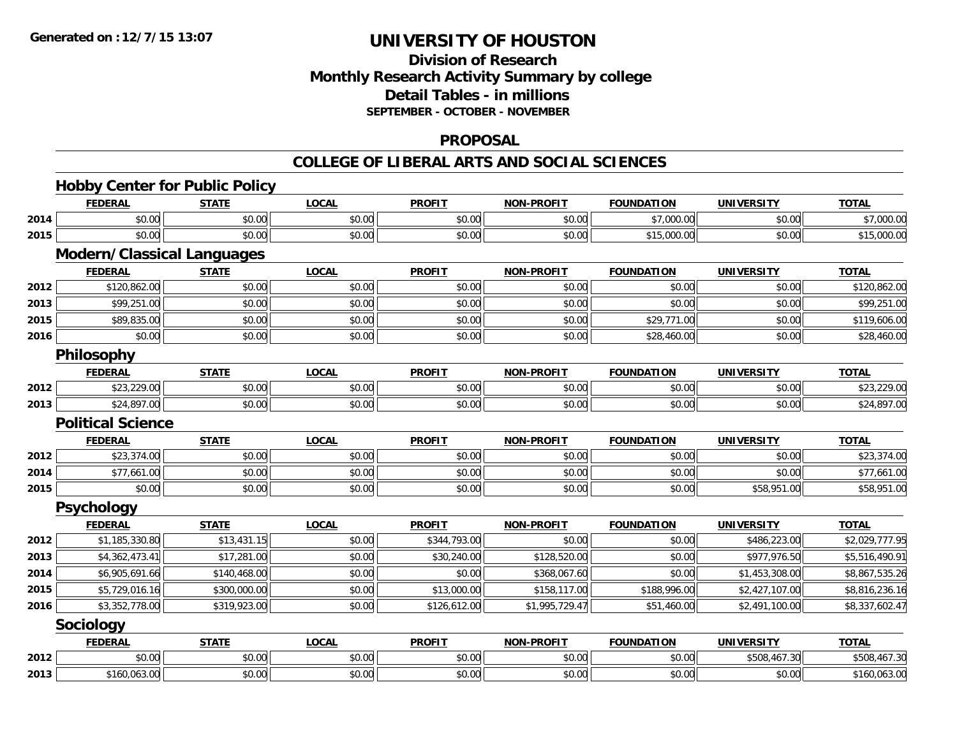## **Division of ResearchMonthly Research Activity Summary by college Detail Tables - in millions SEPTEMBER - OCTOBER - NOVEMBER**

#### **PROPOSAL**

|      | <b>Hobby Center for Public Policy</b> |              |              |               |                   |                   |                   |                |
|------|---------------------------------------|--------------|--------------|---------------|-------------------|-------------------|-------------------|----------------|
|      | <b>FEDERAL</b>                        | <b>STATE</b> | <b>LOCAL</b> | <b>PROFIT</b> | <b>NON-PROFIT</b> | <b>FOUNDATION</b> | <b>UNIVERSITY</b> | <b>TOTAL</b>   |
| 2014 | \$0.00                                | \$0.00       | \$0.00       | \$0.00        | \$0.00            | \$7,000.00        | \$0.00            | \$7,000.00     |
| 2015 | \$0.00                                | \$0.00       | \$0.00       | \$0.00        | \$0.00            | \$15,000.00       | \$0.00            | \$15,000.00    |
|      | <b>Modern/Classical Languages</b>     |              |              |               |                   |                   |                   |                |
|      | <b>FEDERAL</b>                        | <b>STATE</b> | <b>LOCAL</b> | <b>PROFIT</b> | <b>NON-PROFIT</b> | <b>FOUNDATION</b> | <b>UNIVERSITY</b> | <b>TOTAL</b>   |
| 2012 | \$120,862.00                          | \$0.00       | \$0.00       | \$0.00        | \$0.00            | \$0.00            | \$0.00            | \$120,862.00   |
| 2013 | \$99,251.00                           | \$0.00       | \$0.00       | \$0.00        | \$0.00            | \$0.00            | \$0.00            | \$99,251.00    |
| 2015 | \$89,835.00                           | \$0.00       | \$0.00       | \$0.00        | \$0.00            | \$29,771.00       | \$0.00            | \$119,606.00   |
| 2016 | \$0.00                                | \$0.00       | \$0.00       | \$0.00        | \$0.00            | \$28,460.00       | \$0.00            | \$28,460.00    |
|      | Philosophy                            |              |              |               |                   |                   |                   |                |
|      | <b>FEDERAL</b>                        | <b>STATE</b> | <b>LOCAL</b> | <b>PROFIT</b> | <b>NON-PROFIT</b> | <b>FOUNDATION</b> | <b>UNIVERSITY</b> | <b>TOTAL</b>   |
| 2012 | \$23,229.00                           | \$0.00       | \$0.00       | \$0.00        | \$0.00            | \$0.00            | \$0.00            | \$23,229.00    |
| 2013 | \$24,897.00                           | \$0.00       | \$0.00       | \$0.00        | \$0.00            | \$0.00            | \$0.00            | \$24,897.00    |
|      | <b>Political Science</b>              |              |              |               |                   |                   |                   |                |
|      | <b>FEDERAL</b>                        | <b>STATE</b> | <b>LOCAL</b> | <b>PROFIT</b> | <b>NON-PROFIT</b> | <b>FOUNDATION</b> | <b>UNIVERSITY</b> | <b>TOTAL</b>   |
| 2012 | \$23,374.00                           | \$0.00       | \$0.00       | \$0.00        | \$0.00            | \$0.00            | \$0.00            | \$23,374.00    |
| 2014 | \$77,661.00                           | \$0.00       | \$0.00       | \$0.00        | \$0.00            | \$0.00            | \$0.00            | \$77,661.00    |
| 2015 | \$0.00                                | \$0.00       | \$0.00       | \$0.00        | \$0.00            | \$0.00            | \$58,951.00       | \$58,951.00    |
|      | Psychology                            |              |              |               |                   |                   |                   |                |
|      | <b>FEDERAL</b>                        | <b>STATE</b> | <b>LOCAL</b> | <b>PROFIT</b> | <b>NON-PROFIT</b> | <b>FOUNDATION</b> | <b>UNIVERSITY</b> | <b>TOTAL</b>   |
| 2012 | \$1,185,330.80                        | \$13,431.15  | \$0.00       | \$344,793.00  | \$0.00            | \$0.00            | \$486,223.00      | \$2,029,777.95 |
| 2013 | \$4,362,473.41                        | \$17,281.00  | \$0.00       | \$30,240.00   | \$128,520.00      | \$0.00            | \$977,976.50      | \$5,516,490.91 |
| 2014 | \$6,905,691.66                        | \$140,468.00 | \$0.00       | \$0.00        | \$368,067.60      | \$0.00            | \$1,453,308.00    | \$8,867,535.26 |
| 2015 | \$5,729,016.16                        | \$300,000.00 | \$0.00       | \$13,000.00   | \$158,117.00      | \$188,996.00      | \$2,427,107.00    | \$8,816,236.16 |
| 2016 | \$3,352,778.00                        | \$319,923.00 | \$0.00       | \$126,612.00  | \$1,995,729.47    | \$51,460.00       | \$2,491,100.00    | \$8,337,602.47 |
|      | Sociology                             |              |              |               |                   |                   |                   |                |
|      | <b>FEDERAL</b>                        | <b>STATE</b> | <b>LOCAL</b> | <b>PROFIT</b> | <b>NON-PROFIT</b> | <b>FOUNDATION</b> | <b>UNIVERSITY</b> | <b>TOTAL</b>   |
| 2012 | \$0.00                                | \$0.00       | \$0.00       | \$0.00        | \$0.00            | \$0.00            | \$508,467.30      | \$508,467.30   |
| 2013 | \$160,063.00                          | \$0.00       | \$0.00       | \$0.00        | \$0.00            | \$0.00            | \$0.00            | \$160,063.00   |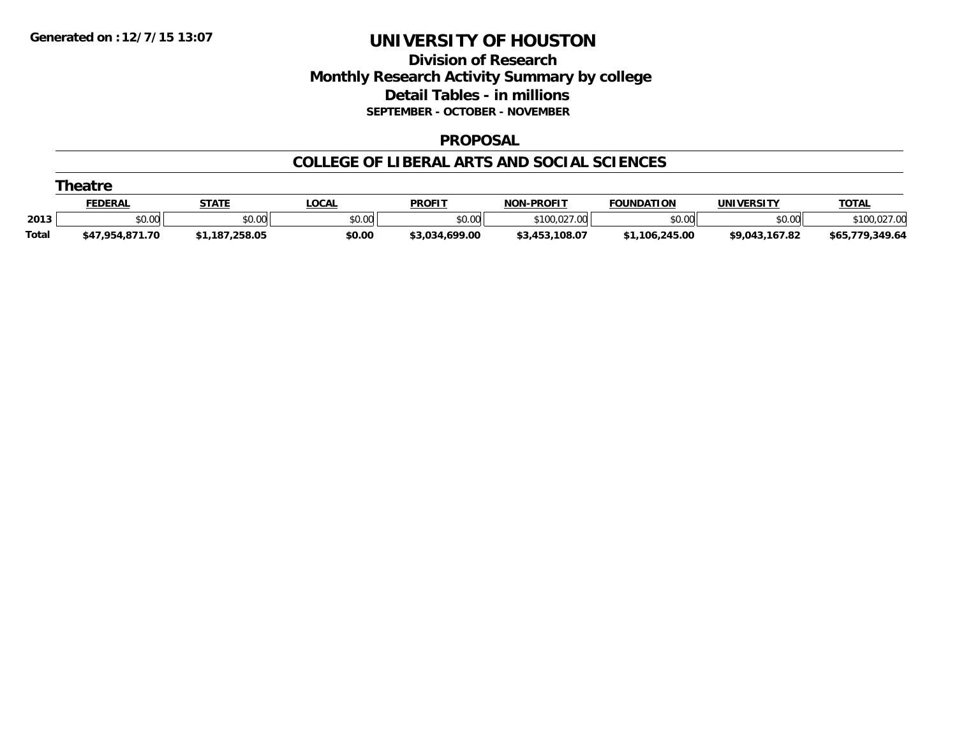### **Division of Research Monthly Research Activity Summary by college Detail Tables - in millions SEPTEMBER - OCTOBER - NOVEMBER**

#### **PROPOSAL**

|              | <b>heatr</b>    |                |             |                |                   |                   |                   |                      |  |  |  |  |
|--------------|-----------------|----------------|-------------|----------------|-------------------|-------------------|-------------------|----------------------|--|--|--|--|
|              | <u>FEDERAL</u>  | <b>STATE</b>   | <b>OCAL</b> | <b>PROFIT</b>  | <b>NON-PROFIT</b> | <b>FOUNDATION</b> | <b>UNIVERSITY</b> | <b>TOTAL</b>         |  |  |  |  |
| 2013         | \$0.00          | \$0.00         | \$0.00      | \$0.00         | 0.027.00          | \$0.00            | \$0.00            |                      |  |  |  |  |
| <b>Total</b> | \$47,954,871.70 | \$1,187,258.05 | \$0.00      | \$3,034,699.00 | \$3,453,108.07    | \$1,106,245.00    | \$9,043,167.82    | ,349.64<br>\$65,779, |  |  |  |  |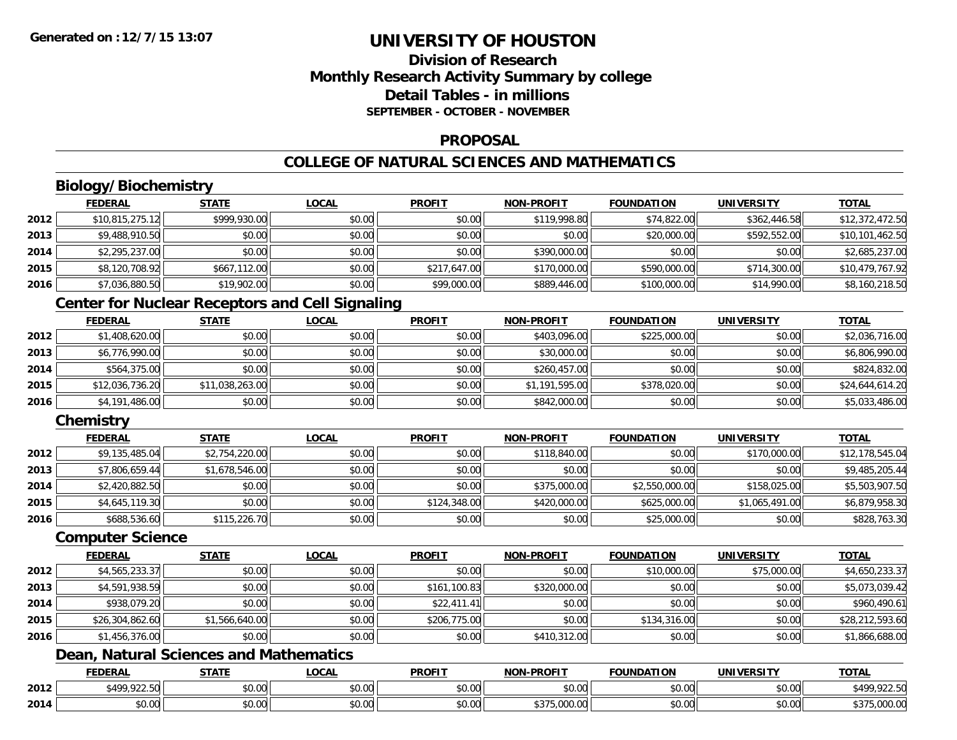## **Division of ResearchMonthly Research Activity Summary by college Detail Tables - in millionsSEPTEMBER - OCTOBER - NOVEMBER**

#### **PROPOSAL**

## **COLLEGE OF NATURAL SCIENCES AND MATHEMATICS**

## **Biology/Biochemistry**

|      | <b>FEDERAL</b>  | <u>STATE</u> | <u>LOCAL</u> | <b>PROFIT</b> | <b>NON-PROFIT</b> | <b>FOUNDATION</b> | <b>UNIVERSITY</b> | <u>TOTAL</u>    |
|------|-----------------|--------------|--------------|---------------|-------------------|-------------------|-------------------|-----------------|
| 2012 | \$10,815,275.12 | \$999,930.00 | \$0.00       | \$0.00        | \$119,998.80      | \$74,822.00       | \$362,446.58      | \$12,372,472.50 |
| 2013 | \$9,488,910.50  | \$0.00       | \$0.00       | \$0.00        | \$0.00            | \$20,000.00       | \$592,552.00      | \$10,101,462.50 |
| 2014 | \$2,295,237.00  | \$0.00       | \$0.00       | \$0.00        | \$390,000.00      | \$0.00            | \$0.00            | \$2,685,237.00  |
| 2015 | \$8,120,708.92  | \$667,112,00 | \$0.00       | \$217,647.00  | \$170,000.00      | \$590,000.00      | \$714,300.00      | \$10,479,767.92 |
| 2016 | \$7,036,880.50  | \$19,902.00  | \$0.00       | \$99,000.00   | \$889,446.00      | \$100,000.00      | \$14,990.00       | \$8,160,218.50  |

### **Center for Nuclear Receptors and Cell Signaling**

|      | <b>FEDERAL</b>  | <u>STATE</u>    | <b>LOCAL</b> | <b>PROFIT</b> | <b>NON-PROFIT</b> | <b>FOUNDATION</b> | <b>UNIVERSITY</b> | <b>TOTAL</b>    |
|------|-----------------|-----------------|--------------|---------------|-------------------|-------------------|-------------------|-----------------|
| 2012 | \$1,408,620.00  | \$0.00          | \$0.00       | \$0.00        | \$403.096.00      | \$225,000.00      | \$0.00            | \$2,036,716.00  |
| 2013 | \$6,776,990.00  | \$0.00          | \$0.00       | \$0.00        | \$30,000.00       | \$0.00            | \$0.00            | \$6,806,990.00  |
| 2014 | \$564,375.00    | \$0.00          | \$0.00       | \$0.00        | \$260,457.00      | \$0.00            | \$0.00            | \$824,832.00    |
| 2015 | \$12,036,736.20 | \$11,038,263.00 | \$0.00       | \$0.00        | \$1,191,595.00    | \$378,020.00      | \$0.00            | \$24,644,614.20 |
| 2016 | \$4,191,486.00  | \$0.00          | \$0.00       | \$0.00        | \$842,000.00      | \$0.00            | \$0.00            | \$5,033,486.00  |

## **Chemistry**

|      | <b>FEDERAL</b> | <b>STATE</b>   | <b>LOCAL</b> | <b>PROFIT</b> | <b>NON-PROFIT</b> | <b>FOUNDATION</b> | <b>UNIVERSITY</b> | <b>TOTAL</b>    |
|------|----------------|----------------|--------------|---------------|-------------------|-------------------|-------------------|-----------------|
| 2012 | \$9,135,485.04 | \$2,754,220.00 | \$0.00       | \$0.00        | \$118,840.00      | \$0.00            | \$170,000.00      | \$12,178,545.04 |
| 2013 | \$7,806,659.44 | \$1,678,546.00 | \$0.00       | \$0.00        | \$0.00            | \$0.00            | \$0.00            | \$9,485,205.44  |
| 2014 | \$2,420,882.50 | \$0.00         | \$0.00       | \$0.00        | \$375,000.00      | \$2,550,000.00    | \$158,025.00      | \$5,503,907.50  |
| 2015 | \$4,645,119.30 | \$0.00         | \$0.00       | \$124,348.00  | \$420,000.00      | \$625,000.00      | \$1,065,491.00    | \$6,879,958.30  |
| 2016 | \$688,536.60   | \$115,226.70   | \$0.00       | \$0.00        | \$0.00            | \$25,000.00       | \$0.00            | \$828,763.30    |

#### **Computer Science**

|      | <b>FEDERAL</b>  | <b>STATE</b>   | <b>LOCAL</b> | <b>PROFIT</b> | <b>NON-PROFIT</b> | <b>FOUNDATION</b> | <b>UNIVERSITY</b> | <b>TOTAL</b>    |
|------|-----------------|----------------|--------------|---------------|-------------------|-------------------|-------------------|-----------------|
| 2012 | \$4,565,233.37  | \$0.00         | \$0.00       | \$0.00        | \$0.00            | \$10,000.00       | \$75,000.00       | \$4,650,233.37  |
| 2013 | \$4,591,938.59  | \$0.00         | \$0.00       | \$161,100.83  | \$320,000.00      | \$0.00            | \$0.00            | \$5,073,039.42  |
| 2014 | \$938,079.20    | \$0.00         | \$0.00       | \$22,411.41   | \$0.00            | \$0.00            | \$0.00            | \$960,490.61    |
| 2015 | \$26,304,862.60 | \$1,566,640.00 | \$0.00       | \$206,775.00  | \$0.00            | \$134,316.00      | \$0.00            | \$28,212,593.60 |
| 2016 | \$1,456,376.00  | \$0.00         | \$0.00       | \$0.00        | \$410,312.00      | \$0.00            | \$0.00            | \$1,866,688.00  |

## **Dean, Natural Sciences and Mathematics**

|      | <b>FEDERAL</b>                 | <b>STATE</b>    | LOCAL              | <b>PROFIT</b>        | <b>NON-PROFIT</b>                      | <b>FOUNDATION</b> | <b>UNIVERSITY</b> | <b>TOTA.</b>                      |
|------|--------------------------------|-----------------|--------------------|----------------------|----------------------------------------|-------------------|-------------------|-----------------------------------|
| 2012 | $*100.0225$<br>9499ء<br>,,,,,, | ÷0.<br>DU.UU    | $\sim$ 00<br>JU.UU | 0000<br>JU.UU        | $\theta$ $\theta$ $\theta$<br>DU.UU    | \$0.00            | \$0.00            | ,922.50<br>QA                     |
| 2014 | \$0.00                         | $\sim$<br>₽U.UU | $\sim$ 00<br>JU.UU | 0000<br><b>DU.UG</b> | 000<br>$A$ $\cap$ $\cap$<br>, J,UUU.UU | \$0.00            | \$0.00            | $A^{\sim}$<br>00000<br>00.000,000 |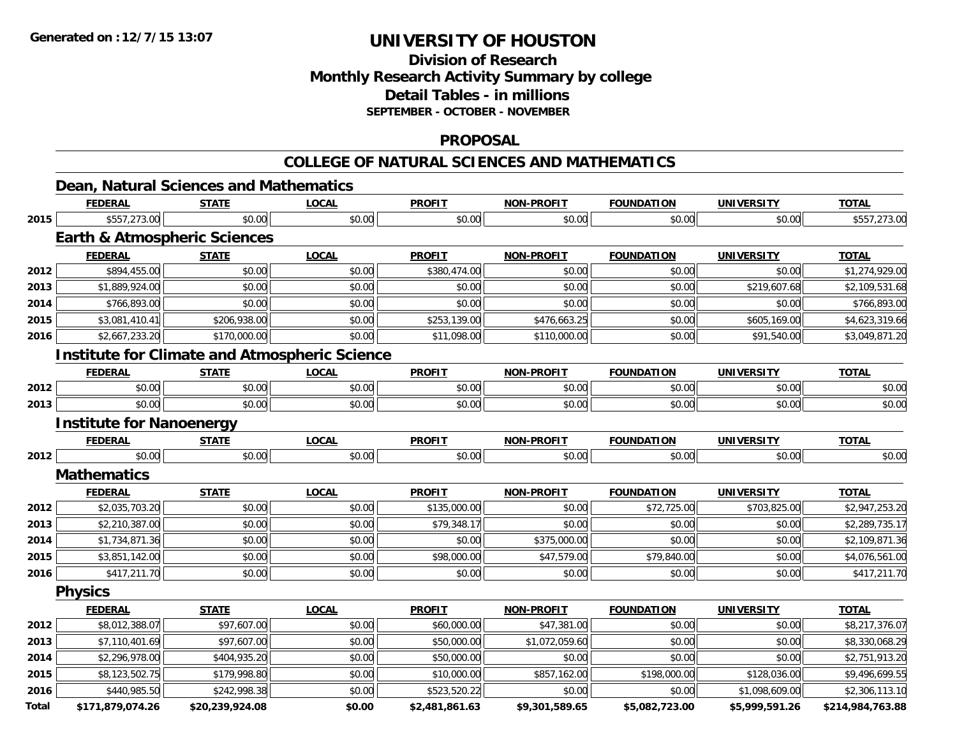## **Division of ResearchMonthly Research Activity Summary by college Detail Tables - in millions SEPTEMBER - OCTOBER - NOVEMBER**

#### **PROPOSAL**

#### **COLLEGE OF NATURAL SCIENCES AND MATHEMATICS**

|       | <b>FEDERAL</b>                                       | <b>STATE</b>    | <b>LOCAL</b> | <b>PROFIT</b>  | <b>NON-PROFIT</b> | <b>FOUNDATION</b> | <b>UNIVERSITY</b> | <b>TOTAL</b>     |
|-------|------------------------------------------------------|-----------------|--------------|----------------|-------------------|-------------------|-------------------|------------------|
| 2015  | \$557,273.00                                         | \$0.00          | \$0.00       | \$0.00         | \$0.00            | \$0.00            | \$0.00            | \$557,273.00     |
|       | <b>Earth &amp; Atmospheric Sciences</b>              |                 |              |                |                   |                   |                   |                  |
|       | <b>FEDERAL</b>                                       | <b>STATE</b>    | <b>LOCAL</b> | <b>PROFIT</b>  | <b>NON-PROFIT</b> | <b>FOUNDATION</b> | <b>UNIVERSITY</b> | <b>TOTAL</b>     |
| 2012  | \$894,455.00                                         | \$0.00          | \$0.00       | \$380,474.00   | \$0.00            | \$0.00            | \$0.00            | \$1,274,929.00   |
| 2013  | \$1,889,924.00                                       | \$0.00          | \$0.00       | \$0.00         | \$0.00            | \$0.00            | \$219,607.68      | \$2,109,531.68   |
| 2014  | \$766,893.00                                         | \$0.00          | \$0.00       | \$0.00         | \$0.00            | \$0.00            | \$0.00            | \$766,893.00     |
| 2015  | \$3,081,410.41                                       | \$206,938.00    | \$0.00       | \$253,139.00   | \$476,663.25      | \$0.00            | \$605,169.00      | \$4,623,319.66   |
| 2016  | \$2,667,233.20                                       | \$170,000.00    | \$0.00       | \$11,098.00    | \$110,000.00      | \$0.00            | \$91,540.00       | \$3,049,871.20   |
|       | <b>Institute for Climate and Atmospheric Science</b> |                 |              |                |                   |                   |                   |                  |
|       | <b>FEDERAL</b>                                       | <b>STATE</b>    | <b>LOCAL</b> | <b>PROFIT</b>  | <b>NON-PROFIT</b> | <b>FOUNDATION</b> | <b>UNIVERSITY</b> | <b>TOTAL</b>     |
| 2012  | \$0.00                                               | \$0.00          | \$0.00       | \$0.00         | \$0.00            | \$0.00            | \$0.00            | \$0.00           |
| 2013  | \$0.00                                               | \$0.00          | \$0.00       | \$0.00         | \$0.00            | \$0.00            | \$0.00            | \$0.00           |
|       | <b>Institute for Nanoenergy</b>                      |                 |              |                |                   |                   |                   |                  |
|       | <b>FEDERAL</b>                                       | <b>STATE</b>    | <b>LOCAL</b> | <b>PROFIT</b>  | <b>NON-PROFIT</b> | <b>FOUNDATION</b> | <b>UNIVERSITY</b> | <b>TOTAL</b>     |
| 2012  | \$0.00                                               | \$0.00          | \$0.00       | \$0.00         | \$0.00            | \$0.00            | \$0.00            | \$0.00           |
|       | <b>Mathematics</b>                                   |                 |              |                |                   |                   |                   |                  |
|       | <b>FEDERAL</b>                                       | <b>STATE</b>    | <b>LOCAL</b> | <b>PROFIT</b>  | <b>NON-PROFIT</b> | <b>FOUNDATION</b> | <b>UNIVERSITY</b> | <b>TOTAL</b>     |
| 2012  | \$2,035,703.20                                       | \$0.00          | \$0.00       | \$135,000.00   | \$0.00            | \$72,725.00       | \$703,825.00      | \$2,947,253.20   |
| 2013  | \$2,210,387.00                                       | \$0.00          | \$0.00       | \$79,348.17    | \$0.00            | \$0.00            | \$0.00            | \$2,289,735.17   |
| 2014  | \$1,734,871.36                                       | \$0.00          | \$0.00       | \$0.00         | \$375,000.00      | \$0.00            | \$0.00            | \$2,109,871.36   |
| 2015  | \$3,851,142.00                                       | \$0.00          | \$0.00       | \$98,000.00    | \$47,579.00       | \$79,840.00       | \$0.00            | \$4,076,561.00   |
| 2016  | \$417,211.70                                         | \$0.00          | \$0.00       | \$0.00         | \$0.00            | \$0.00            | \$0.00            | \$417,211.70     |
|       | <b>Physics</b>                                       |                 |              |                |                   |                   |                   |                  |
|       | <b>FEDERAL</b>                                       | <b>STATE</b>    | <b>LOCAL</b> | <b>PROFIT</b>  | <b>NON-PROFIT</b> | <b>FOUNDATION</b> | <b>UNIVERSITY</b> | <b>TOTAL</b>     |
| 2012  | \$8,012,388.07                                       | \$97,607.00     | \$0.00       | \$60,000.00    | \$47,381.00       | \$0.00            | \$0.00            | \$8,217,376.07   |
| 2013  | \$7,110,401.69                                       | \$97,607.00     | \$0.00       | \$50,000.00    | \$1,072,059.60    | \$0.00            | \$0.00            | \$8,330,068.29   |
| 2014  | \$2,296,978.00                                       | \$404,935.20    | \$0.00       | \$50,000.00    | \$0.00            | \$0.00            | \$0.00            | \$2,751,913.20   |
| 2015  | \$8,123,502.75                                       | \$179,998.80    | \$0.00       | \$10,000.00    | \$857,162.00      | \$198,000.00      | \$128,036.00      | \$9,496,699.55   |
| 2016  | \$440,985.50                                         | \$242,998.38    | \$0.00       | \$523,520.22   | \$0.00            | \$0.00            | \$1,098,609.00    | \$2,306,113.10   |
| Total | \$171,879,074.26                                     | \$20,239,924.08 | \$0.00       | \$2,481,861.63 | \$9,301,589.65    | \$5,082,723.00    | \$5,999,591.26    | \$214,984,763.88 |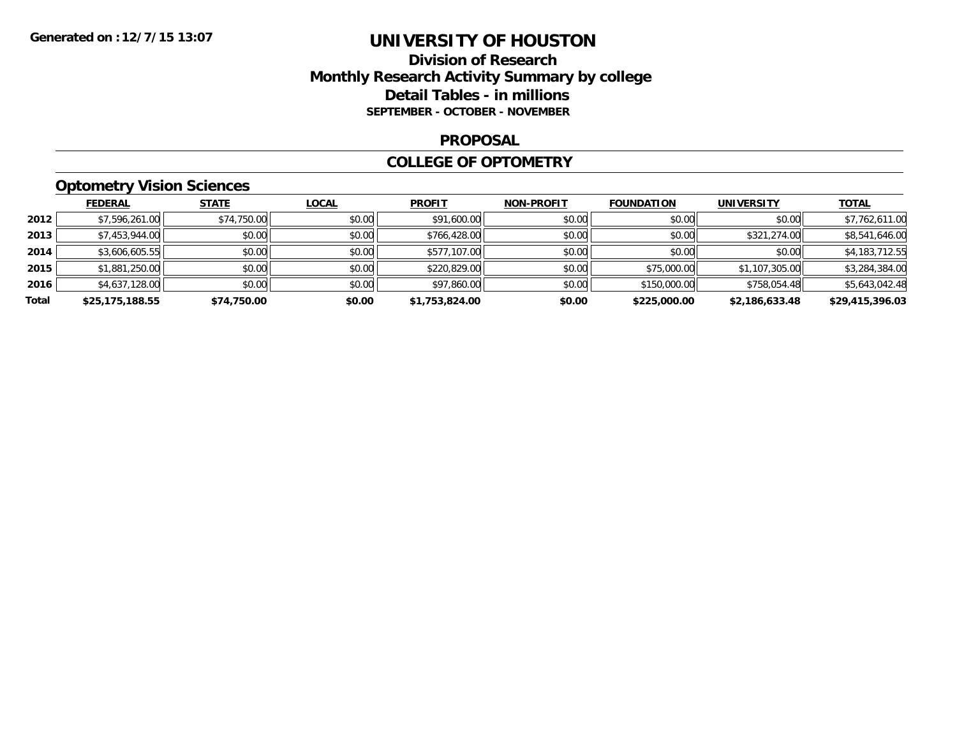### **Division of Research Monthly Research Activity Summary by college Detail Tables - in millions SEPTEMBER - OCTOBER - NOVEMBER**

#### **PROPOSAL**

#### **COLLEGE OF OPTOMETRY**

## **Optometry Vision Sciences**

|       | <b>FEDERAL</b>  | <b>STATE</b> | <b>LOCAL</b> | <b>PROFIT</b>  | <b>NON-PROFIT</b> | <b>FOUNDATION</b> | <b>UNIVERSITY</b> | <b>TOTAL</b>    |
|-------|-----------------|--------------|--------------|----------------|-------------------|-------------------|-------------------|-----------------|
| 2012  | \$7,596,261.00  | \$74,750.00  | \$0.00       | \$91,600.00    | \$0.00            | \$0.00            | \$0.00            | \$7,762,611.00  |
| 2013  | \$7,453,944.00  | \$0.00       | \$0.00       | \$766,428.00   | \$0.00            | \$0.00            | \$321,274.00      | \$8,541,646.00  |
| 2014  | \$3,606,605.55  | \$0.00       | \$0.00       | \$577,107.00   | \$0.00            | \$0.00            | \$0.00            | \$4,183,712.55  |
| 2015  | \$1,881,250.00  | \$0.00       | \$0.00       | \$220,829.00   | \$0.00            | \$75,000.00       | \$1,107,305.00    | \$3,284,384.00  |
| 2016  | \$4,637,128.00  | \$0.00       | \$0.00       | \$97,860.00    | \$0.00            | \$150,000.00      | \$758,054.48      | \$5,643,042.48  |
| Total | \$25,175,188.55 | \$74,750.00  | \$0.00       | \$1,753,824.00 | \$0.00            | \$225,000.00      | \$2,186,633.48    | \$29,415,396.03 |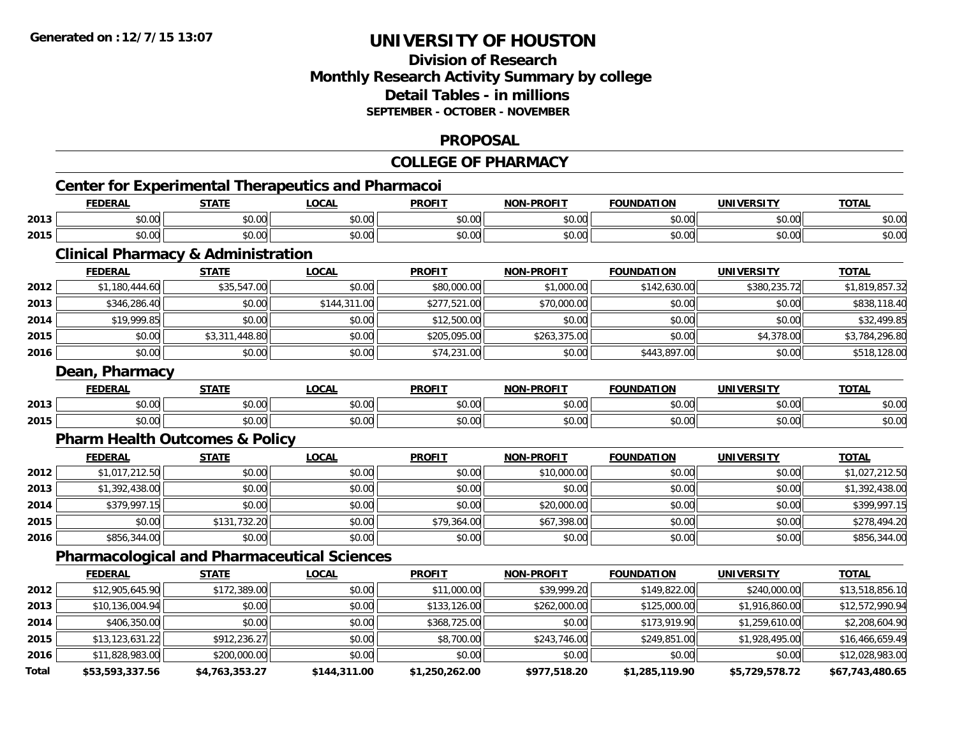### **Division of ResearchMonthly Research Activity Summary by college Detail Tables - in millionsSEPTEMBER - OCTOBER - NOVEMBER**

#### **PROPOSAL**

#### **COLLEGE OF PHARMACYCenter for Experimental Therapeutics and Pharmacoi FEDERAL STATE LOCAL PROFIT NON-PROFIT FOUNDATION UNIVERSITY TOTALTOTAL 2013** $\textbf{3} \quad \textbf{\textcolor{blue}{\textbf{50.00}}} \quad \textbf{\textcolor{blue}{\textbf{50.00}}} \quad \textbf{\textcolor{blue}{\textbf{50.00}}} \quad \textbf{\textcolor{blue}{\textbf{50.00}}} \quad \textbf{\textcolor{blue}{\textbf{50.00}}} \quad \textbf{\textcolor{blue}{\textbf{50.00}}} \quad \textbf{\textcolor{blue}{\textbf{50.00}}} \quad \textbf{\textcolor{blue}{\textbf{50.00}}} \quad \textbf{\textcolor{blue}{\textbf{50.00}}} \quad \textbf{\textcolor{blue}{\textbf{50.00}}} \quad \text$ **2015** \$0.00 \$0.00 \$0.00 \$0.00 \$0.00 \$0.00 \$0.00 \$0.00 **Clinical Pharmacy & Administration FEDERAL STATE LOCAL PROFIT NON-PROFIT FOUNDATION UNIVERSITY TOTAL2012** $\texttt{2} \mid \texttt{31,180,444.60} \mid \texttt{335,547.00} \mid \texttt{480,00} \mid \texttt{480,000.00} \mid \texttt{51,000.00} \mid \texttt{51,000.00} \mid \texttt{5380,235.72} \mid \texttt{51,819,857.32} \mid \texttt{52,000} \mid \texttt{530,00} \mid \texttt{530,00} \mid \texttt{540,00} \mid \texttt{55,00} \mid \texttt{56,00} \mid$ **2013** \$346,286.40 \$0.00 \$144,311.00 \$277,521.00 \$70,000.00 \$0.00 \$0.00 \$838,118.40 **2014** \$19,999.85 \$0.00 \$0.00 \$12,500.00 \$0.00 \$0.00 \$0.00 \$32,499.85 **2015** \$0.00 \$3,311,448.80 \$0.00 \$205,095.00 \$263,375.00 \$0.00 \$4,378.00 \$3,784,296.80 **2016** \$0.00 \$0.00 \$0.00 \$74,231.00 \$0.00 \$443,897.00 \$0.00 \$518,128.00 **Dean, Pharmacy FEDERAL STATE LOCAL PROFIT NON-PROFIT FOUNDATION UNIVERSITY TOTAL2013**3 \$0.00 | \$0.00 | \$0.00 | \$0.00 | \$0.00 | \$0.00 | \$0.00 | \$0 **2015** \$0.00 \$0.00 \$0.00 \$0.00 \$0.00 \$0.00 \$0.00 \$0.00 **Pharm Health Outcomes & Policy FEDERAL STATE LOCAL PROFIT NON-PROFIT FOUNDATION UNIVERSITY TOTAL2012** $\bm{2} \parallel \bm{3} \pm 3.017, 212.50 \parallel \bm{4} \pm 3.000 \parallel \bm{5} \pm 3.000 \parallel \bm{6} \pm 3.000 \parallel \bm{1} \pm 3.000 \parallel \bm{1} \pm 3.000 \parallel \bm{1} \pm 3.000 \parallel \bm{1} \pm 3.000 \parallel \bm{1} \pm 3.000 \parallel \bm{1} \pm 3.000 \parallel \bm{1} \pm 3.000 \parallel \bm{1} \pm 3.000 \parallel \bm{1} \pm 3.000 \parallel \bm{1} \pm 3.$ **2013** $\textbf{3} \mid \textbf{3} \mid \textbf{4} \mid \textbf{5} \mid \textbf{5} \mid \textbf{5} \mid \textbf{6} \mid \textbf{7} \mid \textbf{8} \mid \textbf{7} \mid \textbf{8} \mid \textbf{8} \mid \textbf{8} \mid \textbf{9} \mid \textbf{1} \mid \textbf{1} \mid \textbf{1} \mid \textbf{1} \mid \textbf{1} \mid \textbf{1} \mid \textbf{1} \mid \textbf{1} \mid \textbf{1} \mid \textbf{1} \mid \textbf{1} \mid \textbf{1} \mid \textbf{1} \mid \textbf{$ **2014** \$379,997.15 \$0.00 \$0.00 \$0.00 \$20,000.00 \$0.00 \$0.00 \$399,997.15 **2015**5 | \$0.00 || \$131,732.20 || \$0.00 || \$79,364.00 || \$67,398.00 || \$0.00 || \$0.00 | **2016**6 \$856,344.00 \$0.00 \$0.00 \$0.00 \$0.00 \$0.00 \$0.00 \$0.00 \$0.00 \$0.00 \$0.00 \$0.00 \$0.00 \$0.00 \$856,344.00 **Pharmacological and Pharmaceutical Sciences FEDERAL STATE LOCAL PROFIT NON-PROFIT FOUNDATION UNIVERSITY TOTALTOTAL 2012** $\textbf{2} \parallel \text{ $12,905,645.90]} \text{ $172,389.00]} \text{ } \text{ $10.00} \text{ $10.00} \text{ $11,000.00]} \text{ } \text{ $11,000.00]} \text{ $13,518,856.10}$ **2013** $\textbf{3} \parallel \textbf{3} \parallel \textbf{4} \parallel \textbf{5} \parallel \textbf{5} \parallel \textbf{5} \parallel \textbf{6} \parallel \textbf{7} \parallel \textbf{6} \parallel \textbf{7} \parallel \textbf{8} \parallel \textbf{7} \parallel \textbf{8} \parallel \textbf{7} \parallel \textbf{8} \parallel \textbf{7} \parallel \textbf{8} \parallel \textbf{8} \parallel \textbf{8} \parallel \textbf{9} \parallel \textbf{1} \parallel \textbf{1} \parallel \textbf{1} \parallel \textbf{1} \parallel \textbf{1} \parallel \textbf{1} \parallel \textbf{1} \parallel \textbf{1$ **2014**4 \$406,350.00 \$0.00 \$0.00 \$0.00 \$368,725.00 \$30.00 \$0.00 \$173,919.90 \$1,259,610.00 \$2,208,604.90 **2015** \$13,123,631.22 \$912,236.27 \$0.00 \$8,700.00 \$243,746.00 \$249,851.00 \$1,928,495.00 \$16,466,659.49 **2016** $\bf{6}$  \$11,828,983.00 \$200,000.00 \$0.00 \$0.00 \$0.00 \$0.00 \$0.00 \$0.00 \$0.00 \$0.00 \$12,028,983.00 **Total\$53,593,337.56 \$4,763,353.27 \$144,311.00 \$1,250,262.00 \$977,518.20 \$1,285,119.90 \$5,729,578.72 \$67,743,480.65**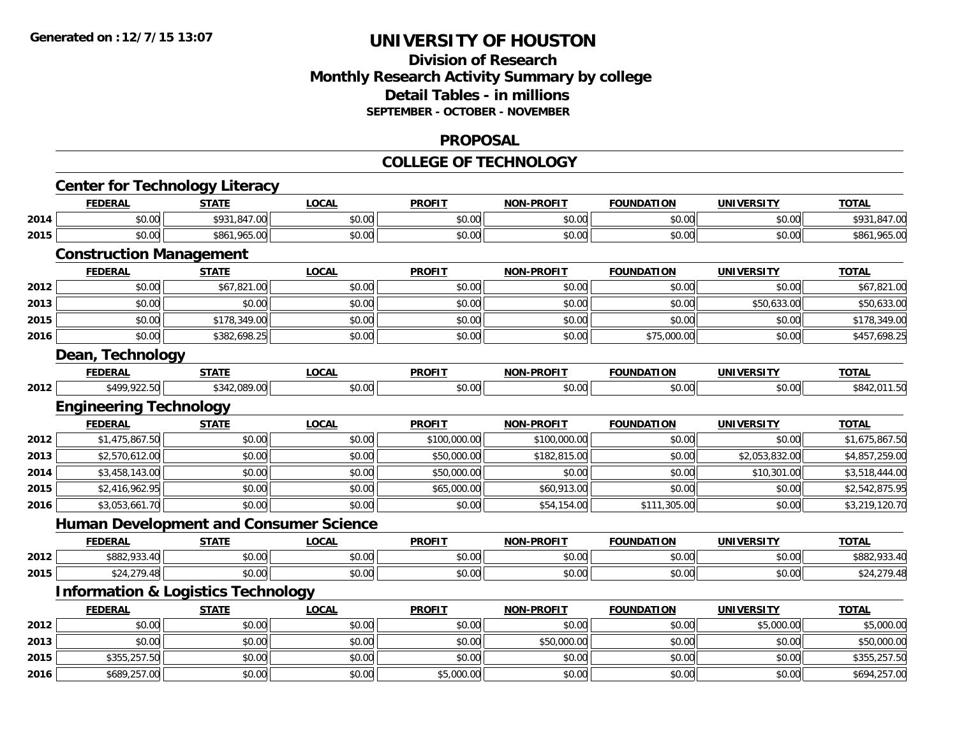## **Division of ResearchMonthly Research Activity Summary by college Detail Tables - in millions SEPTEMBER - OCTOBER - NOVEMBER**

#### **PROPOSAL**

#### **COLLEGE OF TECHNOLOGY**

|      | <b>Center for Technology Literacy</b>         |              |              |               |                   |                   |                   |                |
|------|-----------------------------------------------|--------------|--------------|---------------|-------------------|-------------------|-------------------|----------------|
|      | <b>FEDERAL</b>                                | <b>STATE</b> | <b>LOCAL</b> | <b>PROFIT</b> | <b>NON-PROFIT</b> | <b>FOUNDATION</b> | <b>UNIVERSITY</b> | <b>TOTAL</b>   |
| 2014 | \$0.00                                        | \$931,847.00 | \$0.00       | \$0.00        | \$0.00            | \$0.00            | \$0.00            | \$931,847.00   |
| 2015 | \$0.00                                        | \$861,965.00 | \$0.00       | \$0.00        | \$0.00            | \$0.00            | \$0.00            | \$861,965.00   |
|      | <b>Construction Management</b>                |              |              |               |                   |                   |                   |                |
|      | <b>FEDERAL</b>                                | <b>STATE</b> | <b>LOCAL</b> | <b>PROFIT</b> | <b>NON-PROFIT</b> | <b>FOUNDATION</b> | <b>UNIVERSITY</b> | <b>TOTAL</b>   |
| 2012 | \$0.00                                        | \$67,821.00  | \$0.00       | \$0.00        | \$0.00            | \$0.00            | \$0.00            | \$67,821.00    |
| 2013 | \$0.00                                        | \$0.00       | \$0.00       | \$0.00        | \$0.00            | \$0.00            | \$50,633.00       | \$50,633.00    |
| 2015 | \$0.00                                        | \$178,349.00 | \$0.00       | \$0.00        | \$0.00            | \$0.00            | \$0.00            | \$178,349.00   |
| 2016 | \$0.00                                        | \$382,698.25 | \$0.00       | \$0.00        | \$0.00            | \$75,000.00       | \$0.00            | \$457,698.25   |
|      | Dean, Technology                              |              |              |               |                   |                   |                   |                |
|      | <b>FEDERAL</b>                                | <b>STATE</b> | <b>LOCAL</b> | <b>PROFIT</b> | <b>NON-PROFIT</b> | <b>FOUNDATION</b> | <b>UNIVERSITY</b> | <b>TOTAL</b>   |
| 2012 | \$499,922.50                                  | \$342,089.00 | \$0.00       | \$0.00        | \$0.00            | \$0.00            | \$0.00            | \$842,011.50   |
|      | <b>Engineering Technology</b>                 |              |              |               |                   |                   |                   |                |
|      | <b>FEDERAL</b>                                | <b>STATE</b> | <b>LOCAL</b> | <b>PROFIT</b> | <b>NON-PROFIT</b> | <b>FOUNDATION</b> | <b>UNIVERSITY</b> | <b>TOTAL</b>   |
| 2012 | \$1,475,867.50                                | \$0.00       | \$0.00       | \$100,000.00  | \$100,000.00      | \$0.00            | \$0.00            | \$1,675,867.50 |
| 2013 | \$2,570,612.00                                | \$0.00       | \$0.00       | \$50,000.00   | \$182,815.00      | \$0.00            | \$2,053,832.00    | \$4,857,259.00 |
| 2014 | \$3,458,143.00                                | \$0.00       | \$0.00       | \$50,000.00   | \$0.00            | \$0.00            | \$10,301.00       | \$3,518,444.00 |
| 2015 | \$2,416,962.95                                | \$0.00       | \$0.00       | \$65,000.00   | \$60,913.00       | \$0.00            | \$0.00            | \$2,542,875.95 |
| 2016 | \$3,053,661.70                                | \$0.00       | \$0.00       | \$0.00        | \$54,154.00       | \$111,305.00      | \$0.00            | \$3,219,120.70 |
|      | <b>Human Development and Consumer Science</b> |              |              |               |                   |                   |                   |                |
|      | <b>FEDERAL</b>                                | <b>STATE</b> | <b>LOCAL</b> | <b>PROFIT</b> | <b>NON-PROFIT</b> | <b>FOUNDATION</b> | <b>UNIVERSITY</b> | <b>TOTAL</b>   |
| 2012 | \$882,933.40                                  | \$0.00       | \$0.00       | \$0.00        | \$0.00            | \$0.00            | \$0.00            | \$882,933.40   |
| 2015 | \$24,279.48                                   | \$0.00       | \$0.00       | \$0.00        | \$0.00            | \$0.00            | \$0.00            | \$24,279.48    |
|      | <b>Information &amp; Logistics Technology</b> |              |              |               |                   |                   |                   |                |
|      | <b>FEDERAL</b>                                | <b>STATE</b> | <b>LOCAL</b> | <b>PROFIT</b> | <b>NON-PROFIT</b> | <b>FOUNDATION</b> | <b>UNIVERSITY</b> | <b>TOTAL</b>   |
| 2012 | \$0.00                                        | \$0.00       | \$0.00       | \$0.00        | \$0.00            | \$0.00            | \$5,000.00        | \$5,000.00     |
| 2013 | \$0.00                                        | \$0.00       | \$0.00       | \$0.00        | \$50,000.00       | \$0.00            | \$0.00            | \$50,000.00    |
| 2015 | \$355,257.50                                  | \$0.00       | \$0.00       | \$0.00        | \$0.00            | \$0.00            | \$0.00            | \$355,257.50   |
| 2016 | \$689,257.00                                  | \$0.00       | \$0.00       | \$5,000.00    | \$0.00            | \$0.00            | \$0.00            | \$694,257.00   |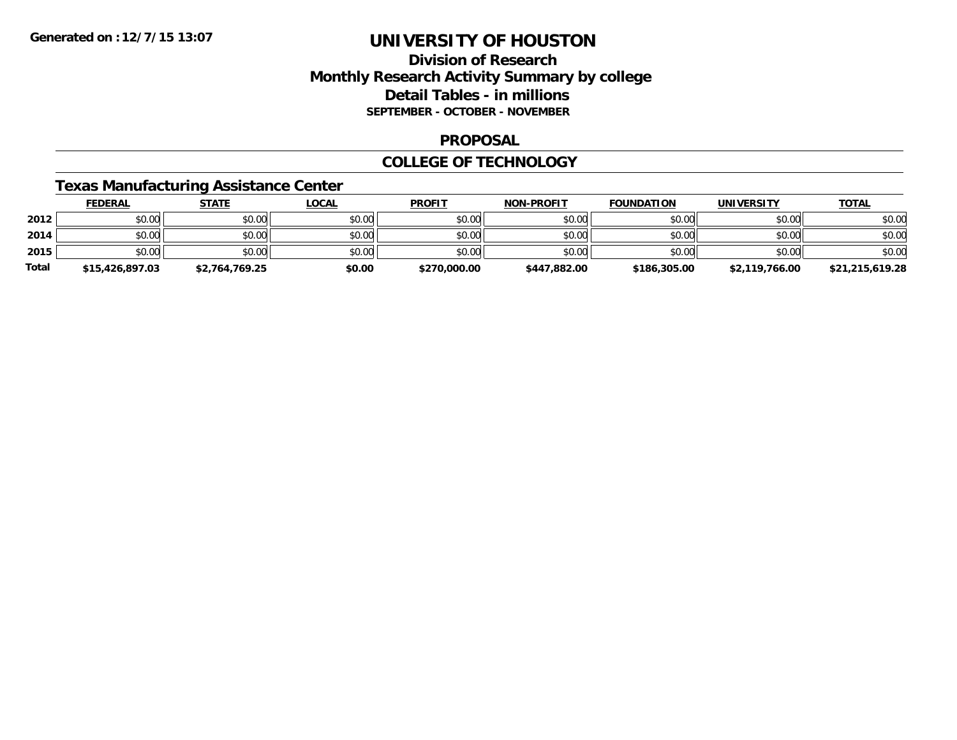### **Division of Research Monthly Research Activity Summary by college Detail Tables - in millions SEPTEMBER - OCTOBER - NOVEMBER**

#### **PROPOSAL**

#### **COLLEGE OF TECHNOLOGY**

## **Texas Manufacturing Assistance Center**

|              | <b>FEDERAL</b>  | <u>STATE</u>   | <u>LOCAL</u> | <b>PROFIT</b> | <b>NON-PROFIT</b> | <b>FOUNDATION</b> | <b>UNIVERSITY</b> | <b>TOTAL</b>    |
|--------------|-----------------|----------------|--------------|---------------|-------------------|-------------------|-------------------|-----------------|
| 2012         | \$0.00          | \$0.00         | \$0.00       | \$0.00        | \$0.00            | \$0.00            | \$0.00            | \$0.00          |
| 2014         | \$0.00          | \$0.00         | \$0.00       | \$0.00        | \$0.00            | \$0.00            | \$0.00            | \$0.00          |
| 2015         | \$0.00          | \$0.00         | \$0.00       | \$0.00        | \$0.00            | \$0.00            | \$0.00            | \$0.00          |
| <b>Total</b> | \$15,426,897.03 | \$2,764,769.25 | \$0.00       | \$270,000.00  | \$447,882.00      | \$186,305.00      | \$2,119,766.00    | \$21,215,619.28 |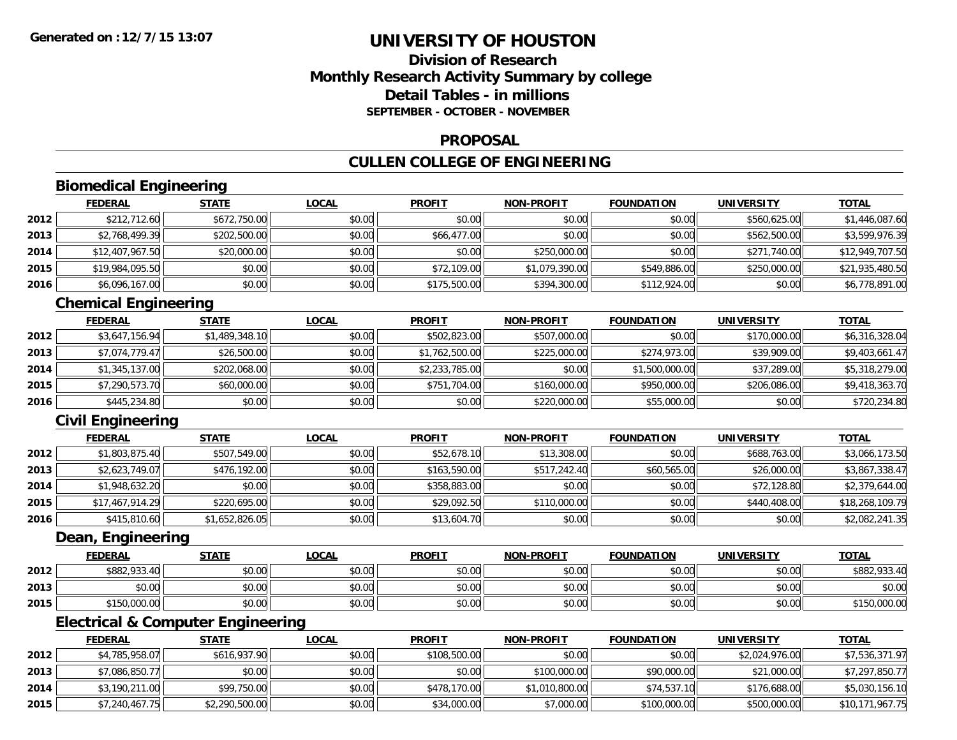## **Division of ResearchMonthly Research Activity Summary by college Detail Tables - in millionsSEPTEMBER - OCTOBER - NOVEMBER**

#### **PROPOSAL**

## **CULLEN COLLEGE OF ENGINEERING**

## **Biomedical Engineering**

|      | <b>FEDERAL</b>  | <u>STATE</u> | <u>LOCAL</u> | <b>PROFIT</b> | <b>NON-PROFIT</b> | <b>FOUNDATION</b> | <b>UNIVERSITY</b> | <b>TOTAL</b>    |
|------|-----------------|--------------|--------------|---------------|-------------------|-------------------|-------------------|-----------------|
| 2012 | \$212,712.60    | \$672,750.00 | \$0.00       | \$0.00        | \$0.00            | \$0.00            | \$560,625.00      | \$1,446,087.60  |
| 2013 | \$2,768,499.39  | \$202,500.00 | \$0.00       | \$66,477.00   | \$0.00            | \$0.00            | \$562,500.00      | \$3,599,976.39  |
| 2014 | \$12,407,967.50 | \$20,000.00  | \$0.00       | \$0.00        | \$250,000.00      | \$0.00            | \$271,740.00      | \$12,949,707.50 |
| 2015 | \$19,984,095.50 | \$0.00       | \$0.00       | \$72,109.00   | \$1,079,390.00    | \$549,886.00      | \$250,000.00      | \$21,935,480.50 |
| 2016 | \$6,096,167.00  | \$0.00       | \$0.00       | \$175,500.00  | \$394,300.00      | \$112,924.00      | \$0.00            | \$6,778,891.00  |

## **Chemical Engineering**

|      | <b>FEDERAL</b> | <b>STATE</b>   | <u>LOCAL</u> | <b>PROFIT</b>  | <b>NON-PROFIT</b> | <b>FOUNDATION</b> | <b>UNIVERSITY</b> | <b>TOTAL</b>   |
|------|----------------|----------------|--------------|----------------|-------------------|-------------------|-------------------|----------------|
| 2012 | \$3,647,156.94 | \$1,489,348.10 | \$0.00       | \$502,823.00   | \$507,000.00      | \$0.00            | \$170,000.00      | \$6,316,328.04 |
| 2013 | \$7.074.779.47 | \$26,500.00    | \$0.00       | \$1,762,500.00 | \$225,000.00      | \$274,973.00      | \$39,909.00       | \$9,403,661.47 |
| 2014 | \$1,345,137.00 | \$202,068.00   | \$0.00       | \$2,233,785.00 | \$0.00            | \$1,500,000.00    | \$37,289.00       | \$5,318,279.00 |
| 2015 | \$7,290,573.70 | \$60,000.00    | \$0.00       | \$751,704.00   | \$160,000.00      | \$950,000.00      | \$206,086.00      | \$9,418,363.70 |
| 2016 | \$445,234.80   | \$0.00         | \$0.00       | \$0.00         | \$220,000.00      | \$55,000.00       | \$0.00            | \$720,234.80   |

## **Civil Engineering**

|      | <b>FEDERAL</b>  | <u>STATE</u>   | <b>LOCAL</b> | <b>PROFIT</b> | <b>NON-PROFIT</b> | <b>FOUNDATION</b> | <b>UNIVERSITY</b> | <b>TOTAL</b>    |
|------|-----------------|----------------|--------------|---------------|-------------------|-------------------|-------------------|-----------------|
| 2012 | \$1,803,875.40  | \$507,549.00   | \$0.00       | \$52,678.10   | \$13,308.00       | \$0.00            | \$688,763.00      | \$3,066,173.50  |
| 2013 | \$2,623,749.07  | \$476,192.00   | \$0.00       | \$163,590.00  | \$517,242.40      | \$60,565.00       | \$26,000.00       | \$3,867,338.47  |
| 2014 | \$1,948,632.20  | \$0.00         | \$0.00       | \$358,883.00  | \$0.00            | \$0.00            | \$72,128.80       | \$2,379,644.00  |
| 2015 | \$17,467,914.29 | \$220,695.00   | \$0.00       | \$29,092.50   | \$110,000.00      | \$0.00            | \$440,408,00      | \$18,268,109.79 |
| 2016 | \$415,810.60    | \$1,652,826.05 | \$0.00       | \$13,604.70   | \$0.00            | \$0.00            | \$0.00            | \$2,082,241.35  |

### **Dean, Engineering**

|      | <b>FEDERAL</b>       | STATE  | <u>LOCAL</u> | <b>PROFIT</b> | <b>NON-PROFIT</b> | <b>FOUNDATION</b> | <b>UNIVERSITY</b> | <b>TOTAL</b> |
|------|----------------------|--------|--------------|---------------|-------------------|-------------------|-------------------|--------------|
| 2012 | \$882,933.40         | \$0.00 | \$0.00       | \$0.00        | \$0.00            | \$0.00            | \$0.00            | \$882,933.   |
| 2013 | ቀስ ሰስ<br>DU.UU       | \$0.00 | \$0.00       | \$0.00        | \$0.00            | \$0.00            | \$0.00            | \$0.00       |
| 2015 | 150,000.00<br>61 F O | \$0.00 | \$0.00       | \$0.00        | \$0.00            | \$0.00            | \$0.00            | 150,000.00٪  |

## **Electrical & Computer Engineering**

|      | <b>FEDERAL</b> | <u>STATE</u>   | <u>LOCAL</u> | <b>PROFIT</b> | <b>NON-PROFIT</b> | <b>FOUNDATION</b> | UNIVERSITY     | <b>TOTAL</b>    |
|------|----------------|----------------|--------------|---------------|-------------------|-------------------|----------------|-----------------|
| 2012 | \$4,785,958.07 | \$616,937.90   | \$0.00       | \$108,500.00  | \$0.00            | \$0.00            | \$2,024,976.00 | \$7,536,371.97  |
| 2013 | \$7,086,850.77 | \$0.00         | \$0.00       | \$0.00        | \$100,000.00      | \$90,000.00       | \$21,000.00    | \$7,297,850.77  |
| 2014 | \$3,190,211.00 | \$99,750.00    | \$0.00       | \$478,170.00  | \$1,010,800.00    | \$74,537.10       | \$176,688,00   | \$5,030,156.10  |
| 2015 | \$7,240,467.75 | \$2,290,500.00 | \$0.00       | \$34,000.00   | \$7,000.00        | \$100,000.00      | \$500,000.00   | \$10,171,967.75 |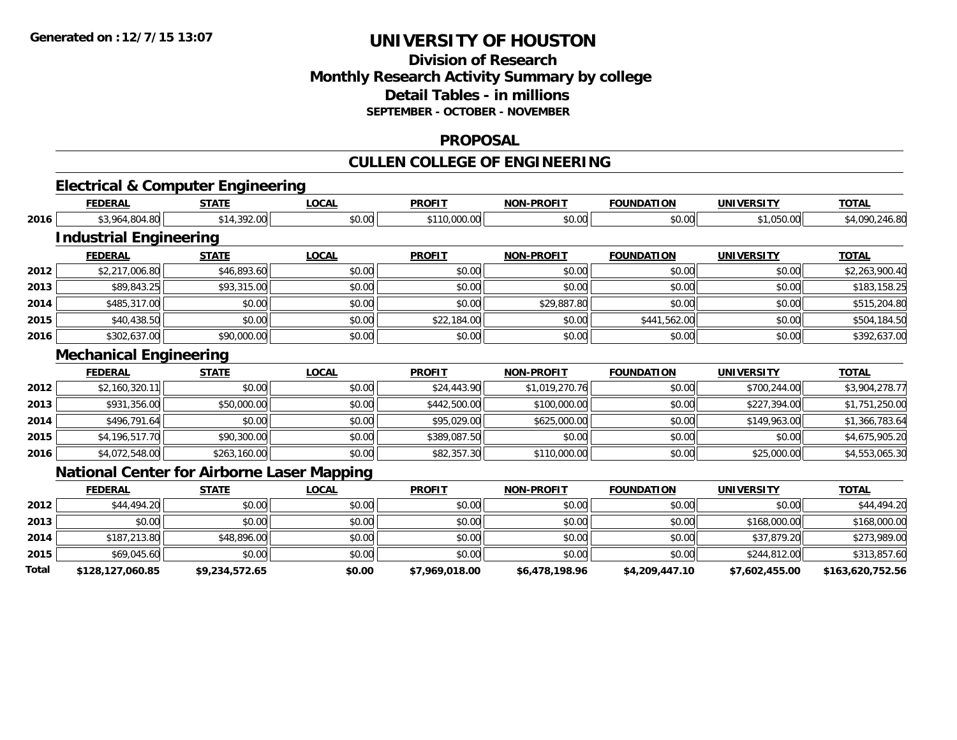**Total**

## **UNIVERSITY OF HOUSTON**

## **Division of ResearchMonthly Research Activity Summary by college Detail Tables - in millions SEPTEMBER - OCTOBER - NOVEMBER**

#### **PROPOSAL**

## **CULLEN COLLEGE OF ENGINEERING**

# **Electrical & Computer Engineering**

|      | <b>FEDERAL</b>                | <b>STATE</b>                                      | <b>LOCAL</b> | <b>PROFIT</b> | <b>NON-PROFIT</b> | <b>FOUNDATION</b> | <b>UNIVERSITY</b> | <b>TOTAL</b>   |
|------|-------------------------------|---------------------------------------------------|--------------|---------------|-------------------|-------------------|-------------------|----------------|
| 2016 | \$3,964,804.80                | \$14,392.00                                       | \$0.00       | \$110,000.00  | \$0.00            | \$0.00            | \$1,050.00        | \$4,090,246.80 |
|      | <b>Industrial Engineering</b> |                                                   |              |               |                   |                   |                   |                |
|      | <b>FEDERAL</b>                | <b>STATE</b>                                      | <b>LOCAL</b> | <b>PROFIT</b> | <b>NON-PROFIT</b> | <b>FOUNDATION</b> | <b>UNIVERSITY</b> | <u>TOTAL</u>   |
| 2012 | \$2,217,006.80                | \$46,893.60                                       | \$0.00       | \$0.00        | \$0.00            | \$0.00            | \$0.00            | \$2,263,900.40 |
| 2013 | \$89,843.25                   | \$93,315.00                                       | \$0.00       | \$0.00        | \$0.00            | \$0.00            | \$0.00            | \$183,158.25   |
| 2014 | \$485,317.00                  | \$0.00                                            | \$0.00       | \$0.00        | \$29,887.80       | \$0.00            | \$0.00            | \$515,204.80   |
| 2015 | \$40,438.50                   | \$0.00                                            | \$0.00       | \$22,184.00   | \$0.00            | \$441,562.00      | \$0.00            | \$504,184.50   |
| 2016 | \$302,637.00                  | \$90,000.00                                       | \$0.00       | \$0.00        | \$0.00            | \$0.00            | \$0.00            | \$392,637.00   |
|      | <b>Mechanical Engineering</b> |                                                   |              |               |                   |                   |                   |                |
|      | <b>FEDERAL</b>                | <b>STATE</b>                                      | <b>LOCAL</b> | <b>PROFIT</b> | <b>NON-PROFIT</b> | <b>FOUNDATION</b> | <b>UNIVERSITY</b> | <b>TOTAL</b>   |
| 2012 | \$2,160,320.11                | \$0.00                                            | \$0.00       | \$24,443.90   | \$1,019,270.76    | \$0.00            | \$700,244.00      | \$3,904,278.77 |
| 2013 | \$931,356.00                  | \$50,000.00                                       | \$0.00       | \$442,500.00  | \$100,000.00      | \$0.00            | \$227,394.00      | \$1,751,250.00 |
| 2014 | \$496,791.64                  | \$0.00                                            | \$0.00       | \$95,029.00   | \$625,000.00      | \$0.00            | \$149,963.00      | \$1,366,783.64 |
| 2015 | \$4,196,517.70                | \$90,300.00                                       | \$0.00       | \$389,087.50  | \$0.00            | \$0.00            | \$0.00            | \$4,675,905.20 |
| 2016 | \$4,072,548.00                | \$263,160.00                                      | \$0.00       | \$82,357.30   | \$110,000.00      | \$0.00            | \$25,000.00       | \$4,553,065.30 |
|      |                               | <b>National Center for Airborne Laser Mapping</b> |              |               |                   |                   |                   |                |
|      | <b>FEDERAL</b>                | <b>STATE</b>                                      | LOCAL        | <b>PROFIT</b> | <b>NON-PROFIT</b> | <b>FOUNDATION</b> | <b>UNIVERSITY</b> | <b>TOTAL</b>   |
| 2012 | \$44,494.20                   | \$0.00                                            | \$0.00       | \$0.00        | \$0.00            | \$0.00            | \$0.00            | \$44,494.20    |
| 2013 | \$0.00                        | \$0.00                                            | \$0.00       | \$0.00        | \$0.00            | \$0.00            | \$168,000.00      | \$168,000.00   |
| 2014 | \$187,213.80                  | \$48,896.00                                       | \$0.00       | \$0.00        | \$0.00            | \$0.00            | \$37,879.20       | \$273,989.00   |
| 2015 | \$69,045.60                   | \$0.00                                            | \$0.00       | \$0.00        | \$0.00            | \$0.00            | \$244,812.00      | \$313,857.60   |

**\$128,127,060.85 \$9,234,572.65 \$0.00 \$7,969,018.00 \$6,478,198.96 \$4,209,447.10 \$7,602,455.00 \$163,620,752.56**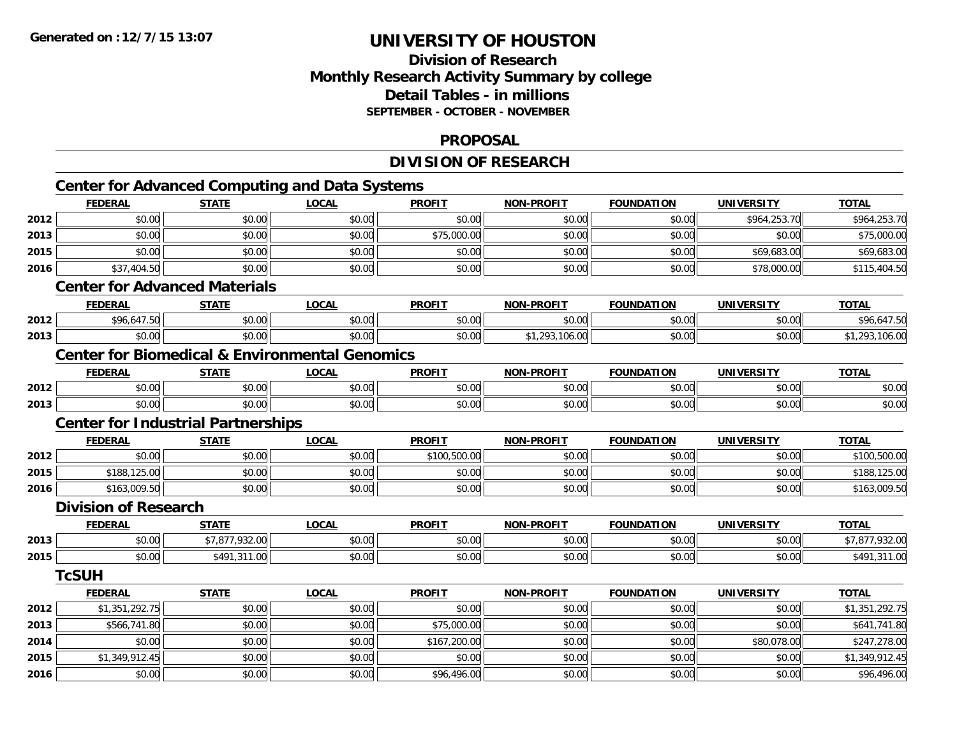**2016**

## **UNIVERSITY OF HOUSTON**

### **Division of ResearchMonthly Research Activity Summary by college Detail Tables - in millionsSEPTEMBER - OCTOBER - NOVEMBER**

#### **PROPOSAL**

**TOTAL** 

#### **DIVISION OF RESEARCHCenter for Advanced Computing and Data Systems FEDERAL STATE LOCAL PROFIT NON-PROFIT FOUNDATION UNIVERSITY TOTAL2012** \$0.00 \$0.00 \$0.00 \$0.00 \$0.00 \$0.00 \$964,253.70 \$964,253.70 **2013**3 | \$0.00 \$0.00 \$0.00 \$0.00 \$0.00 \$0.00 \$0.00 \$0.00 \$175,000.00 \$0.00 \$0.00 \$0.00 \$0.00 \$0.00 \$75,000.00 \$75,0 **2015** \$0.00 \$0.00 \$0.00 \$0.00 \$0.00 \$0.00 \$69,683.00 \$69,683.00 **2016**6 \$37,404.50 \$0.00 \$0.00 \$0.00 \$0.00 \$0.00 \$0.00 \$0.00 \$0.00 \$0.00 \$0.00 \$0.00 \$78,000.00 \$115,404.50 **Center for Advanced MaterialsFEDERAL STATE LOCAL PROFIT NON-PROFIT FOUNDATION UNIVERSITY TOTAL2012**2 \$96,647.50| \$0.00| \$0.00| \$0.00| \$0.00| \$0.00| \$9.647.50 **2013**3 | \$0.00 \$0.00 \$0.00 \$0.00 \$0.00 \$0.00 \$0.00 \$0.00 \$0.00 \$1,293,106.00 \$1,293,106.00 \$0.00 \$0.00 \$0.00 \$1,293,106.00 **Center for Biomedical & Environmental GenomicsFEDERAL STATE LOCAL PROFIT NON-PROFIT FOUNDATION UNIVERSITY TOTAL2012**2 | \$0.00 \$0.00 \$0.00 \$0.00 \$0.00 \$0.00 \$0.00 \$0.00 \$0.00 \$0.00 \$0.00 \$0.00 \$0.00 \$0.00 \$0.00 \$0.00 \$0.00 **2013**3 \$0.00 | \$0.00 | \$0.00 | \$0.00 | \$0.00 | \$0.00 | \$0.00 | \$0 **Center for Industrial Partnerships FEDERAL STATE LOCAL PROFIT NON-PROFIT FOUNDATION UNIVERSITY TOTAL2012**2 | \$0.00 | \$0.00 | \$0.00 | \$0.00 | \$0.00 | \$0.00 | \$0.00 | \$100,500.00 **2015** \$188,125.00 \$0.00 \$0.00 \$0.00 \$0.00 \$0.00 \$0.00 \$188,125.00 **2016** $\bf{6}$  \$163,009.50 \$0.00 \$0.00 \$0.00 \$0.00 \$0.00 \$0.00 \$0.00 \$0.00 \$0.00 \$0.00 \$0.00 \$163,009.50 **Division of Research FEDERAL STATE LOCAL PROFIT NON-PROFIT FOUNDATION UNIVERSITY TOTAL2013** \$0.00 \$7,877,932.00 \$0.00 \$0.00 \$0.00 \$0.00 \$0.00 \$7,877,932.00 **2015** \$0.00 \$491,311.00 \$0.00 \$0.00 \$0.00 \$0.00 \$0.00 \$491,311.00 **TcSUHFEDERAL STATE LOCAL PROFIT NON-PROFIT FOUNDATION UNIVERSITY TOTAL2012** \$1,351,292.75 \$0.00 \$0.00 \$0.00 \$0.00 \$0.00 \$0.00 \$1,351,292.75 **2013** \$566,741.80 \$0.00 \$0.00 \$75,000.00 \$0.00 \$0.00 \$0.00 \$641,741.80 **2014**4 \$0.00 \$0.00 \$0.00 \$0.00 \$0.00 \$0.00 \$167,200.00 \$167,200.00 \$0.00 \$0.00 \$0.00 \$0.00 \$80,078.00 \$247,278.00 **2015**\$1,349,912.45 \$0.00 \$0.00 \$0.00 \$0.00 \$0.00 \$0.00 \$1,349,912.45

6 \$0.00 \$0.00 \$0.00 \$0.00 \$0.00 \$0.00 \$96,496.00 \$96,496.00 \$0.00 \$0.00 \$0.00 \$0.00 \$0.00 \$96,496.00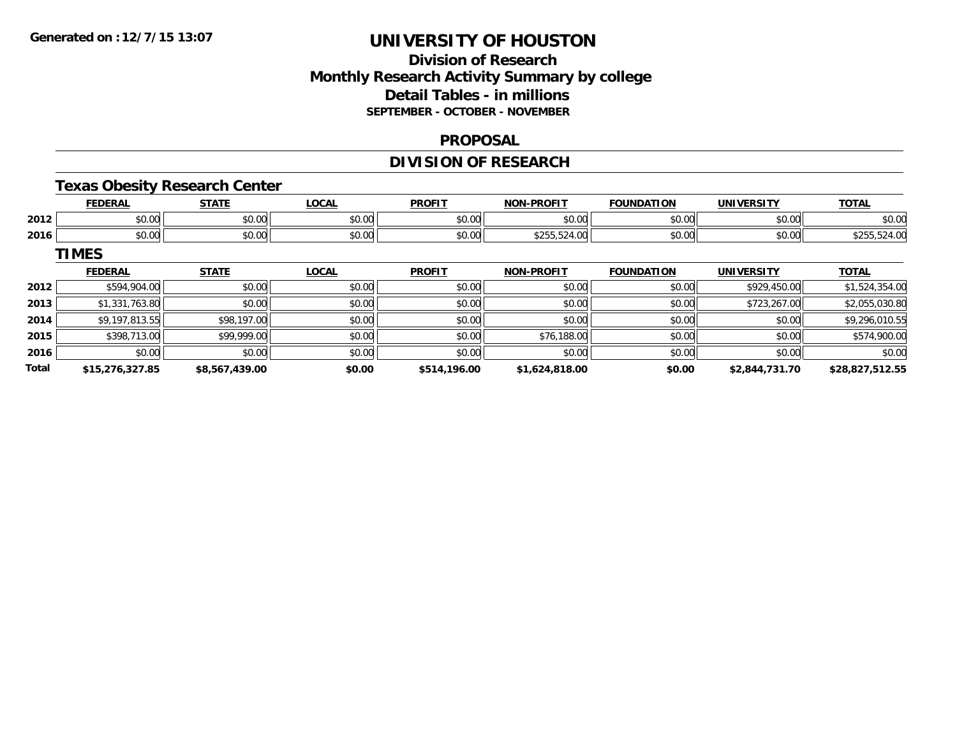## **Division of ResearchMonthly Research Activity Summary by college Detail Tables - in millions SEPTEMBER - OCTOBER - NOVEMBER**

#### **PROPOSAL**

## **DIVISION OF RESEARCH**

### **Texas Obesity Research Center**

|      | <b>FEDERAL</b>         | <b>STATE</b>       | <b>OCAL</b>          | <b>PROFIT</b> | <b>DDOEIT</b><br><b>NICK</b> | <b></b><br><b>FOUNDAT</b><br>ног                      | UNIVERSITY     | ----            |
|------|------------------------|--------------------|----------------------|---------------|------------------------------|-------------------------------------------------------|----------------|-----------------|
| 2012 | 0 <sub>n</sub><br>ט.טי | $\cdots$<br>DU.UU  | 0000<br>JU.UU        | \$0.00        | 0000<br>,v.vv                | $\mathsf{A} \cap \mathsf{A} \cap \mathsf{A}$<br>טט.טע | en uu<br>JU.UU | ሶስ ሰሰ<br>\$U.UU |
| 2016 | 0.00<br>pu.uu          | $\sim$ 00<br>DU.UU | 0000<br><b>DU.UG</b> | \$0.00        | 0233324.00                   | $\sim$ 00<br>vu.uu                                    | \$0.00         | . U             |

**TIMES**

|              | <b>FEDERAL</b>  | <b>STATE</b>   | <u>LOCAL</u> | <b>PROFIT</b> | <b>NON-PROFIT</b> | <b>FOUNDATION</b> | <b>UNIVERSITY</b> | <b>TOTAL</b>    |
|--------------|-----------------|----------------|--------------|---------------|-------------------|-------------------|-------------------|-----------------|
| 2012         | \$594,904.00    | \$0.00         | \$0.00       | \$0.00        | \$0.00            | \$0.00            | \$929,450.00      | \$1,524,354.00  |
| 2013         | \$1,331,763.80  | \$0.00         | \$0.00       | \$0.00        | \$0.00            | \$0.00            | \$723,267.00      | \$2,055,030.80  |
| 2014         | \$9,197,813.55  | \$98,197.00    | \$0.00       | \$0.00        | \$0.00            | \$0.00            | \$0.00            | \$9,296,010.55  |
| 2015         | \$398,713.00    | \$99,999.00    | \$0.00       | \$0.00        | \$76,188.00       | \$0.00            | \$0.00            | \$574,900.00    |
| 2016         | \$0.00          | \$0.00         | \$0.00       | \$0.00        | \$0.00            | \$0.00            | \$0.00            | \$0.00          |
| <b>Total</b> | \$15,276,327.85 | \$8,567,439.00 | \$0.00       | \$514,196.00  | \$1,624,818.00    | \$0.00            | \$2,844,731.70    | \$28,827,512.55 |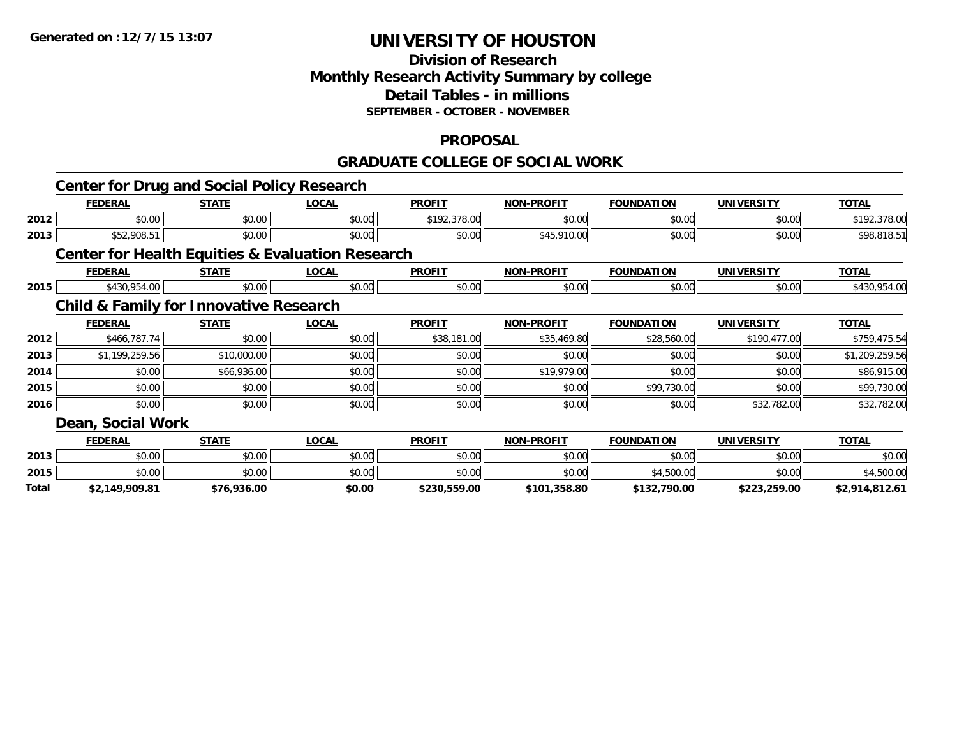## **Division of ResearchMonthly Research Activity Summary by college Detail Tables - in millions SEPTEMBER - OCTOBER - NOVEMBER**

#### **PROPOSAL**

#### **GRADUATE COLLEGE OF SOCIAL WORK**

|       | <b>Center for Drug and Social Policy Research</b>           |              |              |               |                   |                   |                   |                |  |  |
|-------|-------------------------------------------------------------|--------------|--------------|---------------|-------------------|-------------------|-------------------|----------------|--|--|
|       | <b>FEDERAL</b>                                              | <b>STATE</b> | <b>LOCAL</b> | <b>PROFIT</b> | <b>NON-PROFIT</b> | <b>FOUNDATION</b> | <b>UNIVERSITY</b> | <b>TOTAL</b>   |  |  |
| 2012  | \$0.00                                                      | \$0.00       | \$0.00       | \$192,378.00  | \$0.00            | \$0.00            | \$0.00            | \$192,378.00   |  |  |
| 2013  | \$52,908.51                                                 | \$0.00       | \$0.00       | \$0.00        | \$45,910.00       | \$0.00            | \$0.00            | \$98,818.51    |  |  |
|       | <b>Center for Health Equities &amp; Evaluation Research</b> |              |              |               |                   |                   |                   |                |  |  |
|       | <b>FEDERAL</b>                                              | <b>STATE</b> | <b>LOCAL</b> | <b>PROFIT</b> | <b>NON-PROFIT</b> | <b>FOUNDATION</b> | <b>UNIVERSITY</b> | <b>TOTAL</b>   |  |  |
| 2015  | \$430,954.00                                                | \$0.00       | \$0.00       | \$0.00        | \$0.00            | \$0.00            | \$0.00            | \$430,954.00   |  |  |
|       | <b>Child &amp; Family for Innovative Research</b>           |              |              |               |                   |                   |                   |                |  |  |
|       | <b>FEDERAL</b>                                              | <b>STATE</b> | <b>LOCAL</b> | <b>PROFIT</b> | <b>NON-PROFIT</b> | <b>FOUNDATION</b> | <b>UNIVERSITY</b> | <b>TOTAL</b>   |  |  |
| 2012  | \$466,787.74                                                | \$0.00       | \$0.00       | \$38,181.00   | \$35,469.80       | \$28,560.00       | \$190,477.00      | \$759,475.54   |  |  |
| 2013  | \$1,199,259.56                                              | \$10,000.00  | \$0.00       | \$0.00        | \$0.00            | \$0.00            | \$0.00            | \$1,209,259.56 |  |  |
| 2014  | \$0.00                                                      | \$66,936.00  | \$0.00       | \$0.00        | \$19,979.00       | \$0.00            | \$0.00            | \$86,915.00    |  |  |
| 2015  | \$0.00                                                      | \$0.00       | \$0.00       | \$0.00        | \$0.00            | \$99,730.00       | \$0.00            | \$99,730.00    |  |  |
| 2016  | \$0.00                                                      | \$0.00       | \$0.00       | \$0.00        | \$0.00            | \$0.00            | \$32,782.00       | \$32,782.00    |  |  |
|       | Dean, Social Work                                           |              |              |               |                   |                   |                   |                |  |  |
|       | <b>FEDERAL</b>                                              | <b>STATE</b> | <b>LOCAL</b> | <b>PROFIT</b> | <b>NON-PROFIT</b> | <b>FOUNDATION</b> | <b>UNIVERSITY</b> | <b>TOTAL</b>   |  |  |
| 2013  | \$0.00                                                      | \$0.00       | \$0.00       | \$0.00        | \$0.00            | \$0.00            | \$0.00            | \$0.00         |  |  |
| 2015  | \$0.00                                                      | \$0.00       | \$0.00       | \$0.00        | \$0.00            | \$4,500.00        | \$0.00            | \$4,500.00     |  |  |
| Total | \$2,149,909.81                                              | \$76,936.00  | \$0.00       | \$230,559.00  | \$101,358.80      | \$132,790.00      | \$223,259.00      | \$2,914,812.61 |  |  |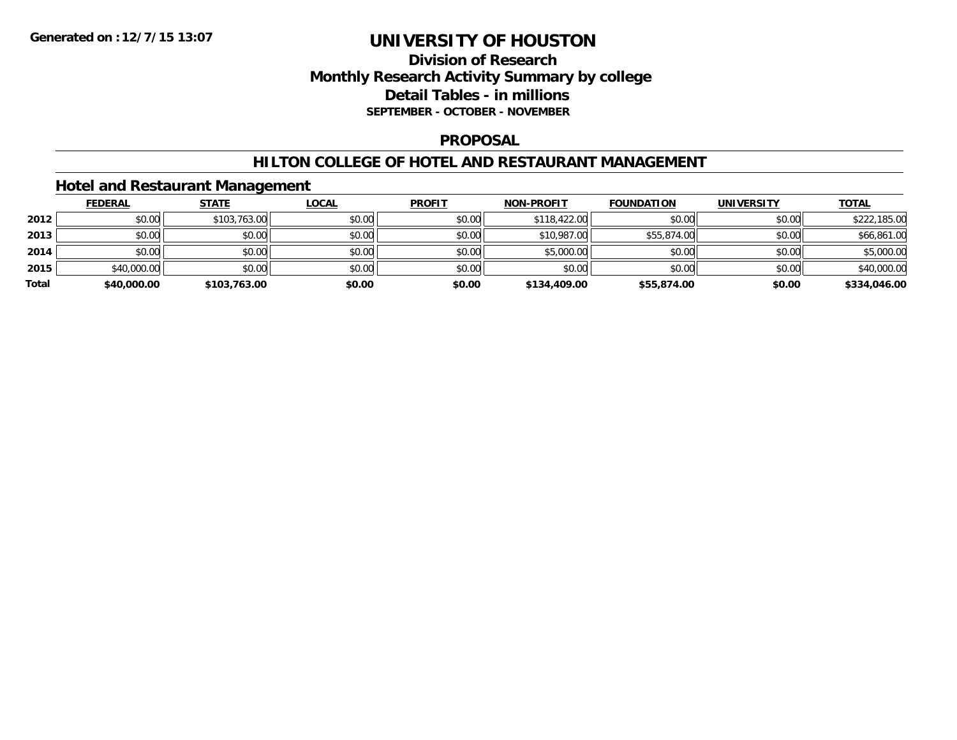### **Division of Research Monthly Research Activity Summary by college Detail Tables - in millions SEPTEMBER - OCTOBER - NOVEMBER**

#### **PROPOSAL**

#### **HILTON COLLEGE OF HOTEL AND RESTAURANT MANAGEMENT**

### **Hotel and Restaurant Management**

|       | <b>FEDERAL</b> | <b>STATE</b> | <u>LOCAL</u> | <b>PROFIT</b> | <b>NON-PROFIT</b> | <b>FOUNDATION</b> | <b>UNIVERSITY</b> | <b>TOTAL</b> |
|-------|----------------|--------------|--------------|---------------|-------------------|-------------------|-------------------|--------------|
| 2012  | \$0.00         | \$103,763.00 | \$0.00       | \$0.00        | \$118,422.00      | \$0.00            | \$0.00            | \$222,185.00 |
| 2013  | \$0.00         | \$0.00       | \$0.00       | \$0.00        | \$10,987.00       | \$55,874.00       | \$0.00            | \$66,861.00  |
| 2014  | \$0.00         | \$0.00       | \$0.00       | \$0.00        | \$5,000.00        | \$0.00            | \$0.00            | \$5,000.00   |
| 2015  | \$40,000.00    | \$0.00       | \$0.00       | \$0.00        | \$0.00            | \$0.00            | \$0.00            | \$40,000.00  |
| Total | \$40,000.00    | \$103,763.00 | \$0.00       | \$0.00        | \$134,409.00      | \$55,874.00       | \$0.00            | \$334,046.00 |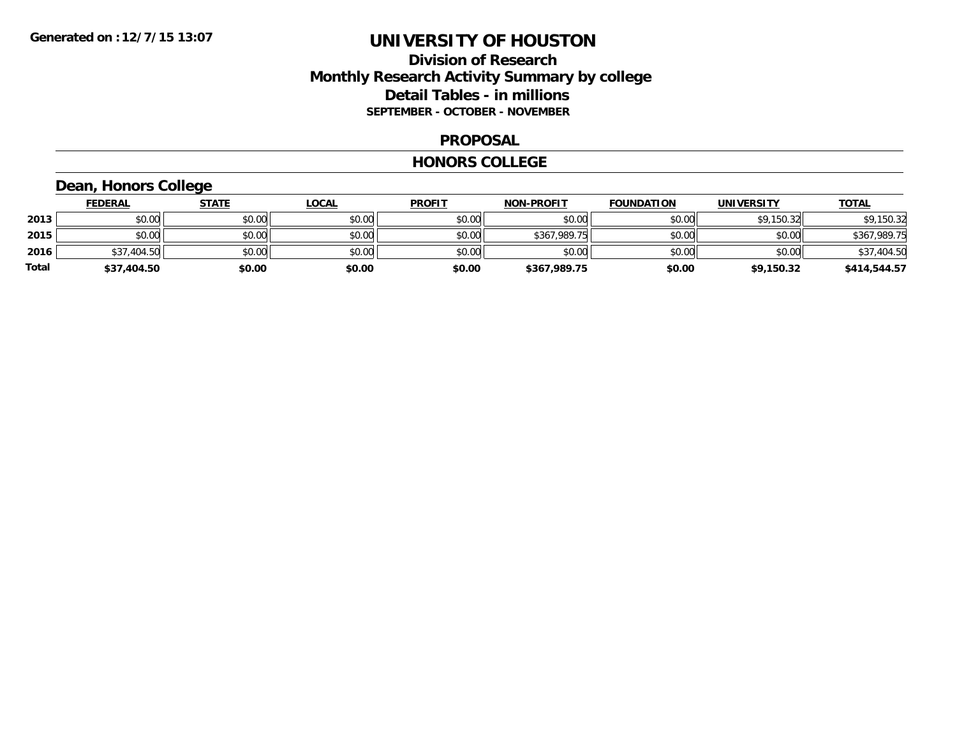### **Division of Research Monthly Research Activity Summary by college Detail Tables - in millions SEPTEMBER - OCTOBER - NOVEMBER**

#### **PROPOSAL**

#### **HONORS COLLEGE**

## **Dean, Honors College**

|       | <b>FEDERAL</b> | <u>STATE</u> | <u>LOCAL</u> | <b>PROFIT</b> | <b>NON-PROFIT</b> | <b>FOUNDATION</b> | <b>UNIVERSITY</b> | <b>TOTAL</b> |
|-------|----------------|--------------|--------------|---------------|-------------------|-------------------|-------------------|--------------|
| 2013  | \$0.00         | \$0.00       | \$0.00       | \$0.00        | \$0.00            | \$0.00            | \$9,150.32        | \$9,150.32   |
| 2015  | \$0.00         | \$0.00       | \$0.00       | \$0.00        | \$367,989.75      | \$0.00            | \$0.00            | \$367,989.75 |
| 2016  | \$37,404.50    | \$0.00       | \$0.00       | \$0.00        | \$0.00            | \$0.00            | \$0.00            | \$37,404.50  |
| Total | \$37,404.50    | \$0.00       | \$0.00       | \$0.00        | \$367,989.75      | \$0.00            | \$9,150.32        | \$414,544.57 |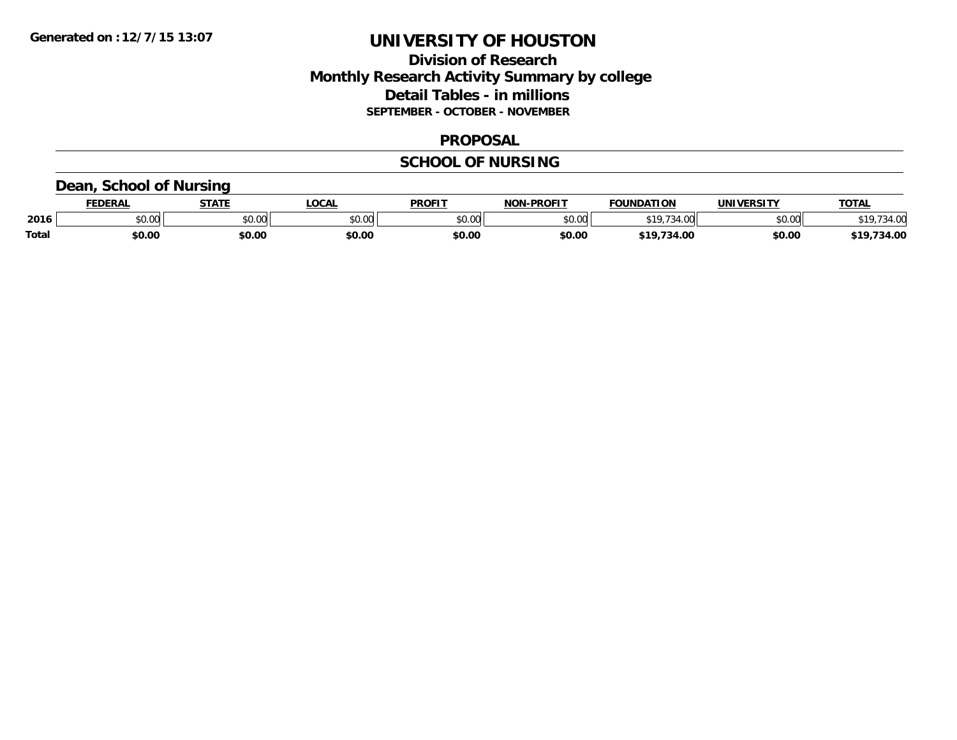### **Division of Research Monthly Research Activity Summary by college Detail Tables - in millions SEPTEMBER - OCTOBER - NOVEMBER**

#### **PROPOSAL**

#### **SCHOOL OF NURSING**

### **Dean, School of Nursing**

|              | EENEDA | <b>STATE</b> | <b>LOCAL</b>  | <b>PROFIT</b> | -DDOEIT<br>NON | NDATION<br><b>FAUR</b> | UNIVERSITY | TOTA.             |
|--------------|--------|--------------|---------------|---------------|----------------|------------------------|------------|-------------------|
| 2016         | JU.UU  | \$0.00       | 0000<br>PU.UU | 0000<br>טט.טע | 0000<br>,u.uu  |                        | \$0.00     | $\sim$ 00<br>371. |
| <b>Total</b> | \$0.00 | \$0.00       | \$0.00        | \$0.00        | \$0.00         | $\sim$<br>— 1 с.       | \$0.00     | 4.00              |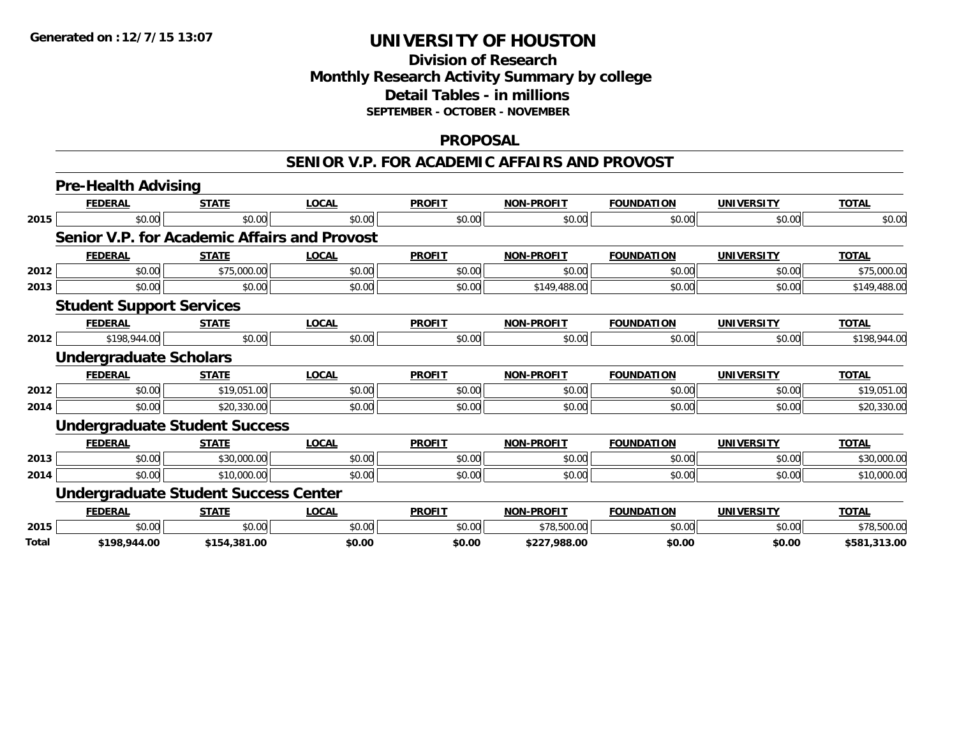## **Division of ResearchMonthly Research Activity Summary by college Detail Tables - in millions SEPTEMBER - OCTOBER - NOVEMBER**

#### **PROPOSAL**

#### **SENIOR V.P. FOR ACADEMIC AFFAIRS AND PROVOST**

|       | <b>Pre-Health Advising</b>                          |              |              |               |                   |                   |                   |              |
|-------|-----------------------------------------------------|--------------|--------------|---------------|-------------------|-------------------|-------------------|--------------|
|       | <b>FEDERAL</b>                                      | <b>STATE</b> | <b>LOCAL</b> | <b>PROFIT</b> | <b>NON-PROFIT</b> | <b>FOUNDATION</b> | <b>UNIVERSITY</b> | <b>TOTAL</b> |
| 2015  | \$0.00                                              | \$0.00       | \$0.00       | \$0.00        | \$0.00            | \$0.00            | \$0.00            | \$0.00       |
|       | <b>Senior V.P. for Academic Affairs and Provost</b> |              |              |               |                   |                   |                   |              |
|       | <b>FEDERAL</b>                                      | <b>STATE</b> | <b>LOCAL</b> | <b>PROFIT</b> | <b>NON-PROFIT</b> | <b>FOUNDATION</b> | <b>UNIVERSITY</b> | <b>TOTAL</b> |
| 2012  | \$0.00                                              | \$75,000.00  | \$0.00       | \$0.00        | \$0.00            | \$0.00            | \$0.00            | \$75,000.00  |
| 2013  | \$0.00                                              | \$0.00       | \$0.00       | \$0.00        | \$149,488.00      | \$0.00            | \$0.00            | \$149,488.00 |
|       | <b>Student Support Services</b>                     |              |              |               |                   |                   |                   |              |
|       | <b>FEDERAL</b>                                      | <b>STATE</b> | <b>LOCAL</b> | <b>PROFIT</b> | <b>NON-PROFIT</b> | <b>FOUNDATION</b> | <b>UNIVERSITY</b> | <b>TOTAL</b> |
| 2012  | \$198,944.00                                        | \$0.00       | \$0.00       | \$0.00        | \$0.00            | \$0.00            | \$0.00            | \$198,944.00 |
|       | <b>Undergraduate Scholars</b>                       |              |              |               |                   |                   |                   |              |
|       | <b>FEDERAL</b>                                      | <b>STATE</b> | <b>LOCAL</b> | <b>PROFIT</b> | <b>NON-PROFIT</b> | <b>FOUNDATION</b> | <b>UNIVERSITY</b> | <b>TOTAL</b> |
| 2012  | \$0.00                                              | \$19,051.00  | \$0.00       | \$0.00        | \$0.00            | \$0.00            | \$0.00            | \$19,051.00  |
| 2014  | \$0.00                                              | \$20,330.00  | \$0.00       | \$0.00        | \$0.00            | \$0.00            | \$0.00            | \$20,330.00  |
|       | <b>Undergraduate Student Success</b>                |              |              |               |                   |                   |                   |              |
|       | <b>FEDERAL</b>                                      | <b>STATE</b> | <b>LOCAL</b> | <b>PROFIT</b> | <b>NON-PROFIT</b> | <b>FOUNDATION</b> | <b>UNIVERSITY</b> | <b>TOTAL</b> |
| 2013  | \$0.00                                              | \$30,000.00  | \$0.00       | \$0.00        | \$0.00            | \$0.00            | \$0.00            | \$30,000.00  |
| 2014  | \$0.00                                              | \$10,000.00  | \$0.00       | \$0.00        | \$0.00            | \$0.00            | \$0.00            | \$10,000.00  |
|       | <b>Undergraduate Student Success Center</b>         |              |              |               |                   |                   |                   |              |
|       | <b>FEDERAL</b>                                      | <b>STATE</b> | <b>LOCAL</b> | <b>PROFIT</b> | <b>NON-PROFIT</b> | <b>FOUNDATION</b> | <b>UNIVERSITY</b> | <b>TOTAL</b> |
| 2015  | \$0.00                                              | \$0.00       | \$0.00       | \$0.00        | \$78,500.00       | \$0.00            | \$0.00            | \$78,500.00  |
| Total | \$198,944.00                                        | \$154,381.00 | \$0.00       | \$0.00        | \$227.988.00      | \$0.00            | \$0.00            | \$581.313.00 |

**\$198,944.00 \$154,381.00 \$0.00 \$0.00 \$227,988.00 \$0.00 \$0.00 \$581,313.00**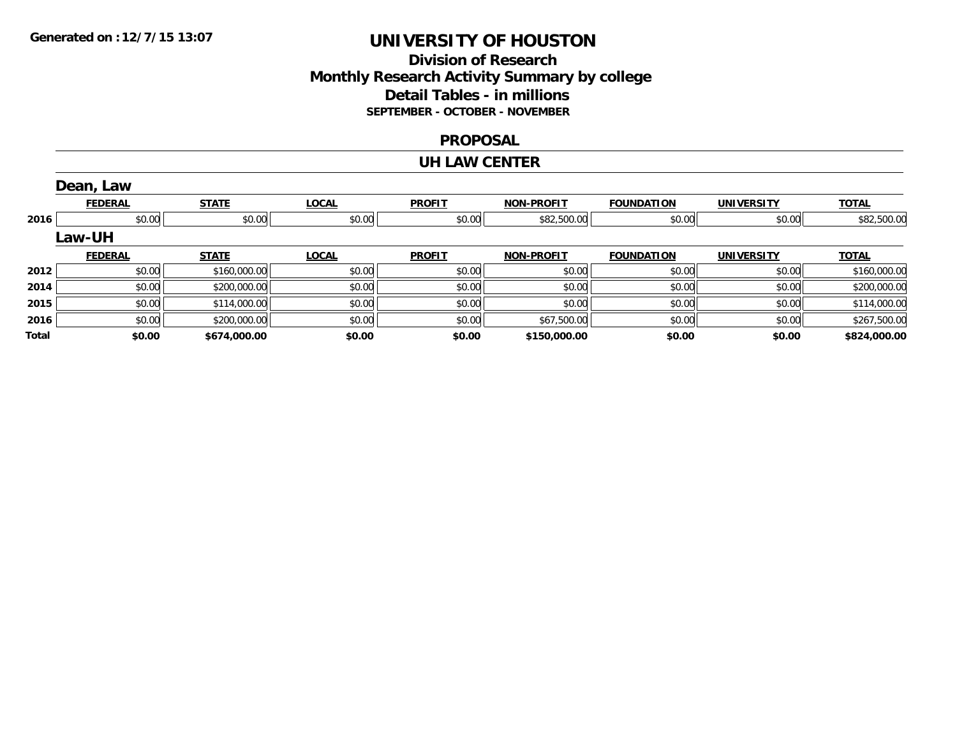### **Division of Research Monthly Research Activity Summary by college Detail Tables - in millions SEPTEMBER - OCTOBER - NOVEMBER**

#### **PROPOSAL**

#### **UH LAW CENTER**

|       | Dean, Law      |              |              |               |                   |                   |                   |              |
|-------|----------------|--------------|--------------|---------------|-------------------|-------------------|-------------------|--------------|
|       | <b>FEDERAL</b> | <b>STATE</b> | <b>LOCAL</b> | <b>PROFIT</b> | <b>NON-PROFIT</b> | <b>FOUNDATION</b> | <b>UNIVERSITY</b> | <u>TOTAL</u> |
| 2016  | \$0.00         | \$0.00       | \$0.00       | \$0.00        | \$82,500.00       | \$0.00            | \$0.00            | \$82,500.00  |
|       | Law-UH         |              |              |               |                   |                   |                   |              |
|       | <b>FEDERAL</b> | <b>STATE</b> | <b>LOCAL</b> | <b>PROFIT</b> | <b>NON-PROFIT</b> | <b>FOUNDATION</b> | <b>UNIVERSITY</b> | <b>TOTAL</b> |
| 2012  | \$0.00         | \$160,000.00 | \$0.00       | \$0.00        | \$0.00            | \$0.00            | \$0.00            | \$160,000.00 |
| 2014  | \$0.00         | \$200,000.00 | \$0.00       | \$0.00        | \$0.00            | \$0.00            | \$0.00            | \$200,000.00 |
| 2015  | \$0.00         | \$114,000.00 | \$0.00       | \$0.00        | \$0.00            | \$0.00            | \$0.00            | \$114,000.00 |
| 2016  | \$0.00         | \$200,000.00 | \$0.00       | \$0.00        | \$67,500.00       | \$0.00            | \$0.00            | \$267,500.00 |
| Total | \$0.00         | \$674,000.00 | \$0.00       | \$0.00        | \$150,000.00      | \$0.00            | \$0.00            | \$824,000.00 |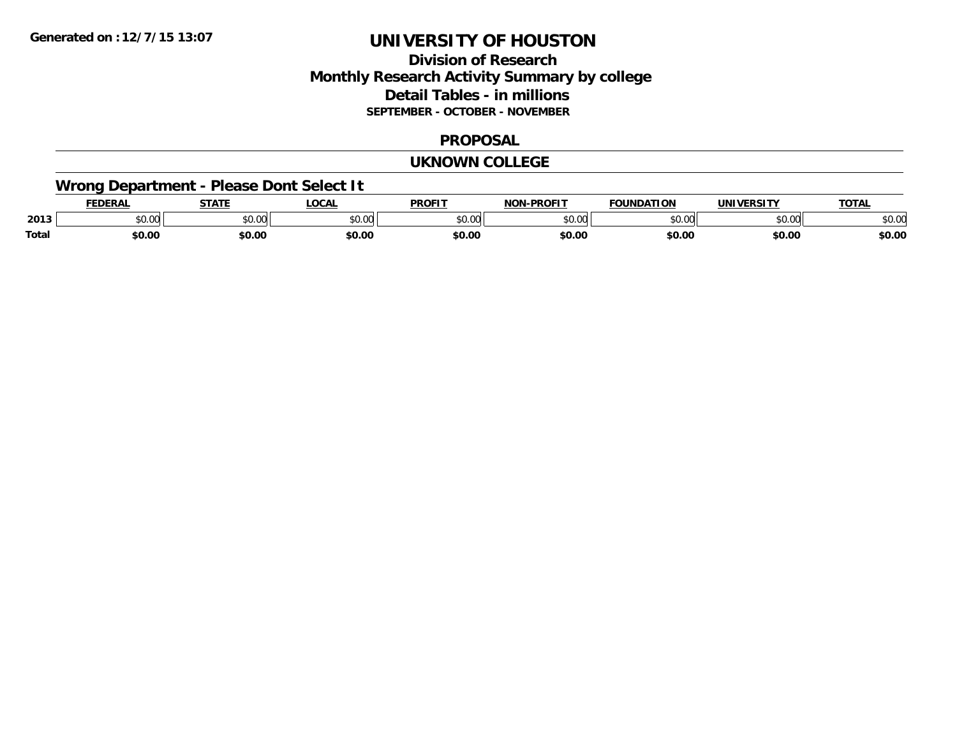### **Division of Research Monthly Research Activity Summary by college Detail Tables - in millions SEPTEMBER - OCTOBER - NOVEMBER**

#### **PROPOSAL**

#### **UKNOWN COLLEGE**

## **Wrong Department - Please Dont Select It**

|              | <b>FEDERAL</b> | 27.77                   | LOCA                       | <b>PROFIT</b> | <b>DDAFIT</b><br>. | <b>FOLINDATION</b> |                        | <b>TA</b> |
|--------------|----------------|-------------------------|----------------------------|---------------|--------------------|--------------------|------------------------|-----------|
| 2013         | JU.UU          | 0 <sup>n</sup><br>JU.UU | $\sim$ 0.0 $\sim$<br>טט.טע | 0000<br>ט.טע  | $\sim$ 00<br>וטט.  | $\sim$ 00<br>טט.טע | $\sim$ $\sim$<br>JU.UU | JU.UI     |
| <b>Total</b> | \$0.00         | \$0.00                  | \$0.00                     | \$0.00        | \$0.00             | \$0.00             | \$0.00                 | \$0.00    |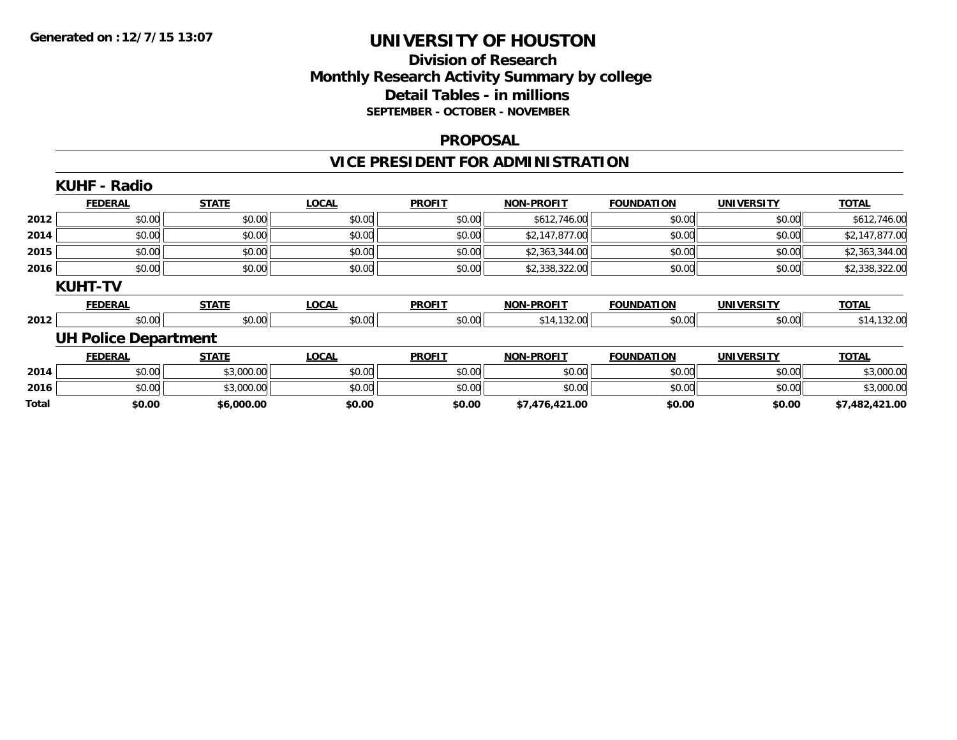## **Division of ResearchMonthly Research Activity Summary by college Detail Tables - in millions SEPTEMBER - OCTOBER - NOVEMBER**

#### **PROPOSAL**

## **VICE PRESIDENT FOR ADMINISTRATION**

|       | <b>KUHF - Radio</b>         |              |              |               |                   |                   |                   |                |
|-------|-----------------------------|--------------|--------------|---------------|-------------------|-------------------|-------------------|----------------|
|       | <b>FEDERAL</b>              | <b>STATE</b> | <b>LOCAL</b> | <b>PROFIT</b> | <b>NON-PROFIT</b> | <b>FOUNDATION</b> | <b>UNIVERSITY</b> | <b>TOTAL</b>   |
| 2012  | \$0.00                      | \$0.00       | \$0.00       | \$0.00        | \$612,746.00      | \$0.00            | \$0.00            | \$612,746.00   |
| 2014  | \$0.00                      | \$0.00       | \$0.00       | \$0.00        | \$2,147,877.00    | \$0.00            | \$0.00            | \$2,147,877.00 |
| 2015  | \$0.00                      | \$0.00       | \$0.00       | \$0.00        | \$2,363,344.00    | \$0.00            | \$0.00            | \$2,363,344.00 |
| 2016  | \$0.00                      | \$0.00       | \$0.00       | \$0.00        | \$2,338,322.00    | \$0.00            | \$0.00            | \$2,338,322.00 |
|       | <b>KUHT-TV</b>              |              |              |               |                   |                   |                   |                |
|       | <b>FEDERAL</b>              | <b>STATE</b> | <b>LOCAL</b> | <b>PROFIT</b> | <b>NON-PROFIT</b> | <b>FOUNDATION</b> | <b>UNIVERSITY</b> | <b>TOTAL</b>   |
| 2012  | \$0.00                      | \$0.00       | \$0.00       | \$0.00        | \$14,132.00       | \$0.00            | \$0.00            | \$14,132.00    |
|       | <b>UH Police Department</b> |              |              |               |                   |                   |                   |                |
|       | <b>FEDERAL</b>              | <b>STATE</b> | <b>LOCAL</b> | <b>PROFIT</b> | <b>NON-PROFIT</b> | <b>FOUNDATION</b> | <b>UNIVERSITY</b> | <b>TOTAL</b>   |
| 2014  | \$0.00                      | \$3,000.00   | \$0.00       | \$0.00        | \$0.00            | \$0.00            | \$0.00            | \$3,000.00     |
| 2016  | \$0.00                      | \$3,000.00   | \$0.00       | \$0.00        | \$0.00            | \$0.00            | \$0.00            | \$3,000.00     |
| Total | \$0.00                      | \$6,000.00   | \$0.00       | \$0.00        | \$7,476,421.00    | \$0.00            | \$0.00            | \$7,482,421.00 |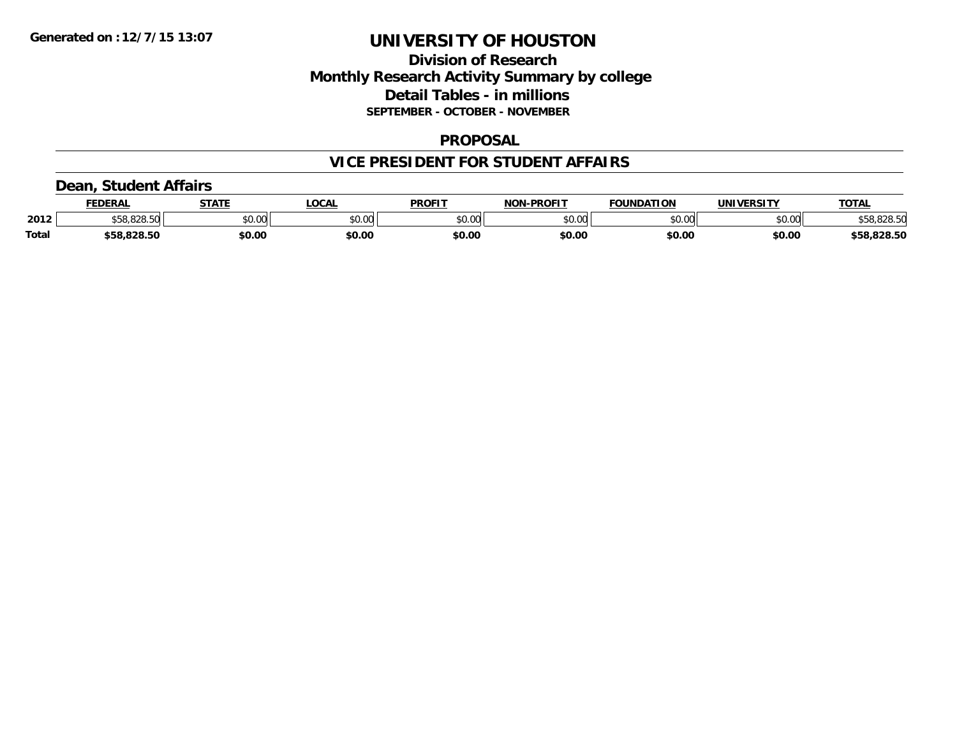### **Division of Research Monthly Research Activity Summary by college Detail Tables - in millions SEPTEMBER - OCTOBER - NOVEMBER**

#### **PROPOSAL**

### **VICE PRESIDENT FOR STUDENT AFFAIRS**

### **Dean, Student Affairs**

|              | FEDERAL                  | <b>STATE</b> | <b>_OCAL</b> | <b>PROFIT</b> | <b>NON-PROFIT</b> | <b>FOUNDATION</b> | UNIVERSITY | <b>TOTAL</b> |
|--------------|--------------------------|--------------|--------------|---------------|-------------------|-------------------|------------|--------------|
| 2012         | co ono enl<br>ა58.828.50 | \$0.00       | \$0.00       | \$0.00        | \$0.00            | \$0.00            | \$0.00     | \$58,828.50  |
| <b>Total</b> | \$58,828.50              | \$0.00       | \$0.00       | \$0.00        | \$0.00            | \$0.00            | \$0.00     | \$58,828.50  |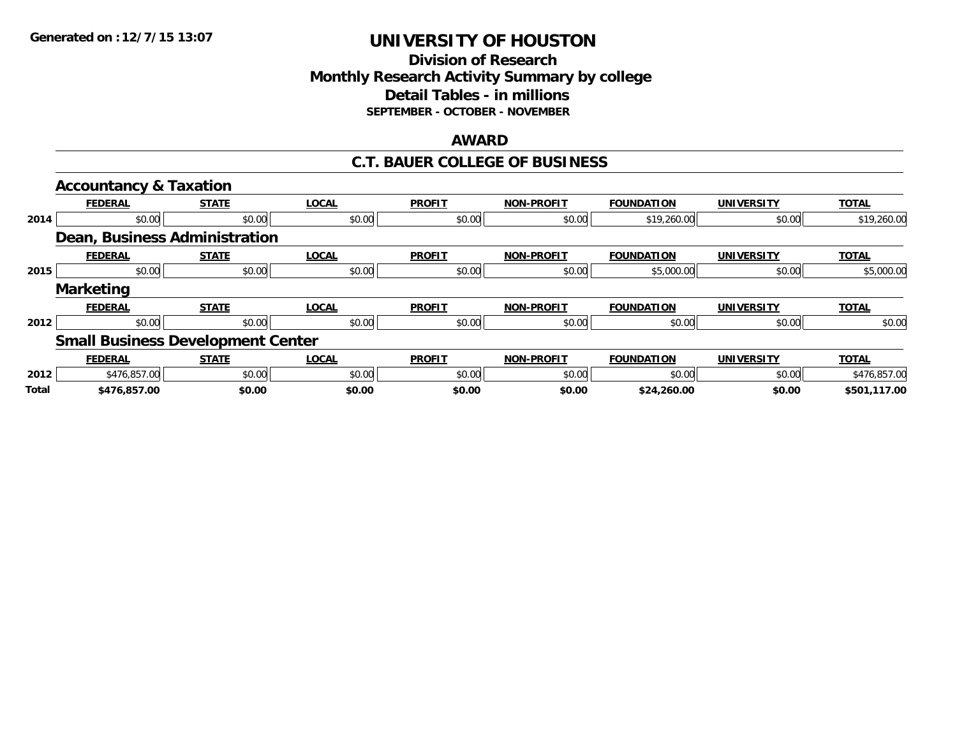### **Division of Research Monthly Research Activity Summary by college Detail Tables - in millions SEPTEMBER - OCTOBER - NOVEMBER**

#### **AWARD**

### **C.T. BAUER COLLEGE OF BUSINESS**

|       | <b>Accountancy &amp; Taxation</b>        |              |              |               |                   |                   |                   |              |
|-------|------------------------------------------|--------------|--------------|---------------|-------------------|-------------------|-------------------|--------------|
|       | <b>FEDERAL</b>                           | <b>STATE</b> | <b>LOCAL</b> | <b>PROFIT</b> | <b>NON-PROFIT</b> | <b>FOUNDATION</b> | <b>UNIVERSITY</b> | <b>TOTAL</b> |
| 2014  | \$0.00                                   | \$0.00       | \$0.00       | \$0.00        | \$0.00            | \$19,260.00       | \$0.00            | \$19,260.00  |
|       | Dean, Business Administration            |              |              |               |                   |                   |                   |              |
|       | <b>FEDERAL</b>                           | <b>STATE</b> | <b>LOCAL</b> | <b>PROFIT</b> | <b>NON-PROFIT</b> | <b>FOUNDATION</b> | <b>UNIVERSITY</b> | <b>TOTAL</b> |
| 2015  | \$0.00                                   | \$0.00       | \$0.00       | \$0.00        | \$0.00            | \$5,000.00        | \$0.00            | \$5,000.00   |
|       | <b>Marketing</b>                         |              |              |               |                   |                   |                   |              |
|       | <b>FEDERAL</b>                           | <b>STATE</b> | <b>LOCAL</b> | <b>PROFIT</b> | <b>NON-PROFIT</b> | <b>FOUNDATION</b> | <b>UNIVERSITY</b> | <b>TOTAL</b> |
| 2012  | \$0.00                                   | \$0.00       | \$0.00       | \$0.00        | \$0.00            | \$0.00            | \$0.00            | \$0.00       |
|       | <b>Small Business Development Center</b> |              |              |               |                   |                   |                   |              |
|       | <b>FEDERAL</b>                           | <b>STATE</b> | <b>LOCAL</b> | <b>PROFIT</b> | <b>NON-PROFIT</b> | <b>FOUNDATION</b> | <b>UNIVERSITY</b> | <b>TOTAL</b> |
| 2012  | \$476,857,00                             | \$0.00       | \$0.00       | \$0.00        | \$0.00            | \$0.00            | \$0.00            | \$476,857.00 |
| Total | \$476,857.00                             | \$0.00       | \$0.00       | \$0.00        | \$0.00            | \$24,260.00       | \$0.00            | \$501,117.00 |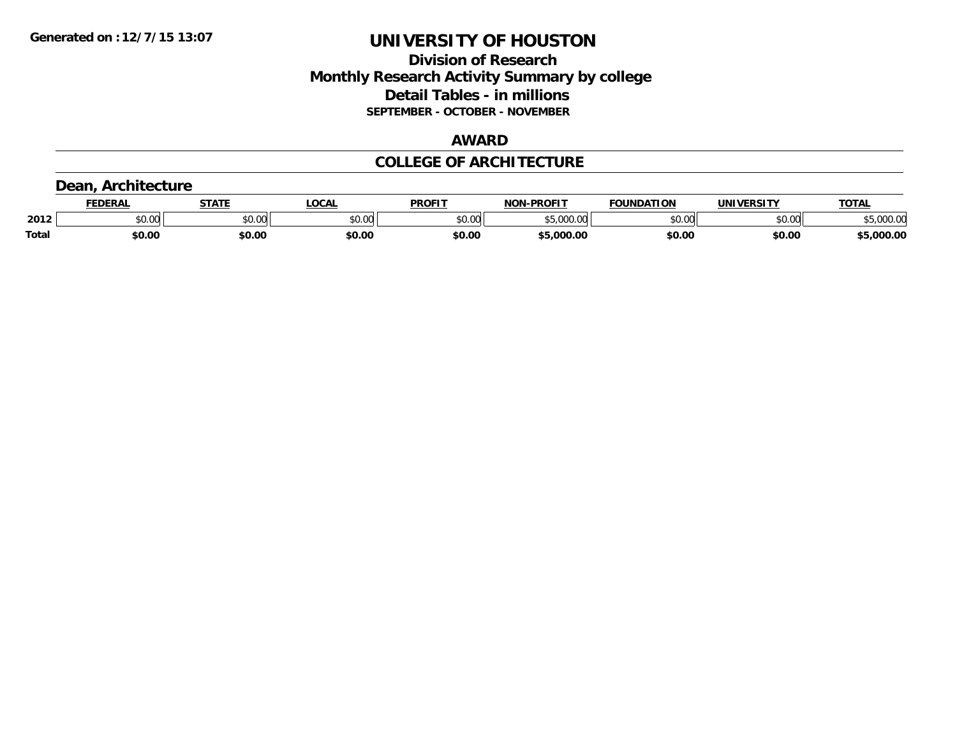### **Division of Research Monthly Research Activity Summary by college Detail Tables - in millions SEPTEMBER - OCTOBER - NOVEMBER**

### **AWARD**

### **COLLEGE OF ARCHITECTURE**

### **Dean, Architecture**

|              | <b>DERAL</b>                               | <b>STATE</b>       | <b>OCAL</b>                                                                            | <b>PROFIT</b> | <b>DDAEIT</b><br>ארות | <b>DATION</b> | UNIVERSITY | TOTA.                 |
|--------------|--------------------------------------------|--------------------|----------------------------------------------------------------------------------------|---------------|-----------------------|---------------|------------|-----------------------|
| 2012         | $\mathfrak{c}\cap\mathfrak{a}\cap$<br>u.uu | $\sim$ 0.00<br>υv. | $\begin{array}{c} \hline \text{A} & \text{A} & \text{B} \\ \hline \end{array}$<br>ט.טע | 0000<br>JU.UU | --<br>$\cdot$         | 0000          | \$0.00     | $\Omega$<br>ss.uuu.uc |
| <b>Total</b> | \$0.00                                     | \$0.00             | \$0.00                                                                                 | \$0.00        | 000<br>).OC           | \$0.00        | \$0.00     | .000.00               |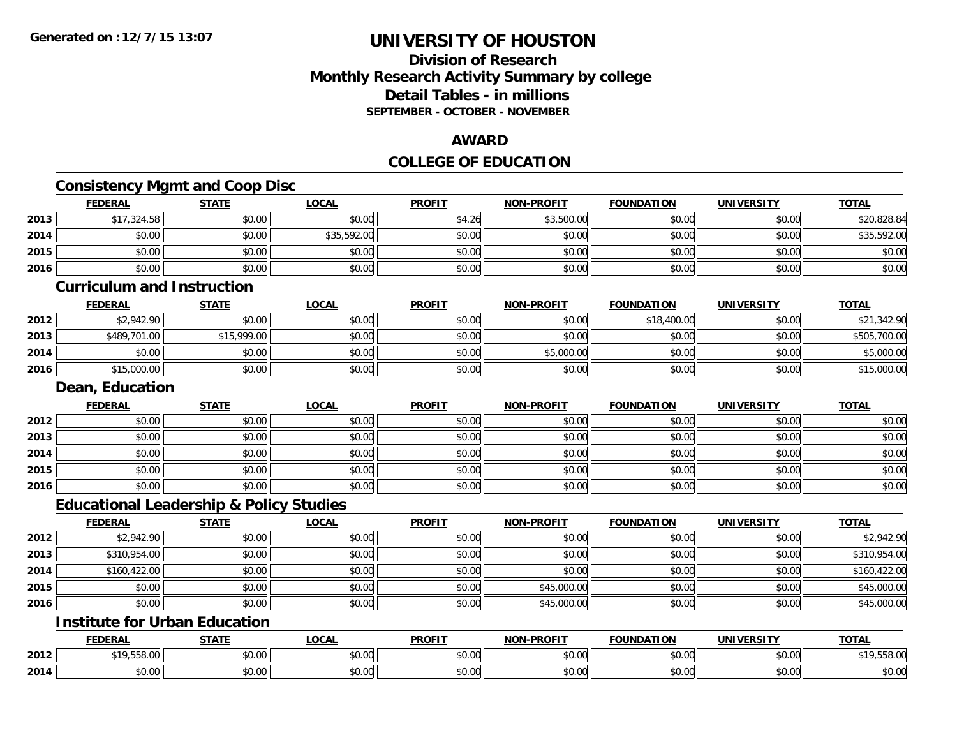**2014**

## **UNIVERSITY OF HOUSTON**

## **Division of ResearchMonthly Research Activity Summary by college Detail Tables - in millions SEPTEMBER - OCTOBER - NOVEMBER**

### **AWARD**

## **COLLEGE OF EDUCATION**

|      | <b>Consistency Mgmt and Coop Disc</b>              |              |              |               |                   |                   |                   |              |
|------|----------------------------------------------------|--------------|--------------|---------------|-------------------|-------------------|-------------------|--------------|
|      | <b>FEDERAL</b>                                     | <b>STATE</b> | <b>LOCAL</b> | <b>PROFIT</b> | <b>NON-PROFIT</b> | <b>FOUNDATION</b> | <b>UNIVERSITY</b> | <b>TOTAL</b> |
| 2013 | \$17,324.58                                        | \$0.00       | \$0.00       | \$4.26        | \$3,500.00        | \$0.00            | \$0.00            | \$20,828.84  |
| 2014 | \$0.00                                             | \$0.00       | \$35,592.00  | \$0.00        | \$0.00            | \$0.00            | \$0.00            | \$35,592.00  |
| 2015 | \$0.00                                             | \$0.00       | \$0.00       | \$0.00        | \$0.00            | \$0.00            | \$0.00            | \$0.00       |
| 2016 | \$0.00                                             | \$0.00       | \$0.00       | \$0.00        | \$0.00            | \$0.00            | \$0.00            | \$0.00       |
|      | <b>Curriculum and Instruction</b>                  |              |              |               |                   |                   |                   |              |
|      | <b>FEDERAL</b>                                     | <b>STATE</b> | <b>LOCAL</b> | <b>PROFIT</b> | <b>NON-PROFIT</b> | <b>FOUNDATION</b> | <b>UNIVERSITY</b> | <b>TOTAL</b> |
| 2012 | \$2,942.90                                         | \$0.00       | \$0.00       | \$0.00        | \$0.00            | \$18,400.00       | \$0.00            | \$21,342.90  |
| 2013 | \$489,701.00                                       | \$15,999.00  | \$0.00       | \$0.00        | \$0.00            | \$0.00            | \$0.00            | \$505,700.00 |
| 2014 | \$0.00                                             | \$0.00       | \$0.00       | \$0.00        | \$5,000.00        | \$0.00            | \$0.00            | \$5,000.00   |
| 2016 | \$15,000.00                                        | \$0.00       | \$0.00       | \$0.00        | \$0.00            | \$0.00            | \$0.00            | \$15,000.00  |
|      | Dean, Education                                    |              |              |               |                   |                   |                   |              |
|      | <b>FEDERAL</b>                                     | <b>STATE</b> | <b>LOCAL</b> | <b>PROFIT</b> | <b>NON-PROFIT</b> | <b>FOUNDATION</b> | <b>UNIVERSITY</b> | <b>TOTAL</b> |
| 2012 | \$0.00                                             | \$0.00       | \$0.00       | \$0.00        | \$0.00            | \$0.00            | \$0.00            | \$0.00       |
| 2013 | \$0.00                                             | \$0.00       | \$0.00       | \$0.00        | \$0.00            | \$0.00            | \$0.00            | \$0.00       |
| 2014 | \$0.00                                             | \$0.00       | \$0.00       | \$0.00        | \$0.00            | \$0.00            | \$0.00            | \$0.00       |
| 2015 | \$0.00                                             | \$0.00       | \$0.00       | \$0.00        | \$0.00            | \$0.00            | \$0.00            | \$0.00       |
| 2016 | \$0.00                                             | \$0.00       | \$0.00       | \$0.00        | \$0.00            | \$0.00            | \$0.00            | \$0.00       |
|      | <b>Educational Leadership &amp; Policy Studies</b> |              |              |               |                   |                   |                   |              |
|      | <b>FEDERAL</b>                                     | <b>STATE</b> | <b>LOCAL</b> | <b>PROFIT</b> | <b>NON-PROFIT</b> | <b>FOUNDATION</b> | <b>UNIVERSITY</b> | <b>TOTAL</b> |
| 2012 | \$2,942.90                                         | \$0.00       | \$0.00       | \$0.00        | \$0.00            | \$0.00            | \$0.00            | \$2,942.90   |
| 2013 | \$310,954.00                                       | \$0.00       | \$0.00       | \$0.00        | \$0.00            | \$0.00            | \$0.00            | \$310,954.00 |
| 2014 | \$160,422.00                                       | \$0.00       | \$0.00       | \$0.00        | \$0.00            | \$0.00            | \$0.00            | \$160,422.00 |
| 2015 | \$0.00                                             | \$0.00       | \$0.00       | \$0.00        | \$45,000.00       | \$0.00            | \$0.00            | \$45,000.00  |
| 2016 | \$0.00                                             | \$0.00       | \$0.00       | \$0.00        | \$45,000.00       | \$0.00            | \$0.00            | \$45,000.00  |
|      | <b>Institute for Urban Education</b>               |              |              |               |                   |                   |                   |              |
|      | <b>FEDERAL</b>                                     | <b>STATE</b> | <b>LOCAL</b> | <b>PROFIT</b> | <b>NON-PROFIT</b> | <b>FOUNDATION</b> | <b>UNIVERSITY</b> | <b>TOTAL</b> |
| 2012 | \$19,558.00                                        | \$0.00       | \$0.00       | \$0.00        | \$0.00            | \$0.00            | \$0.00            | \$19,558.00  |

4 \$0.00 \$0.00 \$0.00 \$0.00 \$0.00 \$0.00 \$0.00 \$0.00 \$0.00 \$0.00 \$0.00 \$0.00 \$0.00 \$0.00 \$0.00 \$0.00 \$0.00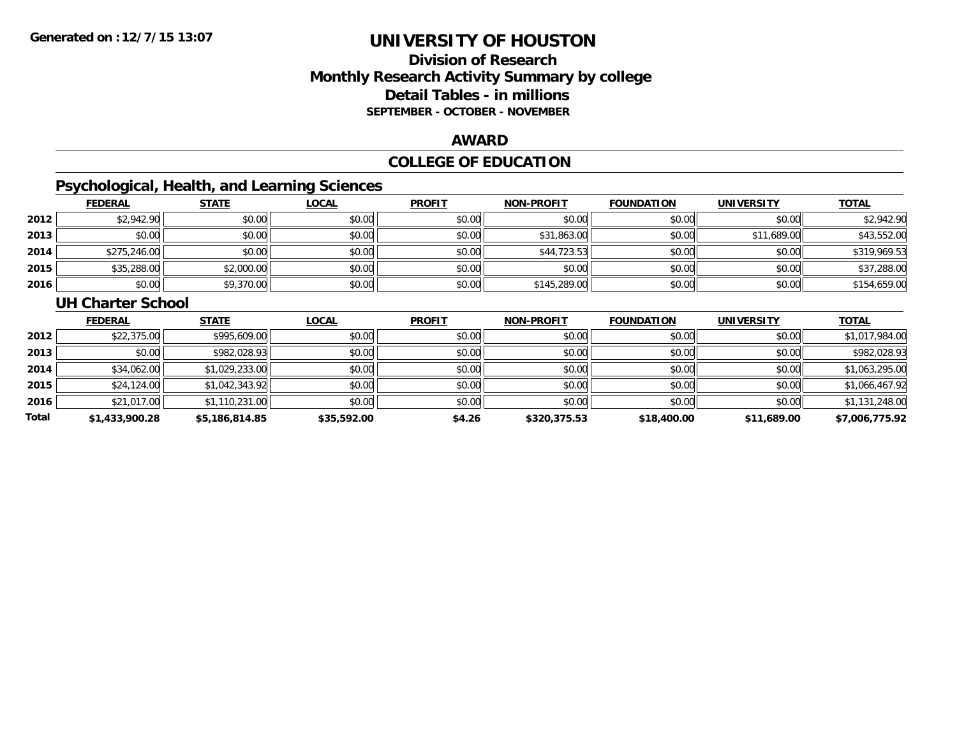## **Division of ResearchMonthly Research Activity Summary by college Detail Tables - in millions SEPTEMBER - OCTOBER - NOVEMBER**

### **AWARD**

## **COLLEGE OF EDUCATION**

## **Psychological, Health, and Learning Sciences**

|      | <b>FEDERAL</b> | <b>STATE</b> | <b>LOCAL</b> | <b>PROFIT</b> | <b>NON-PROFIT</b> | <b>FOUNDATION</b> | <b>UNIVERSITY</b> | <b>TOTAL</b> |
|------|----------------|--------------|--------------|---------------|-------------------|-------------------|-------------------|--------------|
| 2012 | \$2,942.90     | \$0.00       | \$0.00       | \$0.00        | \$0.00            | \$0.00            | \$0.00            | \$2,942.90   |
| 2013 | \$0.00         | \$0.00       | \$0.00       | \$0.00        | \$31,863.00       | \$0.00            | \$11,689.00       | \$43,552.00  |
| 2014 | \$275,246.00   | \$0.00       | \$0.00       | \$0.00        | \$44,723.53       | \$0.00            | \$0.00            | \$319,969.53 |
| 2015 | \$35,288.00    | \$2,000.00   | \$0.00       | \$0.00        | \$0.00            | \$0.00            | \$0.00            | \$37,288.00  |
| 2016 | \$0.00         | \$9,370.00   | \$0.00       | \$0.00        | \$145,289.00      | \$0.00            | \$0.00            | \$154,659.00 |

#### **UH Charter School**

|       | <b>FEDERAL</b> | <b>STATE</b>   | <b>LOCAL</b> | <b>PROFIT</b> | <b>NON-PROFIT</b> | <b>FOUNDATION</b> | <b>UNIVERSITY</b> | <b>TOTAL</b>   |
|-------|----------------|----------------|--------------|---------------|-------------------|-------------------|-------------------|----------------|
| 2012  | \$22,375.00    | \$995,609.00   | \$0.00       | \$0.00        | \$0.00            | \$0.00            | \$0.00            | \$1,017,984.00 |
| 2013  | \$0.00         | \$982,028.93   | \$0.00       | \$0.00        | \$0.00            | \$0.00            | \$0.00            | \$982,028.93   |
| 2014  | \$34,062.00    | \$1,029,233.00 | \$0.00       | \$0.00        | \$0.00            | \$0.00            | \$0.00            | \$1,063,295.00 |
| 2015  | \$24,124.00    | \$1,042,343.92 | \$0.00       | \$0.00        | \$0.00            | \$0.00            | \$0.00            | \$1,066,467.92 |
| 2016  | \$21,017.00    | \$1,110,231.00 | \$0.00       | \$0.00        | \$0.00            | \$0.00            | \$0.00            | \$1,131,248.00 |
| Total | \$1,433,900.28 | \$5,186,814.85 | \$35,592.00  | \$4.26        | \$320,375.53      | \$18,400.00       | \$11,689.00       | \$7,006,775.92 |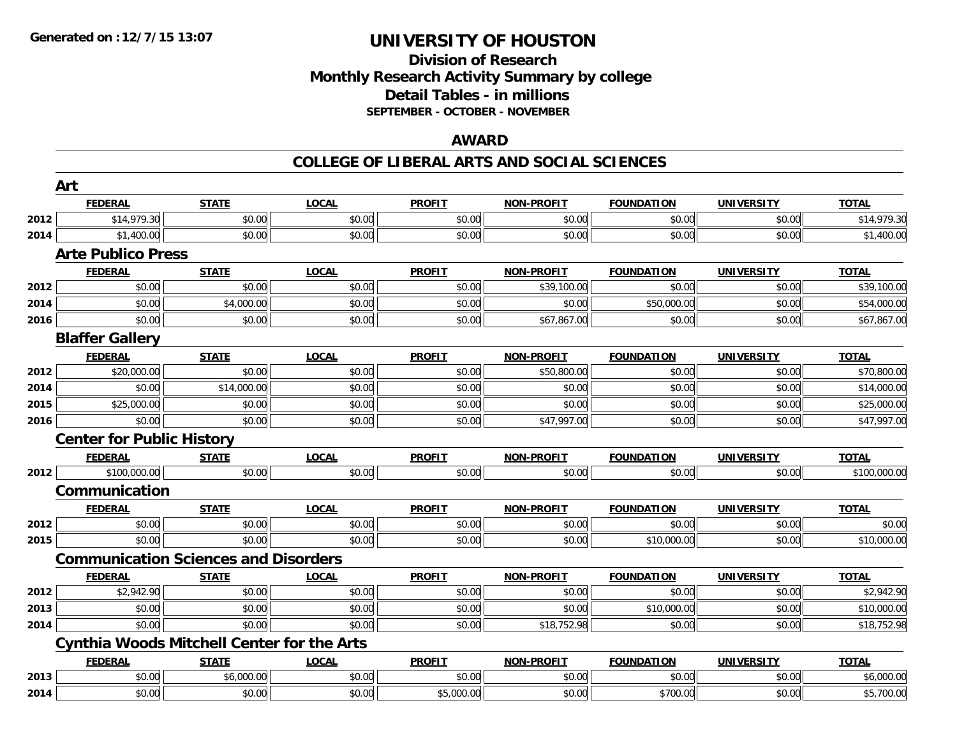### **Division of Research Monthly Research Activity Summary by college Detail Tables - in millions SEPTEMBER - OCTOBER - NOVEMBER**

### **AWARD**

|      | Art                                               |              |              |               |                   |                   |                   |              |
|------|---------------------------------------------------|--------------|--------------|---------------|-------------------|-------------------|-------------------|--------------|
|      | <b>FEDERAL</b>                                    | <b>STATE</b> | <b>LOCAL</b> | <b>PROFIT</b> | <b>NON-PROFIT</b> | <b>FOUNDATION</b> | <b>UNIVERSITY</b> | <b>TOTAL</b> |
| 2012 | \$14,979.30                                       | \$0.00       | \$0.00       | \$0.00        | \$0.00            | \$0.00            | \$0.00            | \$14,979.30  |
| 2014 | \$1,400.00                                        | \$0.00       | \$0.00       | \$0.00        | \$0.00            | \$0.00            | \$0.00            | \$1,400.00   |
|      | <b>Arte Publico Press</b>                         |              |              |               |                   |                   |                   |              |
|      | <b>FEDERAL</b>                                    | <b>STATE</b> | <b>LOCAL</b> | <b>PROFIT</b> | <b>NON-PROFIT</b> | <b>FOUNDATION</b> | <b>UNIVERSITY</b> | <b>TOTAL</b> |
| 2012 | \$0.00                                            | \$0.00       | \$0.00       | \$0.00        | \$39,100.00       | \$0.00            | \$0.00            | \$39,100.00  |
| 2014 | \$0.00                                            | \$4,000.00   | \$0.00       | \$0.00        | \$0.00            | \$50,000.00       | \$0.00            | \$54,000.00  |
| 2016 | \$0.00                                            | \$0.00       | \$0.00       | \$0.00        | \$67,867.00       | \$0.00            | \$0.00            | \$67,867.00  |
|      | <b>Blaffer Gallery</b>                            |              |              |               |                   |                   |                   |              |
|      | <b>FEDERAL</b>                                    | <b>STATE</b> | <b>LOCAL</b> | <b>PROFIT</b> | <b>NON-PROFIT</b> | <b>FOUNDATION</b> | <b>UNIVERSITY</b> | <b>TOTAL</b> |
| 2012 | \$20,000.00                                       | \$0.00       | \$0.00       | \$0.00        | \$50,800.00       | \$0.00            | \$0.00            | \$70,800.00  |
| 2014 | \$0.00                                            | \$14,000.00  | \$0.00       | \$0.00        | \$0.00            | \$0.00            | \$0.00            | \$14,000.00  |
| 2015 | \$25,000.00                                       | \$0.00       | \$0.00       | \$0.00        | \$0.00            | \$0.00            | \$0.00            | \$25,000.00  |
| 2016 | \$0.00                                            | \$0.00       | \$0.00       | \$0.00        | \$47,997.00       | \$0.00            | \$0.00            | \$47,997.00  |
|      | <b>Center for Public History</b>                  |              |              |               |                   |                   |                   |              |
|      | <b>FEDERAL</b>                                    | <b>STATE</b> | <b>LOCAL</b> | <b>PROFIT</b> | <b>NON-PROFIT</b> | <b>FOUNDATION</b> | <b>UNIVERSITY</b> | <b>TOTAL</b> |
| 2012 | \$100,000.00                                      | \$0.00       | \$0.00       | \$0.00        | \$0.00            | \$0.00            | \$0.00            | \$100,000.00 |
|      | Communication                                     |              |              |               |                   |                   |                   |              |
|      | <b>FEDERAL</b>                                    | <b>STATE</b> | <b>LOCAL</b> | <b>PROFIT</b> | <b>NON-PROFIT</b> | <b>FOUNDATION</b> | UNIVERSITY        | <b>TOTAL</b> |
| 2012 | \$0.00                                            | \$0.00       | \$0.00       | \$0.00        | \$0.00            | \$0.00            | \$0.00            | \$0.00       |
| 2015 | \$0.00                                            | \$0.00       | \$0.00       | \$0.00        | \$0.00            | \$10,000.00       | \$0.00            | \$10,000.00  |
|      | <b>Communication Sciences and Disorders</b>       |              |              |               |                   |                   |                   |              |
|      | <b>FEDERAL</b>                                    | <b>STATE</b> | <b>LOCAL</b> | <b>PROFIT</b> | <b>NON-PROFIT</b> | <b>FOUNDATION</b> | <b>UNIVERSITY</b> | <b>TOTAL</b> |
| 2012 | \$2,942.90                                        | \$0.00       | \$0.00       | \$0.00        | \$0.00            | \$0.00            | \$0.00            | \$2,942.90   |
| 2013 | \$0.00                                            | \$0.00       | \$0.00       | \$0.00        | \$0.00            | \$10,000.00       | \$0.00            | \$10,000.00  |
| 2014 | \$0.00                                            | \$0.00       | \$0.00       | \$0.00        | \$18,752.98       | \$0.00            | \$0.00            | \$18,752.98  |
|      | <b>Cynthia Woods Mitchell Center for the Arts</b> |              |              |               |                   |                   |                   |              |
|      | <b>FEDERAL</b>                                    | <b>STATE</b> | <b>LOCAL</b> | <b>PROFIT</b> | NON-PROFIT        | <b>FOUNDATION</b> | <b>UNIVERSITY</b> | <b>TOTAL</b> |
| 2013 | \$0.00                                            | \$6,000.00   | \$0.00       | \$0.00        | \$0.00            | \$0.00            | \$0.00            | \$6,000.00   |
| 2014 | \$0.00                                            | \$0.00       | \$0.00       | \$5,000.00    | \$0.00            | \$700.00          | \$0.00            | \$5,700.00   |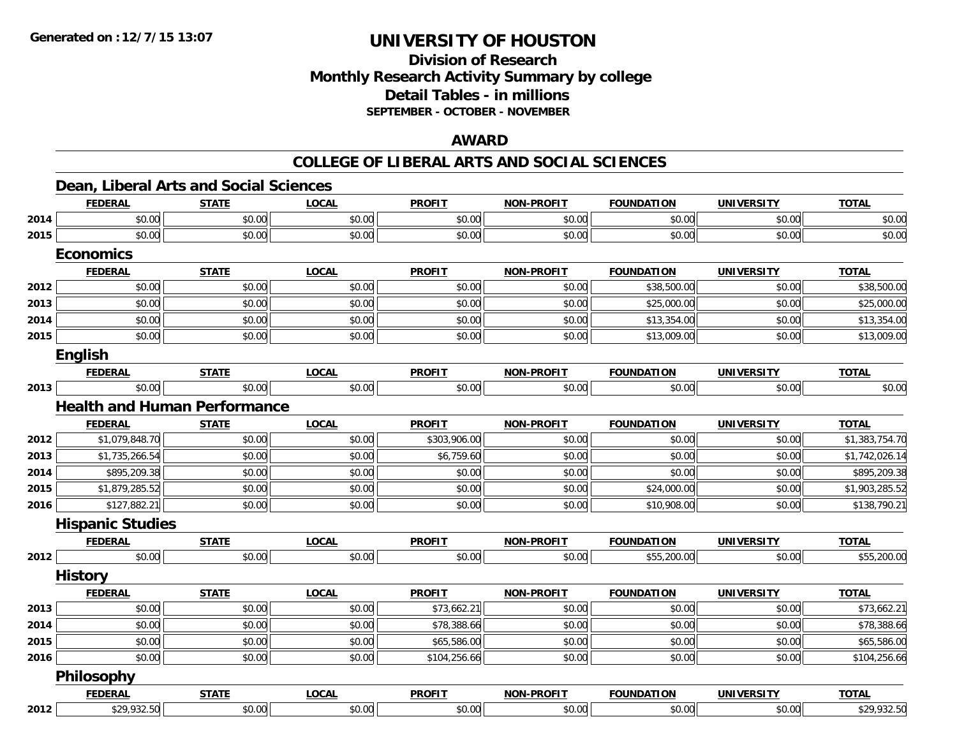### **Division of Research Monthly Research Activity Summary by college Detail Tables - in millions SEPTEMBER - OCTOBER - NOVEMBER**

### **AWARD**

|      |                         | Dean, Liberal Arts and Social Sciences |              |               |                   |                   |                   |                |
|------|-------------------------|----------------------------------------|--------------|---------------|-------------------|-------------------|-------------------|----------------|
|      | <b>FEDERAL</b>          | <b>STATE</b>                           | <b>LOCAL</b> | <b>PROFIT</b> | <b>NON-PROFIT</b> | <b>FOUNDATION</b> | <b>UNIVERSITY</b> | <b>TOTAL</b>   |
| 2014 | \$0.00                  | \$0.00                                 | \$0.00       | \$0.00        | \$0.00            | \$0.00            | \$0.00            | \$0.00         |
| 2015 | \$0.00                  | \$0.00                                 | \$0.00       | \$0.00        | \$0.00            | \$0.00            | \$0.00            | \$0.00         |
|      | <b>Economics</b>        |                                        |              |               |                   |                   |                   |                |
|      | <b>FEDERAL</b>          | <b>STATE</b>                           | <b>LOCAL</b> | <b>PROFIT</b> | <b>NON-PROFIT</b> | <b>FOUNDATION</b> | <b>UNIVERSITY</b> | <b>TOTAL</b>   |
| 2012 | \$0.00                  | \$0.00                                 | \$0.00       | \$0.00        | \$0.00            | \$38,500.00       | \$0.00            | \$38,500.00    |
| 2013 | \$0.00                  | \$0.00                                 | \$0.00       | \$0.00        | \$0.00            | \$25,000.00       | \$0.00            | \$25,000.00    |
| 2014 | \$0.00                  | \$0.00                                 | \$0.00       | \$0.00        | \$0.00            | \$13,354.00       | \$0.00            | \$13,354.00    |
| 2015 | \$0.00                  | \$0.00                                 | \$0.00       | \$0.00        | \$0.00            | \$13,009.00       | \$0.00            | \$13,009.00    |
|      | <b>English</b>          |                                        |              |               |                   |                   |                   |                |
|      | <b>FEDERAL</b>          | <b>STATE</b>                           | <b>LOCAL</b> | <b>PROFIT</b> | <b>NON-PROFIT</b> | <b>FOUNDATION</b> | <b>UNIVERSITY</b> | <b>TOTAL</b>   |
| 2013 | \$0.00                  | \$0.00                                 | \$0.00       | \$0.00        | \$0.00            | \$0.00            | \$0.00            | \$0.00         |
|      |                         | <b>Health and Human Performance</b>    |              |               |                   |                   |                   |                |
|      | <b>FEDERAL</b>          | <b>STATE</b>                           | <b>LOCAL</b> | <b>PROFIT</b> | <b>NON-PROFIT</b> | <b>FOUNDATION</b> | <b>UNIVERSITY</b> | <b>TOTAL</b>   |
| 2012 | \$1,079,848.70          | \$0.00                                 | \$0.00       | \$303,906.00  | \$0.00            | \$0.00            | \$0.00            | \$1,383,754.70 |
| 2013 | \$1,735,266.54          | \$0.00                                 | \$0.00       | \$6,759.60    | \$0.00            | \$0.00            | \$0.00            | \$1,742,026.14 |
| 2014 | \$895,209.38            | \$0.00                                 | \$0.00       | \$0.00        | \$0.00            | \$0.00            | \$0.00            | \$895,209.38   |
| 2015 | \$1,879,285.52          | \$0.00                                 | \$0.00       | \$0.00        | \$0.00            | \$24,000.00       | \$0.00            | \$1,903,285.52 |
| 2016 | \$127,882.21            | \$0.00                                 | \$0.00       | \$0.00        | \$0.00            | \$10,908.00       | \$0.00            | \$138,790.21   |
|      | <b>Hispanic Studies</b> |                                        |              |               |                   |                   |                   |                |
|      | <b>FEDERAL</b>          | <b>STATE</b>                           | <b>LOCAL</b> | <b>PROFIT</b> | <b>NON-PROFIT</b> | <b>FOUNDATION</b> | <b>UNIVERSITY</b> | <b>TOTAL</b>   |
| 2012 | \$0.00                  | \$0.00                                 | \$0.00       | \$0.00        | \$0.00            | \$55,200.00       | \$0.00            | \$55,200.00    |
|      | <b>History</b>          |                                        |              |               |                   |                   |                   |                |
|      | <b>FEDERAL</b>          | <b>STATE</b>                           | <b>LOCAL</b> | <b>PROFIT</b> | <b>NON-PROFIT</b> | <b>FOUNDATION</b> | <b>UNIVERSITY</b> | <b>TOTAL</b>   |
| 2013 | \$0.00                  | \$0.00                                 | \$0.00       | \$73,662.21   | \$0.00            | \$0.00            | \$0.00            | \$73,662.21    |
| 2014 | \$0.00                  | \$0.00                                 | \$0.00       | \$78,388.66   | \$0.00            | \$0.00            | \$0.00            | \$78,388.66    |
| 2015 | \$0.00                  | \$0.00                                 | \$0.00       | \$65,586.00   | \$0.00            | \$0.00            | \$0.00            | \$65,586.00    |
| 2016 | \$0.00                  | \$0.00                                 | \$0.00       | \$104,256.66  | \$0.00            | \$0.00            | \$0.00            | \$104,256.66   |
|      | <b>Philosophy</b>       |                                        |              |               |                   |                   |                   |                |
|      | <b>FEDERAL</b>          | <b>STATE</b>                           | <b>LOCAL</b> | <b>PROFIT</b> | <b>NON-PROFIT</b> | <b>FOUNDATION</b> | <b>UNIVERSITY</b> | <b>TOTAL</b>   |
| 2012 | \$29,932.50             | \$0.00                                 | \$0.00       | \$0.00        | \$0.00            | \$0.00            | \$0.00            | \$29,932.50    |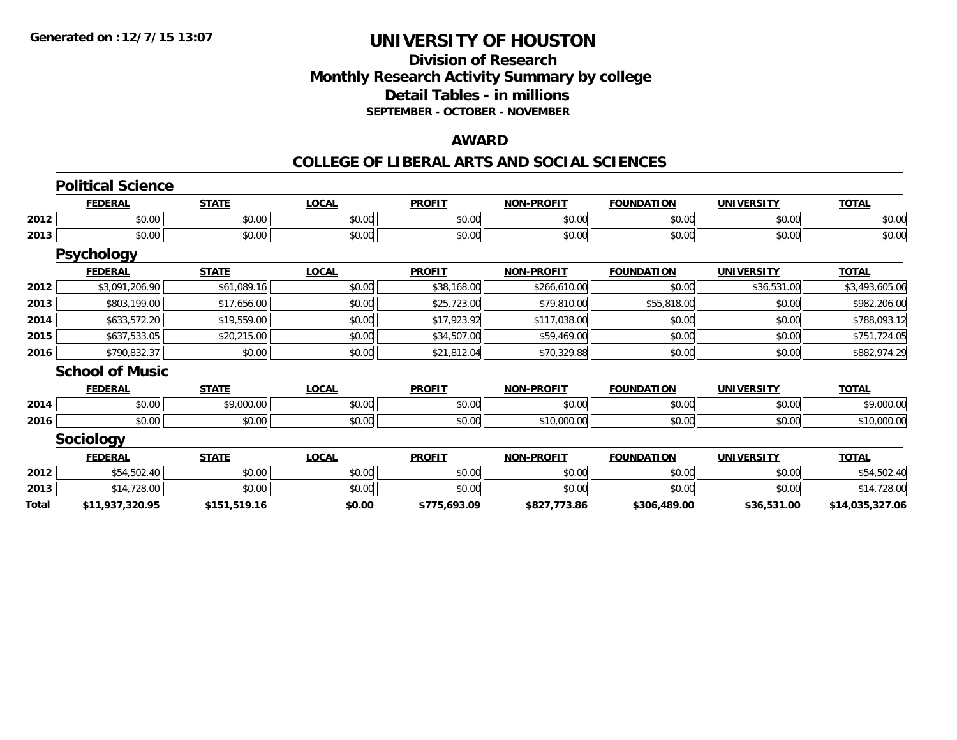### **Division of Research Monthly Research Activity Summary by college Detail Tables - in millions SEPTEMBER - OCTOBER - NOVEMBER**

#### **AWARD**

|       | <b>Political Science</b> |              |              |               |                   |                   |                   |                 |
|-------|--------------------------|--------------|--------------|---------------|-------------------|-------------------|-------------------|-----------------|
|       | <b>FEDERAL</b>           | <b>STATE</b> | <b>LOCAL</b> | <b>PROFIT</b> | <b>NON-PROFIT</b> | <b>FOUNDATION</b> | <b>UNIVERSITY</b> | <b>TOTAL</b>    |
| 2012  | \$0.00                   | \$0.00       | \$0.00       | \$0.00        | \$0.00            | \$0.00            | \$0.00            | \$0.00          |
| 2013  | \$0.00                   | \$0.00       | \$0.00       | \$0.00        | \$0.00            | \$0.00            | \$0.00            | \$0.00          |
|       | <b>Psychology</b>        |              |              |               |                   |                   |                   |                 |
|       | <b>FEDERAL</b>           | <b>STATE</b> | <b>LOCAL</b> | <b>PROFIT</b> | <b>NON-PROFIT</b> | <b>FOUNDATION</b> | <b>UNIVERSITY</b> | <b>TOTAL</b>    |
| 2012  | \$3,091,206.90           | \$61,089.16  | \$0.00       | \$38,168.00   | \$266,610.00      | \$0.00            | \$36,531.00       | \$3,493,605.06  |
| 2013  | \$803,199.00             | \$17,656.00  | \$0.00       | \$25,723.00   | \$79,810.00       | \$55,818.00       | \$0.00            | \$982,206.00    |
| 2014  | \$633,572.20             | \$19,559.00  | \$0.00       | \$17,923.92   | \$117,038.00      | \$0.00            | \$0.00            | \$788,093.12    |
| 2015  | \$637,533.05             | \$20,215.00  | \$0.00       | \$34,507.00   | \$59,469.00       | \$0.00            | \$0.00            | \$751,724.05    |
| 2016  | \$790,832.37             | \$0.00       | \$0.00       | \$21,812.04   | \$70,329.88       | \$0.00            | \$0.00            | \$882,974.29    |
|       | <b>School of Music</b>   |              |              |               |                   |                   |                   |                 |
|       | <b>FEDERAL</b>           | <b>STATE</b> | <b>LOCAL</b> | <b>PROFIT</b> | <b>NON-PROFIT</b> | <b>FOUNDATION</b> | <b>UNIVERSITY</b> | <b>TOTAL</b>    |
| 2014  | \$0.00                   | \$9,000.00   | \$0.00       | \$0.00        | \$0.00            | \$0.00            | \$0.00            | \$9,000.00      |
| 2016  | \$0.00                   | \$0.00       | \$0.00       | \$0.00        | \$10,000.00       | \$0.00            | \$0.00            | \$10,000.00     |
|       | <b>Sociology</b>         |              |              |               |                   |                   |                   |                 |
|       | <b>FEDERAL</b>           | <b>STATE</b> | <b>LOCAL</b> | <b>PROFIT</b> | <b>NON-PROFIT</b> | <b>FOUNDATION</b> | <b>UNIVERSITY</b> | <b>TOTAL</b>    |
| 2012  | \$54,502.40              | \$0.00       | \$0.00       | \$0.00        | \$0.00            | \$0.00            | \$0.00            | \$54,502.40     |
| 2013  | \$14,728.00              | \$0.00       | \$0.00       | \$0.00        | \$0.00            | \$0.00            | \$0.00            | \$14,728.00     |
| Total | \$11,937,320.95          | \$151,519.16 | \$0.00       | \$775,693.09  | \$827,773.86      | \$306,489.00      | \$36,531.00       | \$14,035,327.06 |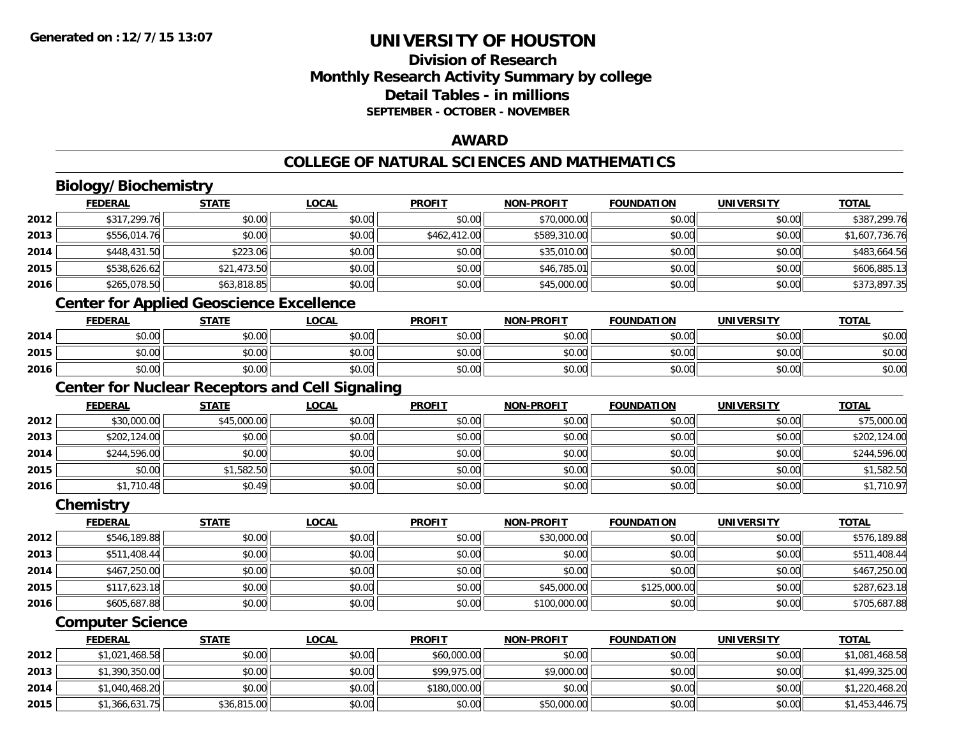## **Division of ResearchMonthly Research Activity Summary by college Detail Tables - in millionsSEPTEMBER - OCTOBER - NOVEMBER**

### **AWARD**

## **COLLEGE OF NATURAL SCIENCES AND MATHEMATICS**

## **Biology/Biochemistry**

|      | <b>FEDERAL</b> | <b>STATE</b> | <b>LOCAL</b> | <b>PROFIT</b> | <b>NON-PROFIT</b> | <b>FOUNDATION</b> | <b>UNIVERSITY</b> | <b>TOTAL</b>   |
|------|----------------|--------------|--------------|---------------|-------------------|-------------------|-------------------|----------------|
| 2012 | \$317,299.76   | \$0.00       | \$0.00       | \$0.00        | \$70,000.00       | \$0.00            | \$0.00            | \$387,299.76   |
| 2013 | \$556,014.76   | \$0.00       | \$0.00       | \$462,412.00  | \$589,310.00      | \$0.00            | \$0.00            | \$1,607,736.76 |
| 2014 | \$448,431.50   | \$223.06     | \$0.00       | \$0.00        | \$35,010.00       | \$0.00            | \$0.00            | \$483,664.56   |
| 2015 | \$538,626.62   | \$21,473.50  | \$0.00       | \$0.00        | \$46,785.01       | \$0.00            | \$0.00            | \$606,885.13   |
| 2016 | \$265,078.50   | \$63,818.85  | \$0.00       | \$0.00        | \$45,000.00       | \$0.00            | \$0.00            | \$373,897.35   |
|      |                |              |              |               |                   |                   |                   |                |

#### **Center for Applied Geoscience Excellence**

|      | <b>FEDERAL</b>         | <b>STATE</b> | <b>LOCAL</b> | <b>PROFIT</b> | <b>NON-PROFIT</b> | <b>FOUNDATION</b> | UNIVERSITY | <b>TOTAL</b> |
|------|------------------------|--------------|--------------|---------------|-------------------|-------------------|------------|--------------|
| 2014 | ÷∩.<br>$\cap$<br>DU.UG | \$0.00       | \$0.00       | \$0.00        | \$0.00            | \$0.00            | \$0.00     | \$0.00       |
| 2015 | \$0.00                 | \$0.00       | \$0.00       | \$0.00        | \$0.00            | \$0.00            | \$0.00     | \$0.00       |
| 2016 | \$0.00                 | \$0.00       | \$0.00       | \$0.00        | \$0.00            | \$0.00            | \$0.00     | \$0.00       |

## **Center for Nuclear Receptors and Cell Signaling**

|      | <b>FEDERAL</b> | <b>STATE</b> | <u>LOCAL</u> | <b>PROFIT</b> | <b>NON-PROFIT</b> | <b>FOUNDATION</b> | <b>UNIVERSITY</b> | <b>TOTAL</b> |
|------|----------------|--------------|--------------|---------------|-------------------|-------------------|-------------------|--------------|
| 2012 | \$30,000.00    | \$45,000.00  | \$0.00       | \$0.00        | \$0.00            | \$0.00            | \$0.00            | \$75,000.00  |
| 2013 | \$202,124.00   | \$0.00       | \$0.00       | \$0.00        | \$0.00            | \$0.00            | \$0.00            | \$202,124.00 |
| 2014 | \$244,596.00   | \$0.00       | \$0.00       | \$0.00        | \$0.00            | \$0.00            | \$0.00            | \$244,596.00 |
| 2015 | \$0.00         | \$1,582.50   | \$0.00       | \$0.00        | \$0.00            | \$0.00            | \$0.00            | \$1,582.50   |
| 2016 | \$1,710.48     | \$0.49       | \$0.00       | \$0.00        | \$0.00            | \$0.00            | \$0.00            | \$1,710.97   |

#### **Chemistry**

|      | <b>FEDERAL</b> | <b>STATE</b> | <u>LOCAL</u> | <b>PROFIT</b> | <b>NON-PROFIT</b> | <b>FOUNDATION</b> | <b>UNIVERSITY</b> | <b>TOTAL</b> |
|------|----------------|--------------|--------------|---------------|-------------------|-------------------|-------------------|--------------|
| 2012 | \$546,189.88   | \$0.00       | \$0.00       | \$0.00        | \$30,000.00       | \$0.00            | \$0.00            | \$576,189.88 |
| 2013 | \$511,408.44   | \$0.00       | \$0.00       | \$0.00        | \$0.00            | \$0.00            | \$0.00            | \$511,408.44 |
| 2014 | \$467,250.00   | \$0.00       | \$0.00       | \$0.00        | \$0.00            | \$0.00            | \$0.00            | \$467,250.00 |
| 2015 | \$117,623.18   | \$0.00       | \$0.00       | \$0.00        | \$45,000.00       | \$125,000.00      | \$0.00            | \$287,623.18 |
| 2016 | \$605,687.88   | \$0.00       | \$0.00       | \$0.00        | \$100,000.00      | \$0.00            | \$0.00            | \$705,687.88 |

### **Computer Science**

|      | <b>FEDERAL</b> | <b>STATE</b> | <u>LOCAL</u> | <b>PROFIT</b> | <b>NON-PROFIT</b> | <b>FOUNDATION</b> | UNIVERSITY | <b>TOTAL</b>   |
|------|----------------|--------------|--------------|---------------|-------------------|-------------------|------------|----------------|
| 2012 | \$1,021,468.58 | \$0.00       | \$0.00       | \$60,000.00   | \$0.00            | \$0.00            | \$0.00     | \$1,081,468.58 |
| 2013 | \$1,390,350.00 | \$0.00       | \$0.00       | \$99,975.00   | \$9,000.00        | \$0.00            | \$0.00     | \$1,499,325.00 |
| 2014 | \$1,040,468.20 | \$0.00       | \$0.00       | \$180,000.00  | \$0.00            | \$0.00            | \$0.00     | \$1,220,468.20 |
| 2015 | \$1,366,631.75 | \$36,815.00  | \$0.00       | \$0.00        | \$50,000.00       | \$0.00            | \$0.00     | \$1,453,446.75 |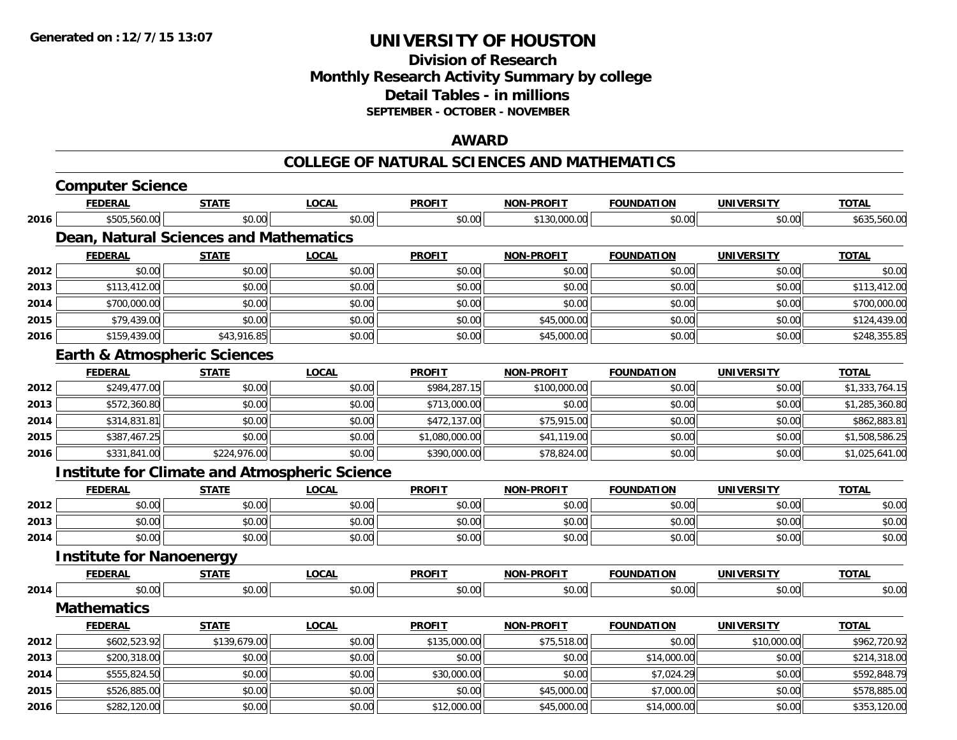### **Division of Research Monthly Research Activity Summary by college Detail Tables - in millions SEPTEMBER - OCTOBER - NOVEMBER**

### **AWARD**

#### **COLLEGE OF NATURAL SCIENCES AND MATHEMATICS**

|      | <b>Computer Science</b>                 |              |                                                      |                |                   |                   |                   |                |
|------|-----------------------------------------|--------------|------------------------------------------------------|----------------|-------------------|-------------------|-------------------|----------------|
|      | <b>FEDERAL</b>                          | <b>STATE</b> | <b>LOCAL</b>                                         | <b>PROFIT</b>  | NON-PROFIT        | <b>FOUNDATION</b> | <b>UNIVERSITY</b> | <b>TOTAL</b>   |
| 2016 | \$505,560.00                            | \$0.00       | \$0.00                                               | \$0.00         | \$130,000.00      | \$0.00            | \$0.00            | \$635,560.00   |
|      | Dean, Natural Sciences and Mathematics  |              |                                                      |                |                   |                   |                   |                |
|      | <b>FEDERAL</b>                          | <b>STATE</b> | <b>LOCAL</b>                                         | <b>PROFIT</b>  | <b>NON-PROFIT</b> | <b>FOUNDATION</b> | <b>UNIVERSITY</b> | <b>TOTAL</b>   |
| 2012 | \$0.00                                  | \$0.00       | \$0.00                                               | \$0.00         | \$0.00            | \$0.00            | \$0.00            | \$0.00         |
| 2013 | \$113,412.00                            | \$0.00       | \$0.00                                               | \$0.00         | \$0.00            | \$0.00            | \$0.00            | \$113,412.00   |
| 2014 | \$700,000.00                            | \$0.00       | \$0.00                                               | \$0.00         | \$0.00            | \$0.00            | \$0.00            | \$700,000.00   |
| 2015 | \$79,439.00                             | \$0.00       | \$0.00                                               | \$0.00         | \$45,000.00       | \$0.00            | \$0.00            | \$124,439.00   |
| 2016 | \$159,439.00                            | \$43,916.85  | \$0.00                                               | \$0.00         | \$45,000.00       | \$0.00            | \$0.00            | \$248,355.85   |
|      | <b>Earth &amp; Atmospheric Sciences</b> |              |                                                      |                |                   |                   |                   |                |
|      | <b>FEDERAL</b>                          | <b>STATE</b> | <b>LOCAL</b>                                         | <b>PROFIT</b>  | <b>NON-PROFIT</b> | <b>FOUNDATION</b> | <b>UNIVERSITY</b> | <b>TOTAL</b>   |
| 2012 | \$249,477.00                            | \$0.00       | \$0.00                                               | \$984,287.15   | \$100,000.00      | \$0.00            | \$0.00            | \$1,333,764.15 |
| 2013 | \$572,360.80                            | \$0.00       | \$0.00                                               | \$713,000.00   | \$0.00            | \$0.00            | \$0.00            | \$1,285,360.80 |
| 2014 | \$314,831.81                            | \$0.00       | \$0.00                                               | \$472,137.00   | \$75,915.00       | \$0.00            | \$0.00            | \$862,883.81   |
| 2015 | \$387,467.25                            | \$0.00       | \$0.00                                               | \$1,080,000.00 | \$41,119.00       | \$0.00            | \$0.00            | \$1,508,586.25 |
| 2016 | \$331,841.00                            | \$224,976.00 | \$0.00                                               | \$390,000.00   | \$78,824.00       | \$0.00            | \$0.00            | \$1,025,641.00 |
|      |                                         |              | <b>Institute for Climate and Atmospheric Science</b> |                |                   |                   |                   |                |
|      | <b>FEDERAL</b>                          | <b>STATE</b> | <b>LOCAL</b>                                         | <b>PROFIT</b>  | <b>NON-PROFIT</b> | <b>FOUNDATION</b> | <b>UNIVERSITY</b> | <b>TOTAL</b>   |
| 2012 | \$0.00                                  | \$0.00       | \$0.00                                               | \$0.00         | \$0.00            | \$0.00            | \$0.00            | \$0.00         |
| 2013 | \$0.00                                  | \$0.00       | \$0.00                                               | \$0.00         | \$0.00            | \$0.00            | \$0.00            | \$0.00         |
| 2014 | \$0.00                                  | \$0.00       | \$0.00                                               | \$0.00         | \$0.00            | \$0.00            | \$0.00            | \$0.00         |
|      | <b>Institute for Nanoenergy</b>         |              |                                                      |                |                   |                   |                   |                |
|      | <b>FEDERAL</b>                          | <b>STATE</b> | <b>LOCAL</b>                                         | <b>PROFIT</b>  | <b>NON-PROFIT</b> | <b>FOUNDATION</b> | <b>UNIVERSITY</b> | <b>TOTAL</b>   |
| 2014 | \$0.00                                  | \$0.00       | \$0.00                                               | \$0.00         | \$0.00            | \$0.00            | \$0.00            | \$0.00         |
|      | <b>Mathematics</b>                      |              |                                                      |                |                   |                   |                   |                |
|      | <b>FEDERAL</b>                          | <b>STATE</b> | <b>LOCAL</b>                                         | <b>PROFIT</b>  | <b>NON-PROFIT</b> | <b>FOUNDATION</b> | <b>UNIVERSITY</b> | <b>TOTAL</b>   |
| 2012 | \$602,523.92                            | \$139,679.00 | \$0.00                                               | \$135,000.00   | \$75,518.00       | \$0.00            | \$10,000.00       | \$962,720.92   |
| 2013 | \$200,318.00                            | \$0.00       | \$0.00                                               | \$0.00         | \$0.00            | \$14,000.00       | \$0.00            | \$214,318.00   |
| 2014 | \$555,824.50                            | \$0.00       | \$0.00                                               | \$30,000.00    | \$0.00            | \$7,024.29        | \$0.00            | \$592,848.79   |
| 2015 | \$526,885.00                            | \$0.00       | \$0.00                                               | \$0.00         | \$45,000.00       | \$7,000.00        | \$0.00            | \$578,885.00   |
| 2016 | \$282,120.00                            | \$0.00       | \$0.00                                               | \$12,000.00    | \$45,000.00       | \$14,000.00       | \$0.00            | \$353,120.00   |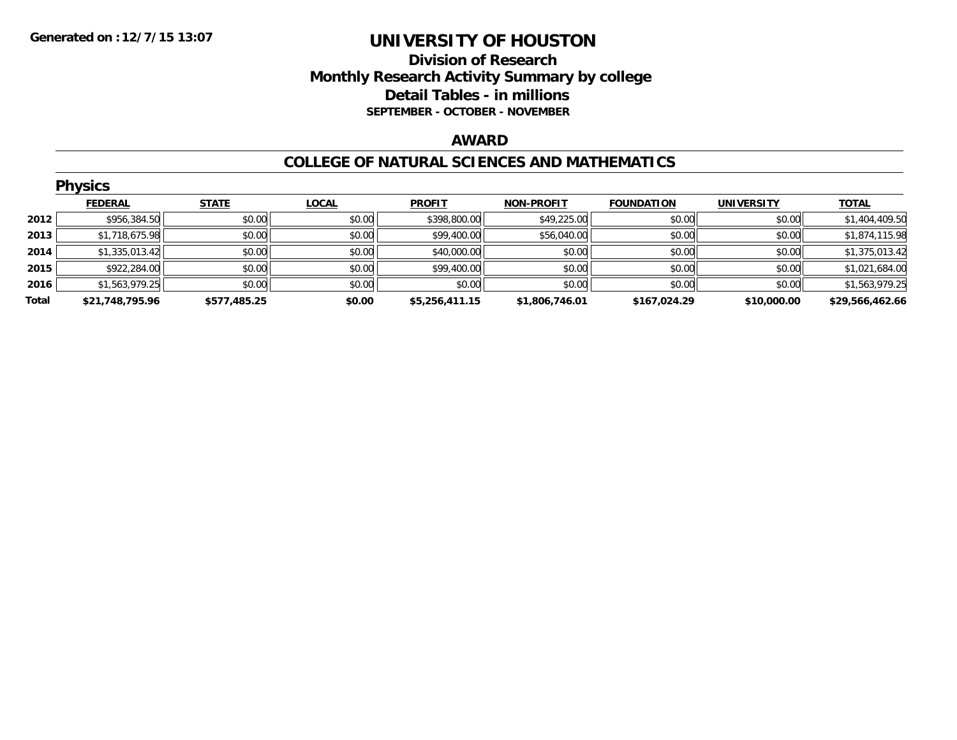### **Division of Research Monthly Research Activity Summary by college Detail Tables - in millions SEPTEMBER - OCTOBER - NOVEMBER**

#### **AWARD**

#### **COLLEGE OF NATURAL SCIENCES AND MATHEMATICS**

|       | <b>Physics</b>  |              |              |                |                   |                   |                   |                 |  |  |  |
|-------|-----------------|--------------|--------------|----------------|-------------------|-------------------|-------------------|-----------------|--|--|--|
|       | <b>FEDERAL</b>  | <b>STATE</b> | <b>LOCAL</b> | <b>PROFIT</b>  | <b>NON-PROFIT</b> | <b>FOUNDATION</b> | <b>UNIVERSITY</b> | <b>TOTAL</b>    |  |  |  |
| 2012  | \$956,384.50    | \$0.00       | \$0.00       | \$398,800.00   | \$49,225.00       | \$0.00            | \$0.00            | \$1,404,409.50  |  |  |  |
| 2013  | \$1,718,675.98  | \$0.00       | \$0.00       | \$99,400.00    | \$56,040.00       | \$0.00            | \$0.00            | \$1,874,115.98  |  |  |  |
| 2014  | \$1,335,013.42  | \$0.00       | \$0.00       | \$40,000.00    | \$0.00            | \$0.00            | \$0.00            | \$1,375,013.42  |  |  |  |
| 2015  | \$922,284.00    | \$0.00       | \$0.00       | \$99,400.00    | \$0.00            | \$0.00            | \$0.00            | \$1,021,684.00  |  |  |  |
| 2016  | \$1,563,979.25  | \$0.00       | \$0.00       | \$0.00         | \$0.00            | \$0.00            | \$0.00            | \$1,563,979.25  |  |  |  |
| Total | \$21,748,795.96 | \$577,485.25 | \$0.00       | \$5,256,411.15 | \$1,806,746.01    | \$167,024.29      | \$10,000.00       | \$29,566,462.66 |  |  |  |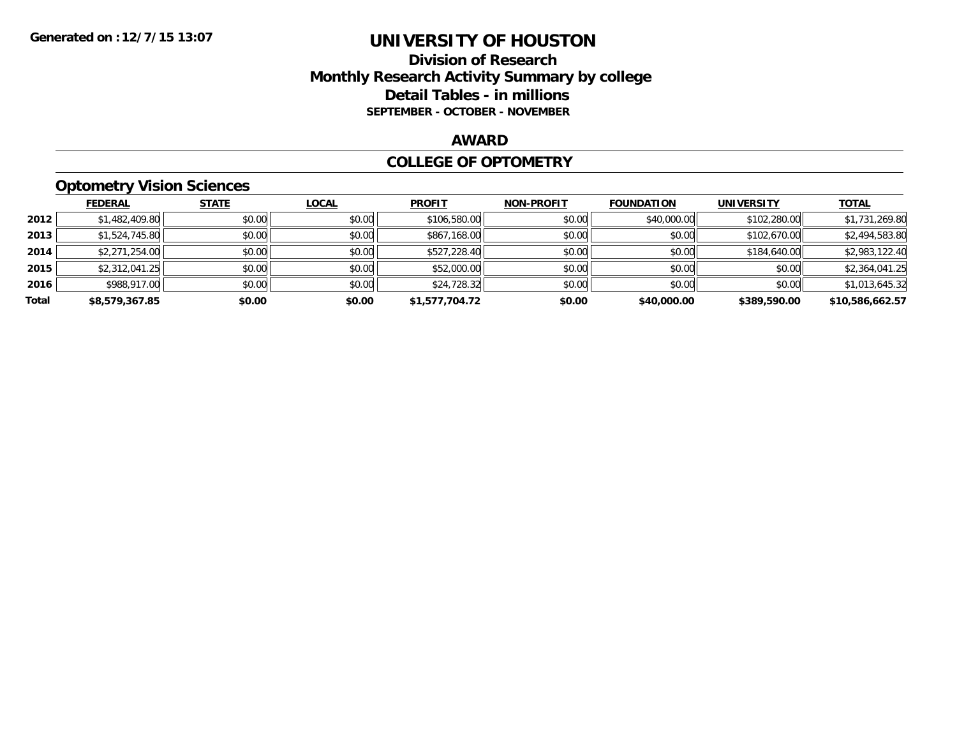### **Division of Research Monthly Research Activity Summary by college Detail Tables - in millions SEPTEMBER - OCTOBER - NOVEMBER**

#### **AWARD**

#### **COLLEGE OF OPTOMETRY**

### **Optometry Vision Sciences**

|       | <b>FEDERAL</b> | <b>STATE</b> | <b>LOCAL</b> | <b>PROFIT</b>  | <b>NON-PROFIT</b> | <b>FOUNDATION</b> | <b>UNIVERSITY</b> | <b>TOTAL</b>    |
|-------|----------------|--------------|--------------|----------------|-------------------|-------------------|-------------------|-----------------|
| 2012  | \$1,482,409.80 | \$0.00       | \$0.00       | \$106,580.00   | \$0.00            | \$40,000.00       | \$102,280.00      | \$1,731,269.80  |
| 2013  | \$1,524,745.80 | \$0.00       | \$0.00       | \$867,168.00   | \$0.00            | \$0.00            | \$102,670.00      | \$2,494,583.80  |
| 2014  | \$2,271,254.00 | \$0.00       | \$0.00       | \$527,228.40   | \$0.00            | \$0.00            | \$184,640.00      | \$2,983,122.40  |
| 2015  | \$2,312,041.25 | \$0.00       | \$0.00       | \$52,000.00    | \$0.00            | \$0.00            | \$0.00            | \$2,364,041.25  |
| 2016  | \$988,917.00   | \$0.00       | \$0.00       | \$24,728.32    | \$0.00            | \$0.00            | \$0.00            | \$1,013,645.32  |
| Total | \$8,579,367.85 | \$0.00       | \$0.00       | \$1,577,704.72 | \$0.00            | \$40,000.00       | \$389,590.00      | \$10,586,662.57 |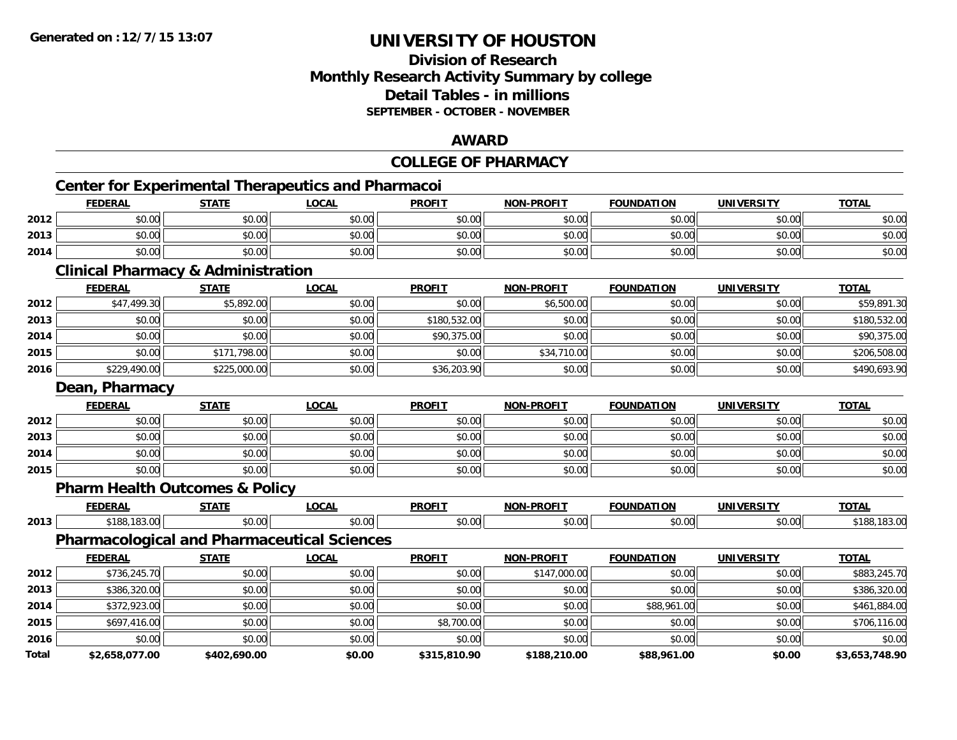### **Division of ResearchMonthly Research Activity Summary by college Detail Tables - in millionsSEPTEMBER - OCTOBER - NOVEMBER**

#### **AWARD**

### **COLLEGE OF PHARMACY**

## **Center for Experimental Therapeutics and Pharmacoi**

|      | Center for Experimental Therapeutics and Pharmacoi |              |              |               |                   |                   |                   |              |  |
|------|----------------------------------------------------|--------------|--------------|---------------|-------------------|-------------------|-------------------|--------------|--|
|      | <b>FEDERAL</b>                                     | <b>STATE</b> | <u>LOCAL</u> | <b>PROFIT</b> | <b>NON-PROFIT</b> | <b>FOUNDATION</b> | <b>UNIVERSITY</b> | <b>TOTAL</b> |  |
| 2012 | \$0.00                                             | \$0.00       | \$0.00       | \$0.00        | \$0.00            | \$0.00            | \$0.00            | \$0.00       |  |
| 2013 | \$0.00                                             | \$0.00       | \$0.00       | \$0.00        | \$0.00            | \$0.00            | \$0.00            | \$0.00       |  |
| 2014 | \$0.00                                             | \$0.00       | \$0.00       | \$0.00        | \$0.00            | \$0.00            | \$0.00            | \$0.00       |  |

#### **Clinical Pharmacy & Administration**

|      | <b>FEDERAL</b> | <b>STATE</b> | <b>LOCAL</b> | <b>PROFIT</b> | <b>NON-PROFIT</b> | <b>FOUNDATION</b> | <b>UNIVERSITY</b> | <b>TOTAL</b> |
|------|----------------|--------------|--------------|---------------|-------------------|-------------------|-------------------|--------------|
| 2012 | \$47,499.30    | \$5,892.00   | \$0.00       | \$0.00        | \$6,500.00        | \$0.00            | \$0.00            | \$59,891.30  |
| 2013 | \$0.00         | \$0.00       | \$0.00       | \$180,532.00  | \$0.00            | \$0.00            | \$0.00            | \$180,532.00 |
| 2014 | \$0.00         | \$0.00       | \$0.00       | \$90,375.00   | \$0.00            | \$0.00            | \$0.00            | \$90,375.00  |
| 2015 | \$0.00         | \$171,798.00 | \$0.00       | \$0.00        | \$34,710.00       | \$0.00            | \$0.00            | \$206,508.00 |
| 2016 | \$229,490.00   | \$225,000.00 | \$0.00       | \$36,203.90   | \$0.00            | \$0.00            | \$0.00            | \$490,693.90 |

#### **Dean, Pharmacy**

|      | <b>FEDERAL</b> | <b>STATE</b> | <b>LOCAL</b> | <b>PROFIT</b> | <b>NON-PROFIT</b> | <b>FOUNDATION</b> | <b>UNIVERSITY</b> | <b>TOTAL</b> |
|------|----------------|--------------|--------------|---------------|-------------------|-------------------|-------------------|--------------|
| 2012 | \$0.00         | \$0.00       | \$0.00       | \$0.00        | \$0.00            | \$0.00            | \$0.00            | \$0.00       |
| 2013 | \$0.00         | \$0.00       | \$0.00       | \$0.00        | \$0.00            | \$0.00            | \$0.00            | \$0.00       |
| 2014 | \$0.00         | \$0.00       | \$0.00       | \$0.00        | \$0.00            | \$0.00            | \$0.00            | \$0.00       |
| 2015 | \$0.00         | \$0.00       | \$0.00       | \$0.00        | \$0.00            | \$0.00            | \$0.00            | \$0.00       |

### **Pharm Health Outcomes & Policy**

|      | <b>FFBFBA</b><br>$\mathbf{r}$ | $\sim$ $\sim$ $\sim$ $\sim$ | $\sim$<br>UU.AI | <b>DDOEIT</b><br>πU | ------<br>. | . JIV          | <b>INITY/F</b>     | $-2$     |
|------|-------------------------------|-----------------------------|-----------------|---------------------|-------------|----------------|--------------------|----------|
| 2013 |                               |                             | $\sim$<br>u.uu  | .<br>Ò<br>◡.◡       |             | $\sim$<br>v.vv | $\Omega$<br>DU.UUI | $\cdots$ |

### **Pharmacological and Pharmaceutical Sciences**

|       | <b>FEDERAL</b> | <b>STATE</b> | <u>LOCAL</u> | <b>PROFIT</b> | <b>NON-PROFIT</b> | <b>FOUNDATION</b> | <b>UNIVERSITY</b> | <b>TOTAL</b>   |
|-------|----------------|--------------|--------------|---------------|-------------------|-------------------|-------------------|----------------|
| 2012  | \$736,245.70   | \$0.00       | \$0.00       | \$0.00        | \$147,000.00      | \$0.00            | \$0.00            | \$883,245.70   |
| 2013  | \$386,320.00   | \$0.00       | \$0.00       | \$0.00        | \$0.00            | \$0.00            | \$0.00            | \$386,320.00   |
| 2014  | \$372,923.00   | \$0.00       | \$0.00       | \$0.00        | \$0.00            | \$88,961.00       | \$0.00            | \$461,884.00   |
| 2015  | \$697,416.00   | \$0.00       | \$0.00       | \$8,700.00    | \$0.00            | \$0.00            | \$0.00            | \$706,116.00   |
| 2016  | \$0.00         | \$0.00       | \$0.00       | \$0.00        | \$0.00            | \$0.00            | \$0.00            | \$0.00         |
| Total | \$2,658,077.00 | \$402,690.00 | \$0.00       | \$315,810.90  | \$188,210.00      | \$88,961.00       | \$0.00            | \$3,653,748.90 |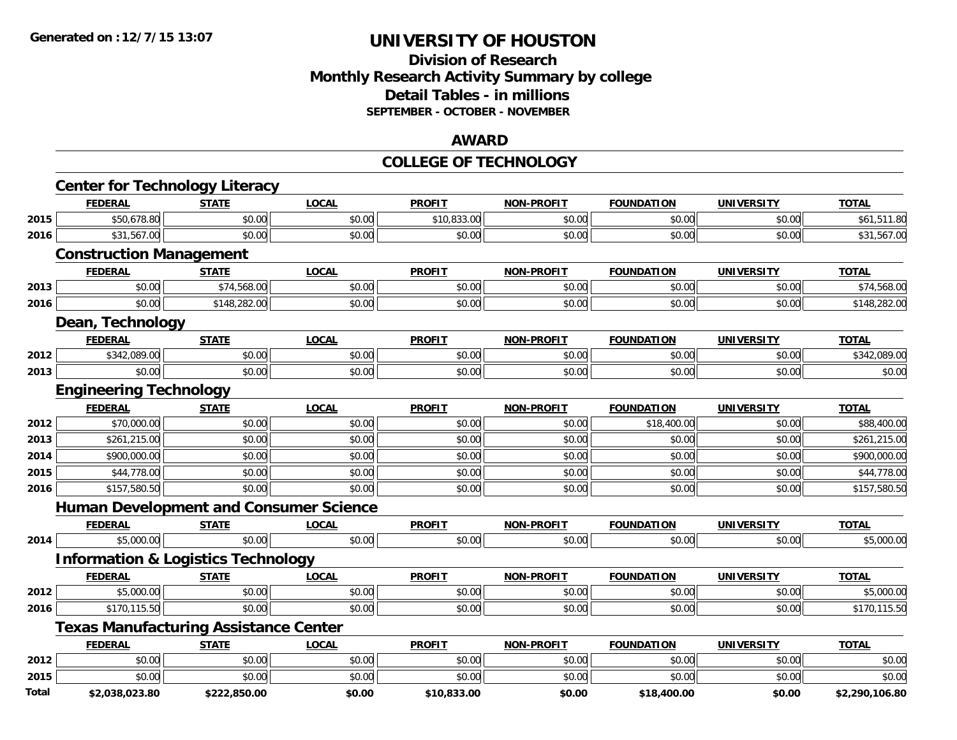### **Division of ResearchMonthly Research Activity Summary by college Detail Tables - in millions SEPTEMBER - OCTOBER - NOVEMBER**

#### **AWARD**

#### **COLLEGE OF TECHNOLOGY**

|       | <b>Center for Technology Literacy</b>         |              |              |               |                   |                   |                   |                |
|-------|-----------------------------------------------|--------------|--------------|---------------|-------------------|-------------------|-------------------|----------------|
|       | <b>FEDERAL</b>                                | <b>STATE</b> | <b>LOCAL</b> | <b>PROFIT</b> | <b>NON-PROFIT</b> | <b>FOUNDATION</b> | <b>UNIVERSITY</b> | <b>TOTAL</b>   |
| 2015  | \$50,678.80                                   | \$0.00       | \$0.00       | \$10,833.00   | \$0.00            | \$0.00            | \$0.00            | \$61,511.80    |
| 2016  | \$31,567.00                                   | \$0.00       | \$0.00       | \$0.00        | \$0.00            | \$0.00            | \$0.00            | \$31,567.00    |
|       | <b>Construction Management</b>                |              |              |               |                   |                   |                   |                |
|       | <b>FEDERAL</b>                                | <b>STATE</b> | <b>LOCAL</b> | <b>PROFIT</b> | <b>NON-PROFIT</b> | <b>FOUNDATION</b> | <b>UNIVERSITY</b> | <b>TOTAL</b>   |
| 2013  | \$0.00                                        | \$74,568.00  | \$0.00       | \$0.00        | \$0.00            | \$0.00            | \$0.00            | \$74,568.00    |
| 2016  | \$0.00                                        | \$148,282.00 | \$0.00       | \$0.00        | \$0.00            | \$0.00            | \$0.00            | \$148,282.00   |
|       | Dean, Technology                              |              |              |               |                   |                   |                   |                |
|       | <b>FEDERAL</b>                                | <b>STATE</b> | <b>LOCAL</b> | <b>PROFIT</b> | <b>NON-PROFIT</b> | <b>FOUNDATION</b> | <b>UNIVERSITY</b> | <b>TOTAL</b>   |
| 2012  | \$342,089.00                                  | \$0.00       | \$0.00       | \$0.00        | \$0.00            | \$0.00            | \$0.00            | \$342,089.00   |
| 2013  | \$0.00                                        | \$0.00       | \$0.00       | \$0.00        | \$0.00            | \$0.00            | \$0.00            | \$0.00         |
|       | <b>Engineering Technology</b>                 |              |              |               |                   |                   |                   |                |
|       | <b>FEDERAL</b>                                | <b>STATE</b> | <b>LOCAL</b> | <b>PROFIT</b> | <b>NON-PROFIT</b> | <b>FOUNDATION</b> | <b>UNIVERSITY</b> | <b>TOTAL</b>   |
| 2012  | \$70,000.00                                   | \$0.00       | \$0.00       | \$0.00        | \$0.00            | \$18,400.00       | \$0.00            | \$88,400.00    |
| 2013  | \$261,215.00                                  | \$0.00       | \$0.00       | \$0.00        | \$0.00            | \$0.00            | \$0.00            | \$261,215.00   |
| 2014  | \$900,000.00                                  | \$0.00       | \$0.00       | \$0.00        | \$0.00            | \$0.00            | \$0.00            | \$900,000.00   |
| 2015  | \$44,778.00                                   | \$0.00       | \$0.00       | \$0.00        | \$0.00            | \$0.00            | \$0.00            | \$44,778.00    |
| 2016  | \$157,580.50                                  | \$0.00       | \$0.00       | \$0.00        | \$0.00            | \$0.00            | \$0.00            | \$157,580.50   |
|       | <b>Human Development and Consumer Science</b> |              |              |               |                   |                   |                   |                |
|       | <b>FEDERAL</b>                                | <b>STATE</b> | <b>LOCAL</b> | <b>PROFIT</b> | <b>NON-PROFIT</b> | <b>FOUNDATION</b> | <b>UNIVERSITY</b> | <b>TOTAL</b>   |
| 2014  | \$5,000.00                                    | \$0.00       | \$0.00       | \$0.00        | \$0.00            | \$0.00            | \$0.00            | \$5,000.00     |
|       | <b>Information &amp; Logistics Technology</b> |              |              |               |                   |                   |                   |                |
|       | <b>FEDERAL</b>                                | <b>STATE</b> | <b>LOCAL</b> | <b>PROFIT</b> | <b>NON-PROFIT</b> | <b>FOUNDATION</b> | <b>UNIVERSITY</b> | <b>TOTAL</b>   |
| 2012  | \$5,000.00                                    | \$0.00       | \$0.00       | \$0.00        | \$0.00            | \$0.00            | \$0.00            | \$5,000.00     |
| 2016  | \$170,115.50                                  | \$0.00       | \$0.00       | \$0.00        | \$0.00            | \$0.00            | \$0.00            | \$170,115.50   |
|       | <b>Texas Manufacturing Assistance Center</b>  |              |              |               |                   |                   |                   |                |
|       | <b>FEDERAL</b>                                | <b>STATE</b> | <b>LOCAL</b> | <b>PROFIT</b> | <b>NON-PROFIT</b> | <b>FOUNDATION</b> | <b>UNIVERSITY</b> | <b>TOTAL</b>   |
| 2012  | \$0.00                                        | \$0.00       | \$0.00       | \$0.00        | \$0.00            | \$0.00            | \$0.00            | \$0.00         |
| 2015  | \$0.00                                        | \$0.00       | \$0.00       | \$0.00        | \$0.00            | \$0.00            | \$0.00            | \$0.00         |
| Total | \$2,038,023.80                                | \$222,850.00 | \$0.00       | \$10,833.00   | \$0.00            | \$18,400.00       | \$0.00            | \$2,290,106.80 |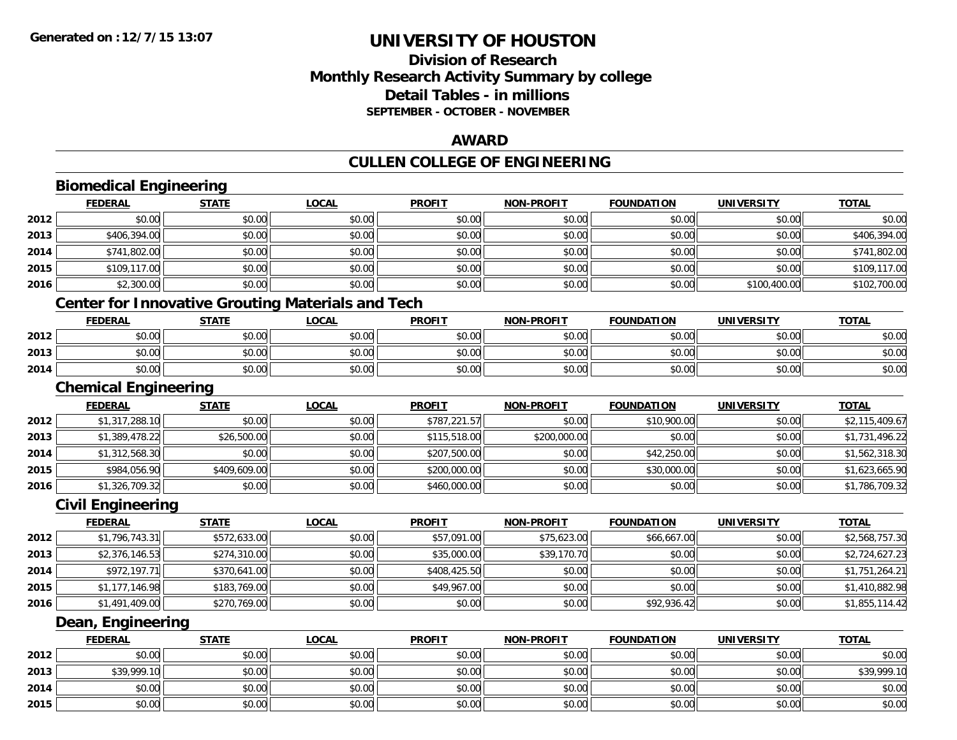**2015**

## **UNIVERSITY OF HOUSTON**

### **Division of ResearchMonthly Research Activity Summary by college Detail Tables - in millions SEPTEMBER - OCTOBER - NOVEMBER**

#### **AWARD**

## **CULLEN COLLEGE OF ENGINEERING**

|      | <b>Biomedical Engineering</b>                            |              |              |               |                   |                   |                   |                |
|------|----------------------------------------------------------|--------------|--------------|---------------|-------------------|-------------------|-------------------|----------------|
|      | <b>FEDERAL</b>                                           | <b>STATE</b> | <b>LOCAL</b> | <b>PROFIT</b> | <b>NON-PROFIT</b> | <b>FOUNDATION</b> | <b>UNIVERSITY</b> | <b>TOTAL</b>   |
| 2012 | \$0.00                                                   | \$0.00       | \$0.00       | \$0.00        | \$0.00            | \$0.00            | \$0.00            | \$0.00         |
| 2013 | \$406,394.00                                             | \$0.00       | \$0.00       | \$0.00        | \$0.00            | \$0.00            | \$0.00            | \$406,394.00   |
| 2014 | \$741,802.00                                             | \$0.00       | \$0.00       | \$0.00        | \$0.00            | \$0.00            | \$0.00            | \$741,802.00   |
| 2015 | \$109,117.00                                             | \$0.00       | \$0.00       | \$0.00        | \$0.00            | \$0.00            | \$0.00            | \$109,117.00   |
| 2016 | \$2,300.00                                               | \$0.00       | \$0.00       | \$0.00        | \$0.00            | \$0.00            | \$100,400.00      | \$102,700.00   |
|      | <b>Center for Innovative Grouting Materials and Tech</b> |              |              |               |                   |                   |                   |                |
|      | <b>FEDERAL</b>                                           | <b>STATE</b> | <b>LOCAL</b> | <b>PROFIT</b> | <b>NON-PROFIT</b> | <b>FOUNDATION</b> | <b>UNIVERSITY</b> | <b>TOTAL</b>   |
| 2012 | \$0.00                                                   | \$0.00       | \$0.00       | \$0.00        | \$0.00            | \$0.00            | \$0.00            | \$0.00         |
| 2013 | \$0.00                                                   | \$0.00       | \$0.00       | \$0.00        | \$0.00            | \$0.00            | \$0.00            | \$0.00         |
| 2014 | \$0.00                                                   | \$0.00       | \$0.00       | \$0.00        | \$0.00            | \$0.00            | \$0.00            | \$0.00         |
|      | <b>Chemical Engineering</b>                              |              |              |               |                   |                   |                   |                |
|      | <b>FEDERAL</b>                                           | <b>STATE</b> | <b>LOCAL</b> | <b>PROFIT</b> | <b>NON-PROFIT</b> | <b>FOUNDATION</b> | <b>UNIVERSITY</b> | <b>TOTAL</b>   |
| 2012 | \$1,317,288.10                                           | \$0.00       | \$0.00       | \$787,221.57  | \$0.00            | \$10,900.00       | \$0.00            | \$2,115,409.67 |
| 2013 | \$1,389,478.22                                           | \$26,500.00  | \$0.00       | \$115,518.00  | \$200,000.00      | \$0.00            | \$0.00            | \$1,731,496.22 |
| 2014 | \$1,312,568.30                                           | \$0.00       | \$0.00       | \$207,500.00  | \$0.00            | \$42,250.00       | \$0.00            | \$1,562,318.30 |
| 2015 | \$984,056.90                                             | \$409,609.00 | \$0.00       | \$200,000.00  | \$0.00            | \$30,000.00       | \$0.00            | \$1,623,665.90 |
| 2016 | \$1,326,709.32                                           | \$0.00       | \$0.00       | \$460,000.00  | \$0.00            | \$0.00            | \$0.00            | \$1,786,709.32 |
|      | <b>Civil Engineering</b>                                 |              |              |               |                   |                   |                   |                |
|      | <b>FEDERAL</b>                                           | <b>STATE</b> | <b>LOCAL</b> | <b>PROFIT</b> | <b>NON-PROFIT</b> | <b>FOUNDATION</b> | <b>UNIVERSITY</b> | <b>TOTAL</b>   |
| 2012 | \$1,796,743.31                                           | \$572,633.00 | \$0.00       | \$57,091.00   | \$75,623.00       | \$66,667.00       | \$0.00            | \$2,568,757.30 |
| 2013 | \$2,376,146.53                                           | \$274,310.00 | \$0.00       | \$35,000.00   | \$39,170.70       | \$0.00            | \$0.00            | \$2,724,627.23 |
| 2014 | \$972,197.71                                             | \$370,641.00 | \$0.00       | \$408,425.50  | \$0.00            | \$0.00            | \$0.00            | \$1,751,264.21 |
| 2015 | \$1,177,146.98                                           | \$183,769.00 | \$0.00       | \$49,967.00   | \$0.00            | \$0.00            | \$0.00            | \$1,410,882.98 |
| 2016 | \$1,491,409.00                                           | \$270,769.00 | \$0.00       | \$0.00        | \$0.00            | \$92,936.42       | \$0.00            | \$1,855,114.42 |
|      | Dean, Engineering                                        |              |              |               |                   |                   |                   |                |
|      | <b>FEDERAL</b>                                           | <b>STATE</b> | <b>LOCAL</b> | <b>PROFIT</b> | <b>NON-PROFIT</b> | <b>FOUNDATION</b> | <b>UNIVERSITY</b> | <b>TOTAL</b>   |
| 2012 | \$0.00                                                   | \$0.00       | \$0.00       | \$0.00        | \$0.00            | \$0.00            | \$0.00            | \$0.00         |
| 2013 | \$39,999.10                                              | \$0.00       | \$0.00       | \$0.00        | \$0.00            | \$0.00            | \$0.00            | \$39,999.10    |
| 2014 | \$0.00                                                   | \$0.00       | \$0.00       | \$0.00        | \$0.00            | \$0.00            | \$0.00            | \$0.00         |

\$0.00 \$0.00 \$0.00 \$0.00 \$0.00 \$0.00 \$0.00 \$0.00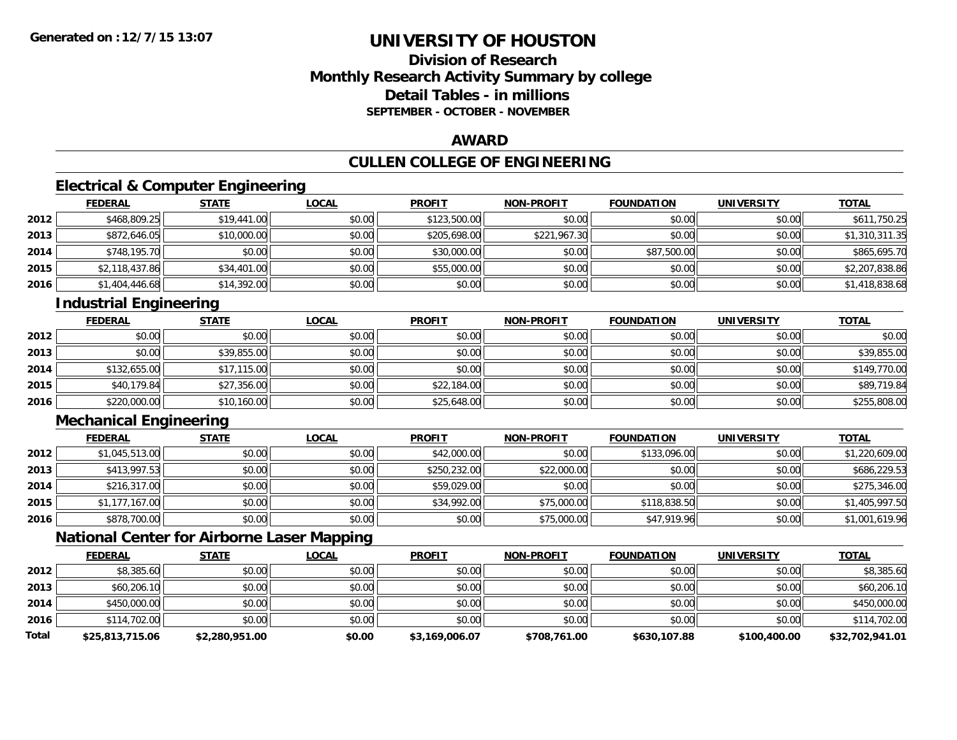### **Division of ResearchMonthly Research Activity Summary by college Detail Tables - in millionsSEPTEMBER - OCTOBER - NOVEMBER**

#### **AWARD**

## **CULLEN COLLEGE OF ENGINEERING**

### **Electrical & Computer Engineering**

|      | <u>FEDERAL</u> | <b>STATE</b> | <b>LOCAL</b> | <b>PROFIT</b> | <b>NON-PROFIT</b> | <b>FOUNDATION</b> | <b>UNIVERSITY</b> | <b>TOTAL</b>   |
|------|----------------|--------------|--------------|---------------|-------------------|-------------------|-------------------|----------------|
| 2012 | \$468,809.25   | \$19,441.00  | \$0.00       | \$123,500.00  | \$0.00            | \$0.00            | \$0.00            | \$611,750.25   |
| 2013 | \$872,646.05   | \$10,000.00  | \$0.00       | \$205,698.00  | \$221,967.30      | \$0.00            | \$0.00            | \$1,310,311.35 |
| 2014 | \$748,195.70   | \$0.00       | \$0.00       | \$30,000.00   | \$0.00            | \$87,500.00       | \$0.00            | \$865,695.70   |
| 2015 | \$2,118,437.86 | \$34,401.00  | \$0.00       | \$55,000.00   | \$0.00            | \$0.00            | \$0.00            | \$2,207,838.86 |
| 2016 | \$1,404,446.68 | \$14,392.00  | \$0.00       | \$0.00        | \$0.00            | \$0.00            | \$0.00            | \$1,418,838.68 |

### **Industrial Engineering**

|      | <u>FEDERAL</u> | <b>STATE</b> | <b>LOCAL</b> | <b>PROFIT</b> | <b>NON-PROFIT</b> | <b>FOUNDATION</b> | <b>UNIVERSITY</b> | <b>TOTAL</b> |
|------|----------------|--------------|--------------|---------------|-------------------|-------------------|-------------------|--------------|
| 2012 | \$0.00         | \$0.00       | \$0.00       | \$0.00        | \$0.00            | \$0.00            | \$0.00            | \$0.00       |
| 2013 | \$0.00         | \$39,855.00  | \$0.00       | \$0.00        | \$0.00            | \$0.00            | \$0.00            | \$39,855.00  |
| 2014 | \$132,655.00   | \$17,115.00  | \$0.00       | \$0.00        | \$0.00            | \$0.00            | \$0.00            | \$149,770.00 |
| 2015 | \$40,179.84    | \$27,356.00  | \$0.00       | \$22,184.00   | \$0.00            | \$0.00            | \$0.00            | \$89,719.84  |
| 2016 | \$220,000.00   | \$10,160.00  | \$0.00       | \$25,648.00   | \$0.00            | \$0.00            | \$0.00            | \$255,808.00 |

### **Mechanical Engineering**

|      | <b>FEDERAL</b> | <b>STATE</b> | <b>LOCAL</b> | <b>PROFIT</b> | <b>NON-PROFIT</b> | <b>FOUNDATION</b> | <b>UNIVERSITY</b> | <b>TOTAL</b>   |
|------|----------------|--------------|--------------|---------------|-------------------|-------------------|-------------------|----------------|
| 2012 | \$1,045,513.00 | \$0.00       | \$0.00       | \$42,000.00   | \$0.00            | \$133,096.00      | \$0.00            | \$1,220,609.00 |
| 2013 | \$413,997.53   | \$0.00       | \$0.00       | \$250,232.00  | \$22,000.00       | \$0.00            | \$0.00            | \$686,229.53   |
| 2014 | \$216,317.00   | \$0.00       | \$0.00       | \$59,029.00   | \$0.00            | \$0.00            | \$0.00            | \$275,346.00   |
| 2015 | \$1,177,167.00 | \$0.00       | \$0.00       | \$34,992.00   | \$75,000.00       | \$118,838.50      | \$0.00            | \$1,405,997.50 |
| 2016 | \$878,700.00   | \$0.00       | \$0.00       | \$0.00        | \$75,000.00       | \$47,919.96       | \$0.00            | \$1,001,619.96 |

### **National Center for Airborne Laser Mapping**

|              | <b>FEDERAL</b>  | <b>STATE</b>   | <b>LOCAL</b> | <b>PROFIT</b>  | <b>NON-PROFIT</b> | <b>FOUNDATION</b> | <b>UNIVERSITY</b> | <b>TOTAL</b>    |
|--------------|-----------------|----------------|--------------|----------------|-------------------|-------------------|-------------------|-----------------|
| 2012         | \$8,385.60      | \$0.00         | \$0.00       | \$0.00         | \$0.00            | \$0.00            | \$0.00            | \$8,385.60      |
| 2013         | \$60,206.10     | \$0.00         | \$0.00       | \$0.00         | \$0.00            | \$0.00            | \$0.00            | \$60,206.10     |
| 2014         | \$450,000.00    | \$0.00         | \$0.00       | \$0.00         | \$0.00            | \$0.00            | \$0.00            | \$450,000.00    |
| 2016         | \$114,702.00    | \$0.00         | \$0.00       | \$0.00         | \$0.00            | \$0.00            | \$0.00            | \$114,702.00    |
| <b>Total</b> | \$25,813,715.06 | \$2,280,951.00 | \$0.00       | \$3,169,006.07 | \$708,761.00      | \$630,107.88      | \$100,400.00      | \$32,702,941.01 |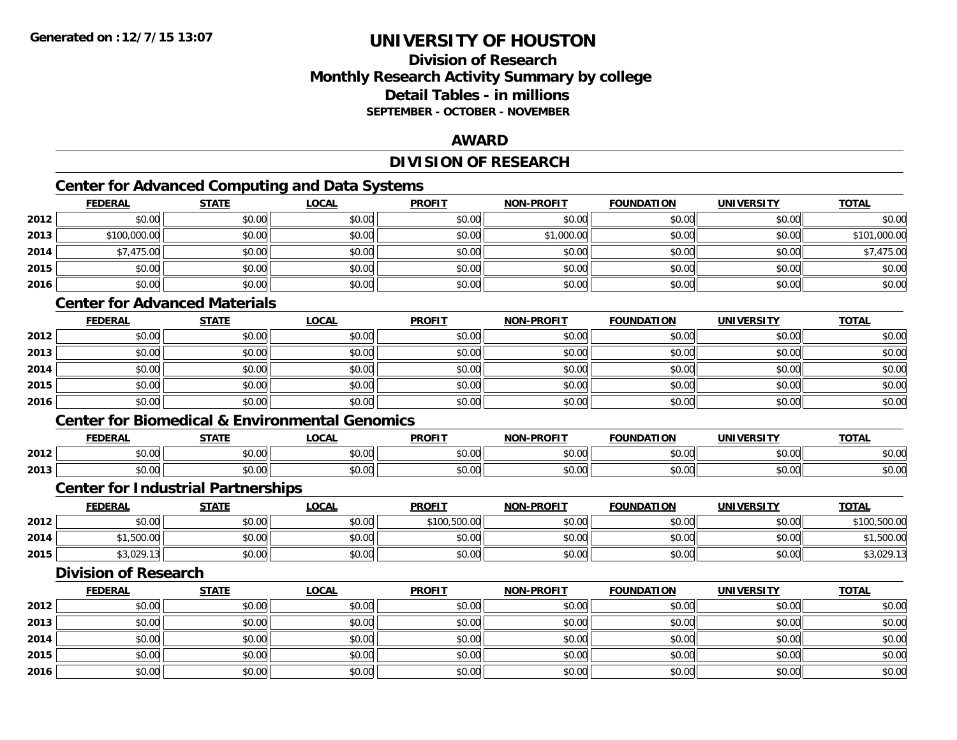### **Division of ResearchMonthly Research Activity Summary by college Detail Tables - in millionsSEPTEMBER - OCTOBER - NOVEMBER**

#### **AWARD**

### **DIVISION OF RESEARCH**

## **Center for Advanced Computing and Data Systems**

|      | Center for Advanced Computing and Data Systems |              |              |               |                   |                   |                   |              |  |  |  |
|------|------------------------------------------------|--------------|--------------|---------------|-------------------|-------------------|-------------------|--------------|--|--|--|
|      | <b>FEDERAL</b>                                 | <b>STATE</b> | <u>LOCAL</u> | <b>PROFIT</b> | <b>NON-PROFIT</b> | <b>FOUNDATION</b> | <b>UNIVERSITY</b> | <b>TOTAL</b> |  |  |  |
| 2012 | \$0.00                                         | \$0.00       | \$0.00       | \$0.00        | \$0.00            | \$0.00            | \$0.00            | \$0.00       |  |  |  |
| 2013 | \$100,000.00                                   | \$0.00       | \$0.00       | \$0.00        | \$1,000.00        | \$0.00            | \$0.00            | \$101,000.00 |  |  |  |
| 2014 | \$7,475.00                                     | \$0.00       | \$0.00       | \$0.00        | \$0.00            | \$0.00            | \$0.00            | \$7,475.00   |  |  |  |
| 2015 | \$0.00                                         | \$0.00       | \$0.00       | \$0.00        | \$0.00            | \$0.00            | \$0.00            | \$0.00       |  |  |  |
| 2016 | \$0.00                                         | \$0.00       | \$0.00       | \$0.00        | \$0.00            | \$0.00            | \$0.00            | \$0.00       |  |  |  |

### **Center for Advanced Materials**

|      | <b>FEDERAL</b> | <b>STATE</b> | <u>LOCAL</u> | <b>PROFIT</b> | <b>NON-PROFIT</b> | <b>FOUNDATION</b> | <b>UNIVERSITY</b> | <b>TOTAL</b> |
|------|----------------|--------------|--------------|---------------|-------------------|-------------------|-------------------|--------------|
| 2012 | \$0.00         | \$0.00       | \$0.00       | \$0.00        | \$0.00            | \$0.00            | \$0.00            | \$0.00       |
| 2013 | \$0.00         | \$0.00       | \$0.00       | \$0.00        | \$0.00            | \$0.00            | \$0.00            | \$0.00       |
| 2014 | \$0.00         | \$0.00       | \$0.00       | \$0.00        | \$0.00            | \$0.00            | \$0.00            | \$0.00       |
| 2015 | \$0.00         | \$0.00       | \$0.00       | \$0.00        | \$0.00            | \$0.00            | \$0.00            | \$0.00       |
| 2016 | \$0.00         | \$0.00       | \$0.00       | \$0.00        | \$0.00            | \$0.00            | \$0.00            | \$0.00       |

#### **Center for Biomedical & Environmental Genomics**

|      | <b>FEDERAL</b> | <b>CTATE</b>        | .OCAI              | <b>PROFIT</b>                   | <b>PROFIT</b><br><b>NION</b> | דמחוחוה<br>ΓΙΟΝ | UNIVERSITY           | <b>TOTAL</b>   |
|------|----------------|---------------------|--------------------|---------------------------------|------------------------------|-----------------|----------------------|----------------|
| 2012 | 0000<br>טט.טע  | $\uparrow$<br>טט.טע | ሶስ ሰሰ<br>vu.vu     | $\sim$ $\sim$<br>$\cap$<br>ט.טע | 0000<br>งบ.บเ                | 0000<br>,u.uu   | 0000<br>JU.UU        | \$0.00         |
| 2013 | 0000<br>DU.UU  | $\sim$<br>JU.UU     | $\sim$ 00<br>JU.UU | \$0.00                          | \$0.00                       | \$0.00          | 0000<br><b>DU.UU</b> | 0000<br>ັນບ.ບປ |

#### **Center for Industrial Partnerships**

|      | <b>FEDERAL</b>             | <b>STATE</b> | <b>LOCAL</b>                                | <b>PROFIT</b>          | <b>NON-PROFIT</b> | <b>FOUNDATION</b> | <b>UNIVERSITY</b> | <b>TOTAL</b>   |
|------|----------------------------|--------------|---------------------------------------------|------------------------|-------------------|-------------------|-------------------|----------------|
| 2012 | 0000<br>,u.uu              | \$0.00       | \$0.00                                      | \$100,500.00           | \$0.00            | \$0.00            | \$0.00            | 50000<br>UU.UV |
| 2014 | <b>EOO OC</b><br>טט.טטט, ו | \$0.00       | $\mathfrak{c}\cap\mathfrak{a}\cap$<br>JU.UU | $\sim$ $\sim$<br>JU.UU | 40.00<br>JU.UU    | \$0.00            | \$0.00            | 600.00         |
| 2015 | \$3,029.13                 | \$0.00       | \$0.00                                      | t∩ ∪v<br>JU.UU         | \$0.00            | \$0.00            | \$0.00            | 43,029.1       |

### **Division of Research**

|      | <b>FEDERAL</b> | <u>STATE</u> | <b>LOCAL</b> | <b>PROFIT</b> | <b>NON-PROFIT</b> | <b>FOUNDATION</b> | <b>UNIVERSITY</b> | <b>TOTAL</b> |
|------|----------------|--------------|--------------|---------------|-------------------|-------------------|-------------------|--------------|
| 2012 | \$0.00         | \$0.00       | \$0.00       | \$0.00        | \$0.00            | \$0.00            | \$0.00            | \$0.00       |
| 2013 | \$0.00         | \$0.00       | \$0.00       | \$0.00        | \$0.00            | \$0.00            | \$0.00            | \$0.00       |
| 2014 | \$0.00         | \$0.00       | \$0.00       | \$0.00        | \$0.00            | \$0.00            | \$0.00            | \$0.00       |
| 2015 | \$0.00         | \$0.00       | \$0.00       | \$0.00        | \$0.00            | \$0.00            | \$0.00            | \$0.00       |
| 2016 | \$0.00         | \$0.00       | \$0.00       | \$0.00        | \$0.00            | \$0.00            | \$0.00            | \$0.00       |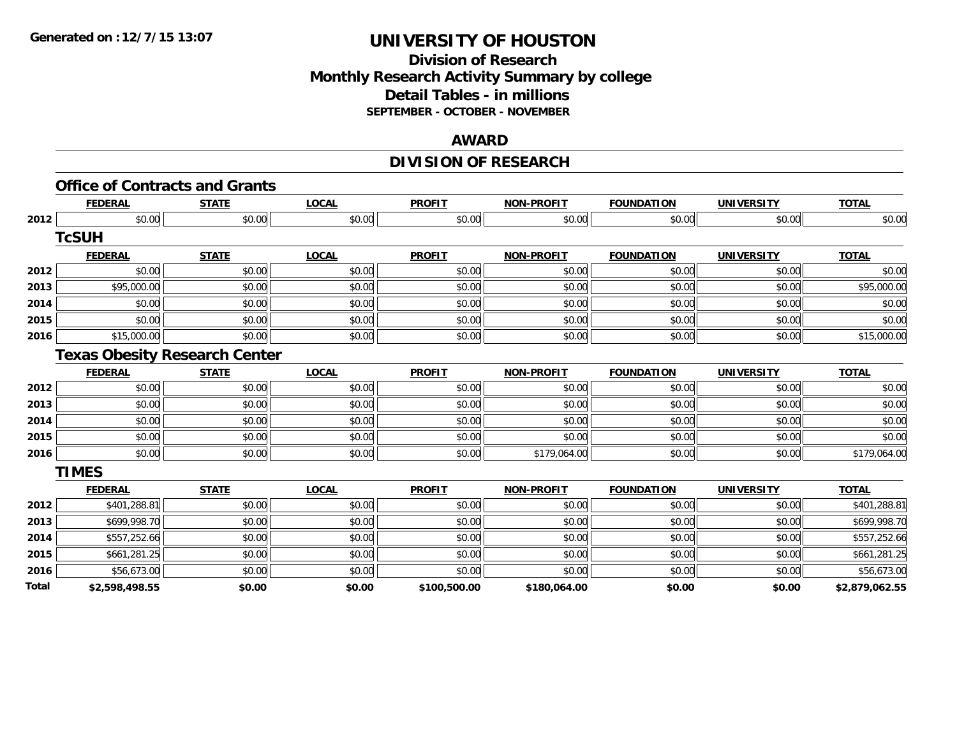### **Division of Research Monthly Research Activity Summary by college Detail Tables - in millions SEPTEMBER - OCTOBER - NOVEMBER**

#### **AWARD**

## **DIVISION OF RESEARCH**

|              |                | <b>Office of Contracts and Grants</b> |              |               |                   |                   |                   |                |
|--------------|----------------|---------------------------------------|--------------|---------------|-------------------|-------------------|-------------------|----------------|
|              | <b>FEDERAL</b> | <b>STATE</b>                          | <b>LOCAL</b> | <b>PROFIT</b> | <b>NON-PROFIT</b> | <b>FOUNDATION</b> | <b>UNIVERSITY</b> | <b>TOTAL</b>   |
| 2012         | \$0.00         | \$0.00                                | \$0.00       | \$0.00        | \$0.00            | \$0.00            | \$0.00            | \$0.00         |
|              | <b>TcSUH</b>   |                                       |              |               |                   |                   |                   |                |
|              | <b>FEDERAL</b> | <b>STATE</b>                          | <b>LOCAL</b> | <b>PROFIT</b> | <b>NON-PROFIT</b> | <b>FOUNDATION</b> | <b>UNIVERSITY</b> | <b>TOTAL</b>   |
| 2012         | \$0.00         | \$0.00                                | \$0.00       | \$0.00        | \$0.00            | \$0.00            | \$0.00            | \$0.00         |
| 2013         | \$95,000.00    | \$0.00                                | \$0.00       | \$0.00        | \$0.00            | \$0.00            | \$0.00            | \$95,000.00    |
| 2014         | \$0.00         | \$0.00                                | \$0.00       | \$0.00        | \$0.00            | \$0.00            | \$0.00            | \$0.00         |
| 2015         | \$0.00         | \$0.00                                | \$0.00       | \$0.00        | \$0.00            | \$0.00            | \$0.00            | \$0.00         |
| 2016         | \$15,000.00    | \$0.00                                | \$0.00       | \$0.00        | \$0.00            | \$0.00            | \$0.00            | \$15,000.00    |
|              |                | <b>Texas Obesity Research Center</b>  |              |               |                   |                   |                   |                |
|              | <b>FEDERAL</b> | <b>STATE</b>                          | <b>LOCAL</b> | <b>PROFIT</b> | <b>NON-PROFIT</b> | <b>FOUNDATION</b> | <b>UNIVERSITY</b> | <b>TOTAL</b>   |
| 2012         | \$0.00         | \$0.00                                | \$0.00       | \$0.00        | \$0.00            | \$0.00            | \$0.00            | \$0.00         |
| 2013         | \$0.00         | \$0.00                                | \$0.00       | \$0.00        | \$0.00            | \$0.00            | \$0.00            | \$0.00         |
| 2014         | \$0.00         | \$0.00                                | \$0.00       | \$0.00        | \$0.00            | \$0.00            | \$0.00            | \$0.00         |
| 2015         | \$0.00         | \$0.00                                | \$0.00       | \$0.00        | \$0.00            | \$0.00            | \$0.00            | \$0.00         |
| 2016         | \$0.00         | \$0.00                                | \$0.00       | \$0.00        | \$179,064.00      | \$0.00            | \$0.00            | \$179,064.00   |
|              | <b>TIMES</b>   |                                       |              |               |                   |                   |                   |                |
|              | <b>FEDERAL</b> | <b>STATE</b>                          | <b>LOCAL</b> | <b>PROFIT</b> | <b>NON-PROFIT</b> | <b>FOUNDATION</b> | <b>UNIVERSITY</b> | <b>TOTAL</b>   |
| 2012         | \$401,288.81   | \$0.00                                | \$0.00       | \$0.00        | \$0.00            | \$0.00            | \$0.00            | \$401,288.81   |
| 2013         | \$699,998.70   | \$0.00                                | \$0.00       | \$0.00        | \$0.00            | \$0.00            | \$0.00            | \$699,998.70   |
| 2014         | \$557,252.66   | \$0.00                                | \$0.00       | \$0.00        | \$0.00            | \$0.00            | \$0.00            | \$557,252.66   |
| 2015         | \$661,281.25   | \$0.00                                | \$0.00       | \$0.00        | \$0.00            | \$0.00            | \$0.00            | \$661,281.25   |
| 2016         | \$56,673.00    | \$0.00                                | \$0.00       | \$0.00        | \$0.00            | \$0.00            | \$0.00            | \$56,673.00    |
| <b>Total</b> | \$2,598,498.55 | \$0.00                                | \$0.00       | \$100,500.00  | \$180,064.00      | \$0.00            | \$0.00            | \$2,879,062.55 |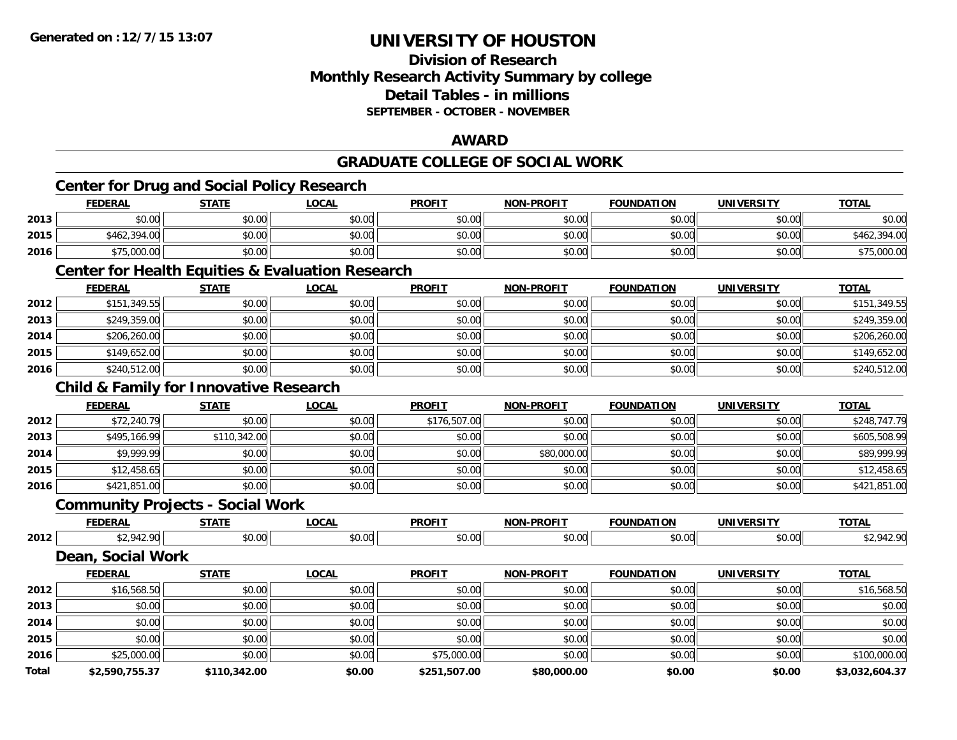### **Division of ResearchMonthly Research Activity Summary by college Detail Tables - in millionsSEPTEMBER - OCTOBER - NOVEMBER**

#### **AWARD**

**TOTAL** 

**TOTAL** 

#### **GRADUATE COLLEGE OF SOCIAL WORKCenter for Drug and Social Policy Research FEDERAL STATE LOCAL PROFIT NON-PROFIT FOUNDATION UNIVERSITY TOTAL2013** $\textbf{3} \quad \textbf{\textcolor{blue}{\textbf{50.00}}} \quad \textbf{\textcolor{blue}{\textbf{50.00}}} \quad \textbf{\textcolor{blue}{\textbf{50.00}}} \quad \textbf{\textcolor{blue}{\textbf{50.00}}} \quad \textbf{\textcolor{blue}{\textbf{50.00}}} \quad \textbf{\textcolor{blue}{\textbf{50.00}}} \quad \textbf{\textcolor{blue}{\textbf{50.00}}} \quad \textbf{\textcolor{blue}{\textbf{50.00}}} \quad \textbf{\textcolor{blue}{\textbf{50.00}}} \quad \textbf{\textcolor{blue}{\textbf{50.00}}} \quad \text$ **2015** \$462,394.00 \$0.00 \$0.00 \$0.00 \$0.00 \$0.00 \$0.00 \$462,394.00 **2016**6 \$75,000.00 \$0.00 \$0.00 \$0.00 \$0.00 \$0.00 \$0.00 \$0.00 \$0.00 \$0.00 \$0.00 \$0.00 \$0.00 \$15,000.00 **Center for Health Equities & Evaluation Research FEDERAL STATE LOCAL PROFIT NON-PROFIT FOUNDATION UNIVERSITY TOTAL2012** \$151,349.55 \$0.00 \$0.00 \$0.00 \$0.00 \$0.00 \$0.00 \$151,349.55 **2013** \$249,359.00 \$0.00 \$0.00 \$0.00 \$0.00 \$0.00 \$0.00 \$249,359.00 **2014**4 \$206,260.00| \$0.00| \$0.00| \$0.00| \$0.00| \$0.00| \$0.00| \$0.00| \$0.00| \$0.00| \$206,260.00| \$206,260.00 **2015** \$149,652.00 \$0.00 \$0.00 \$0.00 \$0.00 \$0.00 \$0.00 \$149,652.00 **2016**6 \$240,512.00 \$0.00 \$0.00 \$0.00 \$0.00 \$0.00 \$0.00 \$0.00 \$0.00 \$0.00 \$0.00 \$240,512.00 **Child & Family for Innovative Research FEDERAL STATE LOCAL PROFIT NON-PROFIT FOUNDATION UNIVERSITY TOTAL2012** \$72,240.79 \$0.00 \$0.00 \$176,507.00 \$0.00 \$0.00 \$0.00 \$248,747.79 **2013** \$495,166.99 \$110,342.00 \$0.00 \$0.00 \$0.00 \$0.00 \$0.00 \$605,508.99 **2014**4 \$9,999.99 \$0.00 \$0.00 \$0.00 \$0.00 \$0.00 \$0.00 \$0.00 \$0.00 \$80,000.00 \$0,000 \$0.00 \$0.00 \$89,999.99 **2015** \$12,458.65 \$0.00 \$0.00 \$0.00 \$0.00 \$0.00 \$0.00 \$12,458.65 **2016**6 \$421,851.00 \$0.00 \$0.00 \$0.00 \$0.00 \$0.00 \$0.00 \$0.00 \$0.00 \$0.00 \$0.00 \$0.00 \$0.00 \$121,851.00 **Community Projects - Social Work**

**FEDERAL STATE LOCAL PROFIT NON-PROFIT FOUNDATION UNIVERSITY TOTALTOTAL 2012**2 \$2,942.90 \$0.00 \$0.00 \$0.00 \$0.00 \$0.00 \$0.00 \$0.00 \$0.00 \$0.00 \$0.00 \$0.00 \$2,942.90 **Dean, Social Work FEDERAL STATE LOCAL PROFIT NON-PROFIT FOUNDATION UNIVERSITY TOTALTOTAL 2012**

| <b>Total</b> | \$2,590,755.37 | \$110,342.00 | \$0.00 | \$251,507.00 | \$80,000.00 | \$0.00 | \$0.00 | \$3,032,604.37 |
|--------------|----------------|--------------|--------|--------------|-------------|--------|--------|----------------|
| 2016         | \$25,000.00    | \$0.00       | \$0.00 | \$75,000.00  | \$0.00      | \$0.00 | \$0.00 | \$100,000.00   |
| 2015         | \$0.00         | \$0.00       | \$0.00 | \$0.00       | \$0.00      | \$0.00 | \$0.00 | \$0.00         |
| 2014         | \$0.00         | \$0.00       | \$0.00 | \$0.00       | \$0.00      | \$0.00 | \$0.00 | \$0.00         |
| 2013         | \$0.00         | \$0.00       | \$0.00 | \$0.00       | \$0.00      | \$0.00 | \$0.00 | \$0.00         |
| 2012         | \$16,568.50    | \$0.00       | \$0.00 | \$0.00       | \$0.00      | \$0.00 | \$0.00 | \$16,568.50    |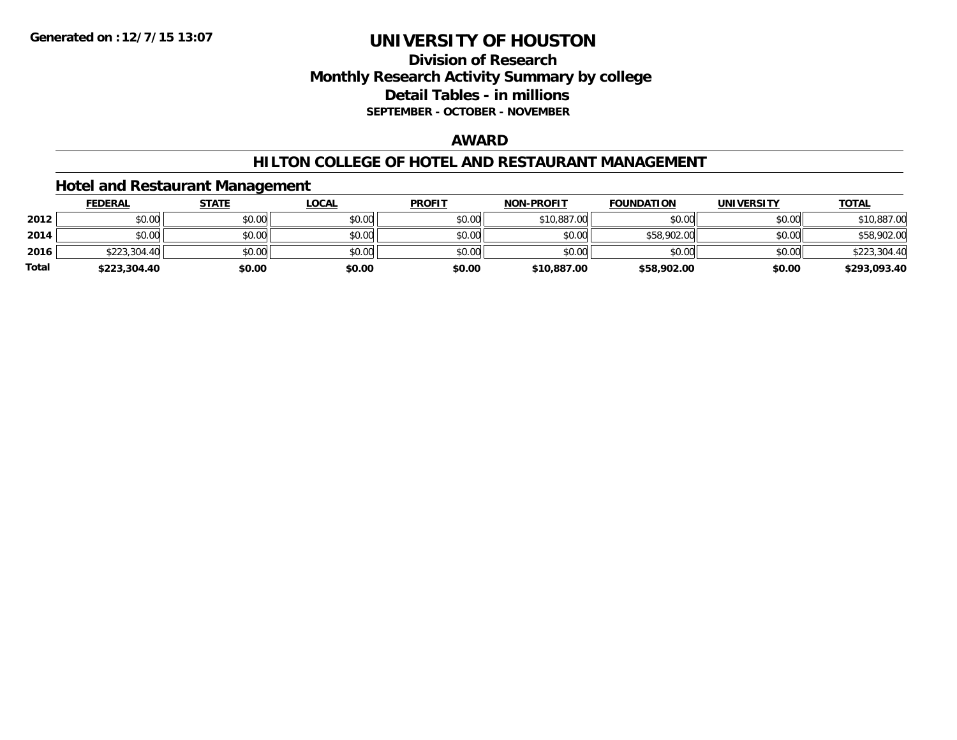### **Division of Research Monthly Research Activity Summary by college Detail Tables - in millions SEPTEMBER - OCTOBER - NOVEMBER**

#### **AWARD**

#### **HILTON COLLEGE OF HOTEL AND RESTAURANT MANAGEMENT**

#### **Hotel and Restaurant Management**

|              | <b>FEDERAL</b> | <u>STATE</u> | <u>LOCAL</u> | <b>PROFIT</b> | <b>NON-PROFIT</b> | <b>FOUNDATION</b> | <b>UNIVERSITY</b> | <b>TOTAL</b> |
|--------------|----------------|--------------|--------------|---------------|-------------------|-------------------|-------------------|--------------|
| 2012         | \$0.00         | \$0.00       | \$0.00       | \$0.00        | \$10,887.00       | \$0.00            | \$0.00            | \$10,887.00  |
| 2014         | \$0.00         | \$0.00       | \$0.00       | \$0.00        | \$0.00            | \$58,902.00       | \$0.00            | \$58,902.00  |
| 2016         | \$223,304.40   | \$0.00       | \$0.00       | \$0.00        | \$0.00            | \$0.00            | \$0.00            | \$223,304.40 |
| <b>Total</b> | \$223,304.40   | \$0.00       | \$0.00       | \$0.00        | \$10,887.00       | \$58,902.00       | \$0.00            | \$293,093.40 |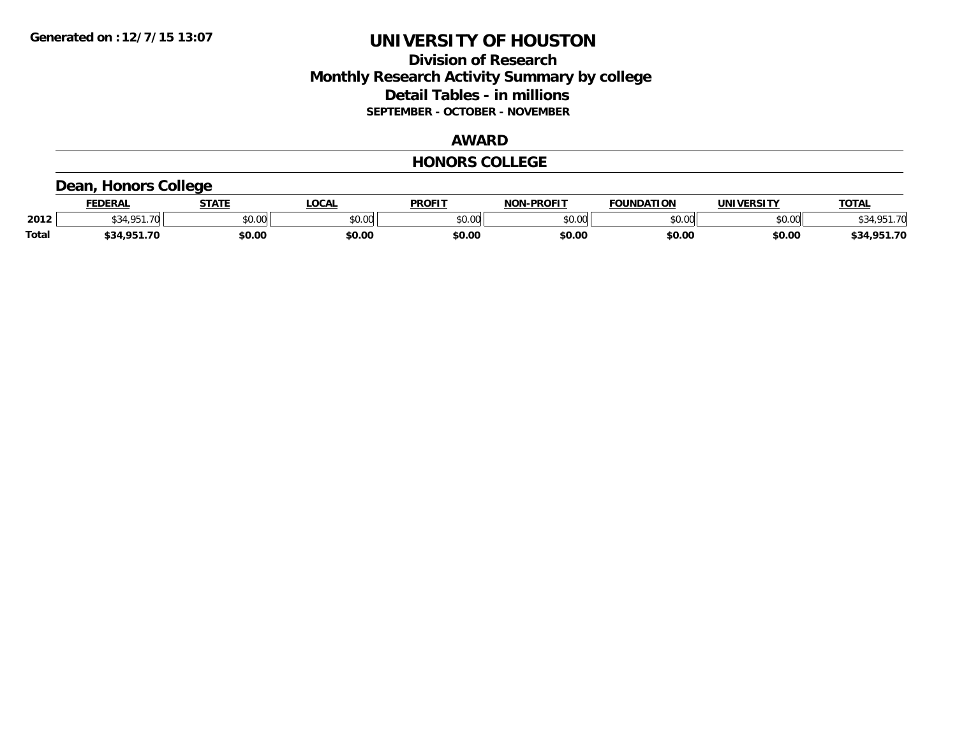### **Division of Research Monthly Research Activity Summary by college Detail Tables - in millions SEPTEMBER - OCTOBER - NOVEMBER**

### **AWARD**

#### **HONORS COLLEGE**

# **Dean, Honors College**

|              | <b>FEDERAL</b> | <b>STATE</b> | <b>OCAL</b> | <b>PROFIT</b>   | -PROFIT<br>NON | <b>FOUNDATION</b> | UNIVERSITY | <b>TOTAL</b>      |
|--------------|----------------|--------------|-------------|-----------------|----------------|-------------------|------------|-------------------|
| 2012         | ∍ חמי<br>.70   | \$0.00       | JU.UU       | \$0.00<br>JU.UU | ልስ ሀህ<br>וטטוע | \$0.00            | \$0.00     | -70               |
| <b>Total</b> | \$34.951       | \$0.00       | \$0.00      | \$0.00          | \$0.00         | \$0.00            | \$0.00     | 1.951.70<br>\$34, |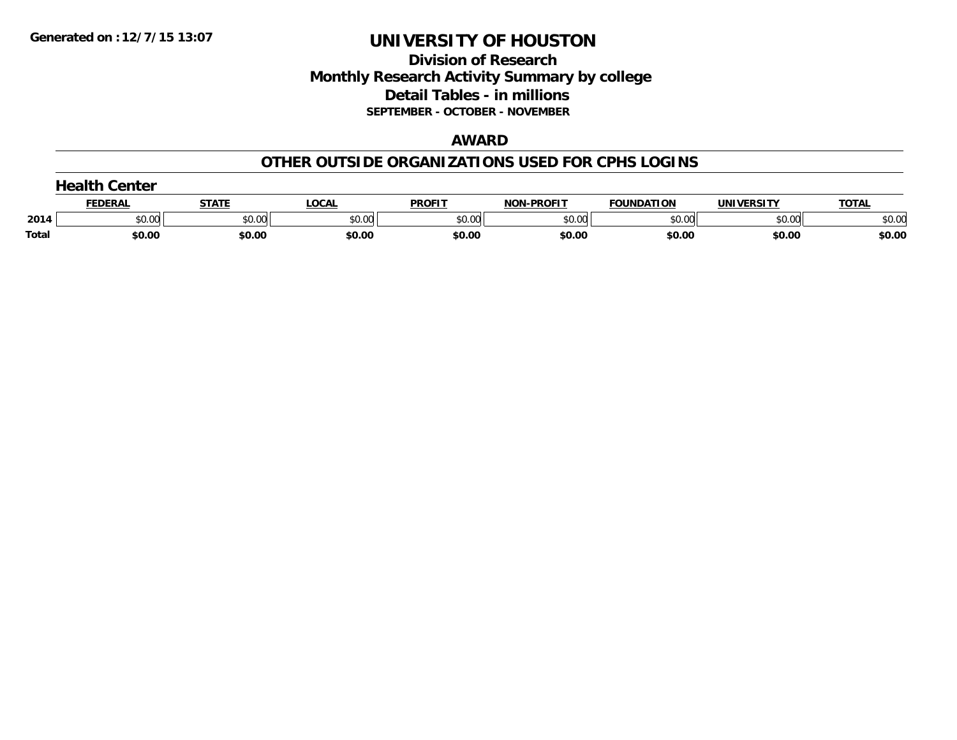### **Division of Research Monthly Research Activity Summary by college Detail Tables - in millions SEPTEMBER - OCTOBER - NOVEMBER**

#### **AWARD**

#### **OTHER OUTSIDE ORGANIZATIONS USED FOR CPHS LOGINS**

|       | $\rightarrow$ onlike $\sim$<br>Center |        |        |               |                   |                   |            |              |  |  |  |
|-------|---------------------------------------|--------|--------|---------------|-------------------|-------------------|------------|--------------|--|--|--|
|       | FEDERAL                               | STATE  | LOCAL  | <b>PROFIT</b> | <b>NON-PROFIT</b> | <b>FOUNDATION</b> | UNIVERSITY | <b>TOTAL</b> |  |  |  |
| 2014  | \$0.00                                | \$0.00 | \$0.00 | \$0.00        | \$0.00            | \$0.00            | \$0.00     | \$0.00       |  |  |  |
| Total | \$0.00                                | \$0.00 | \$0.00 | \$0.00        | \$0.00            | \$0.00            | \$0.00     | \$0.00       |  |  |  |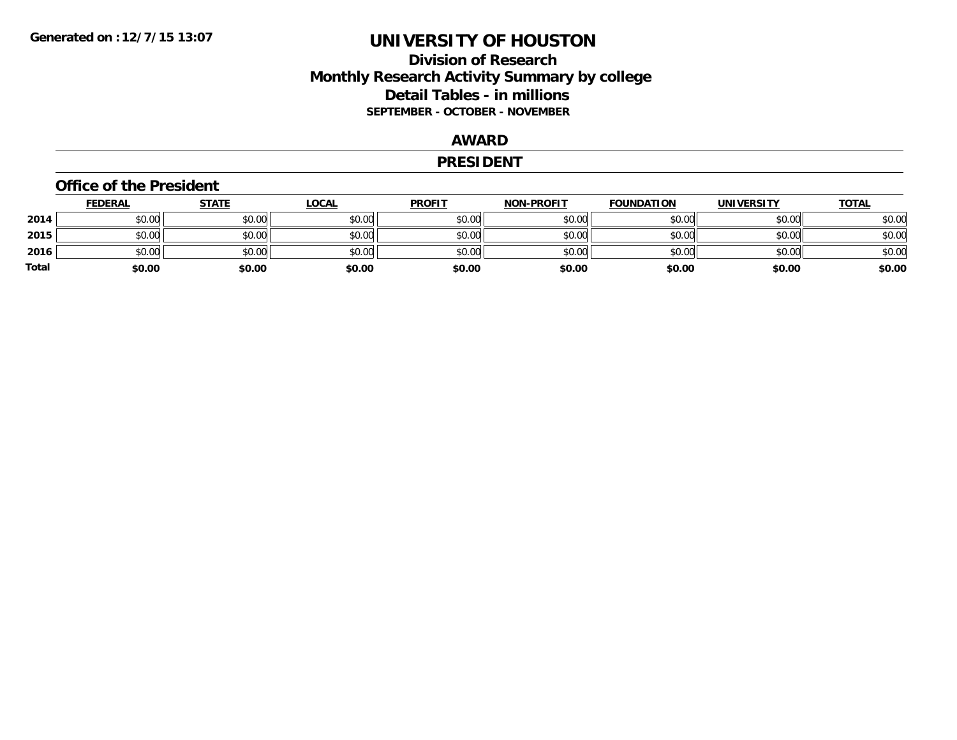### **Division of Research Monthly Research Activity Summary by college Detail Tables - in millions SEPTEMBER - OCTOBER - NOVEMBER**

#### **AWARD**

#### **PRESIDENT**

#### **Office of the President**

|       | <b>FEDERAL</b> | <b>STATE</b> | <u>LOCAL</u> | <b>PROFIT</b> | <b>NON-PROFIT</b> | <b>FOUNDATION</b> | <b>UNIVERSITY</b> | <b>TOTAL</b> |
|-------|----------------|--------------|--------------|---------------|-------------------|-------------------|-------------------|--------------|
| 2014  | \$0.00         | \$0.00       | \$0.00       | \$0.00        | \$0.00            | \$0.00            | \$0.00            | \$0.00       |
| 2015  | \$0.00         | \$0.00       | \$0.00       | \$0.00        | \$0.00            | \$0.00            | \$0.00            | \$0.00       |
| 2016  | \$0.00         | \$0.00       | \$0.00       | \$0.00        | \$0.00            | \$0.00            | \$0.00            | \$0.00       |
| Total | \$0.00         | \$0.00       | \$0.00       | \$0.00        | \$0.00            | \$0.00            | \$0.00            | \$0.00       |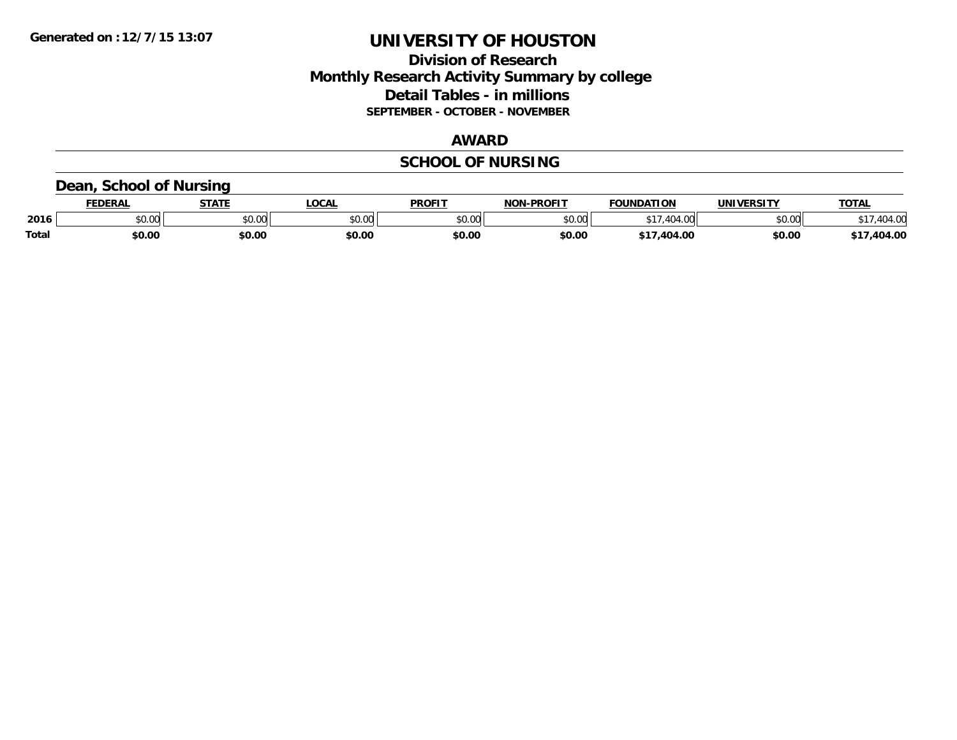### **Division of Research Monthly Research Activity Summary by college Detail Tables - in millions SEPTEMBER - OCTOBER - NOVEMBER**

#### **AWARD**

## **SCHOOL OF NURSING**

#### **Dean, School of Nursing**

|              | <b>FEDERAL</b> | <b>STATE</b>         | <b>OCAL</b> | PROFIT | <b>I-PROFIT</b><br>וחרות | <b>FOUNDATION</b>                   | <b>UNIVERSITY</b> | <b>TOTAL</b> |
|--------------|----------------|----------------------|-------------|--------|--------------------------|-------------------------------------|-------------------|--------------|
| 2016         | 0.00<br>pu.uu  | 0000<br><b>DU.UU</b> | \$0.00      | \$0.00 | \$0.00                   | $AA =$<br>$\Lambda$ $\Omega$<br>4U- | \$0.00            | 14.00        |
| <b>Total</b> | \$0.00         | \$0.00               | \$0.00      | \$0.00 | \$0.00                   | $d - 1$<br>404.00                   | \$0.00            | 404.00       |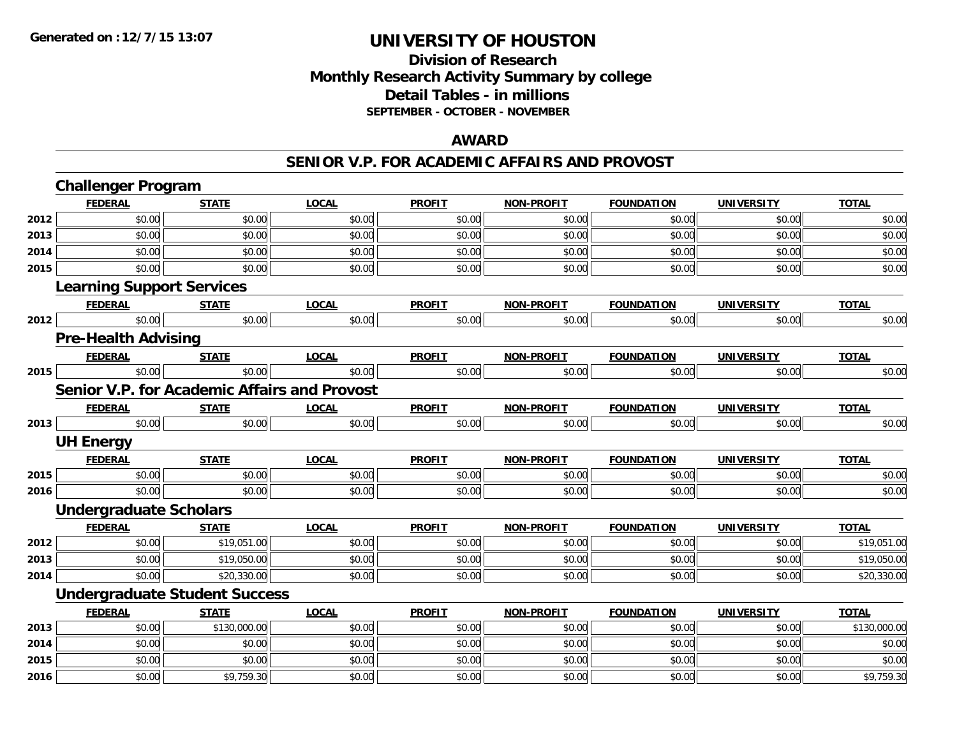### **Division of Research Monthly Research Activity Summary by college Detail Tables - in millions SEPTEMBER - OCTOBER - NOVEMBER**

#### **AWARD**

#### **SENIOR V.P. FOR ACADEMIC AFFAIRS AND PROVOST**

|      | <b>Challenger Program</b>        |                                                     |              |               |                   |                   |                   |              |
|------|----------------------------------|-----------------------------------------------------|--------------|---------------|-------------------|-------------------|-------------------|--------------|
|      | <b>FEDERAL</b>                   | <b>STATE</b>                                        | <b>LOCAL</b> | <b>PROFIT</b> | NON-PROFIT        | <b>FOUNDATION</b> | <b>UNIVERSITY</b> | <b>TOTAL</b> |
| 2012 | \$0.00                           | \$0.00                                              | \$0.00       | \$0.00        | \$0.00            | \$0.00            | \$0.00            | \$0.00       |
| 2013 | \$0.00                           | \$0.00                                              | \$0.00       | \$0.00        | \$0.00            | \$0.00            | \$0.00            | \$0.00       |
| 2014 | \$0.00                           | \$0.00                                              | \$0.00       | \$0.00        | \$0.00            | \$0.00            | \$0.00            | \$0.00       |
| 2015 | \$0.00                           | \$0.00                                              | \$0.00       | \$0.00        | \$0.00            | \$0.00            | \$0.00            | \$0.00       |
|      | <b>Learning Support Services</b> |                                                     |              |               |                   |                   |                   |              |
|      | <b>FEDERAL</b>                   | <b>STATE</b>                                        | <b>LOCAL</b> | <b>PROFIT</b> | <b>NON-PROFIT</b> | <b>FOUNDATION</b> | <b>UNIVERSITY</b> | <b>TOTAL</b> |
| 2012 | \$0.00                           | \$0.00                                              | \$0.00       | \$0.00        | \$0.00            | \$0.00            | \$0.00            | \$0.00       |
|      | <b>Pre-Health Advising</b>       |                                                     |              |               |                   |                   |                   |              |
|      | <b>FEDERAL</b>                   | <b>STATE</b>                                        | <b>LOCAL</b> | <b>PROFIT</b> | <b>NON-PROFIT</b> | <b>FOUNDATION</b> | <b>UNIVERSITY</b> | <b>TOTAL</b> |
| 2015 | \$0.00                           | \$0.00                                              | \$0.00       | \$0.00        | \$0.00            | \$0.00            | \$0.00            | \$0.00       |
|      |                                  | <b>Senior V.P. for Academic Affairs and Provost</b> |              |               |                   |                   |                   |              |
|      | <b>FEDERAL</b>                   | <b>STATE</b>                                        | <b>LOCAL</b> | <b>PROFIT</b> | <b>NON-PROFIT</b> | <b>FOUNDATION</b> | <b>UNIVERSITY</b> | <b>TOTAL</b> |
| 2013 | \$0.00                           | \$0.00                                              | \$0.00       | \$0.00        | \$0.00            | \$0.00            | \$0.00            | \$0.00       |
|      | <b>UH Energy</b>                 |                                                     |              |               |                   |                   |                   |              |
|      | <b>FEDERAL</b>                   | <b>STATE</b>                                        | <b>LOCAL</b> | <b>PROFIT</b> | <b>NON-PROFIT</b> | <b>FOUNDATION</b> | <b>UNIVERSITY</b> | <b>TOTAL</b> |
| 2015 | \$0.00                           | \$0.00                                              | \$0.00       | \$0.00        | \$0.00            | \$0.00            | \$0.00            | \$0.00       |
| 2016 | \$0.00                           | \$0.00                                              | \$0.00       | \$0.00        | \$0.00            | \$0.00            | \$0.00            | \$0.00       |
|      | <b>Undergraduate Scholars</b>    |                                                     |              |               |                   |                   |                   |              |
|      | <b>FEDERAL</b>                   | <b>STATE</b>                                        | <b>LOCAL</b> | <b>PROFIT</b> | <b>NON-PROFIT</b> | <b>FOUNDATION</b> | <b>UNIVERSITY</b> | <b>TOTAL</b> |
| 2012 | \$0.00                           | \$19,051.00                                         | \$0.00       | \$0.00        | \$0.00            | \$0.00            | \$0.00            | \$19,051.00  |
| 2013 | \$0.00                           | \$19,050.00                                         | \$0.00       | \$0.00        | \$0.00            | \$0.00            | \$0.00            | \$19,050.00  |
| 2014 | \$0.00                           | \$20,330.00                                         | \$0.00       | \$0.00        | \$0.00            | \$0.00            | \$0.00            | \$20,330.00  |
|      |                                  | <b>Undergraduate Student Success</b>                |              |               |                   |                   |                   |              |
|      | <b>FEDERAL</b>                   | <b>STATE</b>                                        | <b>LOCAL</b> | <b>PROFIT</b> | <b>NON-PROFIT</b> | <b>FOUNDATION</b> | <b>UNIVERSITY</b> | <b>TOTAL</b> |
| 2013 | \$0.00                           | \$130,000.00                                        | \$0.00       | \$0.00        | \$0.00            | \$0.00            | \$0.00            | \$130,000.00 |
| 2014 | \$0.00                           | \$0.00                                              | \$0.00       | \$0.00        | \$0.00            | \$0.00            | \$0.00            | \$0.00       |
| 2015 | \$0.00                           | \$0.00                                              | \$0.00       | \$0.00        | \$0.00            | \$0.00            | \$0.00            | \$0.00       |
| 2016 | \$0.00                           | \$9,759.30                                          | \$0.00       | \$0.00        | \$0.00            | \$0.00            | \$0.00            | \$9,759.30   |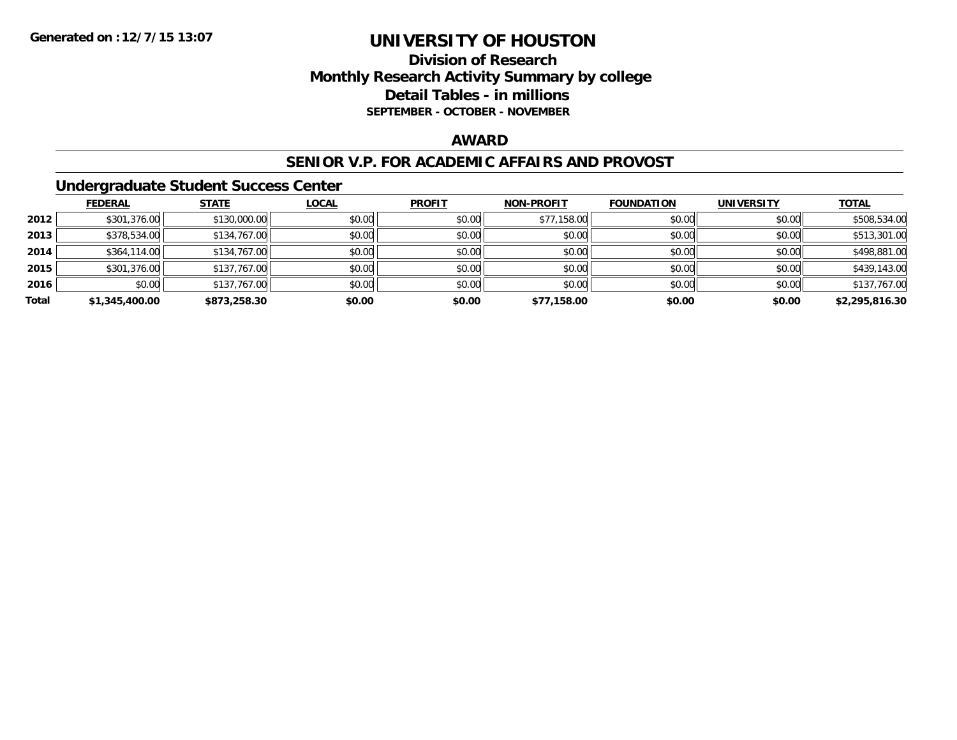### **Division of Research Monthly Research Activity Summary by college Detail Tables - in millions SEPTEMBER - OCTOBER - NOVEMBER**

#### **AWARD**

#### **SENIOR V.P. FOR ACADEMIC AFFAIRS AND PROVOST**

#### **Undergraduate Student Success Center**

|       | <b>FEDERAL</b> | <b>STATE</b> | <b>LOCAL</b> | <b>PROFIT</b> | <b>NON-PROFIT</b> | <b>FOUNDATION</b> | <b>UNIVERSITY</b> | <b>TOTAL</b>   |
|-------|----------------|--------------|--------------|---------------|-------------------|-------------------|-------------------|----------------|
| 2012  | \$301,376.00   | \$130,000.00 | \$0.00       | \$0.00        | \$77,158.00       | \$0.00            | \$0.00            | \$508,534.00   |
| 2013  | \$378,534.00   | \$134,767.00 | \$0.00       | \$0.00        | \$0.00            | \$0.00            | \$0.00            | \$513,301.00   |
| 2014  | \$364,114.00   | \$134,767.00 | \$0.00       | \$0.00        | \$0.00            | \$0.00            | \$0.00            | \$498,881.00   |
| 2015  | \$301,376.00   | \$137,767.00 | \$0.00       | \$0.00        | \$0.00            | \$0.00            | \$0.00            | \$439,143.00   |
| 2016  | \$0.00         | \$137,767.00 | \$0.00       | \$0.00        | \$0.00            | \$0.00            | \$0.00            | \$137,767.00   |
| Total | \$1,345,400.00 | \$873,258.30 | \$0.00       | \$0.00        | \$77,158.00       | \$0.00            | \$0.00            | \$2,295,816.30 |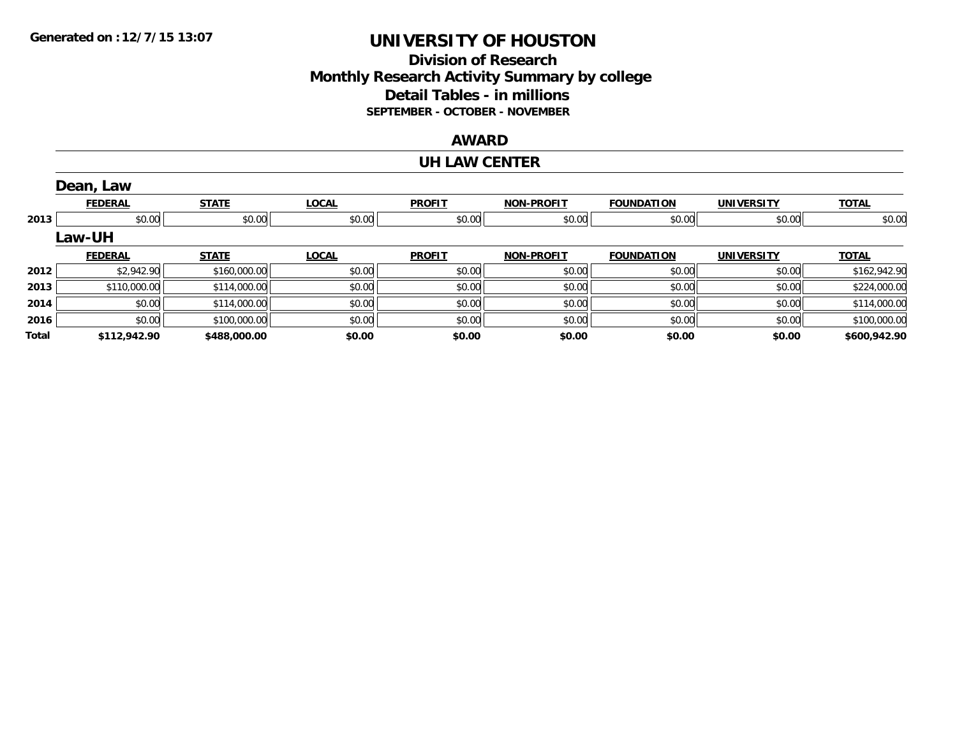### **Division of Research Monthly Research Activity Summary by college Detail Tables - in millions SEPTEMBER - OCTOBER - NOVEMBER**

#### **AWARD**

#### **UH LAW CENTER**

|       | Dean, Law      |              |              |               |                   |                   |                   |              |
|-------|----------------|--------------|--------------|---------------|-------------------|-------------------|-------------------|--------------|
|       | <b>FEDERAL</b> | <b>STATE</b> | <b>LOCAL</b> | <b>PROFIT</b> | <b>NON-PROFIT</b> | <b>FOUNDATION</b> | <b>UNIVERSITY</b> | <b>TOTAL</b> |
| 2013  | \$0.00         | \$0.00       | \$0.00       | \$0.00        | \$0.00            | \$0.00            | \$0.00            | \$0.00       |
|       | <b>Law-UH</b>  |              |              |               |                   |                   |                   |              |
|       | <b>FEDERAL</b> | <b>STATE</b> | <b>LOCAL</b> | <b>PROFIT</b> | <b>NON-PROFIT</b> | <b>FOUNDATION</b> | <b>UNIVERSITY</b> | <b>TOTAL</b> |
| 2012  | \$2,942.90     | \$160,000.00 | \$0.00       | \$0.00        | \$0.00            | \$0.00            | \$0.00            | \$162,942.90 |
| 2013  | \$110,000.00   | \$114,000.00 | \$0.00       | \$0.00        | \$0.00            | \$0.00            | \$0.00            | \$224,000.00 |
| 2014  | \$0.00         | \$114,000.00 | \$0.00       | \$0.00        | \$0.00            | \$0.00            | \$0.00            | \$114,000.00 |
| 2016  | \$0.00         | \$100,000.00 | \$0.00       | \$0.00        | \$0.00            | \$0.00            | \$0.00            | \$100,000.00 |
| Total | \$112,942.90   | \$488,000.00 | \$0.00       | \$0.00        | \$0.00            | \$0.00            | \$0.00            | \$600,942.90 |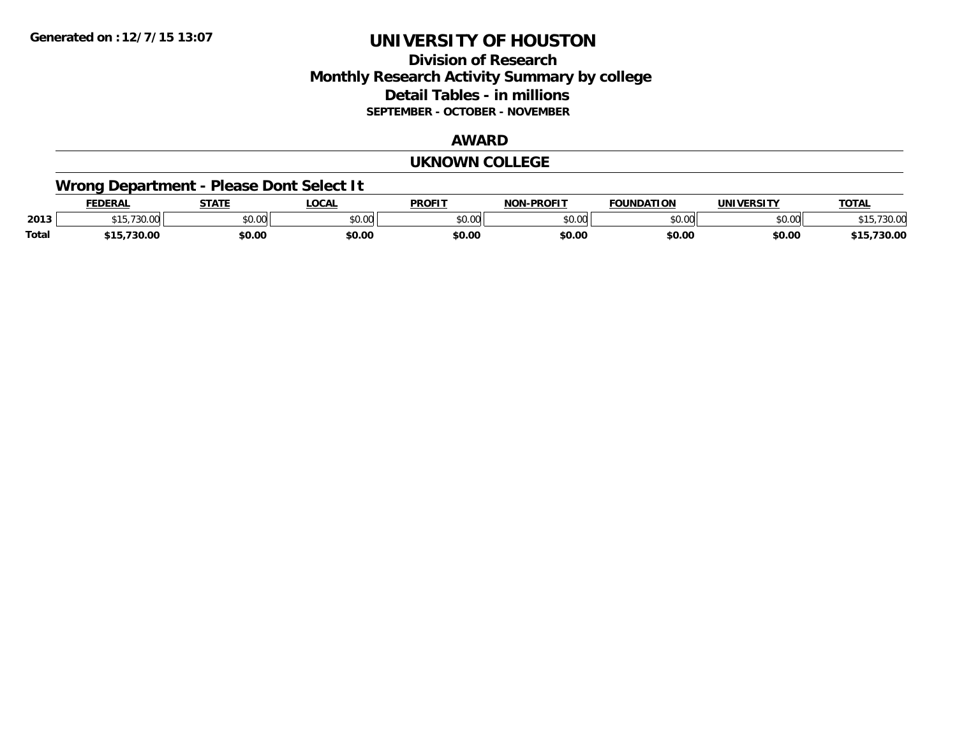### **Division of Research Monthly Research Activity Summary by college Detail Tables - in millions SEPTEMBER - OCTOBER - NOVEMBER**

#### **AWARD**

#### **UKNOWN COLLEGE**

### **Wrong Department - Please Dont Select It**

|              | <b>FEDERAL</b>                     | <b>STATE</b>   | <b>LOCAL</b>  | <b>PROFIT</b>  | $J-PROFIT$<br><b>NON</b> | <b>FOUNDATION</b> | <b>UNIVERSITY</b>                   | <b>TOTAL</b>      |
|--------------|------------------------------------|----------------|---------------|----------------|--------------------------|-------------------|-------------------------------------|-------------------|
| 2013         | $\overline{\phantom{a}}$<br>$\sim$ | 0.000<br>JU.UU | 0000<br>งบ.บบ | ልስ ሰሰ<br>JU.UU | \$0.00                   | $\sim$ 00<br>JU.U | $\uparrow$ $\land$ $\land$<br>DU.UU | /30.00            |
| <b>Total</b> | ,730.00<br>.                       | \$0.00         | \$0.00        | \$0.00         | \$0.00                   | \$0.00            | \$0.00                              | ,,,,,,<br>. 30.00 |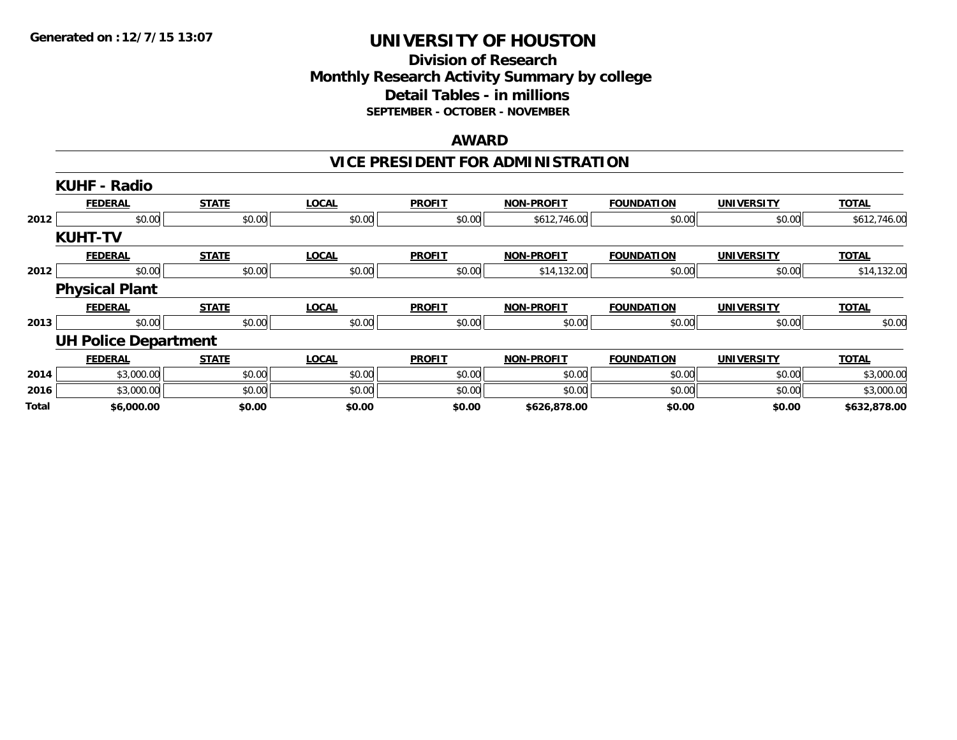### **Division of Research Monthly Research Activity Summary by college Detail Tables - in millions SEPTEMBER - OCTOBER - NOVEMBER**

#### **AWARD**

### **VICE PRESIDENT FOR ADMINISTRATION**

|       | <b>KUHF - Radio</b>         |              |              |               |                   |                   |                   |              |
|-------|-----------------------------|--------------|--------------|---------------|-------------------|-------------------|-------------------|--------------|
|       | <b>FEDERAL</b>              | <b>STATE</b> | <b>LOCAL</b> | <b>PROFIT</b> | <b>NON-PROFIT</b> | <b>FOUNDATION</b> | <b>UNIVERSITY</b> | <b>TOTAL</b> |
| 2012  | \$0.00                      | \$0.00       | \$0.00       | \$0.00        | \$612,746.00      | \$0.00            | \$0.00            | \$612,746.00 |
|       | <b>KUHT-TV</b>              |              |              |               |                   |                   |                   |              |
|       | <b>FEDERAL</b>              | <b>STATE</b> | <b>LOCAL</b> | <b>PROFIT</b> | <b>NON-PROFIT</b> | <b>FOUNDATION</b> | <b>UNIVERSITY</b> | <b>TOTAL</b> |
| 2012  | \$0.00                      | \$0.00       | \$0.00       | \$0.00        | \$14,132.00       | \$0.00            | \$0.00            | \$14,132.00  |
|       | <b>Physical Plant</b>       |              |              |               |                   |                   |                   |              |
|       | <b>FEDERAL</b>              | <b>STATE</b> | <b>LOCAL</b> | <b>PROFIT</b> | <b>NON-PROFIT</b> | <b>FOUNDATION</b> | <b>UNIVERSITY</b> | <b>TOTAL</b> |
| 2013  | \$0.00                      | \$0.00       | \$0.00       | \$0.00        | \$0.00            | \$0.00            | \$0.00            | \$0.00       |
|       | <b>UH Police Department</b> |              |              |               |                   |                   |                   |              |
|       | <b>FEDERAL</b>              | <b>STATE</b> | <b>LOCAL</b> | <b>PROFIT</b> | <b>NON-PROFIT</b> | <b>FOUNDATION</b> | <b>UNIVERSITY</b> | <b>TOTAL</b> |
| 2014  | \$3,000.00                  | \$0.00       | \$0.00       | \$0.00        | \$0.00            | \$0.00            | \$0.00            | \$3,000.00   |
| 2016  | \$3,000.00                  | \$0.00       | \$0.00       | \$0.00        | \$0.00            | \$0.00            | \$0.00            | \$3,000.00   |
| Total | \$6,000.00                  | \$0.00       | \$0.00       | \$0.00        | \$626,878.00      | \$0.00            | \$0.00            | \$632,878.00 |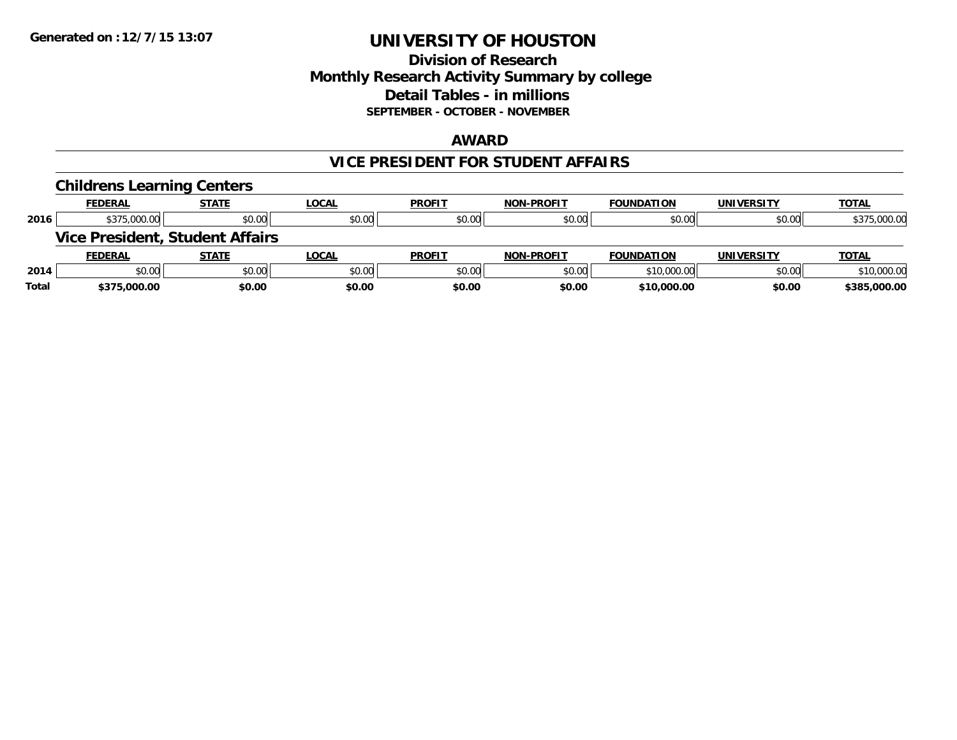### **Division of Research Monthly Research Activity Summary by college Detail Tables - in millions SEPTEMBER - OCTOBER - NOVEMBER**

#### **AWARD**

#### **VICE PRESIDENT FOR STUDENT AFFAIRS**

|       | <b>Childrens Learning Centers</b>      |              |              |               |                   |                   |                   |              |
|-------|----------------------------------------|--------------|--------------|---------------|-------------------|-------------------|-------------------|--------------|
|       | <b>FEDERAL</b>                         | <b>STATE</b> | <u>LOCAL</u> | <b>PROFIT</b> | <b>NON-PROFIT</b> | <b>FOUNDATION</b> | <b>UNIVERSITY</b> | <b>TOTAL</b> |
| 2016  | \$375,000.00                           | \$0.00       | \$0.00       | \$0.00        | \$0.00            | \$0.00            | \$0.00            | \$375,000.00 |
|       | <b>Vice President, Student Affairs</b> |              |              |               |                   |                   |                   |              |
|       | <b>FEDERAL</b>                         | <b>STATE</b> | <u>LOCAL</u> | <b>PROFIT</b> | <b>NON-PROFIT</b> | <b>FOUNDATION</b> | <b>UNIVERSITY</b> | <b>TOTAL</b> |
| 2014  | \$0.00                                 | \$0.00       | \$0.00       | \$0.00        | \$0.00            | \$10,000.00       | \$0.00            | \$10,000.00  |
| Total | \$375,000.00                           | \$0.00       | \$0.00       | \$0.00        | \$0.00            | \$10,000.00       | \$0.00            | \$385,000.00 |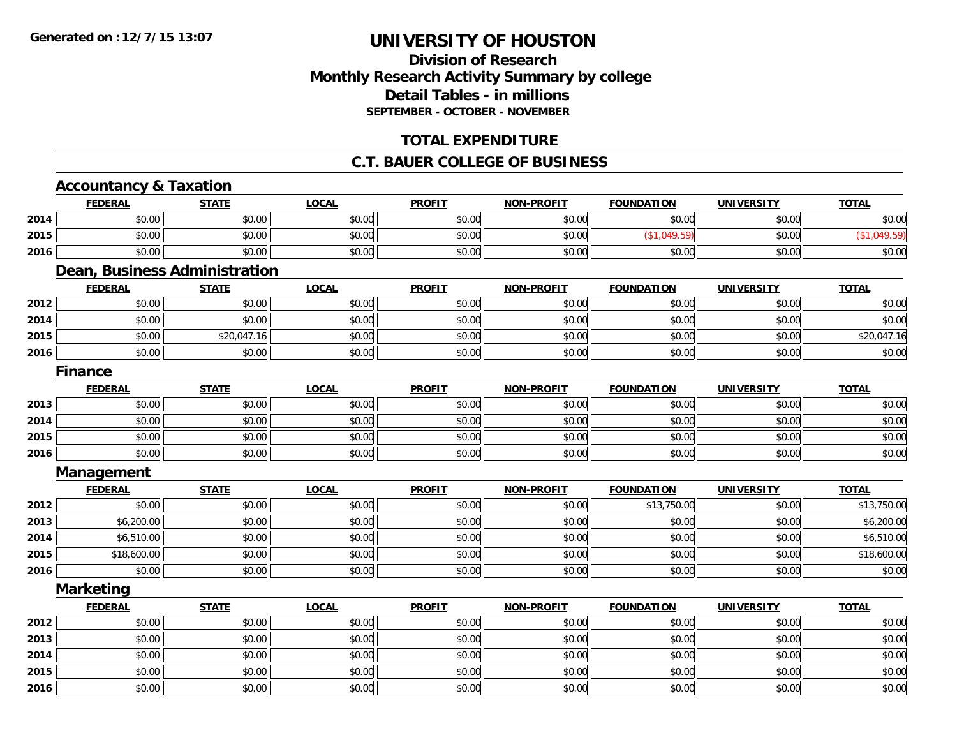### **Division of ResearchMonthly Research Activity Summary by college Detail Tables - in millions SEPTEMBER - OCTOBER - NOVEMBER**

#### **TOTAL EXPENDITURE**

#### **C.T. BAUER COLLEGE OF BUSINESS**

# **Accountancy & Taxation**

**2016**

|      | <b>FEDERAL</b>                | <b>STATE</b> | <b>LOCAL</b> | <b>PROFIT</b> | <b>NON-PROFIT</b> | <b>FOUNDATION</b> | <b>UNIVERSITY</b> | <b>TOTAL</b> |
|------|-------------------------------|--------------|--------------|---------------|-------------------|-------------------|-------------------|--------------|
| 2014 | \$0.00                        | \$0.00       | \$0.00       | \$0.00        | \$0.00            | \$0.00            | \$0.00            | \$0.00       |
| 2015 | \$0.00                        | \$0.00       | \$0.00       | \$0.00        | \$0.00            | (\$1,049.59)      | \$0.00            | (\$1,049.59) |
| 2016 | \$0.00                        | \$0.00       | \$0.00       | \$0.00        | \$0.00            | \$0.00            | \$0.00            | \$0.00       |
|      | Dean, Business Administration |              |              |               |                   |                   |                   |              |
|      | <b>FEDERAL</b>                | <b>STATE</b> | <b>LOCAL</b> | <b>PROFIT</b> | <b>NON-PROFIT</b> | <b>FOUNDATION</b> | <b>UNIVERSITY</b> | <b>TOTAL</b> |
| 2012 | \$0.00                        | \$0.00       | \$0.00       | \$0.00        | \$0.00            | \$0.00            | \$0.00            | \$0.00       |
| 2014 | \$0.00                        | \$0.00       | \$0.00       | \$0.00        | \$0.00            | \$0.00            | \$0.00            | \$0.00       |
| 2015 | \$0.00                        | \$20,047.16  | \$0.00       | \$0.00        | \$0.00            | \$0.00            | \$0.00            | \$20,047.16  |
| 2016 | \$0.00                        | \$0.00       | \$0.00       | \$0.00        | \$0.00            | \$0.00            | \$0.00            | \$0.00       |
|      | <b>Finance</b>                |              |              |               |                   |                   |                   |              |
|      | <b>FEDERAL</b>                | <b>STATE</b> | <b>LOCAL</b> | <b>PROFIT</b> | <b>NON-PROFIT</b> | <b>FOUNDATION</b> | <b>UNIVERSITY</b> | <b>TOTAL</b> |
| 2013 | \$0.00                        | \$0.00       | \$0.00       | \$0.00        | \$0.00            | \$0.00            | \$0.00            | \$0.00       |
| 2014 | \$0.00                        | \$0.00       | \$0.00       | \$0.00        | \$0.00            | \$0.00            | \$0.00            | \$0.00       |
| 2015 | \$0.00                        | \$0.00       | \$0.00       | \$0.00        | \$0.00            | \$0.00            | \$0.00            | \$0.00       |
| 2016 | \$0.00                        | \$0.00       | \$0.00       | \$0.00        | \$0.00            | \$0.00            | \$0.00            | \$0.00       |
|      | <b>Management</b>             |              |              |               |                   |                   |                   |              |
|      | <b>FEDERAL</b>                | <b>STATE</b> | <b>LOCAL</b> | <b>PROFIT</b> | <b>NON-PROFIT</b> | <b>FOUNDATION</b> | <b>UNIVERSITY</b> | <b>TOTAL</b> |
| 2012 | \$0.00                        | \$0.00       | \$0.00       | \$0.00        | \$0.00            | \$13,750.00       | \$0.00            | \$13,750.00  |
| 2013 | \$6,200.00                    | \$0.00       | \$0.00       | \$0.00        | \$0.00            | \$0.00            | \$0.00            | \$6,200.00   |
| 2014 | \$6,510.00                    | \$0.00       | \$0.00       | \$0.00        | \$0.00            | \$0.00            | \$0.00            | \$6,510.00   |
| 2015 | \$18,600.00                   | \$0.00       | \$0.00       | \$0.00        | \$0.00            | \$0.00            | \$0.00            | \$18,600.00  |
| 2016 | \$0.00                        | \$0.00       | \$0.00       | \$0.00        | \$0.00            | \$0.00            | \$0.00            | \$0.00       |
|      | <b>Marketing</b>              |              |              |               |                   |                   |                   |              |
|      | <b>FEDERAL</b>                | <b>STATE</b> | <b>LOCAL</b> | <b>PROFIT</b> | <b>NON-PROFIT</b> | <b>FOUNDATION</b> | <b>UNIVERSITY</b> | <b>TOTAL</b> |
| 2012 | \$0.00                        | \$0.00       | \$0.00       | \$0.00        | \$0.00            | \$0.00            | \$0.00            | \$0.00       |
| 2013 | \$0.00                        | \$0.00       | \$0.00       | \$0.00        | \$0.00            | \$0.00            | \$0.00            | \$0.00       |
| 2014 | \$0.00                        | \$0.00       | \$0.00       | \$0.00        | \$0.00            | \$0.00            | \$0.00            | \$0.00       |
| 2015 | \$0.00                        | \$0.00       | \$0.00       | \$0.00        | \$0.00            | \$0.00            | \$0.00            | \$0.00       |

6 \$0.00 \$0.00 \$0.00 \$0.00 \$0.00 \$0.00 \$0.00 \$0.00 \$0.00 \$0.00 \$0.00 \$0.00 \$0.00 \$0.00 \$0.00 \$0.00 \$0.00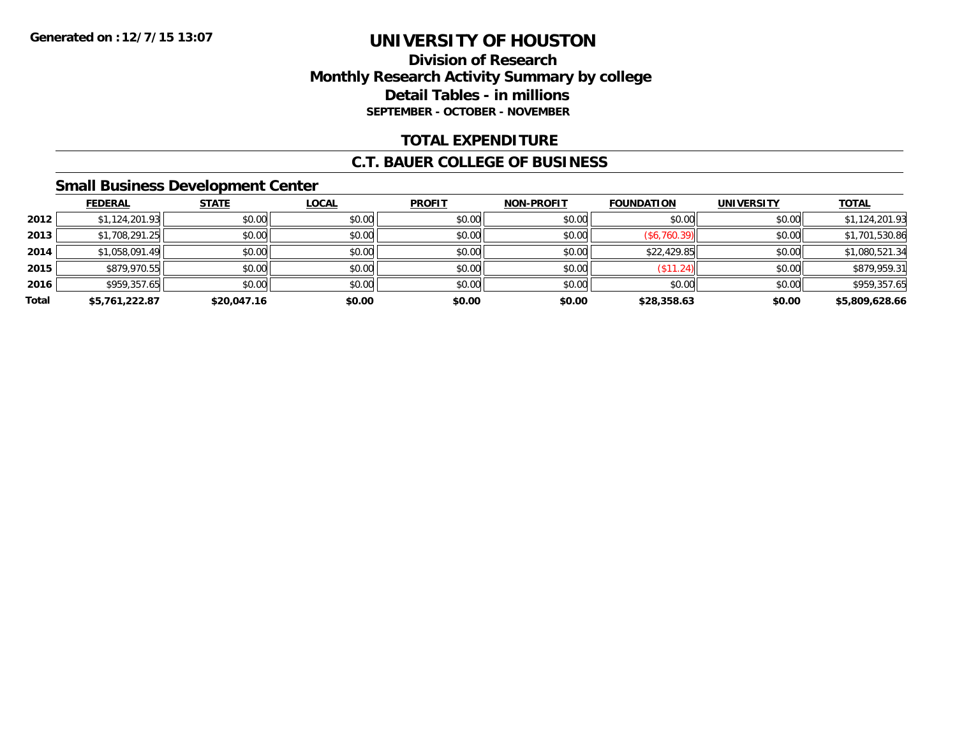### **Division of Research Monthly Research Activity Summary by college Detail Tables - in millions SEPTEMBER - OCTOBER - NOVEMBER**

### **TOTAL EXPENDITURE**

#### **C.T. BAUER COLLEGE OF BUSINESS**

#### **Small Business Development Center**

|       | <b>FEDERAL</b> | <b>STATE</b> | <b>LOCAL</b> | <b>PROFIT</b> | <b>NON-PROFIT</b> | <b>FOUNDATION</b>        | <b>UNIVERSITY</b> | <b>TOTAL</b>   |
|-------|----------------|--------------|--------------|---------------|-------------------|--------------------------|-------------------|----------------|
| 2012  | \$1,124,201.93 | \$0.00       | \$0.00       | \$0.00        | \$0.00            | \$0.00                   | \$0.00            | \$1,124,201.93 |
| 2013  | \$1,708,291.25 | \$0.00       | \$0.00       | \$0.00        | \$0.00            | (\$6,760.39)             | \$0.00            | \$1,701,530.86 |
| 2014  | \$1,058,091.49 | \$0.00       | \$0.00       | \$0.00        | \$0.00            | \$22,429.85              | \$0.00            | \$1,080,521.34 |
| 2015  | \$879,970.55   | \$0.00       | \$0.00       | \$0.00        | \$0.00            | $($ \$11.24) $\parallel$ | \$0.00            | \$879,959.31   |
| 2016  | \$959,357.65   | \$0.00       | \$0.00       | \$0.00        | \$0.00            | \$0.00                   | \$0.00            | \$959,357.65   |
| Total | \$5,761,222.87 | \$20,047.16  | \$0.00       | \$0.00        | \$0.00            | \$28,358.63              | \$0.00            | \$5,809,628.66 |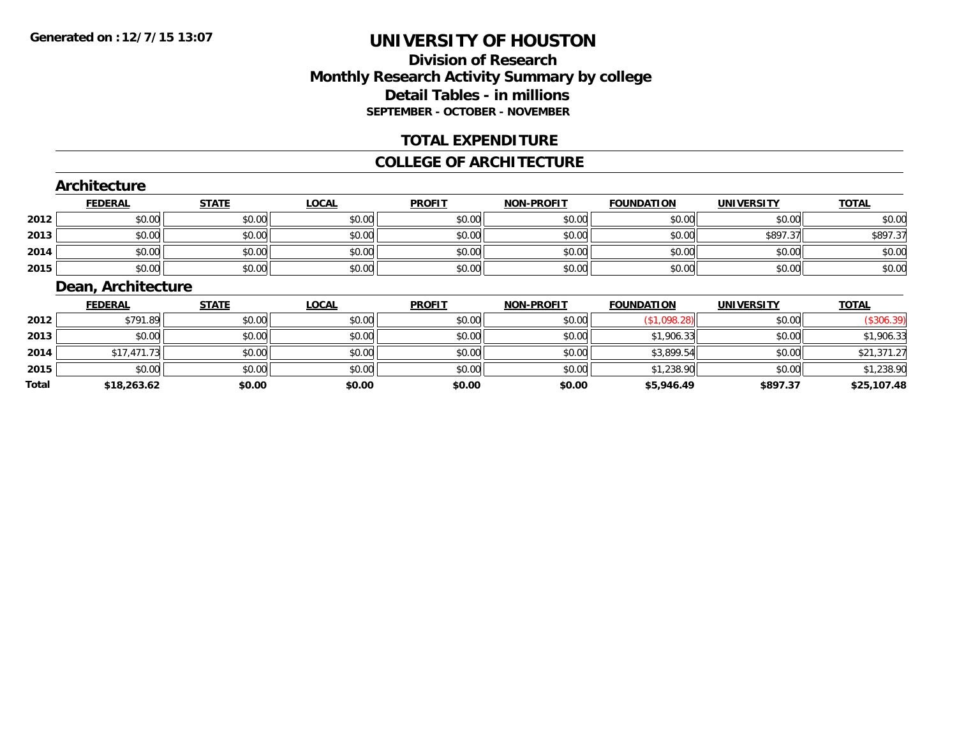### **Division of ResearchMonthly Research Activity Summary by college Detail Tables - in millions SEPTEMBER - OCTOBER - NOVEMBER**

#### **TOTAL EXPENDITURE**

#### **COLLEGE OF ARCHITECTURE**

#### **Architecture**

|      | <b>FEDERAL</b> | <b>STATE</b> | <u>LOCAL</u> | <b>PROFIT</b> | <b>NON-PROFIT</b> | <b>FOUNDATION</b> | <b>UNIVERSITY</b> | <b>TOTAL</b> |
|------|----------------|--------------|--------------|---------------|-------------------|-------------------|-------------------|--------------|
| 2012 | \$0.00         | \$0.00       | \$0.00       | \$0.00        | \$0.00            | \$0.00            | \$0.00            | \$0.00       |
| 2013 | \$0.00         | \$0.00       | \$0.00       | \$0.00        | \$0.00            | \$0.00            | \$897.37          | \$897.37     |
| 2014 | \$0.00         | \$0.00       | \$0.00       | \$0.00        | \$0.00            | \$0.00            | \$0.00            | \$0.00       |
| 2015 | \$0.00         | \$0.00       | \$0.00       | \$0.00        | \$0.00            | \$0.00            | \$0.00            | \$0.00       |

#### **Dean, Architecture**

|              | <b>FEDERAL</b> | <b>STATE</b> | <u>LOCAL</u> | <b>PROFIT</b> | NON-PROFIT | <b>FOUNDATION</b> | <b>UNIVERSITY</b> | <b>TOTAL</b> |
|--------------|----------------|--------------|--------------|---------------|------------|-------------------|-------------------|--------------|
| 2012         | \$791.89       | \$0.00       | \$0.00       | \$0.00        | \$0.00     | (\$1,098.28)      | \$0.00            | (\$306.39)   |
| 2013         | \$0.00         | \$0.00       | \$0.00       | \$0.00        | \$0.00     | \$1,906.33        | \$0.00            | \$1,906.33   |
| 2014         | \$17,471.73    | \$0.00       | \$0.00       | \$0.00        | \$0.00     | \$3,899.54        | \$0.00            | \$21,371.27  |
| 2015         | \$0.00         | \$0.00       | \$0.00       | \$0.00        | \$0.00     | \$1,238.90        | \$0.00            | \$1,238.90   |
| <b>Total</b> | \$18,263.62    | \$0.00       | \$0.00       | \$0.00        | \$0.00     | \$5,946.49        | \$897.37          | \$25,107.48  |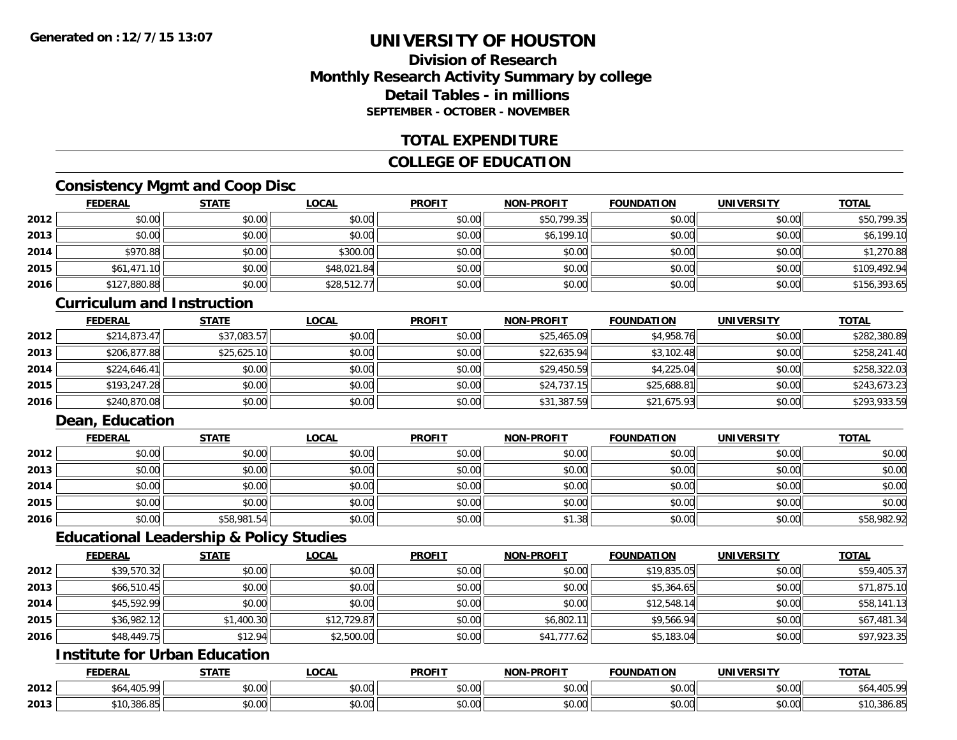### **Division of ResearchMonthly Research Activity Summary by college Detail Tables - in millionsSEPTEMBER - OCTOBER - NOVEMBER**

#### **TOTAL EXPENDITURE**

### **COLLEGE OF EDUCATION**

### **Consistency Mgmt and Coop Disc**

|      | <b>FEDERAL</b> | <b>STATE</b> | <b>LOCAL</b> | <b>PROFIT</b> | <b>NON-PROFIT</b> | <b>FOUNDATION</b> | <b>UNIVERSITY</b> | <b>TOTAL</b> |
|------|----------------|--------------|--------------|---------------|-------------------|-------------------|-------------------|--------------|
| 2012 | \$0.00         | \$0.00       | \$0.00       | \$0.00        | \$50,799.35       | \$0.00            | \$0.00            | \$50,799.35  |
| 2013 | \$0.00         | \$0.00       | \$0.00       | \$0.00        | \$6,199.10        | \$0.00            | \$0.00            | \$6,199.10   |
| 2014 | \$970.88       | \$0.00       | \$300.00     | \$0.00        | \$0.00            | \$0.00            | \$0.00            | \$1,270.88   |
| 2015 | \$61,471.10    | \$0.00       | \$48,021.84  | \$0.00        | \$0.00            | \$0.00            | \$0.00            | \$109,492.94 |
| 2016 | \$127,880.88   | \$0.00       | \$28,512.77  | \$0.00        | \$0.00            | \$0.00            | \$0.00            | \$156,393.65 |

#### **Curriculum and Instruction**

|      | <b>FEDERAL</b> | <b>STATE</b> | <u>LOCAL</u> | <b>PROFIT</b> | <b>NON-PROFIT</b> | <b>FOUNDATION</b> | <b>UNIVERSITY</b> | <b>TOTAL</b> |
|------|----------------|--------------|--------------|---------------|-------------------|-------------------|-------------------|--------------|
| 2012 | \$214,873.47   | \$37,083.57  | \$0.00       | \$0.00        | \$25,465.09       | \$4,958.76        | \$0.00            | \$282,380.89 |
| 2013 | \$206,877.88   | \$25,625.10  | \$0.00       | \$0.00        | \$22,635.94       | \$3,102.48        | \$0.00            | \$258,241.40 |
| 2014 | \$224,646.41   | \$0.00       | \$0.00       | \$0.00        | \$29,450.59       | \$4,225.04        | \$0.00            | \$258,322.03 |
| 2015 | \$193,247.28   | \$0.00       | \$0.00       | \$0.00        | \$24,737.15       | \$25,688.81       | \$0.00            | \$243,673.23 |
| 2016 | \$240,870.08   | \$0.00       | \$0.00       | \$0.00        | \$31,387.59       | \$21,675.93       | \$0.00            | \$293,933.59 |

### **Dean, Education**

|      | <b>FEDERAL</b> | <b>STATE</b> | <u>LOCAL</u> | <b>PROFIT</b> | <b>NON-PROFIT</b> | <b>FOUNDATION</b> | <b>UNIVERSITY</b> | <b>TOTAL</b> |
|------|----------------|--------------|--------------|---------------|-------------------|-------------------|-------------------|--------------|
| 2012 | \$0.00         | \$0.00       | \$0.00       | \$0.00        | \$0.00            | \$0.00            | \$0.00            | \$0.00       |
| 2013 | \$0.00         | \$0.00       | \$0.00       | \$0.00        | \$0.00            | \$0.00            | \$0.00            | \$0.00       |
| 2014 | \$0.00         | \$0.00       | \$0.00       | \$0.00        | \$0.00            | \$0.00            | \$0.00            | \$0.00       |
| 2015 | \$0.00         | \$0.00       | \$0.00       | \$0.00        | \$0.00            | \$0.00            | \$0.00            | \$0.00       |
| 2016 | \$0.00         | \$58,981.54  | \$0.00       | \$0.00        | \$1.38            | \$0.00            | \$0.00            | \$58,982.92  |

#### **Educational Leadership & Policy Studies**

|      | <b>FEDERAL</b> | <b>STATE</b> | <u>LOCAL</u> | <b>PROFIT</b> | <b>NON-PROFIT</b> | <b>FOUNDATION</b> | <b>UNIVERSITY</b> | <b>TOTAL</b> |
|------|----------------|--------------|--------------|---------------|-------------------|-------------------|-------------------|--------------|
| 2012 | \$39,570.32    | \$0.00       | \$0.00       | \$0.00        | \$0.00            | \$19,835.05       | \$0.00            | \$59,405.37  |
| 2013 | \$66,510.45    | \$0.00       | \$0.00       | \$0.00        | \$0.00            | \$5,364.65        | \$0.00            | \$71,875.10  |
| 2014 | \$45,592.99    | \$0.00       | \$0.00       | \$0.00        | \$0.00            | \$12,548.14       | \$0.00            | \$58,141.13  |
| 2015 | \$36,982.12    | \$1,400.30   | \$12,729.87  | \$0.00        | \$6,802.11        | \$9,566.94        | \$0.00            | \$67,481.34  |
| 2016 | \$48,449.75    | \$12.94      | \$2,500.00   | \$0.00        | \$41,777.62       | \$5,183.04        | \$0.00            | \$97,923.35  |

## **Institute for Urban Education**

|      | <b>FEDERAL</b>                              | <b>STATE</b><br>$\blacksquare$ | LOCAL         | <b>PROFIT</b> | <b>J-PROFIT</b><br><b>NIONI</b> | <b>FOUNDATION</b> | <b>UNIVERSITY</b> | <b>TOTAL</b> |
|------|---------------------------------------------|--------------------------------|---------------|---------------|---------------------------------|-------------------|-------------------|--------------|
| 2012 | <b>AOE 00</b><br>$\sim$<br>504<br>$-100.7.$ | 0000<br>DU.UU                  | 0.00<br>vv.vv | 0000<br>งบ.บบ | 0.00<br>JU.UU                   | \$0.00            | \$0.00            | ാവ           |
| 2013 | 10.386.85<br>ሐ ብ ሴ                          | 0000<br>DU.UU                  | 0.00<br>vu.vu | \$0.00        | 0000<br>PO.OO                   | \$0.00            | \$0.00            | 10,386.85;   |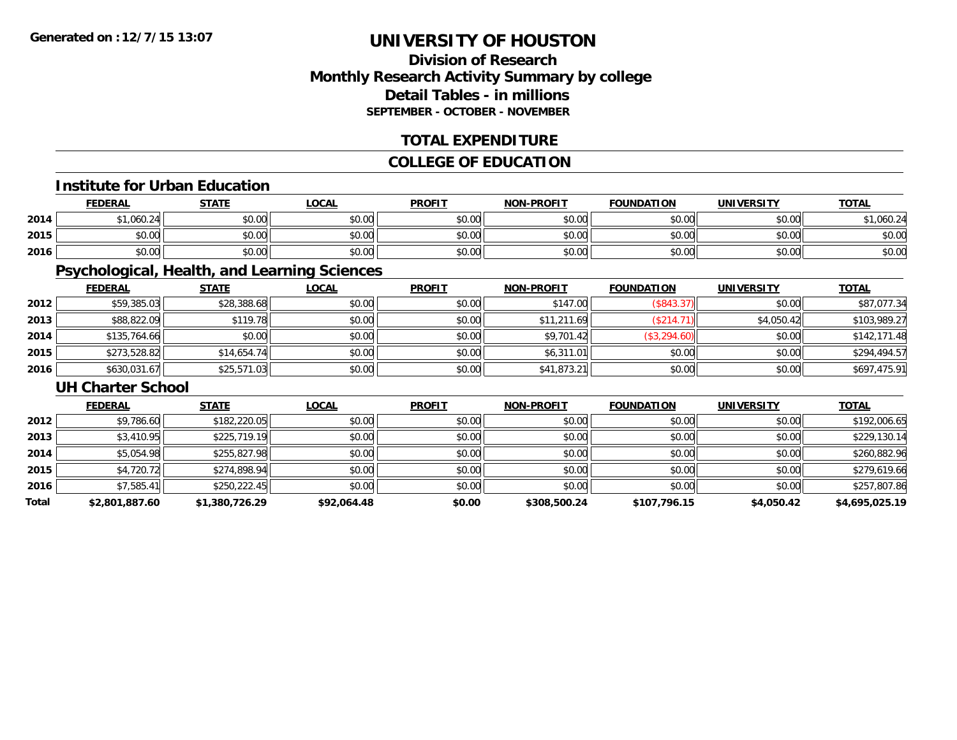### **Division of ResearchMonthly Research Activity Summary by college Detail Tables - in millions SEPTEMBER - OCTOBER - NOVEMBER**

#### **TOTAL EXPENDITURE**

### **COLLEGE OF EDUCATION**

#### **Institute for Urban Education**

|      | <b>FEDERAL</b> | <b>STATE</b> | <b>LOCAL</b> | <b>PROFIT</b> | <b>NON-PROFIT</b> | <b>FOUNDATION</b> | <b>UNIVERSITY</b> | <b>TOTAL</b> |
|------|----------------|--------------|--------------|---------------|-------------------|-------------------|-------------------|--------------|
| 2014 | ,060.24        | \$0.00       | \$0.00       | \$0.00        | \$0.00            | \$0.00            | \$0.00            | ,060.24      |
| 2015 | \$0.00         | \$0.00       | \$0.00       | \$0.00        | \$0.00            | \$0.00            | \$0.00            | \$0.00       |
| 2016 | \$0.00         | \$0.00       | \$0.00       | \$0.00        | \$0.00            | \$0.00            | \$0.00            | \$0.00       |

### **Psychological, Health, and Learning Sciences**

|      | <b>FEDERAL</b> | <b>STATE</b> | <u>LOCAL</u> | <b>PROFIT</b> | <b>NON-PROFIT</b> | <b>FOUNDATION</b> | <b>UNIVERSITY</b> | <b>TOTAL</b> |
|------|----------------|--------------|--------------|---------------|-------------------|-------------------|-------------------|--------------|
| 2012 | \$59,385.03    | \$28,388.68  | \$0.00       | \$0.00        | \$147.00          | (\$843.37)        | \$0.00            | \$87,077.34  |
| 2013 | \$88,822.09    | \$119.78     | \$0.00       | \$0.00        | \$11,211.69       | (\$214.71)        | \$4,050.42        | \$103,989.27 |
| 2014 | \$135,764.66   | \$0.00       | \$0.00       | \$0.00        | \$9,701.42        | \$3,294.60        | \$0.00            | \$142,171.48 |
| 2015 | \$273,528.82   | \$14,654.74  | \$0.00       | \$0.00        | \$6,311.01        | \$0.00            | \$0.00            | \$294,494.57 |
| 2016 | \$630,031.67   | \$25,571.03  | \$0.00       | \$0.00        | \$41,873.21       | \$0.00            | \$0.00            | \$697,475.91 |

#### **UH Charter School**

|       | <b>FEDERAL</b> | <b>STATE</b>   | <b>LOCAL</b> | <b>PROFIT</b> | <b>NON-PROFIT</b> | <b>FOUNDATION</b> | <b>UNIVERSITY</b> | <b>TOTAL</b>   |
|-------|----------------|----------------|--------------|---------------|-------------------|-------------------|-------------------|----------------|
| 2012  | \$9,786.60     | \$182,220.05   | \$0.00       | \$0.00        | \$0.00            | \$0.00            | \$0.00            | \$192,006.65   |
| 2013  | \$3,410.95     | \$225,719.19   | \$0.00       | \$0.00        | \$0.00            | \$0.00            | \$0.00            | \$229,130.14   |
| 2014  | \$5,054.98     | \$255,827.98   | \$0.00       | \$0.00        | \$0.00            | \$0.00            | \$0.00            | \$260,882.96   |
| 2015  | \$4,720.72     | \$274,898.94   | \$0.00       | \$0.00        | \$0.00            | \$0.00            | \$0.00            | \$279,619.66   |
| 2016  | \$7,585.41     | \$250,222.45   | \$0.00       | \$0.00        | \$0.00            | \$0.00            | \$0.00            | \$257,807.86   |
| Total | \$2,801,887.60 | \$1,380,726.29 | \$92,064.48  | \$0.00        | \$308,500.24      | \$107,796.15      | \$4,050.42        | \$4,695,025.19 |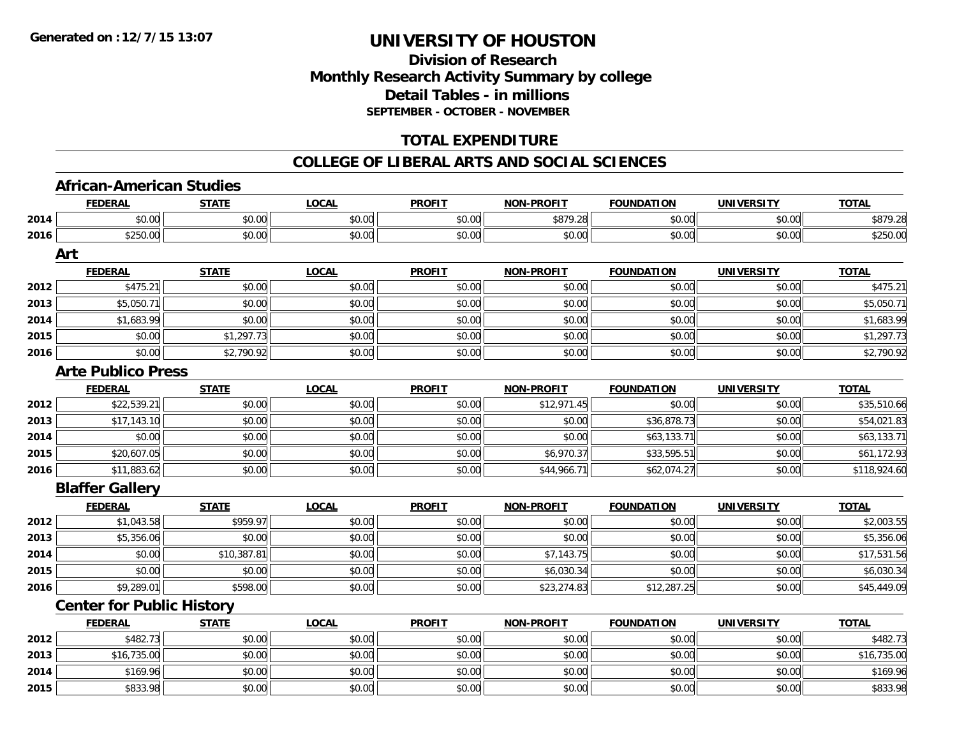### **Division of ResearchMonthly Research Activity Summary by college Detail Tables - in millions SEPTEMBER - OCTOBER - NOVEMBER**

### **TOTAL EXPENDITURE**

#### **COLLEGE OF LIBERAL ARTS AND SOCIAL SCIENCES**

#### **African-American Studies**

|      | <u>FEDERAL</u>                   | <b>STATE</b> | <u>LOCAL</u> | <b>PROFIT</b> | <u>NON-PROFIT</u> | <b>FOUNDATION</b> | <b>UNIVERSITY</b> | <u>TOTAL</u> |
|------|----------------------------------|--------------|--------------|---------------|-------------------|-------------------|-------------------|--------------|
| 2014 | \$0.00                           | \$0.00       | \$0.00       | \$0.00        | \$879.28          | \$0.00            | \$0.00            | \$879.28     |
| 2016 | \$250.00                         | \$0.00       | \$0.00       | \$0.00        | \$0.00            | \$0.00            | \$0.00            | \$250.00     |
|      | Art                              |              |              |               |                   |                   |                   |              |
|      | <b>FEDERAL</b>                   | <b>STATE</b> | <b>LOCAL</b> | <b>PROFIT</b> | <b>NON-PROFIT</b> | <b>FOUNDATION</b> | <b>UNIVERSITY</b> | <b>TOTAL</b> |
| 2012 | \$475.21                         | \$0.00       | \$0.00       | \$0.00        | \$0.00            | \$0.00            | \$0.00            | \$475.21     |
| 2013 | \$5,050.71                       | \$0.00       | \$0.00       | \$0.00        | \$0.00            | \$0.00            | \$0.00            | \$5,050.71   |
| 2014 | \$1,683.99                       | \$0.00       | \$0.00       | \$0.00        | \$0.00            | \$0.00            | \$0.00            | \$1,683.99   |
| 2015 | \$0.00                           | \$1,297.73   | \$0.00       | \$0.00        | \$0.00            | \$0.00            | \$0.00            | \$1,297.73   |
| 2016 | \$0.00                           | \$2,790.92   | \$0.00       | \$0.00        | \$0.00            | \$0.00            | \$0.00            | \$2,790.92   |
|      | <b>Arte Publico Press</b>        |              |              |               |                   |                   |                   |              |
|      | <b>FEDERAL</b>                   | <b>STATE</b> | <b>LOCAL</b> | <b>PROFIT</b> | <b>NON-PROFIT</b> | <b>FOUNDATION</b> | <b>UNIVERSITY</b> | <b>TOTAL</b> |
| 2012 | \$22,539.21                      | \$0.00       | \$0.00       | \$0.00        | \$12,971.45       | \$0.00            | \$0.00            | \$35,510.66  |
| 2013 | \$17,143.10                      | \$0.00       | \$0.00       | \$0.00        | \$0.00            | \$36,878.73       | \$0.00            | \$54,021.83  |
| 2014 | \$0.00                           | \$0.00       | \$0.00       | \$0.00        | \$0.00            | \$63,133.71       | \$0.00            | \$63,133.71  |
| 2015 | \$20,607.05                      | \$0.00       | \$0.00       | \$0.00        | \$6,970.37        | \$33,595.51       | \$0.00            | \$61,172.93  |
| 2016 | \$11,883.62                      | \$0.00       | \$0.00       | \$0.00        | \$44,966.71       | \$62,074.27       | \$0.00            | \$118,924.60 |
|      | <b>Blaffer Gallery</b>           |              |              |               |                   |                   |                   |              |
|      | <b>FEDERAL</b>                   | <b>STATE</b> | <b>LOCAL</b> | <b>PROFIT</b> | <b>NON-PROFIT</b> | <b>FOUNDATION</b> | <b>UNIVERSITY</b> | <b>TOTAL</b> |
| 2012 | \$1,043.58                       | \$959.97     | \$0.00       | \$0.00        | \$0.00            | \$0.00            | \$0.00            | \$2,003.55   |
| 2013 | \$5,356.06                       | \$0.00       | \$0.00       | \$0.00        | \$0.00            | \$0.00            | \$0.00            | \$5,356.06   |
| 2014 | \$0.00                           | \$10,387.81  | \$0.00       | \$0.00        | \$7,143.75        | \$0.00            | \$0.00            | \$17,531.56  |
| 2015 | \$0.00                           | \$0.00       | \$0.00       | \$0.00        | \$6,030.34        | \$0.00            | \$0.00            | \$6,030.34   |
| 2016 | \$9,289.01                       | \$598.00     | \$0.00       | \$0.00        | \$23,274.83       | \$12,287.25       | \$0.00            | \$45,449.09  |
|      | <b>Center for Public History</b> |              |              |               |                   |                   |                   |              |
|      | <b>FEDERAL</b>                   | <b>STATE</b> | <b>LOCAL</b> | <b>PROFIT</b> | <b>NON-PROFIT</b> | <b>FOUNDATION</b> | <b>UNIVERSITY</b> | <b>TOTAL</b> |
| 2012 | \$482.73                         | \$0.00       | \$0.00       | \$0.00        | \$0.00            | \$0.00            | \$0.00            | \$482.73     |
| 2013 | \$16,735.00                      | \$0.00       | \$0.00       | \$0.00        | \$0.00            | \$0.00            | \$0.00            | \$16,735.00  |
| 2014 | \$169.96                         | \$0.00       | \$0.00       | \$0.00        | \$0.00            | \$0.00            | \$0.00            | \$169.96     |
| 2015 | \$833.98                         | \$0.00       | \$0.00       | \$0.00        | \$0.00            | \$0.00            | \$0.00            | \$833.98     |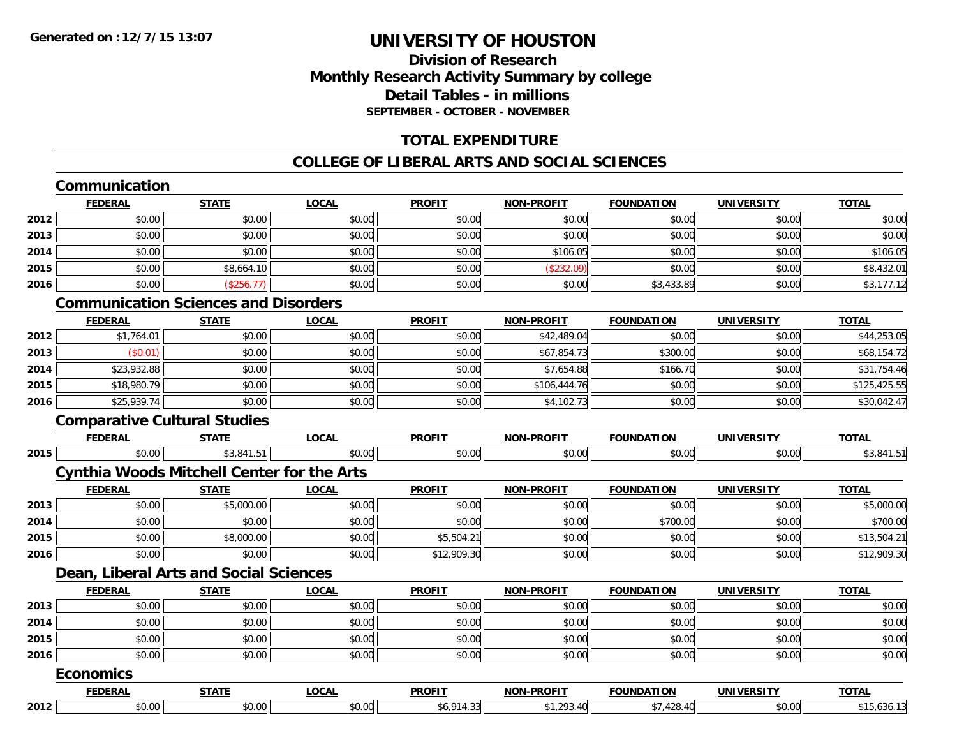### **Division of ResearchMonthly Research Activity Summary by college Detail Tables - in millionsSEPTEMBER - OCTOBER - NOVEMBER**

#### **TOTAL EXPENDITURE**

### **COLLEGE OF LIBERAL ARTS AND SOCIAL SCIENCES**

## **Communication**

|      | <b>FEDERAL</b> | <b>STATE</b> | <b>LOCAL</b> | <b>PROFIT</b> | <b>NON-PROFIT</b> | <b>FOUNDATION</b> | <b>UNIVERSITY</b> | <b>TOTAL</b> |
|------|----------------|--------------|--------------|---------------|-------------------|-------------------|-------------------|--------------|
| 2012 | \$0.00         | \$0.00       | \$0.00       | \$0.00        | \$0.00            | \$0.00            | \$0.00            | \$0.00       |
| 2013 | \$0.00         | \$0.00       | \$0.00       | \$0.00        | \$0.00            | \$0.00            | \$0.00            | \$0.00       |
| 2014 | \$0.00         | \$0.00       | \$0.00       | \$0.00        | \$106.05          | \$0.00            | \$0.00            | \$106.05     |
| 2015 | \$0.00         | \$8,664.10   | \$0.00       | \$0.00        | \$232.09          | \$0.00            | \$0.00            | \$8,432.01   |
| 2016 | \$0.00         | \$256.7      | \$0.00       | \$0.00        | \$0.00            | \$3,433.89        | \$0.00            | \$3,177.12   |

## **Communication Sciences and Disorders**

|      | <b>FEDERAL</b> | <u>STATE</u> | <b>LOCAL</b> | <b>PROFIT</b> | <b>NON-PROFIT</b> | <b>FOUNDATION</b> | <b>UNIVERSITY</b> | <b>TOTAL</b> |
|------|----------------|--------------|--------------|---------------|-------------------|-------------------|-------------------|--------------|
| 2012 | \$1,764.01     | \$0.00       | \$0.00       | \$0.00        | \$42,489.04       | \$0.00            | \$0.00            | \$44,253.05  |
| 2013 | \$0.01         | \$0.00       | \$0.00       | \$0.00        | \$67,854.73       | \$300.00          | \$0.00            | \$68,154.72  |
| 2014 | \$23,932.88    | \$0.00       | \$0.00       | \$0.00        | \$7,654.88        | \$166.70          | \$0.00            | \$31,754.46  |
| 2015 | \$18,980.79    | \$0.00       | \$0.00       | \$0.00        | \$106,444.76      | \$0.00            | \$0.00            | \$125,425.55 |
| 2016 | \$25,939.74    | \$0.00       | \$0.00       | \$0.00        | \$4,102.73        | \$0.00            | \$0.00            | \$30,042.47  |

#### **Comparative Cultural Studies**

|      | <b>FEDERAL</b>   | <b>STATE</b>                                      | <b>LOCAL</b> | <b>PROFIT</b> | <b>NON-PROFIT</b> | <b>FOUNDATION</b> | <b>UNIVERSITY</b> | <b>TOTAL</b> |
|------|------------------|---------------------------------------------------|--------------|---------------|-------------------|-------------------|-------------------|--------------|
| 2015 | \$0.00           | \$3,841.51                                        | \$0.00       | \$0.00        | \$0.00            | \$0.00            | \$0.00            | \$3,841.51   |
|      |                  | <b>Cynthia Woods Mitchell Center for the Arts</b> |              |               |                   |                   |                   |              |
|      | <b>FEDERAL</b>   | <b>STATE</b>                                      | <b>LOCAL</b> | <b>PROFIT</b> | <b>NON-PROFIT</b> | <b>FOUNDATION</b> | <b>UNIVERSITY</b> | <b>TOTAL</b> |
| 2013 | \$0.00           | \$5,000.00                                        | \$0.00       | \$0.00        | \$0.00            | \$0.00            | \$0.00            | \$5,000.00   |
| 2014 | \$0.00           | \$0.00                                            | \$0.00       | \$0.00        | \$0.00            | \$700.00          | \$0.00            | \$700.00     |
| 2015 | \$0.00           | \$8,000.00                                        | \$0.00       | \$5,504.21    | \$0.00            | \$0.00            | \$0.00            | \$13,504.21  |
| 2016 | \$0.00           | \$0.00                                            | \$0.00       | \$12,909.30   | \$0.00            | \$0.00            | \$0.00            | \$12,909.30  |
|      |                  | Dean, Liberal Arts and Social Sciences            |              |               |                   |                   |                   |              |
|      | <b>FEDERAL</b>   | <b>STATE</b>                                      | <b>LOCAL</b> | <b>PROFIT</b> | <b>NON-PROFIT</b> | <b>FOUNDATION</b> | <b>UNIVERSITY</b> | <b>TOTAL</b> |
| 2013 | \$0.00           | \$0.00                                            | \$0.00       | \$0.00        | \$0.00            | \$0.00            | \$0.00            | \$0.00       |
| 2014 | \$0.00           | \$0.00                                            | \$0.00       | \$0.00        | \$0.00            | \$0.00            | \$0.00            | \$0.00       |
| 2015 | \$0.00           | \$0.00                                            | \$0.00       | \$0.00        | \$0.00            | \$0.00            | \$0.00            | \$0.00       |
| 2016 | \$0.00           | \$0.00                                            | \$0.00       | \$0.00        | \$0.00            | \$0.00            | \$0.00            | \$0.00       |
|      | <b>Economics</b> |                                                   |              |               |                   |                   |                   |              |
|      | <b>FEDERAL</b>   | <b>STATE</b>                                      | <b>LOCAL</b> | <b>PROFIT</b> | <b>NON-PROFIT</b> | <b>FOUNDATION</b> | <b>UNIVERSITY</b> | <b>TOTAL</b> |
|      |                  |                                                   |              |               |                   |                   |                   |              |

**2012**2 | \$0.00| \$0.00| \$0.00| \$1,293.40| \$7,428.40| \$0.00| \$15,636.13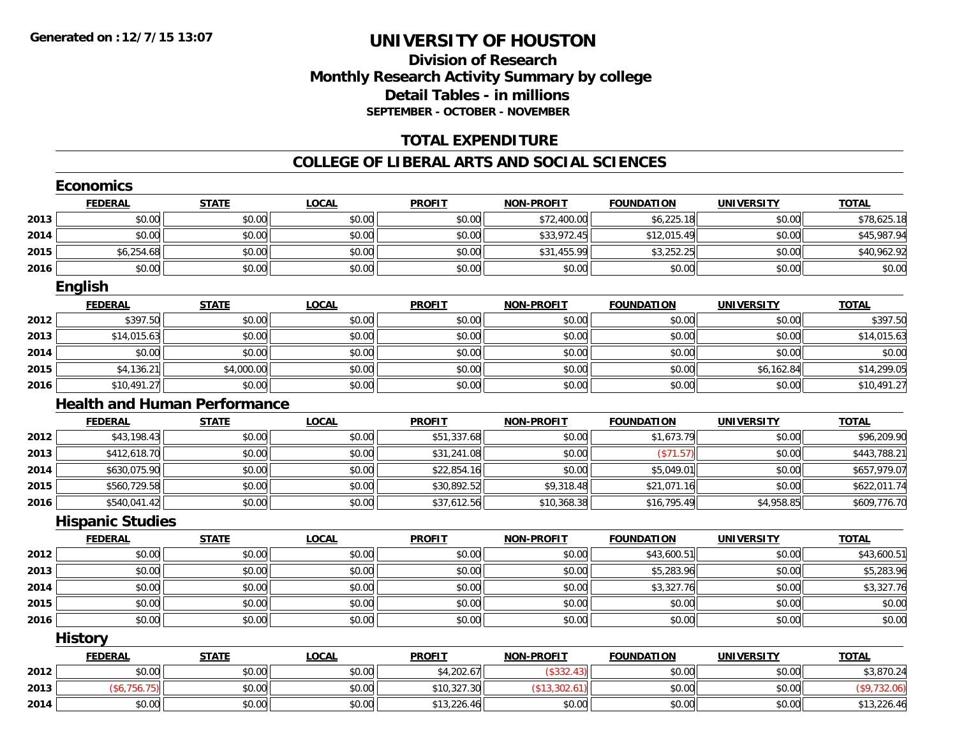### **Division of ResearchMonthly Research Activity Summary by college Detail Tables - in millions SEPTEMBER - OCTOBER - NOVEMBER**

#### **TOTAL EXPENDITURE**

#### **COLLEGE OF LIBERAL ARTS AND SOCIAL SCIENCES**

|      | <b>Economics</b>                    |              |              |               |                   |                   |                   |              |
|------|-------------------------------------|--------------|--------------|---------------|-------------------|-------------------|-------------------|--------------|
|      | <b>FEDERAL</b>                      | <b>STATE</b> | <b>LOCAL</b> | <b>PROFIT</b> | <b>NON-PROFIT</b> | <b>FOUNDATION</b> | <b>UNIVERSITY</b> | <b>TOTAL</b> |
| 2013 | \$0.00                              | \$0.00       | \$0.00       | \$0.00        | \$72,400.00       | \$6,225.18        | \$0.00            | \$78,625.18  |
| 2014 | \$0.00                              | \$0.00       | \$0.00       | \$0.00        | \$33,972.45       | \$12,015.49       | \$0.00            | \$45,987.94  |
| 2015 | \$6,254.68                          | \$0.00       | \$0.00       | \$0.00        | \$31,455.99       | \$3,252.25        | \$0.00            | \$40,962.92  |
| 2016 | \$0.00                              | \$0.00       | \$0.00       | \$0.00        | \$0.00            | \$0.00            | \$0.00            | \$0.00       |
|      | <b>English</b>                      |              |              |               |                   |                   |                   |              |
|      | <b>FEDERAL</b>                      | <b>STATE</b> | <b>LOCAL</b> | <b>PROFIT</b> | <b>NON-PROFIT</b> | <b>FOUNDATION</b> | <b>UNIVERSITY</b> | <b>TOTAL</b> |
| 2012 | \$397.50                            | \$0.00       | \$0.00       | \$0.00        | \$0.00            | \$0.00            | \$0.00            | \$397.50     |
| 2013 | \$14,015.63                         | \$0.00       | \$0.00       | \$0.00        | \$0.00            | \$0.00            | \$0.00            | \$14,015.63  |
| 2014 | \$0.00                              | \$0.00       | \$0.00       | \$0.00        | \$0.00            | \$0.00            | \$0.00            | \$0.00       |
| 2015 | \$4,136.21                          | \$4,000.00   | \$0.00       | \$0.00        | \$0.00            | \$0.00            | \$6,162.84        | \$14,299.05  |
| 2016 | \$10,491.27                         | \$0.00       | \$0.00       | \$0.00        | \$0.00            | \$0.00            | \$0.00            | \$10,491.27  |
|      | <b>Health and Human Performance</b> |              |              |               |                   |                   |                   |              |
|      | <b>FEDERAL</b>                      | <b>STATE</b> | <b>LOCAL</b> | <b>PROFIT</b> | <b>NON-PROFIT</b> | <b>FOUNDATION</b> | <b>UNIVERSITY</b> | <b>TOTAL</b> |
| 2012 | \$43,198.43                         | \$0.00       | \$0.00       | \$51,337.68   | \$0.00            | \$1,673.79        | \$0.00            | \$96,209.90  |
| 2013 | \$412,618.70                        | \$0.00       | \$0.00       | \$31,241.08   | \$0.00            | (\$71.57)         | \$0.00            | \$443,788.21 |
| 2014 | \$630,075.90                        | \$0.00       | \$0.00       | \$22,854.16   | \$0.00            | \$5,049.01        | \$0.00            | \$657,979.07 |
| 2015 | \$560,729.58                        | \$0.00       | \$0.00       | \$30,892.52   | \$9,318.48        | \$21,071.16       | \$0.00            | \$622,011.74 |
| 2016 | \$540,041.42                        | \$0.00       | \$0.00       | \$37,612.56   | \$10,368.38       | \$16,795.49       | \$4,958.85        | \$609,776.70 |
|      | <b>Hispanic Studies</b>             |              |              |               |                   |                   |                   |              |
|      | <b>FEDERAL</b>                      | <b>STATE</b> | <b>LOCAL</b> | <b>PROFIT</b> | <b>NON-PROFIT</b> | <b>FOUNDATION</b> | <b>UNIVERSITY</b> | <b>TOTAL</b> |
| 2012 | \$0.00                              | \$0.00       | \$0.00       | \$0.00        | \$0.00            | \$43,600.51       | \$0.00            | \$43,600.51  |
| 2013 | \$0.00                              | \$0.00       | \$0.00       | \$0.00        | \$0.00            | \$5,283.96        | \$0.00            | \$5,283.96   |
| 2014 | \$0.00                              | \$0.00       | \$0.00       | \$0.00        | \$0.00            | \$3,327.76        | \$0.00            | \$3,327.76   |
| 2015 | \$0.00                              | \$0.00       | \$0.00       | \$0.00        | \$0.00            | \$0.00            | \$0.00            | \$0.00       |
| 2016 | \$0.00                              | \$0.00       | \$0.00       | \$0.00        | \$0.00            | \$0.00            | \$0.00            | \$0.00       |
|      | <b>History</b>                      |              |              |               |                   |                   |                   |              |
|      | <b>FEDERAL</b>                      | <b>STATE</b> | <b>LOCAL</b> | <b>PROFIT</b> | <b>NON-PROFIT</b> | <b>FOUNDATION</b> | <b>UNIVERSITY</b> | <b>TOTAL</b> |
| 2012 | \$0.00                              | \$0.00       | \$0.00       | \$4,202.67    | (\$332.43)        | \$0.00            | \$0.00            | \$3,870.24   |
| 2013 | (\$6,756.75)                        | \$0.00       | \$0.00       | \$10,327.30   | (\$13,302.61)     | \$0.00            | \$0.00            | (\$9,732.06) |
| 2014 | \$0.00                              | \$0.00       | \$0.00       | \$13,226.46   | \$0.00            | \$0.00            | \$0.00            | \$13,226.46  |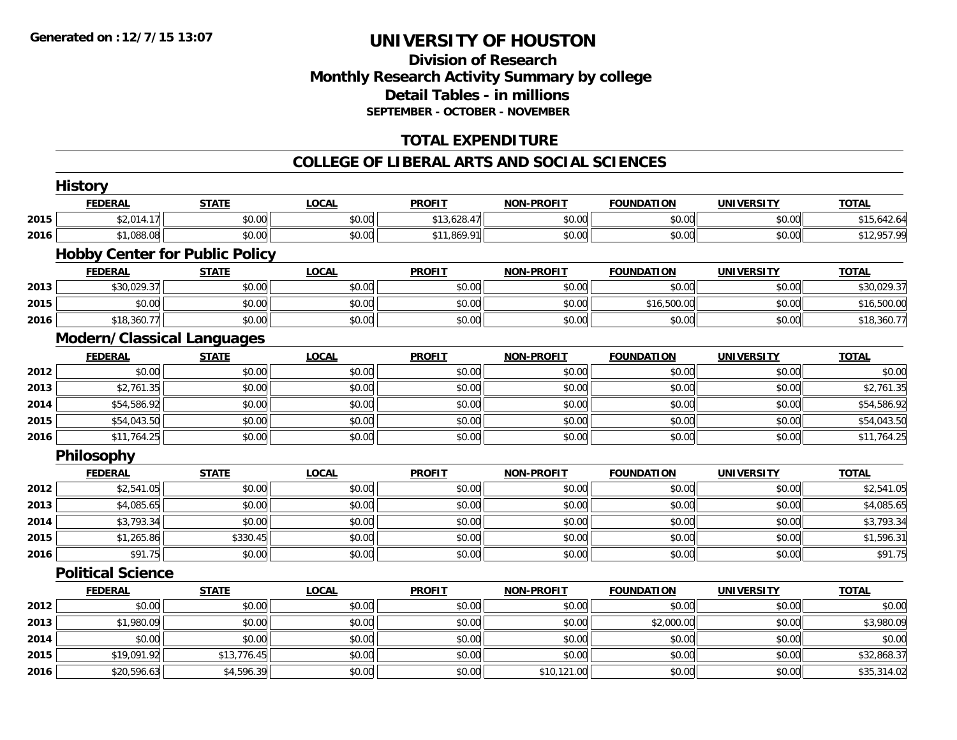### **Division of Research Monthly Research Activity Summary by college Detail Tables - in millions SEPTEMBER - OCTOBER - NOVEMBER**

### **TOTAL EXPENDITURE**

#### **COLLEGE OF LIBERAL ARTS AND SOCIAL SCIENCES**

|      | <b>History</b>                        |              |              |               |                   |                   |                   |              |
|------|---------------------------------------|--------------|--------------|---------------|-------------------|-------------------|-------------------|--------------|
|      | <b>FEDERAL</b>                        | <b>STATE</b> | <b>LOCAL</b> | <b>PROFIT</b> | <b>NON-PROFIT</b> | <b>FOUNDATION</b> | <b>UNIVERSITY</b> | <b>TOTAL</b> |
| 2015 | \$2,014.17                            | \$0.00       | \$0.00       | \$13,628.47   | \$0.00            | \$0.00            | \$0.00            | \$15,642.64  |
| 2016 | \$1,088.08                            | \$0.00       | \$0.00       | \$11,869.91   | \$0.00            | \$0.00            | \$0.00            | \$12,957.99  |
|      | <b>Hobby Center for Public Policy</b> |              |              |               |                   |                   |                   |              |
|      | <b>FEDERAL</b>                        | <b>STATE</b> | <b>LOCAL</b> | <b>PROFIT</b> | <b>NON-PROFIT</b> | <b>FOUNDATION</b> | <b>UNIVERSITY</b> | <b>TOTAL</b> |
| 2013 | \$30,029.37                           | \$0.00       | \$0.00       | \$0.00        | \$0.00            | \$0.00            | \$0.00            | \$30,029.37  |
| 2015 | \$0.00                                | \$0.00       | \$0.00       | \$0.00        | \$0.00            | \$16,500.00       | \$0.00            | \$16,500.00  |
| 2016 | \$18,360.77                           | \$0.00       | \$0.00       | \$0.00        | \$0.00            | \$0.00            | \$0.00            | \$18,360.77  |
|      | <b>Modern/Classical Languages</b>     |              |              |               |                   |                   |                   |              |
|      | <b>FEDERAL</b>                        | <b>STATE</b> | <b>LOCAL</b> | <b>PROFIT</b> | <b>NON-PROFIT</b> | <b>FOUNDATION</b> | <b>UNIVERSITY</b> | <b>TOTAL</b> |
| 2012 | \$0.00                                | \$0.00       | \$0.00       | \$0.00        | \$0.00            | \$0.00            | \$0.00            | \$0.00       |
| 2013 | \$2,761.35                            | \$0.00       | \$0.00       | \$0.00        | \$0.00            | \$0.00            | \$0.00            | \$2,761.35   |
| 2014 | \$54,586.92                           | \$0.00       | \$0.00       | \$0.00        | \$0.00            | \$0.00            | \$0.00            | \$54,586.92  |
| 2015 | \$54,043.50                           | \$0.00       | \$0.00       | \$0.00        | \$0.00            | \$0.00            | \$0.00            | \$54,043.50  |
| 2016 | \$11,764.25                           | \$0.00       | \$0.00       | \$0.00        | \$0.00            | \$0.00            | \$0.00            | \$11,764.25  |
|      | <b>Philosophy</b>                     |              |              |               |                   |                   |                   |              |
|      | <b>FEDERAL</b>                        | <b>STATE</b> | <b>LOCAL</b> | <b>PROFIT</b> | <b>NON-PROFIT</b> | <b>FOUNDATION</b> | <b>UNIVERSITY</b> | <b>TOTAL</b> |
| 2012 | \$2,541.05                            | \$0.00       | \$0.00       | \$0.00        | \$0.00            | \$0.00            | \$0.00            | \$2,541.05   |
| 2013 | \$4,085.65                            | \$0.00       | \$0.00       | \$0.00        | \$0.00            | \$0.00            | \$0.00            | \$4,085.65   |
| 2014 | \$3,793.34                            | \$0.00       | \$0.00       | \$0.00        | \$0.00            | \$0.00            | \$0.00            | \$3,793.34   |
| 2015 | \$1,265.86                            | \$330.45     | \$0.00       | \$0.00        | \$0.00            | \$0.00            | \$0.00            | \$1,596.31   |
| 2016 | \$91.75                               | \$0.00       | \$0.00       | \$0.00        | \$0.00            | \$0.00            | \$0.00            | \$91.75      |
|      | <b>Political Science</b>              |              |              |               |                   |                   |                   |              |
|      | <b>FEDERAL</b>                        | <b>STATE</b> | <b>LOCAL</b> | <b>PROFIT</b> | <b>NON-PROFIT</b> | <b>FOUNDATION</b> | <b>UNIVERSITY</b> | <b>TOTAL</b> |
| 2012 | \$0.00                                | \$0.00       | \$0.00       | \$0.00        | \$0.00            | \$0.00            | \$0.00            | \$0.00       |
| 2013 | \$1,980.09                            | \$0.00       | \$0.00       | \$0.00        | \$0.00            | \$2,000.00        | \$0.00            | \$3,980.09   |
| 2014 | \$0.00                                | \$0.00       | \$0.00       | \$0.00        | \$0.00            | \$0.00            | \$0.00            | \$0.00       |
| 2015 | \$19,091.92                           | \$13,776.45  | \$0.00       | \$0.00        | \$0.00            | \$0.00            | \$0.00            | \$32,868.37  |
| 2016 | \$20,596.63                           | \$4,596.39   | \$0.00       | \$0.00        | \$10,121.00       | \$0.00            | \$0.00            | \$35,314.02  |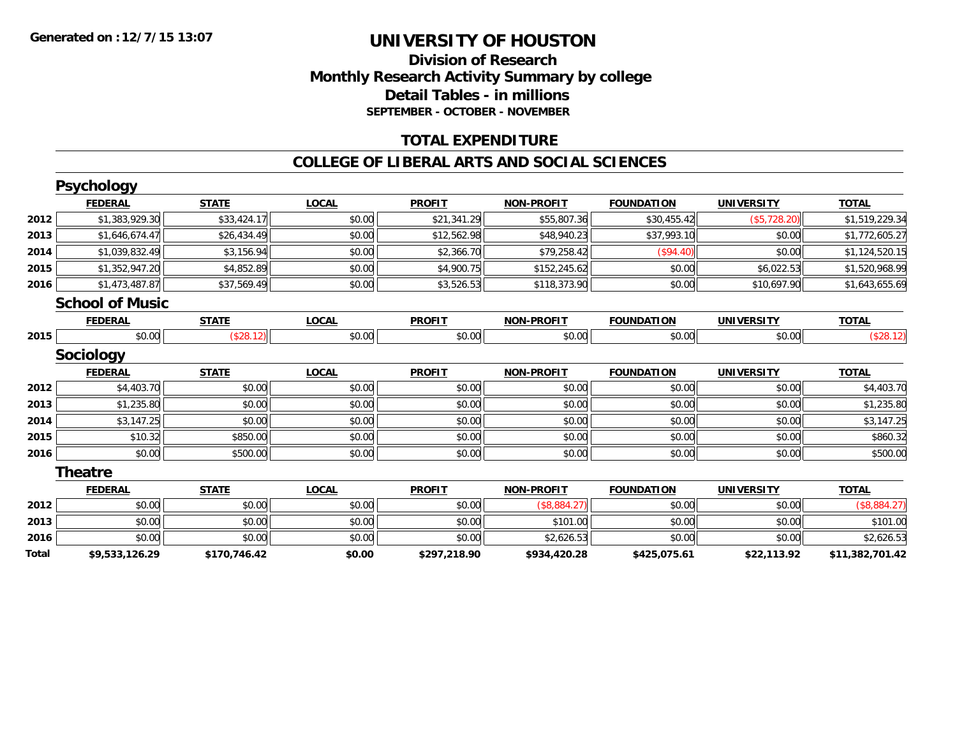### **Division of Research Monthly Research Activity Summary by college Detail Tables - in millions SEPTEMBER - OCTOBER - NOVEMBER**

#### **TOTAL EXPENDITURE**

#### **COLLEGE OF LIBERAL ARTS AND SOCIAL SCIENCES**

|       | <b>Psychology</b>      |              |              |               |                   |                   |                   |                 |
|-------|------------------------|--------------|--------------|---------------|-------------------|-------------------|-------------------|-----------------|
|       | <b>FEDERAL</b>         | <b>STATE</b> | <b>LOCAL</b> | <b>PROFIT</b> | <b>NON-PROFIT</b> | <b>FOUNDATION</b> | <b>UNIVERSITY</b> | <b>TOTAL</b>    |
| 2012  | \$1,383,929.30         | \$33,424.17  | \$0.00       | \$21,341.29   | \$55,807.36       | \$30,455.42       | (\$5,728.20)      | \$1,519,229.34  |
| 2013  | \$1,646,674.47         | \$26,434.49  | \$0.00       | \$12,562.98   | \$48,940.23       | \$37,993.10       | \$0.00            | \$1,772,605.27  |
| 2014  | \$1,039,832.49         | \$3,156.94   | \$0.00       | \$2,366.70    | \$79,258.42       | (\$94.40)         | \$0.00            | \$1,124,520.15  |
| 2015  | \$1,352,947.20         | \$4,852.89   | \$0.00       | \$4,900.75    | \$152,245.62      | \$0.00            | \$6,022.53        | \$1,520,968.99  |
| 2016  | \$1,473,487.87         | \$37,569.49  | \$0.00       | \$3,526.53    | \$118,373.90      | \$0.00            | \$10,697.90       | \$1,643,655.69  |
|       | <b>School of Music</b> |              |              |               |                   |                   |                   |                 |
|       | <b>FEDERAL</b>         | <b>STATE</b> | <b>LOCAL</b> | <b>PROFIT</b> | <b>NON-PROFIT</b> | <b>FOUNDATION</b> | <b>UNIVERSITY</b> | <b>TOTAL</b>    |
| 2015  | \$0.00                 | (\$28.12)    | \$0.00       | \$0.00        | \$0.00            | \$0.00            | \$0.00            | (\$28.12)       |
|       | <b>Sociology</b>       |              |              |               |                   |                   |                   |                 |
|       | <b>FEDERAL</b>         | <b>STATE</b> | <b>LOCAL</b> | <b>PROFIT</b> | <b>NON-PROFIT</b> | <b>FOUNDATION</b> | <b>UNIVERSITY</b> | <b>TOTAL</b>    |
| 2012  | \$4,403.70             | \$0.00       | \$0.00       | \$0.00        | \$0.00            | \$0.00            | \$0.00            | \$4,403.70      |
| 2013  | \$1,235.80             | \$0.00       | \$0.00       | \$0.00        | \$0.00            | \$0.00            | \$0.00            | \$1,235.80      |
| 2014  | \$3,147.25             | \$0.00       | \$0.00       | \$0.00        | \$0.00            | \$0.00            | \$0.00            | \$3,147.25      |
| 2015  | \$10.32                | \$850.00     | \$0.00       | \$0.00        | \$0.00            | \$0.00            | \$0.00            | \$860.32        |
| 2016  | \$0.00                 | \$500.00     | \$0.00       | \$0.00        | \$0.00            | \$0.00            | \$0.00            | \$500.00        |
|       | <b>Theatre</b>         |              |              |               |                   |                   |                   |                 |
|       | <b>FEDERAL</b>         | <b>STATE</b> | <b>LOCAL</b> | <b>PROFIT</b> | <b>NON-PROFIT</b> | <b>FOUNDATION</b> | <b>UNIVERSITY</b> | <b>TOTAL</b>    |
| 2012  | \$0.00                 | \$0.00       | \$0.00       | \$0.00        | (\$8,884.27)      | \$0.00            | \$0.00            | (\$8,884.27)    |
| 2013  | \$0.00                 | \$0.00       | \$0.00       | \$0.00        | \$101.00          | \$0.00            | \$0.00            | \$101.00        |
| 2016  | \$0.00                 | \$0.00       | \$0.00       | \$0.00        | \$2,626.53        | \$0.00            | \$0.00            | \$2,626.53      |
| Total | \$9,533,126.29         | \$170,746.42 | \$0.00       | \$297,218.90  | \$934,420.28      | \$425,075.61      | \$22,113.92       | \$11,382,701.42 |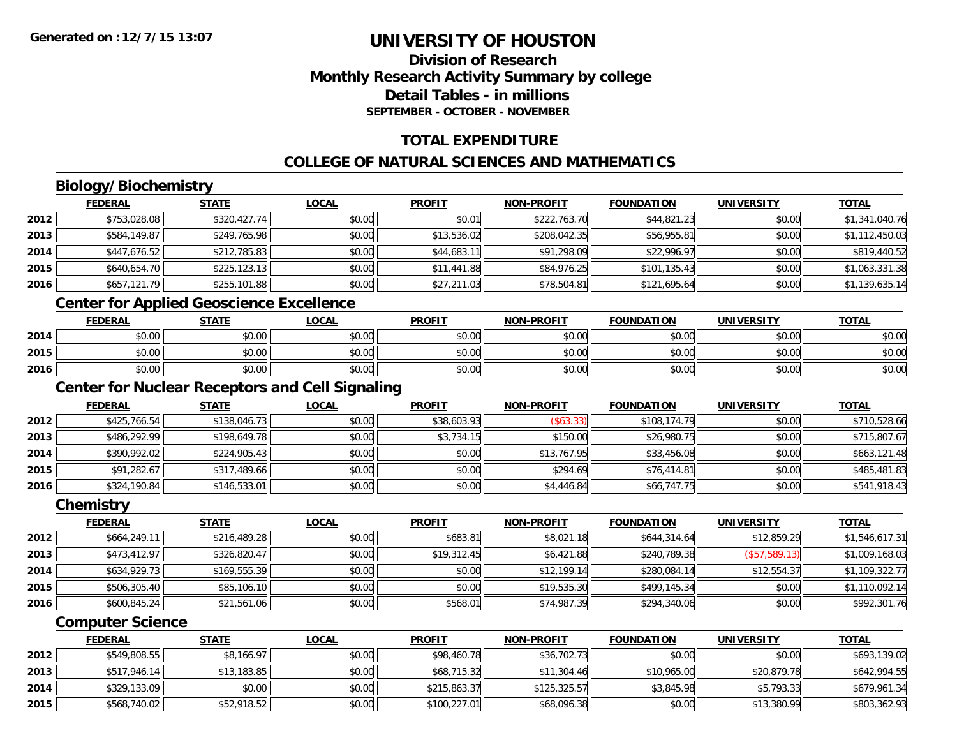### **Division of ResearchMonthly Research Activity Summary by college Detail Tables - in millionsSEPTEMBER - OCTOBER - NOVEMBER**

### **TOTAL EXPENDITURE**

### **COLLEGE OF NATURAL SCIENCES AND MATHEMATICS**

## **Biology/Biochemistry**

|      | <b>FEDERAL</b> | <b>STATE</b> | <b>LOCAL</b> | <b>PROFIT</b> | <b>NON-PROFIT</b> | <b>FOUNDATION</b> | <b>UNIVERSITY</b> | <b>TOTAL</b>   |
|------|----------------|--------------|--------------|---------------|-------------------|-------------------|-------------------|----------------|
| 2012 | \$753,028.08   | \$320,427.74 | \$0.00       | \$0.01        | \$222,763.70      | \$44,821.23       | \$0.00            | \$1,341,040.76 |
| 2013 | \$584,149.87   | \$249,765.98 | \$0.00       | \$13,536.02   | \$208,042.35      | \$56,955.81       | \$0.00            | \$1,112,450.03 |
| 2014 | \$447,676.52   | \$212,785.83 | \$0.00       | \$44,683.11   | \$91,298.09       | \$22,996.97       | \$0.00            | \$819,440.52   |
| 2015 | \$640,654.70   | \$225,123.13 | \$0.00       | \$11,441.88   | \$84,976.25       | \$101,135.43      | \$0.00            | \$1,063,331.38 |
| 2016 | \$657,121.79   | \$255,101.88 | \$0.00       | \$27,211.03   | \$78,504.81       | \$121,695.64      | \$0.00            | \$1,139,635.14 |
|      |                |              |              |               |                   |                   |                   |                |

### **Center for Applied Geoscience Excellence**

|      | <b>FEDERAL</b> | <b>STATE</b> | <u>LOCAL</u> | <b>PROFIT</b> | <b>NON-PROFIT</b> | <b>FOUNDATION</b> | UNIVERSITY | <b>TOTAL</b> |
|------|----------------|--------------|--------------|---------------|-------------------|-------------------|------------|--------------|
| 2014 | \$0.00         | \$0.00       | \$0.00       | \$0.00        | \$0.00            | \$0.00            | \$0.00     | \$0.00       |
| 2015 | \$0.00         | \$0.00       | \$0.00       | \$0.00        | \$0.00            | \$0.00            | \$0.00     | \$0.00       |
| 2016 | \$0.00         | \$0.00       | \$0.00       | \$0.00        | \$0.00            | \$0.00            | \$0.00     | \$0.00       |

### **Center for Nuclear Receptors and Cell Signaling**

|      | <b>FEDERAL</b> | <b>STATE</b> | <u>LOCAL</u> | <b>PROFIT</b> | <b>NON-PROFIT</b> | <b>FOUNDATION</b> | <b>UNIVERSITY</b> | <b>TOTAL</b> |
|------|----------------|--------------|--------------|---------------|-------------------|-------------------|-------------------|--------------|
| 2012 | \$425,766.54   | \$138,046.73 | \$0.00       | \$38,603.93   | (\$63.33)         | \$108,174.79      | \$0.00            | \$710,528.66 |
| 2013 | \$486,292.99   | \$198,649.78 | \$0.00       | \$3,734.15    | \$150.00          | \$26,980.75       | \$0.00            | \$715,807.67 |
| 2014 | \$390,992.02   | \$224,905.43 | \$0.00       | \$0.00        | \$13,767.95       | \$33,456.08       | \$0.00            | \$663,121.48 |
| 2015 | \$91,282.67    | \$317,489.66 | \$0.00       | \$0.00        | \$294.69          | \$76,414.81       | \$0.00            | \$485,481.83 |
| 2016 | \$324,190.84   | \$146,533.01 | \$0.00       | \$0.00        | \$4,446.84        | \$66,747.75       | \$0.00            | \$541,918.43 |

#### **Chemistry**

|      | <b>FEDERAL</b> | <b>STATE</b> | <u>LOCAL</u> | <b>PROFIT</b> | <b>NON-PROFIT</b> | <b>FOUNDATION</b> | <b>UNIVERSITY</b> | <b>TOTAL</b>   |
|------|----------------|--------------|--------------|---------------|-------------------|-------------------|-------------------|----------------|
| 2012 | \$664.249.11   | \$216,489.28 | \$0.00       | \$683.81      | \$8,021.18        | \$644,314.64      | \$12,859.29       | \$1,546,617.31 |
| 2013 | \$473,412.97   | \$326,820.47 | \$0.00       | \$19,312.45   | \$6,421.88        | \$240,789.38      | (S57, 589.13)     | \$1,009,168.03 |
| 2014 | \$634,929.73   | \$169,555.39 | \$0.00       | \$0.00        | \$12,199.14       | \$280,084.14      | \$12,554.37       | \$1,109,322.77 |
| 2015 | \$506,305.40   | \$85,106.10  | \$0.00       | \$0.00        | \$19,535.30       | \$499,145.34      | \$0.00            | \$1,110,092.14 |
| 2016 | \$600,845.24   | \$21,561.06  | \$0.00       | \$568.01      | \$74,987.39       | \$294,340.06      | \$0.00            | \$992,301.76   |

#### **Computer Science**

|      | <u>FEDERAL</u> | <u>STATE</u> | <u>LOCAL</u> | <b>PROFIT</b> | <b>NON-PROFIT</b> | <b>FOUNDATION</b> | <b>UNIVERSITY</b> | <b>TOTAL</b> |
|------|----------------|--------------|--------------|---------------|-------------------|-------------------|-------------------|--------------|
| 2012 | \$549,808.55   | \$8,166.97   | \$0.00       | \$98,460.78   | \$36,702.73       | \$0.00            | \$0.00            | \$693,139.02 |
| 2013 | \$517,946.14   | \$13,183.85  | \$0.00       | \$68,715.32   | \$11,304.46       | \$10,965.00       | \$20,879.78       | \$642,994.55 |
| 2014 | \$329,133.09   | \$0.00       | \$0.00       | \$215,863.37  | \$125,325.57      | \$3,845.98        | \$5,793.33        | \$679,961.34 |
| 2015 | \$568,740.02   | \$52,918.52  | \$0.00       | \$100,227.01  | \$68,096.38       | \$0.00            | \$13,380.99       | \$803,362.93 |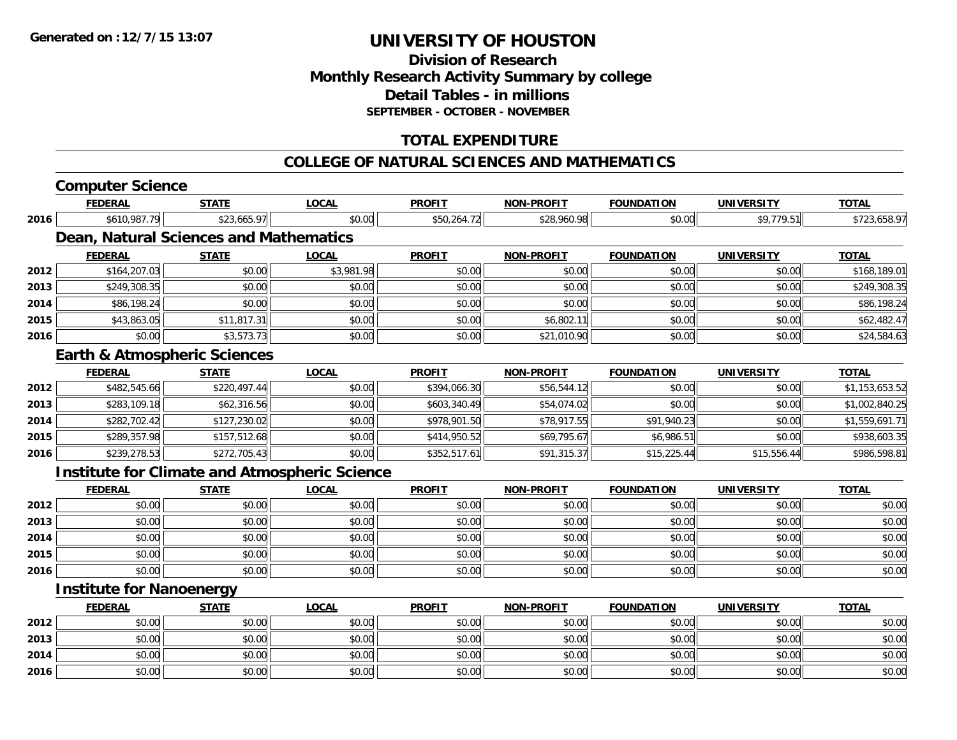### **Division of ResearchMonthly Research Activity Summary by college Detail Tables - in millionsSEPTEMBER - OCTOBER - NOVEMBER**

### **TOTAL EXPENDITURE**

#### **COLLEGE OF NATURAL SCIENCES AND MATHEMATICS**

#### **Computer Science FEDERAL STATE LOCAL PROFIT NON-PROFIT FOUNDATION UNIVERSITY TOTALTOTAL 2016** \$610,987.79 \$23,665.97 \$0.00 \$50,264.72 \$28,960.98 \$0.00 \$9,779.51 \$723,658.97 **Dean, Natural Sciences and Mathematics FEDERAL STATE LOCAL PROFIT NON-PROFIT FOUNDATION UNIVERSITY TOTALTOTAL 2012**2 \$164,207.03 \$168,189.01 \$10.00 \$10.00 \$3,981.98 \$0.00 \$0.00 \$0.00 \$0.00 \$0.00 \$168,189.01 \$168,189.01 **2013** \$249,308.35 \$0.00 \$0.00 \$0.00 \$0.00 \$0.00 \$0.00 \$249,308.35 **2014**4 \$86,198.24 \$0.00 \$0.00 \$0.00 \$0.00 \$0.00 \$0.00 \$0.00 \$0.00 \$0.00 \$0.00 \$0.00 \$0.00 \$0.00 \$86,198.24 **2015** \$43,863.05 \$11,817.31 \$0.00 \$0.00 \$6,802.11 \$0.00 \$0.00 \$62,482.47 **2016**6 \$0.00 \$0.00 \$0.00 \$3,573.73 \$0.00 \$0.00 \$0.00 \$0.00 \$0.00 \$21,010.90 \$20,000 \$0.00 \$0.00 \$24,584.63 **Earth & Atmospheric Sciences FEDERAL STATE LOCAL PROFIT NON-PROFIT FOUNDATION UNIVERSITY TOTAL2012**2 \$482,545.66|| \$220,497.44|| \$0.00|| \$394,066.30|| \$56,544.12|| \$0.00|| \$1,153,653.52 **2013** \$283,109.18 \$62,316.56 \$0.00 \$603,340.49 \$54,074.02 \$0.00 \$0.00 \$1,002,840.25 **2014**4 \$282,702.42 \$127,230.02 \$0.00 \$0.00 \$978,901.50 \$78,917.55 \$1,940.23 \$0.00 \$1,559,691.71 **2015** \$289,357.98 \$157,512.68 \$0.00 \$414,950.52 \$69,795.67 \$6,986.51 \$0.00 \$938,603.35 **20166** \$239,278.53 \$239,278.53 \$272,705.43 \$0.00 \$30.00 \$352,517.61 \$352,517.61 \$91,315.37 \$15,225.44 \$15,225.44 \$15,556.44 **Institute for Climate and Atmospheric Science FEDERAL STATE LOCAL PROFIT NON-PROFIT FOUNDATION UNIVERSITY TOTALTOTAL 2012**2 | \$0.00 \$0.00 \$0.00 \$0.00 \$0.00 \$0.00 \$0.00 \$0.00 \$0.00 \$0.00 \$0.00 \$0.00 \$0.00 \$0.00 \$0.00 \$0.00 \$0.00 **2013** \$0.00 \$0.00 \$0.00 \$0.00 \$0.00 \$0.00 \$0.00 \$0.00 **2014**4 \$0.00 \$0.00 \$0.00 \$0.00 \$0.00 \$0.00 \$0.00 \$0.00 \$0.00 \$0.00 \$0.00 \$0.00 \$0.00 \$0.00 \$0.00 \$0.00 \$0.00 **2015** \$0.00 \$0.00 \$0.00 \$0.00 \$0.00 \$0.00 \$0.00 \$0.00 **2016**6 \$0.00 \$0.00 \$0.00 \$0.00 \$0.00 \$0.00 \$0.00 \$0.00 \$0.00 \$0.00 \$0.00 \$0.00 \$0.00 \$0.00 \$0.00 \$0.00 \$0.00

#### **Institute for Nanoenergy**

|      | <b>FEDERAL</b> | <b>STATE</b> | <u>LOCAL</u> | <b>PROFIT</b> | <b>NON-PROFIT</b> | <b>FOUNDATION</b> | <b>UNIVERSITY</b> | <b>TOTAL</b> |
|------|----------------|--------------|--------------|---------------|-------------------|-------------------|-------------------|--------------|
| 2012 | \$0.00         | \$0.00       | \$0.00       | \$0.00        | \$0.00            | \$0.00            | \$0.00            | \$0.00       |
| 2013 | \$0.00         | \$0.00       | \$0.00       | \$0.00        | \$0.00            | \$0.00            | \$0.00            | \$0.00       |
| 2014 | \$0.00         | \$0.00       | \$0.00       | \$0.00        | \$0.00            | \$0.00            | \$0.00            | \$0.00       |
| 2016 | \$0.00         | \$0.00       | \$0.00       | \$0.00        | \$0.00            | \$0.00            | \$0.00            | \$0.00       |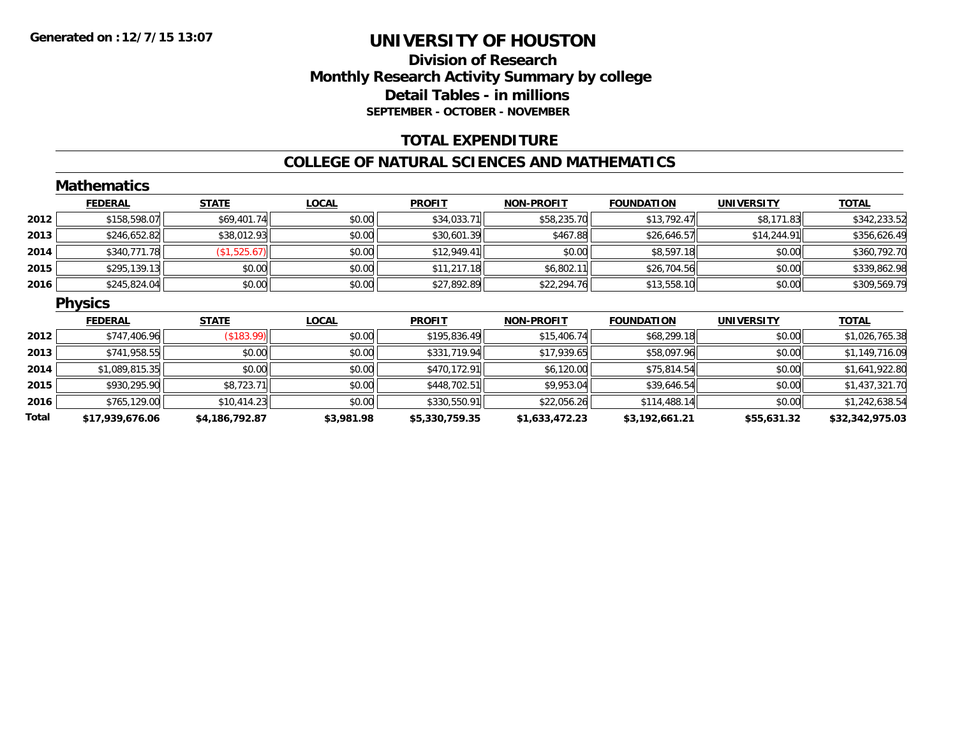### **Division of ResearchMonthly Research Activity Summary by college Detail Tables - in millions SEPTEMBER - OCTOBER - NOVEMBER**

#### **TOTAL EXPENDITURE**

#### **COLLEGE OF NATURAL SCIENCES AND MATHEMATICS**

|       | <b>Mathematics</b> |                |              |                |                   |                   |                   |                 |
|-------|--------------------|----------------|--------------|----------------|-------------------|-------------------|-------------------|-----------------|
|       | <b>FEDERAL</b>     | <b>STATE</b>   | <b>LOCAL</b> | <b>PROFIT</b>  | <b>NON-PROFIT</b> | <b>FOUNDATION</b> | <b>UNIVERSITY</b> | <b>TOTAL</b>    |
| 2012  | \$158,598.07       | \$69,401.74    | \$0.00       | \$34,033.71    | \$58,235.70       | \$13,792.47       | \$8,171.83        | \$342,233.52    |
| 2013  | \$246,652.82       | \$38,012.93    | \$0.00       | \$30,601.39    | \$467.88          | \$26,646.57       | \$14,244.91       | \$356,626.49    |
| 2014  | \$340,771.78       | (\$1,525.67)   | \$0.00       | \$12,949.41    | \$0.00            | \$8,597.18        | \$0.00            | \$360,792.70    |
| 2015  | \$295,139.13       | \$0.00         | \$0.00       | \$11,217.18    | \$6,802.11        | \$26,704.56       | \$0.00            | \$339,862.98    |
| 2016  | \$245,824.04       | \$0.00         | \$0.00       | \$27,892.89    | \$22,294.76       | \$13,558.10       | \$0.00            | \$309,569.79    |
|       | <b>Physics</b>     |                |              |                |                   |                   |                   |                 |
|       | <b>FEDERAL</b>     | <b>STATE</b>   | <b>LOCAL</b> | <b>PROFIT</b>  | <b>NON-PROFIT</b> | <b>FOUNDATION</b> | <b>UNIVERSITY</b> | <b>TOTAL</b>    |
| 2012  | \$747,406.96       | (\$183.99)     | \$0.00       | \$195,836.49   | \$15,406.74       | \$68,299.18       | \$0.00            | \$1,026,765.38  |
| 2013  | \$741,958.55       | \$0.00         | \$0.00       | \$331,719.94   | \$17,939.65       | \$58,097.96       | \$0.00            | \$1,149,716.09  |
| 2014  | \$1,089,815.35     | \$0.00         | \$0.00       | \$470,172.91   | \$6,120.00        | \$75,814.54       | \$0.00            | \$1,641,922.80  |
| 2015  | \$930,295.90       | \$8,723.71     | \$0.00       | \$448,702.51   | \$9,953.04        | \$39,646.54       | \$0.00            | \$1,437,321.70  |
| 2016  | \$765,129.00       | \$10,414.23    | \$0.00       | \$330,550.91   | \$22,056.26       | \$114,488.14      | \$0.00            | \$1,242,638.54  |
| Total | \$17,939,676.06    | \$4,186,792.87 | \$3,981.98   | \$5,330,759.35 | \$1,633,472.23    | \$3,192,661.21    | \$55,631.32       | \$32,342,975.03 |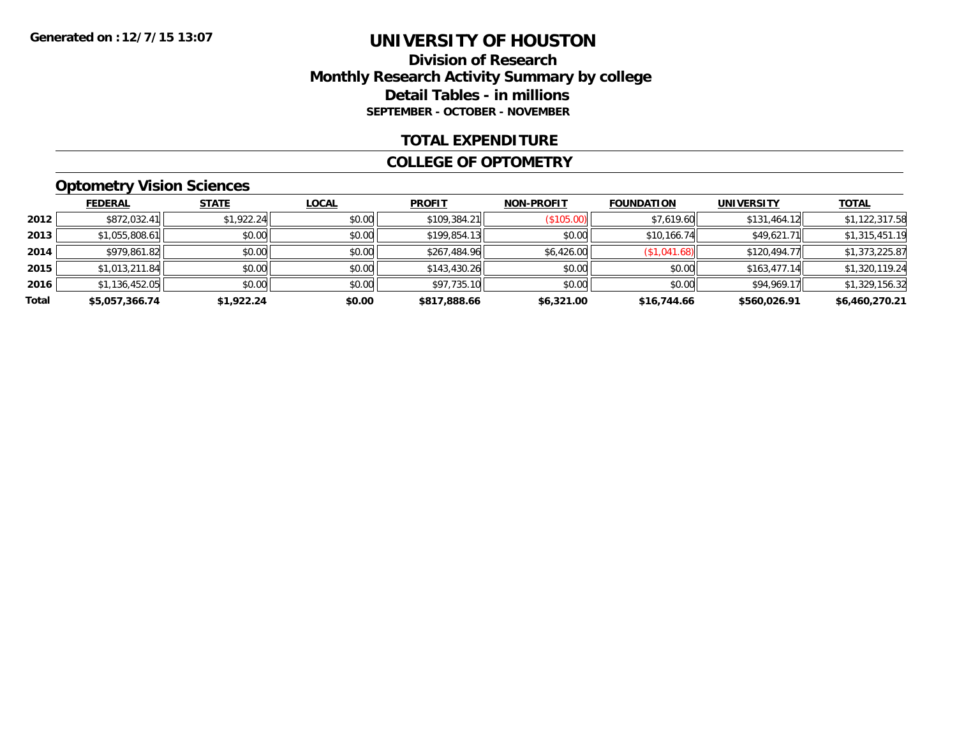### **Division of Research Monthly Research Activity Summary by college Detail Tables - in millions SEPTEMBER - OCTOBER - NOVEMBER**

#### **TOTAL EXPENDITURE**

#### **COLLEGE OF OPTOMETRY**

### **Optometry Vision Sciences**

|       | <b>FEDERAL</b> | <b>STATE</b> | <b>LOCAL</b> | <b>PROFIT</b> | <b>NON-PROFIT</b> | <b>FOUNDATION</b> | <b>UNIVERSITY</b> | <b>TOTAL</b>   |
|-------|----------------|--------------|--------------|---------------|-------------------|-------------------|-------------------|----------------|
| 2012  | \$872,032.41   | \$1,922.24   | \$0.00       | \$109,384.21  | (\$105.00)        | \$7,619.60        | \$131,464.12      | \$1,122,317.58 |
| 2013  | \$1,055,808.61 | \$0.00       | \$0.00       | \$199,854.13  | \$0.00            | \$10,166.74       | \$49,621.71       | \$1,315,451.19 |
| 2014  | \$979,861.82   | \$0.00       | \$0.00       | \$267,484.96  | \$6,426.00        | (\$1,041.68)      | \$120,494.77      | \$1,373,225.87 |
| 2015  | \$1,013,211.84 | \$0.00       | \$0.00       | \$143,430.26  | \$0.00            | \$0.00            | \$163,477.14      | \$1,320,119.24 |
| 2016  | \$1,136,452.05 | \$0.00       | \$0.00       | \$97,735.10   | \$0.00            | \$0.00            | \$94,969.17       | \$1,329,156.32 |
| Total | \$5,057,366.74 | \$1,922.24   | \$0.00       | \$817,888.66  | \$6,321.00        | \$16,744.66       | \$560,026.91      | \$6,460,270.21 |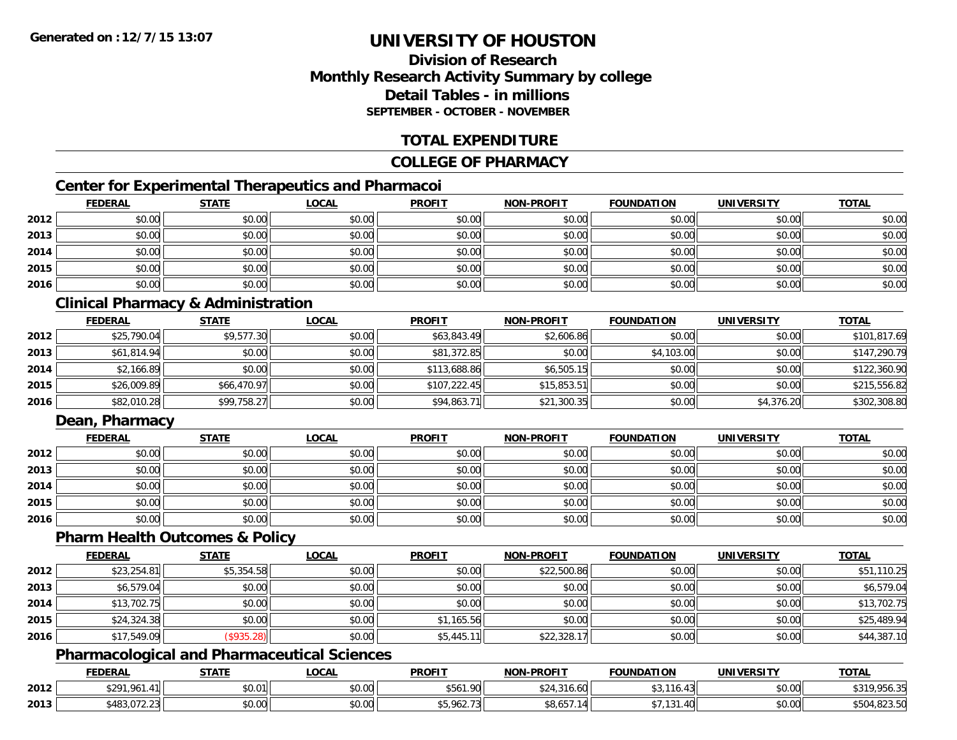### **Division of ResearchMonthly Research Activity Summary by college Detail Tables - in millionsSEPTEMBER - OCTOBER - NOVEMBER**

#### **TOTAL EXPENDITURE**

#### **COLLEGE OF PHARMACY**

### **Center for Experimental Therapeutics and Pharmacoi**

|      | <b>FEDERAL</b> | <b>STATE</b> | <b>LOCAL</b> | <b>PROFIT</b> | <b>NON-PROFIT</b> | <b>FOUNDATION</b> | <b>UNIVERSITY</b> | <b>TOTAL</b> |
|------|----------------|--------------|--------------|---------------|-------------------|-------------------|-------------------|--------------|
| 2012 | \$0.00         | \$0.00       | \$0.00       | \$0.00        | \$0.00            | \$0.00            | \$0.00            | \$0.00       |
| 2013 | \$0.00         | \$0.00       | \$0.00       | \$0.00        | \$0.00            | \$0.00            | \$0.00            | \$0.00       |
| 2014 | \$0.00         | \$0.00       | \$0.00       | \$0.00        | \$0.00            | \$0.00            | \$0.00            | \$0.00       |
| 2015 | \$0.00         | \$0.00       | \$0.00       | \$0.00        | \$0.00            | \$0.00            | \$0.00            | \$0.00       |
| 2016 | \$0.00         | \$0.00       | \$0.00       | \$0.00        | \$0.00            | \$0.00            | \$0.00            | \$0.00       |

### **Clinical Pharmacy & Administration**

|      | <b>FEDERAL</b> | <b>STATE</b> | <u>LOCAL</u> | <b>PROFIT</b> | <b>NON-PROFIT</b> | <b>FOUNDATION</b> | <b>UNIVERSITY</b> | <b>TOTAL</b> |
|------|----------------|--------------|--------------|---------------|-------------------|-------------------|-------------------|--------------|
| 2012 | \$25,790.04    | \$9,577.30   | \$0.00       | \$63,843.49   | \$2,606.86        | \$0.00            | \$0.00            | \$101,817.69 |
| 2013 | \$61,814.94    | \$0.00       | \$0.00       | \$81,372.85   | \$0.00            | \$4,103.00        | \$0.00            | \$147,290.79 |
| 2014 | \$2,166.89     | \$0.00       | \$0.00       | \$113,688.86  | \$6,505.15        | \$0.00            | \$0.00            | \$122,360.90 |
| 2015 | \$26,009.89    | \$66,470.97  | \$0.00       | \$107,222.45  | \$15,853.51       | \$0.00            | \$0.00            | \$215,556.82 |
| 2016 | \$82,010.28    | \$99,758.27  | \$0.00       | \$94,863.71   | \$21,300.35       | \$0.00            | \$4,376.20        | \$302,308.80 |

### **Dean, Pharmacy**

|      | <b>FEDERAL</b> | <b>STATE</b> | <u>LOCAL</u> | <b>PROFIT</b> | <b>NON-PROFIT</b> | <b>FOUNDATION</b> | <b>UNIVERSITY</b> | <b>TOTAL</b> |
|------|----------------|--------------|--------------|---------------|-------------------|-------------------|-------------------|--------------|
| 2012 | \$0.00         | \$0.00       | \$0.00       | \$0.00        | \$0.00            | \$0.00            | \$0.00            | \$0.00       |
| 2013 | \$0.00         | \$0.00       | \$0.00       | \$0.00        | \$0.00            | \$0.00            | \$0.00            | \$0.00       |
| 2014 | \$0.00         | \$0.00       | \$0.00       | \$0.00        | \$0.00            | \$0.00            | \$0.00            | \$0.00       |
| 2015 | \$0.00         | \$0.00       | \$0.00       | \$0.00        | \$0.00            | \$0.00            | \$0.00            | \$0.00       |
| 2016 | \$0.00         | \$0.00       | \$0.00       | \$0.00        | \$0.00            | \$0.00            | \$0.00            | \$0.00       |

#### **Pharm Health Outcomes & Policy**

|      | <b>FEDERAL</b> | <b>STATE</b> | <u>LOCAL</u> | <b>PROFIT</b> | <b>NON-PROFIT</b> | <b>FOUNDATION</b> | <b>UNIVERSITY</b> | <b>TOTAL</b> |
|------|----------------|--------------|--------------|---------------|-------------------|-------------------|-------------------|--------------|
| 2012 | \$23,254.81    | \$5,354.58   | \$0.00       | \$0.00        | \$22,500.86       | \$0.00            | \$0.00            | \$51,110.25  |
| 2013 | \$6,579.04     | \$0.00       | \$0.00       | \$0.00        | \$0.00            | \$0.00            | \$0.00            | \$6,579.04   |
| 2014 | \$13,702.75    | \$0.00       | \$0.00       | \$0.00        | \$0.00            | \$0.00            | \$0.00            | \$13,702.75  |
| 2015 | \$24,324.38    | \$0.00       | \$0.00       | \$1.165.56    | \$0.00            | \$0.00            | \$0.00            | \$25,489.94  |
| 2016 | \$17,549.09    | (\$935.28)   | \$0.00       | \$5,445.11    | \$22,328.17       | \$0.00            | \$0.00            | \$44,387.10  |

### **Pharmacological and Pharmaceutical Sciences**

|      | <b>FEDERAL</b>                             | <b>STATE</b>          | <b>LOCAL</b>              | <b>PROFIT</b>              | <b>NON-PROFIT</b>       | <b>FOUNDATION</b>      | <b>UNIVERSITY</b>    | <b>TOTAL</b>                                 |
|------|--------------------------------------------|-----------------------|---------------------------|----------------------------|-------------------------|------------------------|----------------------|----------------------------------------------|
| 2012 | <b>\$201 061</b>                           | 00001<br><b>JU.UI</b> | $\sim$<br>$\sim$<br>vv.vv | <b>CE41 ON</b><br>⊸00 I.YU | 10.OU                   | $\mathbf{A}$<br>$\sim$ | \$0.00               | .071<br>$+210.$<br>,,,JU.JJ                  |
| 2013 | 0.02072<br>$\sim$<br>0403.U <i>I 2</i> .Z3 | \$0.00                | $\sim$ 00<br>JU.UU        | \$5,962.73                 | 0.0257<br>، ΔΙ<br>CO.OG | 10 <sub>1</sub><br>. . | 0.00<br><b>DU.UU</b> | \$504,823.50<br>$\sim$ 0.4.000 $\sim$ $\sim$ |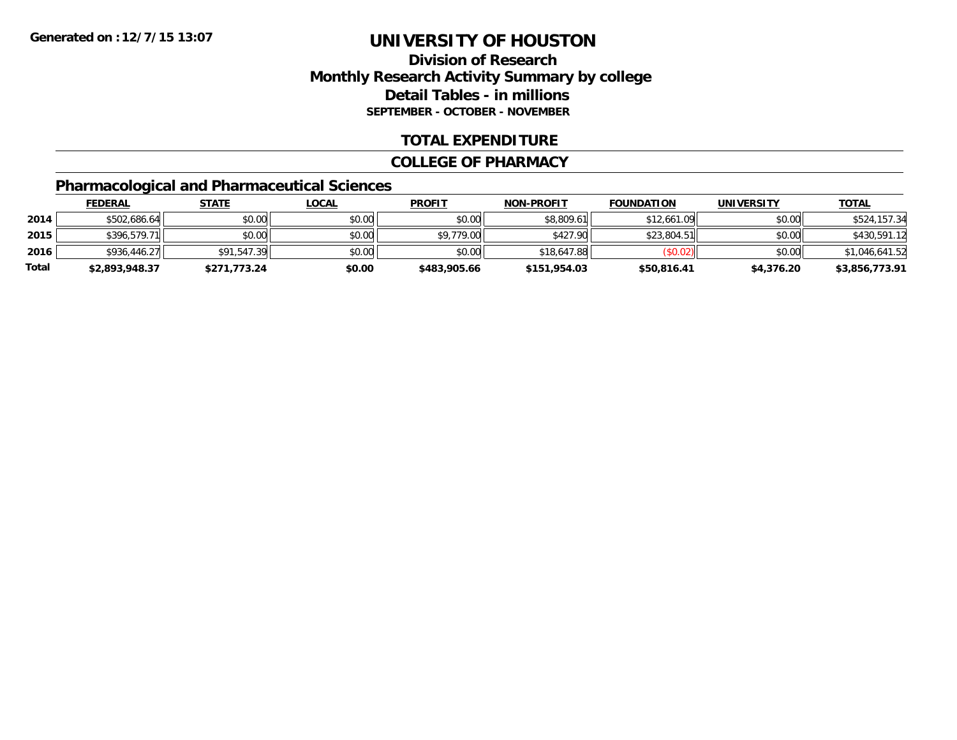### **Division of Research Monthly Research Activity Summary by college Detail Tables - in millions SEPTEMBER - OCTOBER - NOVEMBER**

#### **TOTAL EXPENDITURE**

#### **COLLEGE OF PHARMACY**

### **Pharmacological and Pharmaceutical Sciences**

|       | <u>FEDERAL</u> | <u>STATE</u> | <u>LOCAL</u> | <b>PROFIT</b> | <b>NON-PROFIT</b> | <b>FOUNDATION</b> | UNIVERSITY | <b>TOTAL</b>   |
|-------|----------------|--------------|--------------|---------------|-------------------|-------------------|------------|----------------|
| 2014  | \$502,686.64   | \$0.00       | \$0.00       | \$0.00        | \$8,809.61        | \$12,661.09       | \$0.00     | \$524,157.34   |
| 2015  | \$396,579.71   | \$0.00       | \$0.00       | \$9,779.00    | \$427.90          | \$23,804.51       | \$0.00     | \$430,591.12   |
| 2016  | \$936,446.27   | \$91,547.39  | \$0.00       | \$0.00        | \$18,647.88       | (S0.02)           | \$0.00     | \$1,046,641.52 |
| Total | \$2,893,948.37 | \$271,773.24 | \$0.00       | \$483,905.66  | \$151,954.03      | \$50,816.41       | \$4,376.20 | \$3,856,773.91 |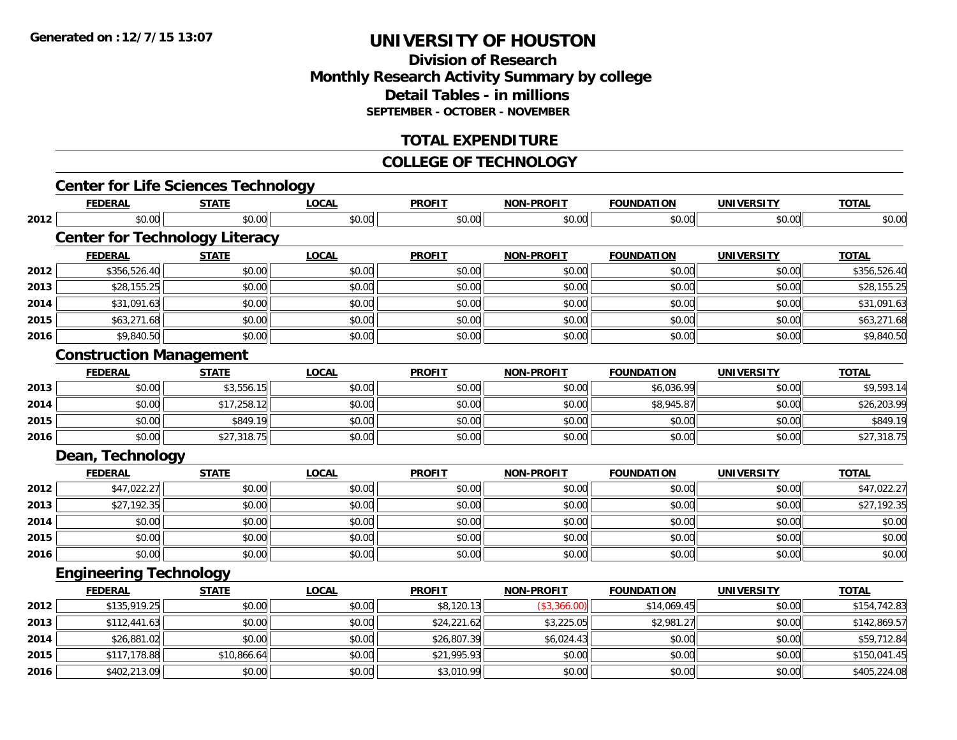## **Division of ResearchMonthly Research Activity Summary by college Detail Tables - in millions SEPTEMBER - OCTOBER - NOVEMBER**

## **TOTAL EXPENDITURE**

#### **COLLEGE OF TECHNOLOGY**

|      | <b>Center for Life Sciences Technology</b> |              |              |               |                   |                   |                   |              |
|------|--------------------------------------------|--------------|--------------|---------------|-------------------|-------------------|-------------------|--------------|
|      | <b>FEDERAL</b>                             | <b>STATE</b> | <b>LOCAL</b> | <b>PROFIT</b> | <b>NON-PROFIT</b> | <b>FOUNDATION</b> | <b>UNIVERSITY</b> | <b>TOTAL</b> |
| 2012 | \$0.00                                     | \$0.00       | \$0.00       | \$0.00        | \$0.00            | \$0.00            | \$0.00            | \$0.00       |
|      | <b>Center for Technology Literacy</b>      |              |              |               |                   |                   |                   |              |
|      | <b>FEDERAL</b>                             | <b>STATE</b> | <b>LOCAL</b> | <b>PROFIT</b> | <b>NON-PROFIT</b> | <b>FOUNDATION</b> | <b>UNIVERSITY</b> | <b>TOTAL</b> |
| 2012 | \$356,526.40                               | \$0.00       | \$0.00       | \$0.00        | \$0.00            | \$0.00            | \$0.00            | \$356,526.40 |
| 2013 | \$28,155.25                                | \$0.00       | \$0.00       | \$0.00        | \$0.00            | \$0.00            | \$0.00            | \$28,155.25  |
| 2014 | \$31,091.63                                | \$0.00       | \$0.00       | \$0.00        | \$0.00            | \$0.00            | \$0.00            | \$31,091.63  |
| 2015 | \$63,271.68                                | \$0.00       | \$0.00       | \$0.00        | \$0.00            | \$0.00            | \$0.00            | \$63,271.68  |
| 2016 | \$9,840.50                                 | \$0.00       | \$0.00       | \$0.00        | \$0.00            | \$0.00            | \$0.00            | \$9,840.50   |
|      | <b>Construction Management</b>             |              |              |               |                   |                   |                   |              |
|      | <b>FEDERAL</b>                             | <b>STATE</b> | <b>LOCAL</b> | <b>PROFIT</b> | <b>NON-PROFIT</b> | <b>FOUNDATION</b> | <b>UNIVERSITY</b> | <b>TOTAL</b> |
| 2013 | \$0.00                                     | \$3,556.15   | \$0.00       | \$0.00        | \$0.00            | \$6,036.99        | \$0.00            | \$9,593.14   |
| 2014 | \$0.00                                     | \$17,258.12  | \$0.00       | \$0.00        | \$0.00            | \$8,945.87        | \$0.00            | \$26,203.99  |
| 2015 | \$0.00                                     | \$849.19     | \$0.00       | \$0.00        | \$0.00            | \$0.00            | \$0.00            | \$849.19     |
| 2016 | \$0.00                                     | \$27,318.75  | \$0.00       | \$0.00        | \$0.00            | \$0.00            | \$0.00            | \$27,318.75  |
|      | Dean, Technology                           |              |              |               |                   |                   |                   |              |
|      | <b>FEDERAL</b>                             | <b>STATE</b> | <b>LOCAL</b> | <b>PROFIT</b> | <b>NON-PROFIT</b> | <b>FOUNDATION</b> | <b>UNIVERSITY</b> | <b>TOTAL</b> |
| 2012 | \$47,022.27                                | \$0.00       | \$0.00       | \$0.00        | \$0.00            | \$0.00            | \$0.00            | \$47,022.27  |
| 2013 | \$27,192.35                                | \$0.00       | \$0.00       | \$0.00        | \$0.00            | \$0.00            | \$0.00            | \$27,192.35  |
| 2014 | \$0.00                                     | \$0.00       | \$0.00       | \$0.00        | \$0.00            | \$0.00            | \$0.00            | \$0.00       |
| 2015 | \$0.00                                     | \$0.00       | \$0.00       | \$0.00        | \$0.00            | \$0.00            | \$0.00            | \$0.00       |
| 2016 | \$0.00                                     | \$0.00       | \$0.00       | \$0.00        | \$0.00            | \$0.00            | \$0.00            | \$0.00       |
|      | <b>Engineering Technology</b>              |              |              |               |                   |                   |                   |              |
|      | <b>FEDERAL</b>                             | <b>STATE</b> | <b>LOCAL</b> | <b>PROFIT</b> | <b>NON-PROFIT</b> | <b>FOUNDATION</b> | <b>UNIVERSITY</b> | <b>TOTAL</b> |
| 2012 | \$135,919.25                               | \$0.00       | \$0.00       | \$8,120.13    | (\$3,366.00)      | \$14,069.45       | \$0.00            | \$154,742.83 |
| 2013 | \$112,441.63                               | \$0.00       | \$0.00       | \$24,221.62   | \$3,225.05        | \$2,981.27        | \$0.00            | \$142,869.57 |
| 2014 | \$26,881.02                                | \$0.00       | \$0.00       | \$26,807.39   | \$6,024.43        | \$0.00            | \$0.00            | \$59,712.84  |
| 2015 | \$117,178.88                               | \$10,866.64  | \$0.00       | \$21,995.93   | \$0.00            | \$0.00            | \$0.00            | \$150,041.45 |
| 2016 | \$402,213.09                               | \$0.00       | \$0.00       | \$3,010.99    | \$0.00            | \$0.00            | \$0.00            | \$405,224.08 |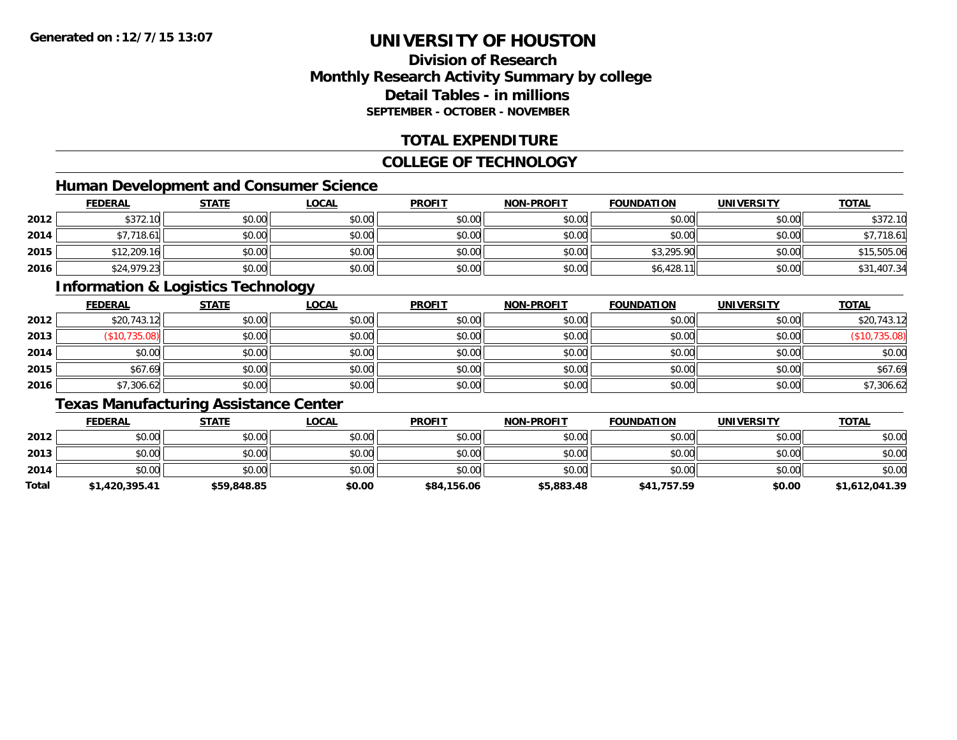## **Division of ResearchMonthly Research Activity Summary by college Detail Tables - in millionsSEPTEMBER - OCTOBER - NOVEMBER**

## **TOTAL EXPENDITURE**

#### **COLLEGE OF TECHNOLOGY**

## **Human Development and Consumer Science**

|      | <b>FEDERAL</b> | <b>STATE</b> | <b>LOCAL</b> | <b>PROFIT</b> | <b>NON-PROFIT</b> | <b>FOUNDATION</b> | <b>UNIVERSITY</b> | <b>TOTAL</b> |
|------|----------------|--------------|--------------|---------------|-------------------|-------------------|-------------------|--------------|
| 2012 | \$372.10       | \$0.00       | \$0.00       | \$0.00        | \$0.00            | \$0.00            | \$0.00            | \$372.10     |
| 2014 | √7,718.61، 7   | \$0.00       | \$0.00       | \$0.00        | \$0.00            | \$0.00            | \$0.00            | \$7,718.61   |
| 2015 | \$12,209.16    | \$0.00       | \$0.00       | \$0.00        | \$0.00            | \$3,295.90        | \$0.00            | \$15,505.06  |
| 2016 | \$24,979.23    | \$0.00       | \$0.00       | \$0.00        | \$0.00            | \$6,428.11        | \$0.00            | \$31,407.34  |

### **Information & Logistics Technology**

|      | <b>FEDERAL</b> | <b>STATE</b> | <u>LOCAL</u> | <b>PROFIT</b> | <b>NON-PROFIT</b> | <b>FOUNDATION</b> | <b>UNIVERSITY</b> | <b>TOTAL</b>       |
|------|----------------|--------------|--------------|---------------|-------------------|-------------------|-------------------|--------------------|
| 2012 | \$20,743.12    | \$0.00       | \$0.00       | \$0.00        | \$0.00            | \$0.00            | \$0.00            | \$20,743.12        |
| 2013 | (S10, 735.08)  | \$0.00       | \$0.00       | \$0.00        | \$0.00            | \$0.00            | \$0.00            | 735.08)<br>′\$10,7 |
| 2014 | \$0.00         | \$0.00       | \$0.00       | \$0.00        | \$0.00            | \$0.00            | \$0.00            | \$0.00             |
| 2015 | \$67.69        | \$0.00       | \$0.00       | \$0.00        | \$0.00            | \$0.00            | \$0.00            | \$67.69            |
| 2016 | \$7,306.62     | \$0.00       | \$0.00       | \$0.00        | \$0.00            | \$0.00            | \$0.00            | \$7,306.62         |

## **Texas Manufacturing Assistance Center**

|       | <b>FEDERAL</b> | STATE       | <b>LOCAL</b> | <b>PROFIT</b> | <b>NON-PROFIT</b> | <b>FOUNDATION</b> | <b>UNIVERSITY</b> | <b>TOTAL</b>   |
|-------|----------------|-------------|--------------|---------------|-------------------|-------------------|-------------------|----------------|
| 2012  | \$0.00         | \$0.00      | \$0.00       | \$0.00        | \$0.00            | \$0.00            | \$0.00            | \$0.00         |
| 2013  | \$0.00         | \$0.00      | \$0.00       | \$0.00        | \$0.00            | \$0.00            | \$0.00            | \$0.00         |
| 2014  | \$0.00         | \$0.00      | \$0.00       | \$0.00        | \$0.00            | \$0.00            | \$0.00            | \$0.00         |
| Total | \$1,420,395.41 | \$59,848.85 | \$0.00       | \$84,156.06   | \$5,883.48        | \$41,757.59       | \$0.00            | \$1,612,041.39 |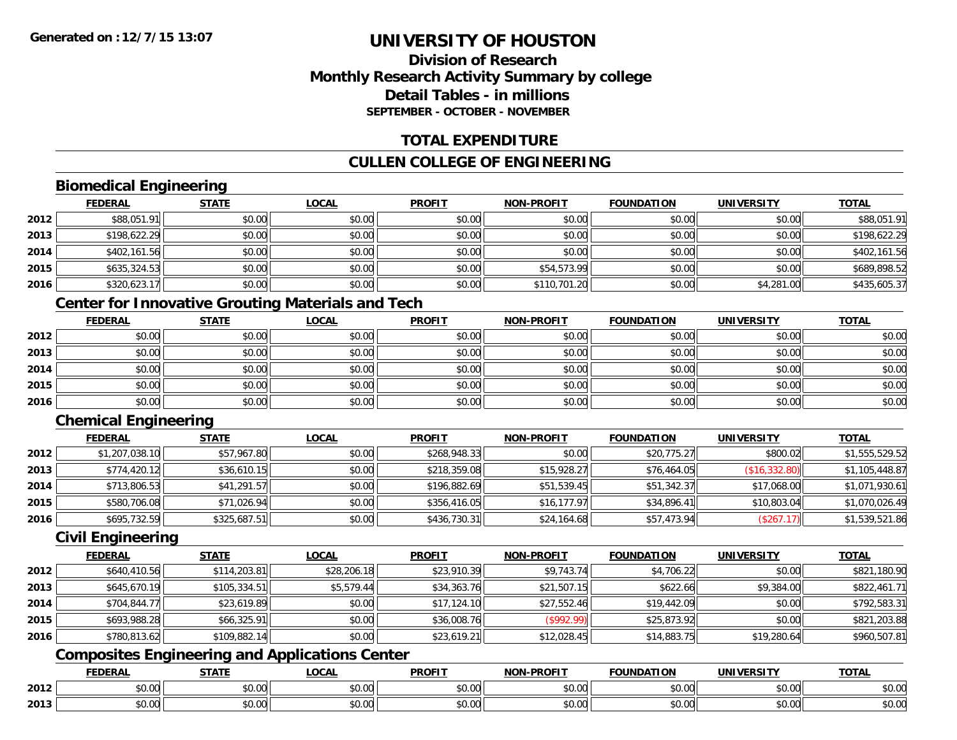## **Division of ResearchMonthly Research Activity Summary by college Detail Tables - in millionsSEPTEMBER - OCTOBER - NOVEMBER**

### **TOTAL EXPENDITURE**

## **CULLEN COLLEGE OF ENGINEERING**

## **Biomedical Engineering**

|      | <b>FEDERAL</b> | <b>STATE</b> | <b>LOCAL</b> | <b>PROFIT</b> | <b>NON-PROFIT</b> | <b>FOUNDATION</b> | <b>UNIVERSITY</b> | <b>TOTAL</b> |
|------|----------------|--------------|--------------|---------------|-------------------|-------------------|-------------------|--------------|
| 2012 | \$88,051.91    | \$0.00       | \$0.00       | \$0.00        | \$0.00            | \$0.00            | \$0.00            | \$88,051.91  |
| 2013 | \$198,622.29   | \$0.00       | \$0.00       | \$0.00        | \$0.00            | \$0.00            | \$0.00            | \$198,622.29 |
| 2014 | \$402,161.56   | \$0.00       | \$0.00       | \$0.00        | \$0.00            | \$0.00            | \$0.00            | \$402,161.56 |
| 2015 | \$635,324.53   | \$0.00       | \$0.00       | \$0.00        | \$54,573.99       | \$0.00            | \$0.00            | \$689,898.52 |
| 2016 | \$320,623.17   | \$0.00       | \$0.00       | \$0.00        | \$110,701.20      | \$0.00            | \$4,281.00        | \$435,605.37 |

## **Center for Innovative Grouting Materials and Tech**

|      | <b>FEDERAL</b> | <b>STATE</b> | <u>LOCAL</u> | <b>PROFIT</b> | <b>NON-PROFIT</b> | <b>FOUNDATION</b> | <b>UNIVERSITY</b> | <b>TOTAL</b> |
|------|----------------|--------------|--------------|---------------|-------------------|-------------------|-------------------|--------------|
| 2012 | \$0.00         | \$0.00       | \$0.00       | \$0.00        | \$0.00            | \$0.00            | \$0.00            | \$0.00       |
| 2013 | \$0.00         | \$0.00       | \$0.00       | \$0.00        | \$0.00            | \$0.00            | \$0.00            | \$0.00       |
| 2014 | \$0.00         | \$0.00       | \$0.00       | \$0.00        | \$0.00            | \$0.00            | \$0.00            | \$0.00       |
| 2015 | \$0.00         | \$0.00       | \$0.00       | \$0.00        | \$0.00            | \$0.00            | \$0.00            | \$0.00       |
| 2016 | \$0.00         | \$0.00       | \$0.00       | \$0.00        | \$0.00            | \$0.00            | \$0.00            | \$0.00       |

## **Chemical Engineering**

|      | <b>FEDERAL</b> | <b>STATE</b> | <b>LOCAL</b> | <b>PROFIT</b> | <b>NON-PROFIT</b> | <b>FOUNDATION</b> | <b>UNIVERSITY</b> | <b>TOTAL</b>   |
|------|----------------|--------------|--------------|---------------|-------------------|-------------------|-------------------|----------------|
| 2012 | \$1,207,038.10 | \$57,967.80  | \$0.00       | \$268,948.33  | \$0.00            | \$20,775.27       | \$800.02          | \$1,555,529.52 |
| 2013 | \$774,420.12   | \$36,610.15  | \$0.00       | \$218,359.08  | \$15,928.27       | \$76,464.05       | (S16, 332.80)     | \$1,105,448.87 |
| 2014 | \$713,806.53   | \$41,291.57  | \$0.00       | \$196,882.69  | \$51,539.45       | \$51,342.37       | \$17,068.00       | \$1,071,930.61 |
| 2015 | \$580,706.08   | \$71,026.94  | \$0.00       | \$356,416.05  | \$16, 177.97      | \$34,896.41       | \$10,803.04       | \$1,070,026.49 |
| 2016 | \$695,732.59   | \$325,687.51 | \$0.00       | \$436,730.31  | \$24,164.68       | \$57,473.94       | (\$267.17)        | \$1,539,521.86 |

### **Civil Engineering**

|      | <b>FEDERAL</b> | <b>STATE</b> | <u>LOCAL</u> | <b>PROFIT</b> | <b>NON-PROFIT</b> | <b>FOUNDATION</b> | <b>UNIVERSITY</b> | <b>TOTAL</b> |
|------|----------------|--------------|--------------|---------------|-------------------|-------------------|-------------------|--------------|
| 2012 | \$640,410.56   | \$114,203.81 | \$28,206.18  | \$23,910.39   | \$9,743.74        | \$4,706.22        | \$0.00            | \$821,180.90 |
| 2013 | \$645,670.19   | \$105,334.51 | \$5,579.44   | \$34,363.76   | \$21,507.15       | \$622.66          | \$9,384.00        | \$822,461.71 |
| 2014 | \$704,844.77   | \$23,619.89  | \$0.00       | \$17,124.10   | \$27,552.46       | \$19,442.09       | \$0.00            | \$792,583.31 |
| 2015 | \$693,988.28   | \$66.325.91  | \$0.00       | \$36,008.76   | $($ \$992.99)     | \$25,873.92       | \$0.00            | \$821,203.88 |
| 2016 | \$780,813.62   | \$109,882.14 | \$0.00       | \$23,619.21   | \$12,028.45       | \$14,883.75       | \$19,280.64       | \$960,507.81 |

## **Composites Engineering and Applications Center**

|      | ומם ח<br>ERA   | <b>CTATI</b>       | <b>_OCAI</b>       | <b>PROFIT</b>      | <b>DDAEIT</b><br><b>NON</b><br>зĸ.            | <b>INDA</b><br>.                           | i INIT<br>w     | <b>TOTAL</b> |
|------|----------------|--------------------|--------------------|--------------------|-----------------------------------------------|--------------------------------------------|-----------------|--------------|
| 2012 | 0.00           | $\sim$<br>טט.טע    | $\sim$ 00<br>pu.uu | $\sim$ 00<br>pu.uu | $\mathfrak{g}$ $\mathfrak{g}$<br><b>DU.UU</b> | $\mathsf{A} \cap \mathsf{A} \cap$<br>JU.UU | ADAO<br>vu.vu   | JU.UU        |
| 2013 | $\sim$<br>0.00 | $\triangle$<br>ט.ט | ሶስ ሰሰ<br>PU.UU     | $\sim$ 00<br>JU.UU | \$0.00                                        | $\cdots$<br>JU.UU                          | امہ مہ<br>vv.vv | JU.UL        |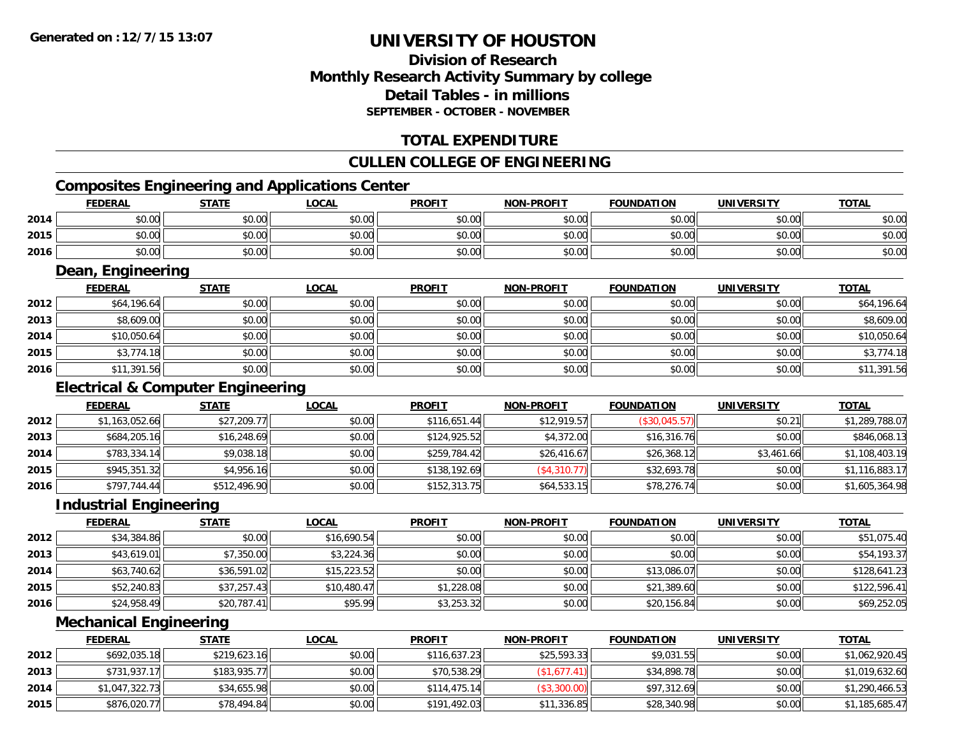## **Division of ResearchMonthly Research Activity Summary by college Detail Tables - in millionsSEPTEMBER - OCTOBER - NOVEMBER**

## **TOTAL EXPENDITURE**

## **CULLEN COLLEGE OF ENGINEERING**

## **Composites Engineering and Applications Center**

|      | <b>FEDERAL</b>    | <b>STATE</b> | <b>LOCAL</b> | <b>PROFIT</b> | <b>NON-PROFIT</b> | <b>FOUNDATION</b> | <b>UNIVERSITY</b> | <b>TOTAL</b> |
|------|-------------------|--------------|--------------|---------------|-------------------|-------------------|-------------------|--------------|
| 2014 | \$0.00            | \$0.00       | \$0.00       | \$0.00        | \$0.00            | \$0.00            | \$0.00            | \$0.00       |
| 2015 | \$0.00            | \$0.00       | \$0.00       | \$0.00        | \$0.00            | \$0.00            | \$0.00            | \$0.00       |
| 2016 | \$0.00            | \$0.00       | \$0.00       | \$0.00        | \$0.00            | \$0.00            | \$0.00            | \$0.00       |
|      | Dean, Engineering |              |              |               |                   |                   |                   |              |
|      | <b>FEDERAL</b>    | <b>STATE</b> | <b>LOCAL</b> | <b>PROFIT</b> | <b>NON-PROFIT</b> | <b>FOUNDATION</b> | <b>UNIVERSITY</b> | <b>TOTAL</b> |
| 2012 | \$64,196.64       | \$0.00       | \$0.00       | \$0.00        | \$0.00            | \$0.00            | \$0.00            | \$64,196.64  |
| 2013 | \$8,609.00        | \$0.00       | \$0.00       | \$0.00        | \$0.00            | \$0.00            | \$0.00            | \$8,609.00   |
| 2014 | \$10,050.64       | \$0.00       | \$0.00       | \$0.00        | \$0.00            | \$0.00            | \$0.00            | \$10,050.64  |

\$3,774.18 \$0.00 \$0.00 \$0.00 \$0.00 \$0.00 \$0.00 \$3,774.18

\$11,391.56 \$0.00 \$0.00 \$0.00 \$0.00 \$0.00 \$0.00 \$11,391.56

## **Electrical & Computer Engineering**

|      | <b>FEDERAL</b> | <b>STATE</b> | <b>LOCAL</b> | <b>PROFIT</b> | <b>NON-PROFIT</b> | <b>FOUNDATION</b> | <b>UNIVERSITY</b> | <b>TOTAL</b>   |
|------|----------------|--------------|--------------|---------------|-------------------|-------------------|-------------------|----------------|
| 2012 | \$1,163,052.66 | \$27,209.77  | \$0.00       | \$116,651.44  | \$12,919.57       | (\$30,045.57)     | \$0.21            | \$1,289,788.07 |
| 2013 | \$684,205.16   | \$16,248.69  | \$0.00       | \$124,925.52  | \$4,372.00        | \$16,316.76       | \$0.00            | \$846,068.13   |
| 2014 | \$783,334.14   | \$9,038.18   | \$0.00       | \$259,784.42  | \$26.416.67       | \$26,368.12       | \$3,461.66        | \$1,108,403.19 |
| 2015 | \$945,351.32   | \$4,956.16   | \$0.00       | \$138,192.69  | (\$4,310.77)      | \$32,693.78       | \$0.00            | \$1,116,883.17 |
| 2016 | \$797,744.44   | \$512,496.90 | \$0.00       | \$152,313.75  | \$64,533.15       | \$78,276.74       | \$0.00            | \$1,605,364.98 |

## **Industrial Engineering**

**2015**

**2016**

|      | <b>FEDERAL</b> | <u>STATE</u> | <u>LOCAL</u> | <b>PROFIT</b> | <b>NON-PROFIT</b> | <b>FOUNDATION</b> | <b>UNIVERSITY</b> | <b>TOTAL</b> |
|------|----------------|--------------|--------------|---------------|-------------------|-------------------|-------------------|--------------|
| 2012 | \$34,384.86    | \$0.00       | \$16,690.54  | \$0.00        | \$0.00            | \$0.00            | \$0.00            | \$51,075.40  |
| 2013 | \$43,619.01    | \$7,350.00   | \$3,224.36   | \$0.00        | \$0.00            | \$0.00            | \$0.00            | \$54,193.37  |
| 2014 | \$63,740.62    | \$36,591.02  | \$15,223.52  | \$0.00        | \$0.00            | \$13,086.07       | \$0.00            | \$128,641.23 |
| 2015 | \$52,240.83    | \$37,257.43  | \$10,480.47  | \$1,228.08    | \$0.00            | \$21,389.60       | \$0.00            | \$122,596.41 |
| 2016 | \$24,958.49    | \$20,787.41  | \$95.99      | \$3,253.32    | \$0.00            | \$20,156.84       | \$0.00            | \$69,252.05  |

## **Mechanical Engineering**

|      | <b>FEDERAL</b> | <u>STATE</u> | <u>LOCAL</u> | <b>PROFIT</b> | <b>NON-PROFIT</b>   | <b>FOUNDATION</b> | <b>UNIVERSITY</b> | <b>TOTAL</b>   |
|------|----------------|--------------|--------------|---------------|---------------------|-------------------|-------------------|----------------|
| 2012 | \$692,035.18   | \$219,623.16 | \$0.00       | \$116.637.23  | \$25,593.33         | \$9,031.55        | \$0.00            | \$1,062,920.45 |
| 2013 | \$731,937.17   | \$183,935.77 | \$0.00       | \$70,538.29   | $($ \$1,677.41) $ $ | \$34,898.78       | \$0.00            | \$1,019,632.60 |
| 2014 | \$1,047,322.73 | \$34,655.98  | \$0.00       | \$114.475.14  | (\$3,300.00)        | \$97,312.69       | \$0.00            | \$1,290,466.53 |
| 2015 | \$876,020.77   | \$78,494.84  | \$0.00       | \$191,492.03  | \$11,336.85         | \$28,340.98       | \$0.00            | \$1,185,685.47 |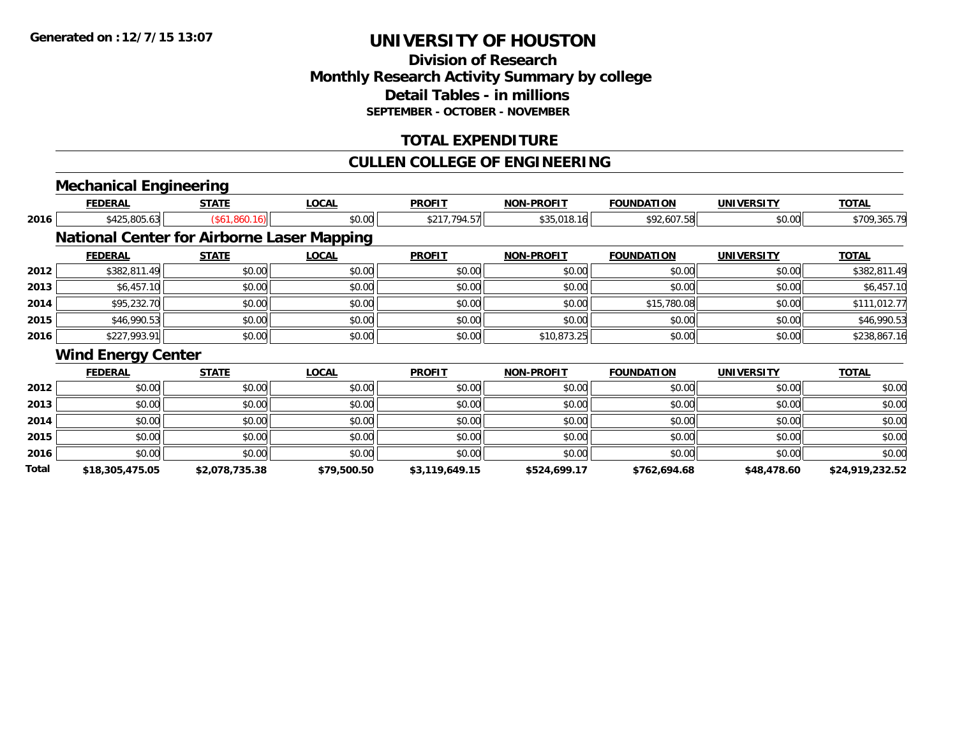**Total**

# **UNIVERSITY OF HOUSTON**

## **Division of ResearchMonthly Research Activity Summary by college Detail Tables - in millionsSEPTEMBER - OCTOBER - NOVEMBER**

## **TOTAL EXPENDITURE**

#### **CULLEN COLLEGE OF ENGINEERING**

**\$18,305,475.05 \$2,078,735.38 \$79,500.50 \$3,119,649.15 \$524,699.17 \$762,694.68 \$48,478.60 \$24,919,232.52**

#### **Mechanical Engineering FEDERAL STATE LOCAL PROFIT NON-PROFIT FOUNDATION UNIVERSITY TOTALTOTAL 2016** \$425,805.63 (\$61,860.16) \$0.00 \$217,794.57 \$35,018.16 \$92,607.58 \$0.00 \$709,365.79 **National Center for Airborne Laser Mapping FEDERAL STATE LOCAL PROFIT NON-PROFIT FOUNDATION UNIVERSITY TOTALTOTAL 2012**2 | \$382,811.49|| \$0.00|| \$0.00|| \$0.00|| \$0.00|| \$0.00|| \$0.00|| \$0.00|| \$382,811.49 **2013** $\textbf{3} \quad \textbf{\textcolor{blue}{\textbf{50.00}}} \quad \textbf{\textcolor{blue}{\textbf{50.00}}} \quad \textbf{\textcolor{blue}{\textbf{50.00}}} \quad \textbf{\textcolor{blue}{\textbf{50.00}}} \quad \textbf{\textcolor{blue}{\textbf{50.00}}} \quad \textbf{\textcolor{blue}{\textbf{50.00}}} \quad \textbf{\textcolor{blue}{\textbf{50.00}}} \quad \textbf{\textcolor{blue}{\textbf{50.00}}} \quad \textbf{\textcolor{blue}{\textbf{50.00}}} \quad \textbf{\textcolor{blue}{\textbf{50.00}}} \quad \text$ **2014**4 \$95,232.70 \$0.00 \$0.00 \$0.00 \$0.00 \$0.00 \$0.00 \$0.00 \$0.00 \$15,780.08 \$15,780.08 \$0.00 \$111,012.77 **2015** \$46,990.53 \$0.00 \$0.00 \$0.00 \$0.00 \$0.00 \$0.00 \$46,990.53 **2016** \$227,993.91 \$0.00 \$0.00 \$0.00 \$10,873.25 \$0.00 \$0.00 \$238,867.16 **Wind Energy Center FEDERAL STATE LOCAL PROFIT NON-PROFIT FOUNDATION UNIVERSITY TOTALTOTAL 2012**2 | \$0.00 \$0.00 \$0.00 \$0.00 \$0.00 \$0.00 \$0.00 \$0.00 \$0.00 \$0.00 \$0.00 \$0.00 \$0.00 \$0.00 \$0.00 \$0.00 \$0.00 **2013** \$0.00 \$0.00 \$0.00 \$0.00 \$0.00 \$0.00 \$0.00 \$0.00 **2014**4 \$0.00 \$0.00 \$0.00 \$0.00 \$0.00 \$0.00 \$0.00 \$0.00 \$0.00 \$0.00 \$0.00 \$0.00 \$0.00 \$0.00 \$0.00 \$0.00 \$0.00 **2015** \$0.00 \$0.00 \$0.00 \$0.00 \$0.00 \$0.00 \$0.00 \$0.00 **2016**\$0.00 \$0.00 \$0.00 \$0.00 \$0.00 \$0.00 \$0.00 \$0.00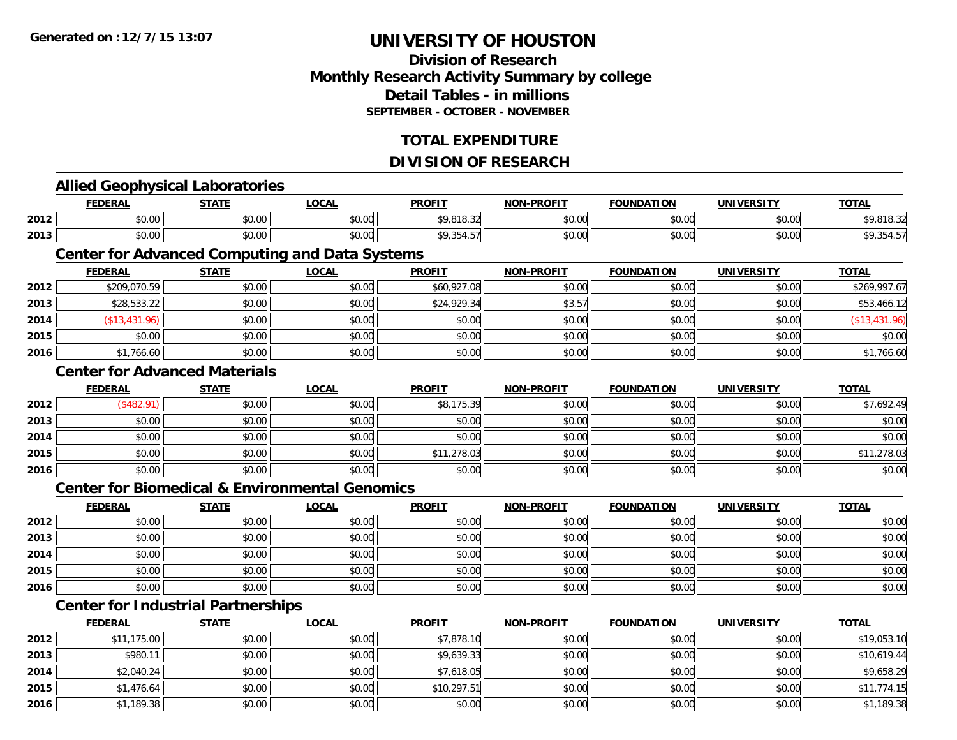## **Division of ResearchMonthly Research Activity Summary by college Detail Tables - in millionsSEPTEMBER - OCTOBER - NOVEMBER**

## **TOTAL EXPENDITURE**

**TOTAL** 

**TOTAL** 

**TOTAL** 

#### **DIVISION OF RESEARCHAllied Geophysical Laboratories FEDERAL STATE LOCAL PROFIT NON-PROFIT FOUNDATION UNIVERSITY TOTAL2012**2 \$0.00 \$0.00 \$0.00 \$0.00 \$0.00 \$0.00 \$0.00 \$9,818.32 \$9,818.32 \$0.00 \$9,818.32 \$0.00 \$9,818.32 **2013** $\textbf{3} \hspace{14mm} \text{$0.00]} \hspace{14mm} \text{$0.00]} \hspace{14mm} \text{$0.00]} \hspace{14mm} \text{$0.00]} \hspace{14mm} \text{$0.00]} \hspace{14mm} \text{$0.00]} \hspace{14mm} \text{$0.00]} \hspace{14mm} \text{$0.00]} \hspace{14mm} \text{$0.00]} \hspace{14mm} \text{$0.00]} \hspace{14mm} \text{$0.00]} \hspace{14mm} \text{$0.00]} \hspace{14mm} \text$ **Center for Advanced Computing and Data Systems FEDERAL STATE LOCAL PROFIT NON-PROFIT FOUNDATION UNIVERSITY TOTAL2012** \$209,070.59 \$0.00 \$0.00 \$60,927.08 \$0.00 \$0.00 \$0.00 \$269,997.67 **2013** $\textbf{3} \quad \textbf{\textcolor{blue}{83.57}} \quad \textbf{\textcolor{blue}{89.53.22}} \quad \textbf{\textcolor{blue}{89.5466.12}} \quad \textbf{\textcolor{blue}{89.576}} \quad \textbf{\textcolor{blue}{89.57}} \quad \textbf{\textcolor{blue}{89.576}} \quad \textbf{\textcolor{blue}{89.576}} \quad \textbf{\textcolor{blue}{89.576}} \quad \textbf{\textcolor{blue}{89.576}} \quad \textbf{\textcolor{blue}{89.576}} \quad \textbf{\textcolor{blue}{89.576}} \quad \textbf{\textcolor{blue}{8$ **2014** (\$13,431.96) \$0.00 \$0.00 \$0.00 \$0.00 \$0.00 \$0.00 (\$13,431.96) **2015** \$0.00 \$0.00 \$0.00 \$0.00 \$0.00 \$0.00 \$0.00 \$0.00 **2016**6 \$1,766.60 \$0.00 \$0.00 \$0.00 \$0.00 \$0.00 \$0.00 \$0.00 \$0.00 \$0.00 \$0.00 \$1,766.60 **Center for Advanced MaterialsFEDERAL STATE LOCAL PROFIT NON-PROFIT FOUNDATION UNIVERSITY TOTAL2012**2 | (\$482.91)|| \$0.00|| \$0.00|| \$8,175.39|| \$0.00|| \$0.00|| \$7,692.49 **2013** \$0.00 \$0.00 \$0.00 \$0.00 \$0.00 \$0.00 \$0.00 \$0.00 **2014**4 \$0.00 \$0.00 \$0.00 \$0.00 \$0.00 \$0.00 \$0.00 \$0.00 \$0.00 \$0.00 \$0.00 \$0.00 \$0.00 \$0.00 \$0.00 \$0.00 \$0.00 **2015** \$0.00 \$0.00 \$0.00 \$11,278.03 \$0.00 \$0.00 \$0.00 \$11,278.03 **2016** \$0.00 \$0.00 \$0.00 \$0.00 \$0.00 \$0.00 \$0.00 \$0.00 **Center for Biomedical & Environmental GenomicsFEDERAL STATE LOCAL PROFIT NON-PROFIT FOUNDATION UNIVERSITY TOTAL2012**2 | \$0.00 \$0.00 \$0.00 \$0.00 \$0.00 \$0.00 \$0.00 \$0.00 \$0.00 \$0.00 \$0.00 \$0.00 \$0.00 \$0.00 \$0.00 \$0.00 \$0.00 **2013** \$0.00 \$0.00 \$0.00 \$0.00 \$0.00 \$0.00 \$0.00 \$0.00 **2014**4 \$0.00 \$0.00 \$0.00 \$0.00 \$0.00 \$0.00 \$0.00 \$0.00 \$0.00 \$0.00 \$0.00 \$0.00 \$0.00 \$0.00 \$0.00 \$0.00 \$0.00 **2015** \$0.00 \$0.00 \$0.00 \$0.00 \$0.00 \$0.00 \$0.00 \$0.00 **2016** \$0.00 \$0.00 \$0.00 \$0.00 \$0.00 \$0.00 \$0.00 \$0.00 **Center for Industrial Partnerships FEDERAL STATE LOCAL PROFIT NON-PROFIT FOUNDATION UNIVERSITY TOTAL**

|      | <b>FEDERAL</b> | <u>SIAIL</u> | <u>LUUAL</u> | <u>FRUELL</u> | <b>NUN-PRUFII</b> | <b><i>FUUNDATIUN</i></b> | UNIVERSIII | <u>IUIAL</u> |
|------|----------------|--------------|--------------|---------------|-------------------|--------------------------|------------|--------------|
| 2012 | \$11,175.00    | \$0.00       | \$0.00       | \$7,878.10    | \$0.00            | \$0.00                   | \$0.00     | \$19,053.10  |
| 2013 | \$980.11       | \$0.00       | \$0.00       | \$9,639.33    | \$0.00            | \$0.00                   | \$0.00     | \$10,619.44  |
| 2014 | \$2,040.24     | \$0.00       | \$0.00       | \$7,618.05    | \$0.00            | \$0.00                   | \$0.00     | \$9,658.29   |
| 2015 | \$1,476.64     | \$0.00       | \$0.00       | \$10,297.51   | \$0.00            | \$0.00                   | \$0.00     | \$11,774.15  |
| 2016 | \$1,189.38     | \$0.00       | \$0.00       | \$0.00        | \$0.00            | \$0.00                   | \$0.00     | \$1,189.38   |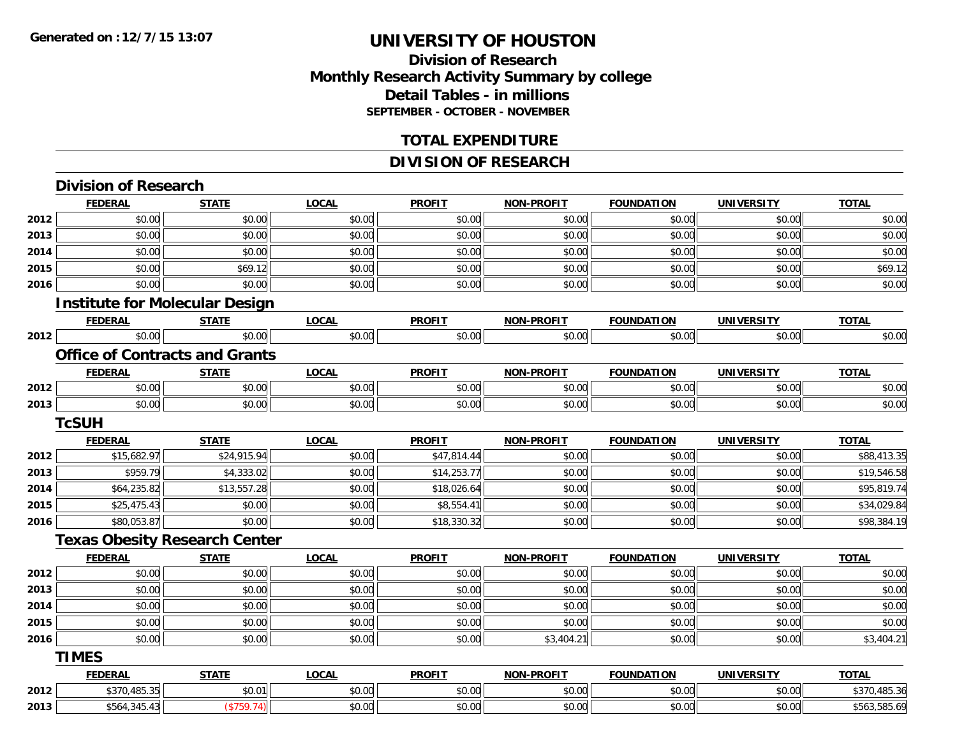## **Division of ResearchMonthly Research Activity Summary by college Detail Tables - in millions SEPTEMBER - OCTOBER - NOVEMBER**

### **TOTAL EXPENDITURE**

## **DIVISION OF RESEARCH**

|      | <b>Division of Research</b>           |              |              |               |                   |                   |                   |              |
|------|---------------------------------------|--------------|--------------|---------------|-------------------|-------------------|-------------------|--------------|
|      | <b>FEDERAL</b>                        | <b>STATE</b> | <b>LOCAL</b> | <b>PROFIT</b> | <b>NON-PROFIT</b> | <b>FOUNDATION</b> | <b>UNIVERSITY</b> | <b>TOTAL</b> |
| 2012 | \$0.00                                | \$0.00       | \$0.00       | \$0.00        | \$0.00            | \$0.00            | \$0.00            | \$0.00       |
| 2013 | \$0.00                                | \$0.00       | \$0.00       | \$0.00        | \$0.00            | \$0.00            | \$0.00            | \$0.00       |
| 2014 | \$0.00                                | \$0.00       | \$0.00       | \$0.00        | \$0.00            | \$0.00            | \$0.00            | \$0.00       |
| 2015 | \$0.00                                | \$69.12      | \$0.00       | \$0.00        | \$0.00            | \$0.00            | \$0.00            | \$69.12      |
| 2016 | \$0.00                                | \$0.00       | \$0.00       | \$0.00        | \$0.00            | \$0.00            | \$0.00            | \$0.00       |
|      | <b>Institute for Molecular Design</b> |              |              |               |                   |                   |                   |              |
|      | <b>FEDERAL</b>                        | <b>STATE</b> | <b>LOCAL</b> | <b>PROFIT</b> | <b>NON-PROFIT</b> | <b>FOUNDATION</b> | <b>UNIVERSITY</b> | <b>TOTAL</b> |
| 2012 | \$0.00                                | \$0.00       | \$0.00       | \$0.00        | \$0.00            | \$0.00            | \$0.00            | \$0.00       |
|      | <b>Office of Contracts and Grants</b> |              |              |               |                   |                   |                   |              |
|      | <b>FEDERAL</b>                        | <b>STATE</b> | <b>LOCAL</b> | <b>PROFIT</b> | <b>NON-PROFIT</b> | <b>FOUNDATION</b> | <b>UNIVERSITY</b> | <b>TOTAL</b> |
| 2012 | \$0.00                                | \$0.00       | \$0.00       | \$0.00        | \$0.00            | \$0.00            | \$0.00            | \$0.00       |
| 2013 | \$0.00                                | \$0.00       | \$0.00       | \$0.00        | \$0.00            | \$0.00            | \$0.00            | \$0.00       |
|      | <b>TcSUH</b>                          |              |              |               |                   |                   |                   |              |
|      | <b>FEDERAL</b>                        | <b>STATE</b> | <b>LOCAL</b> | <b>PROFIT</b> | <b>NON-PROFIT</b> | <b>FOUNDATION</b> | <b>UNIVERSITY</b> | <b>TOTAL</b> |
| 2012 | \$15,682.97                           | \$24,915.94  | \$0.00       | \$47,814.44   | \$0.00            | \$0.00            | \$0.00            | \$88,413.35  |
| 2013 | \$959.79                              | \$4,333.02   | \$0.00       | \$14,253.77   | \$0.00            | \$0.00            | \$0.00            | \$19,546.58  |
| 2014 | \$64,235.82                           | \$13,557.28  | \$0.00       | \$18,026.64   | \$0.00            | \$0.00            | \$0.00            | \$95,819.74  |
| 2015 | \$25,475.43                           | \$0.00       | \$0.00       | \$8,554.41    | \$0.00            | \$0.00            | \$0.00            | \$34,029.84  |
| 2016 | \$80,053.87                           | \$0.00       | \$0.00       | \$18,330.32   | \$0.00            | \$0.00            | \$0.00            | \$98,384.19  |
|      | <b>Texas Obesity Research Center</b>  |              |              |               |                   |                   |                   |              |
|      | <b>FEDERAL</b>                        | <b>STATE</b> | <b>LOCAL</b> | <b>PROFIT</b> | <b>NON-PROFIT</b> | <b>FOUNDATION</b> | <b>UNIVERSITY</b> | <b>TOTAL</b> |
| 2012 | \$0.00                                | \$0.00       | \$0.00       | \$0.00        | \$0.00            | \$0.00            | \$0.00            | \$0.00       |
| 2013 | \$0.00                                | \$0.00       | \$0.00       | \$0.00        | \$0.00            | \$0.00            | \$0.00            | \$0.00       |
| 2014 | \$0.00                                | \$0.00       | \$0.00       | \$0.00        | \$0.00            | \$0.00            | \$0.00            | \$0.00       |
| 2015 | \$0.00                                | \$0.00       | \$0.00       | \$0.00        | \$0.00            | \$0.00            | \$0.00            | \$0.00       |
| 2016 | \$0.00                                | \$0.00       | \$0.00       | \$0.00        | \$3,404.21        | \$0.00            | \$0.00            | \$3,404.21   |
|      | <b>TIMES</b>                          |              |              |               |                   |                   |                   |              |
|      | <b>FEDERAL</b>                        | <b>STATE</b> | <b>LOCAL</b> | <b>PROFIT</b> | <b>NON-PROFIT</b> | <b>FOUNDATION</b> | <b>UNIVERSITY</b> | <b>TOTAL</b> |
| 2012 | \$370,485.35                          | \$0.01       | \$0.00       | \$0.00        | \$0.00            | \$0.00            | \$0.00            | \$370,485.36 |
| 2013 | \$564,345.43                          | (\$759.74)   | \$0.00       | \$0.00        | \$0.00            | \$0.00            | \$0.00            | \$563,585.69 |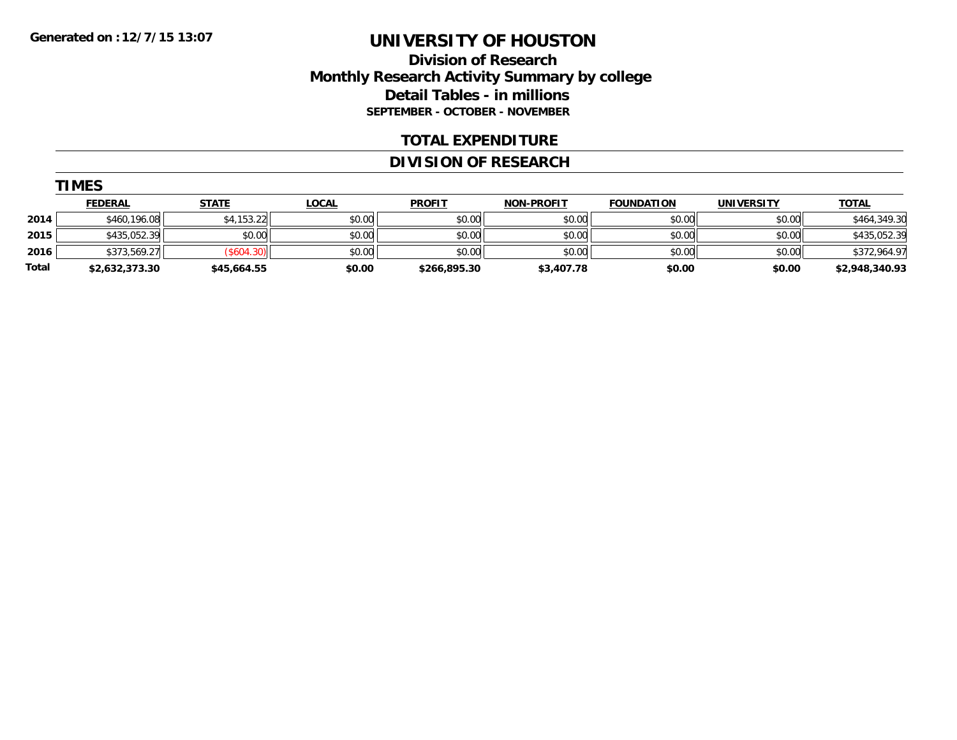## **Division of Research Monthly Research Activity Summary by college Detail Tables - in millions SEPTEMBER - OCTOBER - NOVEMBER**

### **TOTAL EXPENDITURE**

#### **DIVISION OF RESEARCH**

|       | --------       |              |              |               |                   |                   |            |                |
|-------|----------------|--------------|--------------|---------------|-------------------|-------------------|------------|----------------|
|       | <b>FEDERAL</b> | <u>STATE</u> | <u>LOCAL</u> | <b>PROFIT</b> | <b>NON-PROFIT</b> | <b>FOUNDATION</b> | UNIVERSITY | <b>TOTAL</b>   |
| 2014  | \$460.196.08   | \$4,153.22   | \$0.00       | \$0.00        | \$0.00            | \$0.00            | \$0.00     | \$464,349.30   |
| 2015  | \$435,052.39   | \$0.00       | \$0.00       | \$0.00        | \$0.00            | \$0.00            | \$0.00     | \$435,052.39   |
| 2016  | \$373,569.27   | (\$604.30)   | \$0.00       | \$0.00        | \$0.00            | \$0.00            | \$0.00     | \$372,964.97   |
| Total | \$2,632,373.30 | \$45,664.55  | \$0.00       | \$266,895.30  | \$3,407.78        | \$0.00            | \$0.00     | \$2,948,340.93 |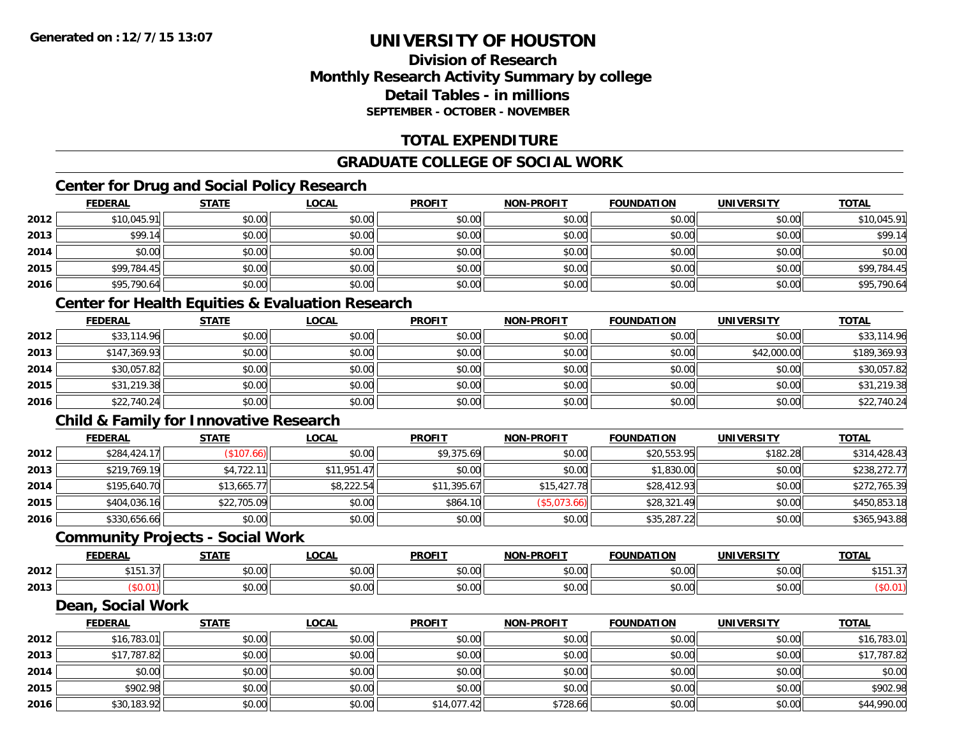## **Division of ResearchMonthly Research Activity Summary by college Detail Tables - in millionsSEPTEMBER - OCTOBER - NOVEMBER**

## **TOTAL EXPENDITURE**

## **GRADUATE COLLEGE OF SOCIAL WORK**

## **Center for Drug and Social Policy Research**

|      | <b>FEDERAL</b> | <b>STATE</b> | <b>LOCAL</b> | <b>PROFIT</b> | <b>NON-PROFIT</b> | <b>FOUNDATION</b> | <b>UNIVERSITY</b> | <b>TOTAL</b> |
|------|----------------|--------------|--------------|---------------|-------------------|-------------------|-------------------|--------------|
| 2012 | \$10,045.91    | \$0.00       | \$0.00       | \$0.00        | \$0.00            | \$0.00            | \$0.00            | \$10,045.91  |
| 2013 | \$99.14        | \$0.00       | \$0.00       | \$0.00        | \$0.00            | \$0.00            | \$0.00            | \$99.14      |
| 2014 | \$0.00         | \$0.00       | \$0.00       | \$0.00        | \$0.00            | \$0.00            | \$0.00            | \$0.00       |
| 2015 | \$99,784.45    | \$0.00       | \$0.00       | \$0.00        | \$0.00            | \$0.00            | \$0.00            | \$99,784.45  |
| 2016 | \$95,790.64    | \$0.00       | \$0.00       | \$0.00        | \$0.00            | \$0.00            | \$0.00            | \$95,790.64  |

## **Center for Health Equities & Evaluation Research**

|      | <b>FEDERAL</b> | <b>STATE</b> | <u>LOCAL</u> | <b>PROFIT</b> | <b>NON-PROFIT</b> | <b>FOUNDATION</b> | <b>UNIVERSITY</b> | <b>TOTAL</b> |
|------|----------------|--------------|--------------|---------------|-------------------|-------------------|-------------------|--------------|
| 2012 | \$33,114.96    | \$0.00       | \$0.00       | \$0.00        | \$0.00            | \$0.00            | \$0.00            | \$33,114.96  |
| 2013 | \$147,369.93   | \$0.00       | \$0.00       | \$0.00        | \$0.00            | \$0.00            | \$42,000.00       | \$189,369.93 |
| 2014 | \$30,057.82    | \$0.00       | \$0.00       | \$0.00        | \$0.00            | \$0.00            | \$0.00            | \$30,057.82  |
| 2015 | \$31,219.38    | \$0.00       | \$0.00       | \$0.00        | \$0.00            | \$0.00            | \$0.00            | \$31,219.38  |
| 2016 | \$22,740.24    | \$0.00       | \$0.00       | \$0.00        | \$0.00            | \$0.00            | \$0.00            | \$22,740.24  |

## **Child & Family for Innovative Research**

|      | <b>FEDERAL</b> | <b>STATE</b> | <b>LOCAL</b> | <b>PROFIT</b> | <b>NON-PROFIT</b> | <b>FOUNDATION</b> | <b>UNIVERSITY</b> | <b>TOTAL</b> |
|------|----------------|--------------|--------------|---------------|-------------------|-------------------|-------------------|--------------|
| 2012 | \$284,424.17   | (\$107.66)   | \$0.00       | \$9,375.69    | \$0.00            | \$20,553.95       | \$182.28          | \$314,428.43 |
| 2013 | \$219,769.19   | \$4,722.11   | \$11,951.47  | \$0.00        | \$0.00            | \$1,830.00        | \$0.00            | \$238,272.77 |
| 2014 | \$195,640.70   | \$13,665.77  | \$8,222.54   | \$11,395.67   | \$15,427.78       | \$28,412.93       | \$0.00            | \$272,765.39 |
| 2015 | \$404,036.16   | \$22,705.09  | \$0.00       | \$864.10      | (\$5,073.66)      | \$28,321.49       | \$0.00            | \$450,853.18 |
| 2016 | \$330,656.66   | \$0.00       | \$0.00       | \$0.00        | \$0.00            | \$35,287.22       | \$0.00            | \$365,943.88 |

#### **Community Projects - Social Work**

|      | EENEDA<br>-88                   | 27.77              | $\sim$<br>.UUAI                              | <b>PROFIT</b>                          | <b>NON-PROFIT</b>       | <b>FOUNDATION</b>                        | <b>UNIVERSITY</b> | <b>TOTAL</b> |
|------|---------------------------------|--------------------|----------------------------------------------|----------------------------------------|-------------------------|------------------------------------------|-------------------|--------------|
| 2012 | ---<br>$\sim$ $\sim$<br>3151.31 | $\sim$ 00<br>טע,ט  | $\sim$ $\sim$<br>ง∪.∪บ                       | $\sim$ $\sim$ $\sim$<br>JU.UU          | 0 <sup>n</sup><br>vv.vv | 0000<br>v.vv                             | \$0.00            | .<br>.       |
| 2013 | ט.ט                             | $\sim$ 00<br>טט.טע | $\triangle$ $\triangle$ $\triangle$<br>pu.uu | $\overline{a}$ $\overline{a}$<br>JU.UU | 0000<br>JU.UU           | $\uparrow$ $\uparrow$ $\uparrow$<br>∪.∪∪ | \$0.00            |              |

#### **Dean, Social Work**

|      | <u>FEDERAL</u> | <b>STATE</b> | <u>LOCAL</u> | <b>PROFIT</b> | <b>NON-PROFIT</b> | <b>FOUNDATION</b> | <b>UNIVERSITY</b> | <b>TOTAL</b> |
|------|----------------|--------------|--------------|---------------|-------------------|-------------------|-------------------|--------------|
| 2012 | \$16,783.01    | \$0.00       | \$0.00       | \$0.00        | \$0.00            | \$0.00            | \$0.00            | \$16,783.01  |
| 2013 | \$17,787.82    | \$0.00       | \$0.00       | \$0.00        | \$0.00            | \$0.00            | \$0.00            | \$17,787.82  |
| 2014 | \$0.00         | \$0.00       | \$0.00       | \$0.00        | \$0.00            | \$0.00            | \$0.00            | \$0.00       |
| 2015 | \$902.98       | \$0.00       | \$0.00       | \$0.00        | \$0.00            | \$0.00            | \$0.00            | \$902.98     |
| 2016 | \$30,183.92    | \$0.00       | \$0.00       | \$14,077.42   | \$728.66          | \$0.00            | \$0.00            | \$44,990.00  |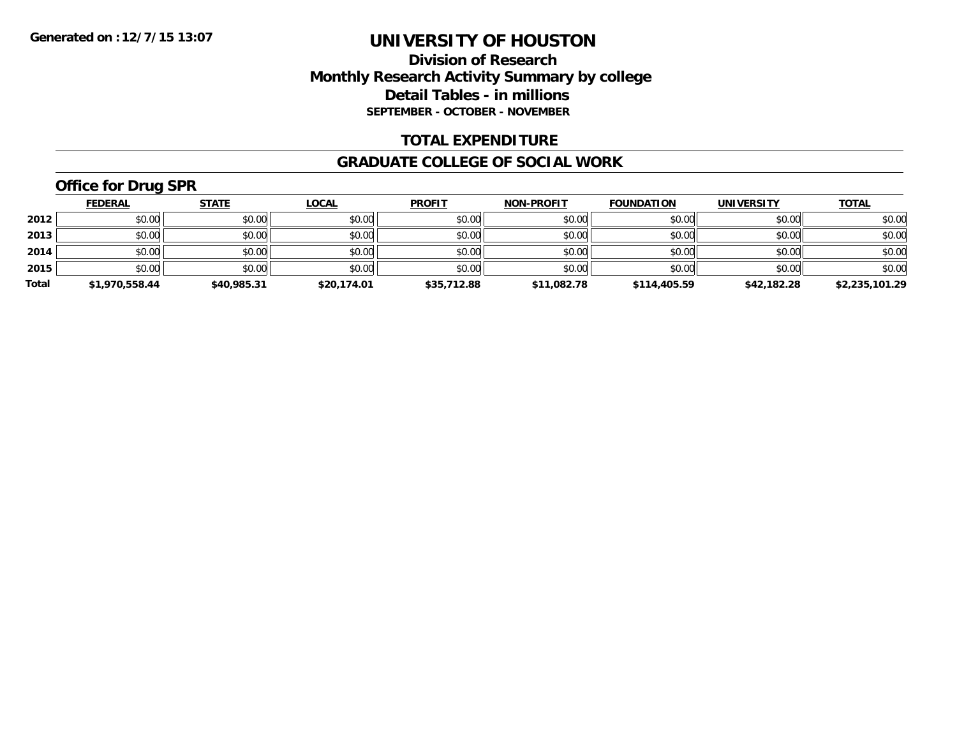## **Division of Research Monthly Research Activity Summary by college Detail Tables - in millions SEPTEMBER - OCTOBER - NOVEMBER**

### **TOTAL EXPENDITURE**

#### **GRADUATE COLLEGE OF SOCIAL WORK**

## **Office for Drug SPR**

|       | <b>FEDERAL</b> | <b>STATE</b> | <b>LOCAL</b> | <b>PROFIT</b> | <b>NON-PROFIT</b> | <b>FOUNDATION</b> | <b>UNIVERSITY</b> | <b>TOTAL</b>   |
|-------|----------------|--------------|--------------|---------------|-------------------|-------------------|-------------------|----------------|
| 2012  | \$0.00         | \$0.00       | \$0.00       | \$0.00        | \$0.00            | \$0.00            | \$0.00            | \$0.00         |
| 2013  | \$0.00         | \$0.00       | \$0.00       | \$0.00        | \$0.00            | \$0.00            | \$0.00            | \$0.00         |
| 2014  | \$0.00         | \$0.00       | \$0.00       | \$0.00        | \$0.00            | \$0.00            | \$0.00            | \$0.00         |
| 2015  | \$0.00         | \$0.00       | \$0.00       | \$0.00        | \$0.00            | \$0.00            | \$0.00            | \$0.00         |
| Total | \$1,970,558.44 | \$40,985.31  | \$20,174.01  | \$35,712.88   | \$11,082.78       | \$114,405.59      | \$42,182.28       | \$2,235,101.29 |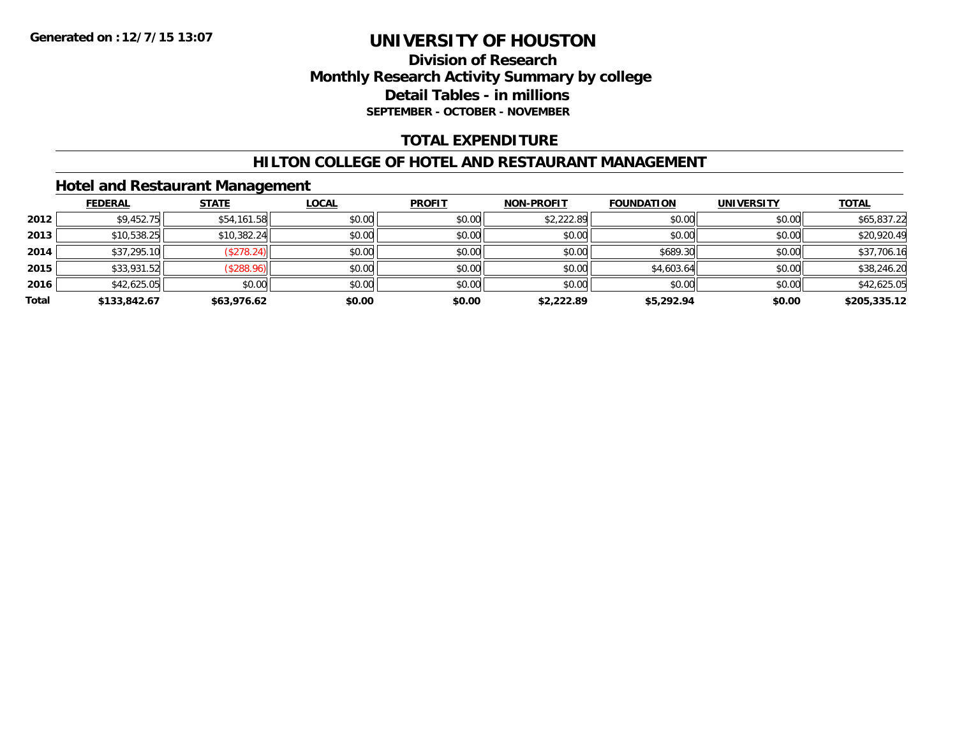## **Division of Research Monthly Research Activity Summary by college Detail Tables - in millions SEPTEMBER - OCTOBER - NOVEMBER**

## **TOTAL EXPENDITURE**

### **HILTON COLLEGE OF HOTEL AND RESTAURANT MANAGEMENT**

## **Hotel and Restaurant Management**

|       | <b>FEDERAL</b> | <b>STATE</b> | <b>LOCAL</b> | <b>PROFIT</b> | <b>NON-PROFIT</b> | <b>FOUNDATION</b> | <b>UNIVERSITY</b> | <b>TOTAL</b> |
|-------|----------------|--------------|--------------|---------------|-------------------|-------------------|-------------------|--------------|
| 2012  | \$9,452.75     | \$54,161.58  | \$0.00       | \$0.00        | \$2,222.89        | \$0.00            | \$0.00            | \$65,837.22  |
| 2013  | \$10,538.25    | \$10,382.24  | \$0.00       | \$0.00        | \$0.00            | \$0.00            | \$0.00            | \$20,920.49  |
| 2014  | \$37,295.10    | (\$278.24)   | \$0.00       | \$0.00        | \$0.00            | \$689.30          | \$0.00            | \$37,706.16  |
| 2015  | \$33,931.52    | (\$288.96)   | \$0.00       | \$0.00        | \$0.00            | \$4,603.64        | \$0.00            | \$38,246.20  |
| 2016  | \$42,625.05    | \$0.00       | \$0.00       | \$0.00        | \$0.00            | \$0.00            | \$0.00            | \$42,625.05  |
| Total | \$133,842.67   | \$63,976.62  | \$0.00       | \$0.00        | \$2,222.89        | \$5,292.94        | \$0.00            | \$205,335.12 |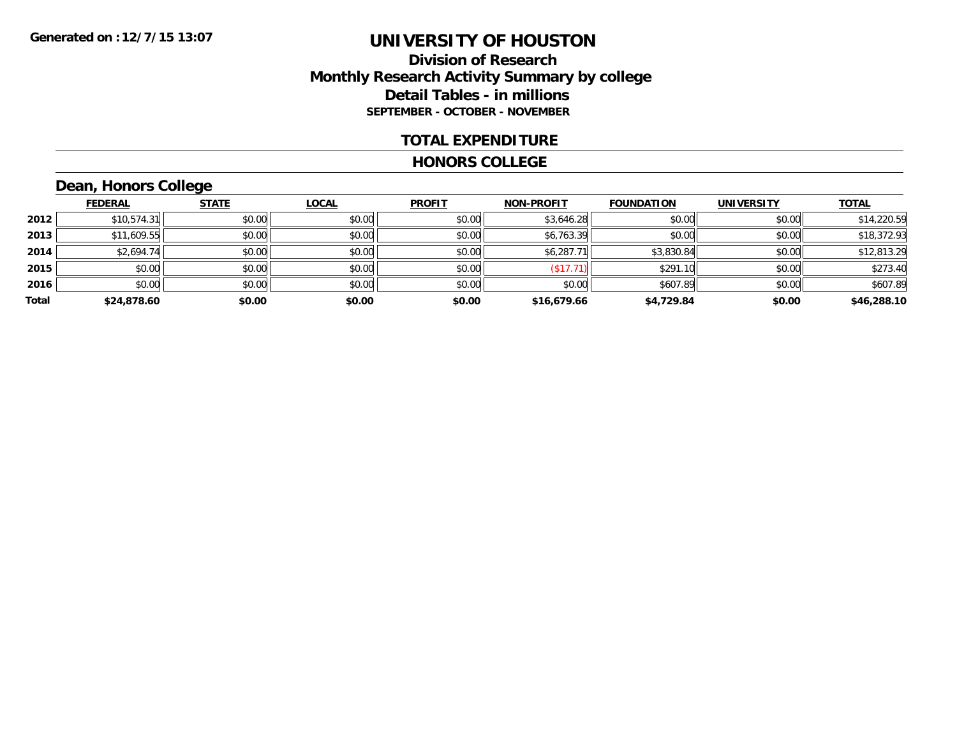## **Division of Research Monthly Research Activity Summary by college Detail Tables - in millions SEPTEMBER - OCTOBER - NOVEMBER**

#### **TOTAL EXPENDITURE**

#### **HONORS COLLEGE**

## **Dean, Honors College**

|       | <b>FEDERAL</b> | <b>STATE</b> | <b>LOCAL</b> | <b>PROFIT</b> | <b>NON-PROFIT</b> | <b>FOUNDATION</b> | <b>UNIVERSITY</b> | <b>TOTAL</b> |
|-------|----------------|--------------|--------------|---------------|-------------------|-------------------|-------------------|--------------|
| 2012  | \$10,574.31    | \$0.00       | \$0.00       | \$0.00        | \$3,646.28        | \$0.00            | \$0.00            | \$14,220.59  |
| 2013  | \$11,609.55    | \$0.00       | \$0.00       | \$0.00        | \$6,763.39        | \$0.00            | \$0.00            | \$18,372.93  |
| 2014  | \$2,694.74     | \$0.00       | \$0.00       | \$0.00        | \$6,287.71        | \$3,830.84        | \$0.00            | \$12,813.29  |
| 2015  | \$0.00         | \$0.00       | \$0.00       | \$0.00        | (\$17.71)         | \$291.10          | \$0.00            | \$273.40     |
| 2016  | \$0.00         | \$0.00       | \$0.00       | \$0.00        | \$0.00            | \$607.89          | \$0.00            | \$607.89     |
| Total | \$24,878.60    | \$0.00       | \$0.00       | \$0.00        | \$16,679.66       | \$4,729.84        | \$0.00            | \$46,288.10  |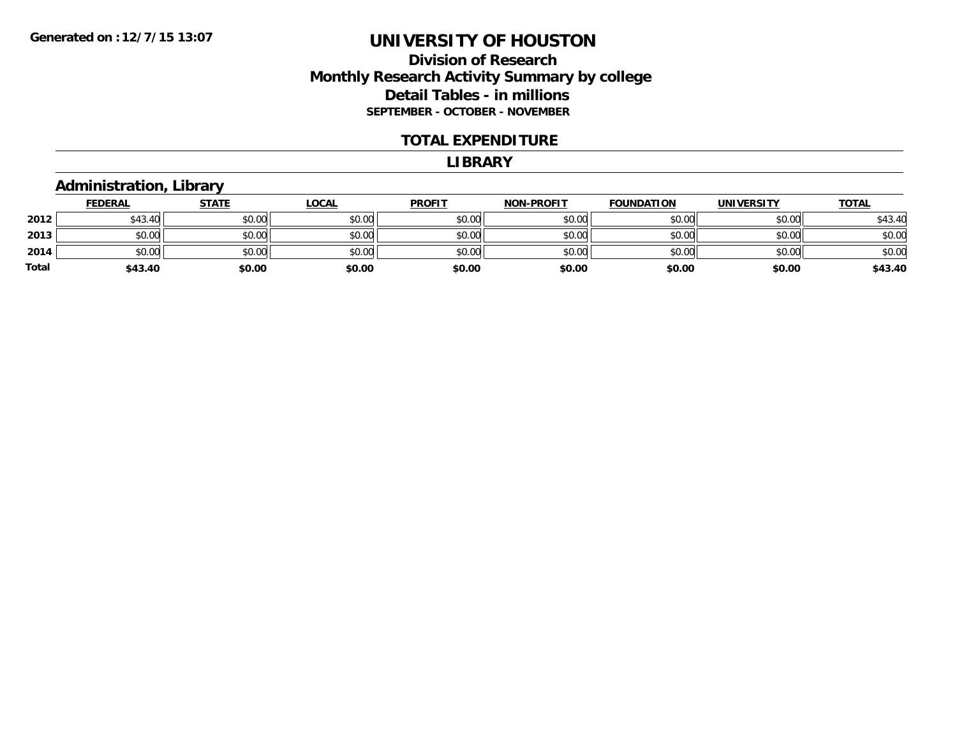## **Division of Research Monthly Research Activity Summary by college Detail Tables - in millions SEPTEMBER - OCTOBER - NOVEMBER**

#### **TOTAL EXPENDITURE**

#### **LIBRARY**

### **Administration, Library**

|              | <b>FEDERAL</b> | <b>STATE</b> | <b>LOCAL</b> | <b>PROFIT</b> | <b>NON-PROFIT</b> | <b>FOUNDATION</b> | <b>UNIVERSITY</b> | <b>TOTAL</b> |
|--------------|----------------|--------------|--------------|---------------|-------------------|-------------------|-------------------|--------------|
| 2012         | \$43.40        | \$0.00       | \$0.00       | \$0.00        | \$0.00            | \$0.00            | \$0.00            | \$43.40      |
| 2013         | \$0.00         | \$0.00       | \$0.00       | \$0.00        | \$0.00            | \$0.00            | \$0.00            | \$0.00       |
| 2014         | \$0.00         | \$0.00       | \$0.00       | \$0.00        | \$0.00            | \$0.00            | \$0.00            | \$0.00       |
| <b>Total</b> | \$43.40        | \$0.00       | \$0.00       | \$0.00        | \$0.00            | \$0.00            | \$0.00            | \$43.40      |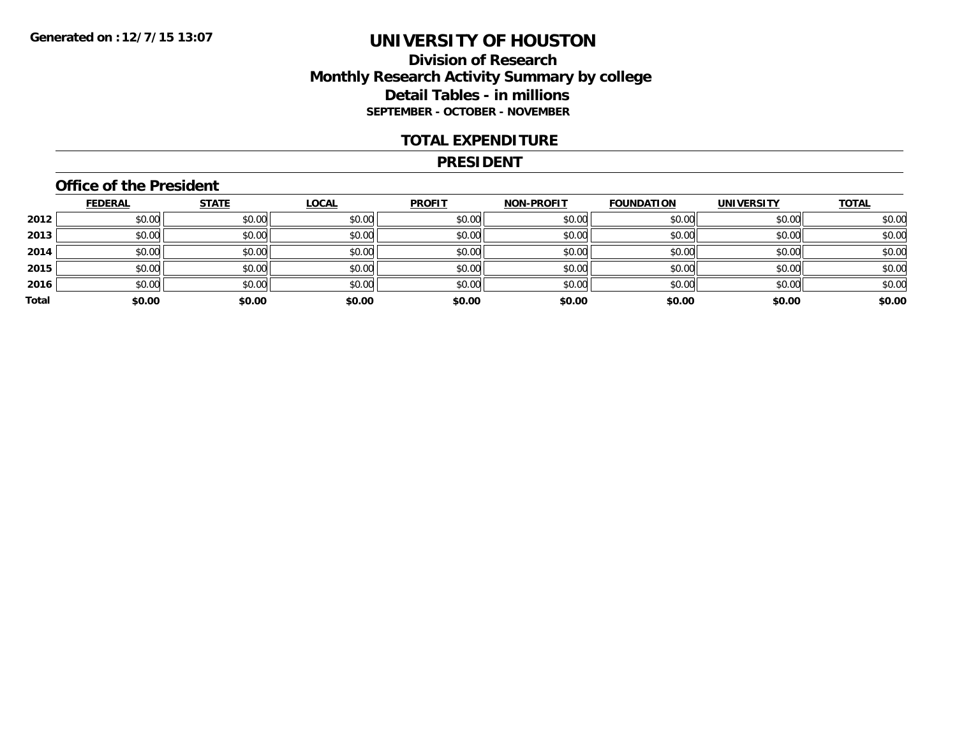## **Division of Research Monthly Research Activity Summary by college Detail Tables - in millions SEPTEMBER - OCTOBER - NOVEMBER**

#### **TOTAL EXPENDITURE**

#### **PRESIDENT**

## **Office of the President**

|       | <b>FEDERAL</b> | <b>STATE</b> | <b>LOCAL</b> | <b>PROFIT</b> | <b>NON-PROFIT</b> | <b>FOUNDATION</b> | <b>UNIVERSITY</b> | <b>TOTAL</b> |
|-------|----------------|--------------|--------------|---------------|-------------------|-------------------|-------------------|--------------|
| 2012  | \$0.00         | \$0.00       | \$0.00       | \$0.00        | \$0.00            | \$0.00            | \$0.00            | \$0.00       |
| 2013  | \$0.00         | \$0.00       | \$0.00       | \$0.00        | \$0.00            | \$0.00            | \$0.00            | \$0.00       |
| 2014  | \$0.00         | \$0.00       | \$0.00       | \$0.00        | \$0.00            | \$0.00            | \$0.00            | \$0.00       |
| 2015  | \$0.00         | \$0.00       | \$0.00       | \$0.00        | \$0.00            | \$0.00            | \$0.00            | \$0.00       |
| 2016  | \$0.00         | \$0.00       | \$0.00       | \$0.00        | \$0.00            | \$0.00            | \$0.00            | \$0.00       |
| Total | \$0.00         | \$0.00       | \$0.00       | \$0.00        | \$0.00            | \$0.00            | \$0.00            | \$0.00       |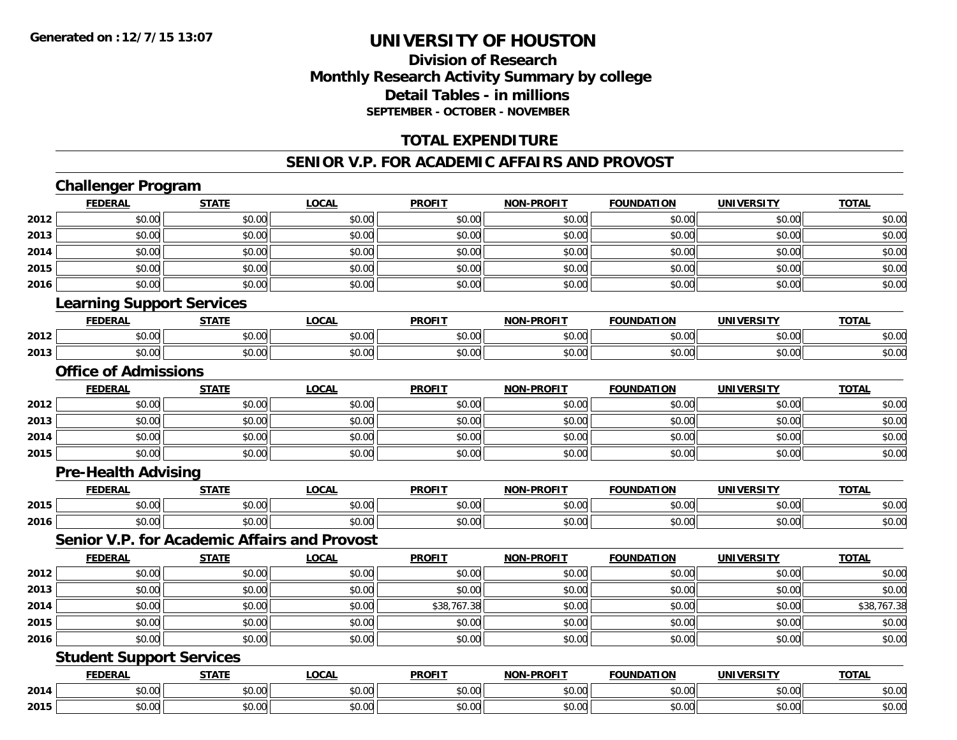## **Division of ResearchMonthly Research Activity Summary by college Detail Tables - in millions SEPTEMBER - OCTOBER - NOVEMBER**

## **TOTAL EXPENDITURE**

#### **SENIOR V.P. FOR ACADEMIC AFFAIRS AND PROVOST**

## **Challenger Program**

|      | <b>FEDERAL</b>                   | <b>STATE</b>                                        | <b>LOCAL</b> | <b>PROFIT</b> | <b>NON-PROFIT</b> | <b>FOUNDATION</b> | <b>UNIVERSITY</b> | <b>TOTAL</b> |  |  |  |
|------|----------------------------------|-----------------------------------------------------|--------------|---------------|-------------------|-------------------|-------------------|--------------|--|--|--|
| 2012 | \$0.00                           | \$0.00                                              | \$0.00       | \$0.00        | \$0.00            | \$0.00            | \$0.00            | \$0.00       |  |  |  |
| 2013 | \$0.00                           | \$0.00                                              | \$0.00       | \$0.00        | \$0.00            | \$0.00            | \$0.00            | \$0.00       |  |  |  |
| 2014 | \$0.00                           | \$0.00                                              | \$0.00       | \$0.00        | \$0.00            | \$0.00            | \$0.00            | \$0.00       |  |  |  |
| 2015 | \$0.00                           | \$0.00                                              | \$0.00       | \$0.00        | \$0.00            | \$0.00            | \$0.00            | \$0.00       |  |  |  |
| 2016 | \$0.00                           | \$0.00                                              | \$0.00       | \$0.00        | \$0.00            | \$0.00            | \$0.00            | \$0.00       |  |  |  |
|      | <b>Learning Support Services</b> |                                                     |              |               |                   |                   |                   |              |  |  |  |
|      | <b>FEDERAL</b>                   | <b>STATE</b>                                        | <b>LOCAL</b> | <b>PROFIT</b> | <b>NON-PROFIT</b> | <b>FOUNDATION</b> | <b>UNIVERSITY</b> | <b>TOTAL</b> |  |  |  |
| 2012 | \$0.00                           | \$0.00                                              | \$0.00       | \$0.00        | \$0.00            | \$0.00            | \$0.00            | \$0.00       |  |  |  |
| 2013 | \$0.00                           | \$0.00                                              | \$0.00       | \$0.00        | \$0.00            | \$0.00            | \$0.00            | \$0.00       |  |  |  |
|      | <b>Office of Admissions</b>      |                                                     |              |               |                   |                   |                   |              |  |  |  |
|      | <b>FEDERAL</b>                   | <b>STATE</b>                                        | <b>LOCAL</b> | <b>PROFIT</b> | <b>NON-PROFIT</b> | <b>FOUNDATION</b> | <b>UNIVERSITY</b> | <b>TOTAL</b> |  |  |  |
| 2012 | \$0.00                           | \$0.00                                              | \$0.00       | \$0.00        | \$0.00            | \$0.00            | \$0.00            | \$0.00       |  |  |  |
| 2013 | \$0.00                           | \$0.00                                              | \$0.00       | \$0.00        | \$0.00            | \$0.00            | \$0.00            | \$0.00       |  |  |  |
| 2014 | \$0.00                           | \$0.00                                              | \$0.00       | \$0.00        | \$0.00            | \$0.00            | \$0.00            | \$0.00       |  |  |  |
| 2015 | \$0.00                           | \$0.00                                              | \$0.00       | \$0.00        | \$0.00            | \$0.00            | \$0.00            | \$0.00       |  |  |  |
|      | <b>Pre-Health Advising</b>       |                                                     |              |               |                   |                   |                   |              |  |  |  |
|      | <b>FEDERAL</b>                   | <b>STATE</b>                                        | <b>LOCAL</b> | <b>PROFIT</b> | <b>NON-PROFIT</b> | <b>FOUNDATION</b> | <b>UNIVERSITY</b> | <b>TOTAL</b> |  |  |  |
| 2015 | \$0.00                           | \$0.00                                              | \$0.00       | \$0.00        | \$0.00            | \$0.00            | \$0.00            | \$0.00       |  |  |  |
| 2016 | \$0.00                           | \$0.00                                              | \$0.00       | \$0.00        | \$0.00            | \$0.00            | \$0.00            | \$0.00       |  |  |  |
|      |                                  | <b>Senior V.P. for Academic Affairs and Provost</b> |              |               |                   |                   |                   |              |  |  |  |
|      | <b>FEDERAL</b>                   | <b>STATE</b>                                        | <b>LOCAL</b> | <b>PROFIT</b> | <b>NON-PROFIT</b> | <b>FOUNDATION</b> | <b>UNIVERSITY</b> | <b>TOTAL</b> |  |  |  |
| 2012 | \$0.00                           | \$0.00                                              | \$0.00       | \$0.00        | \$0.00            | \$0.00            | \$0.00            | \$0.00       |  |  |  |
| 2013 | \$0.00                           | \$0.00                                              | \$0.00       | \$0.00        | \$0.00            | \$0.00            | \$0.00            | \$0.00       |  |  |  |
| 2014 | \$0.00                           | \$0.00                                              | \$0.00       | \$38,767.38   | \$0.00            | \$0.00            | \$0.00            | \$38,767.38  |  |  |  |
| 2015 | \$0.00                           | \$0.00                                              | \$0.00       | \$0.00        | \$0.00            | \$0.00            | \$0.00            | \$0.00       |  |  |  |
| 2016 | \$0.00                           | \$0.00                                              | \$0.00       | \$0.00        | \$0.00            | \$0.00            | \$0.00            | \$0.00       |  |  |  |
|      | <b>Student Support Services</b>  |                                                     |              |               |                   |                   |                   |              |  |  |  |
|      | <b>FEDERAL</b>                   | <b>STATE</b>                                        | <b>LOCAL</b> | <b>PROFIT</b> | <b>NON-PROFIT</b> | <b>FOUNDATION</b> | <b>UNIVERSITY</b> | <b>TOTAL</b> |  |  |  |
| 2014 | \$0.00                           | \$0.00                                              | \$0.00       | \$0.00        | \$0.00            | \$0.00            | \$0.00            | \$0.00       |  |  |  |
| 2015 | \$0.00                           | \$0.00                                              | \$0.00       | \$0.00        | \$0.00            | \$0.00            | \$0.00            | \$0.00       |  |  |  |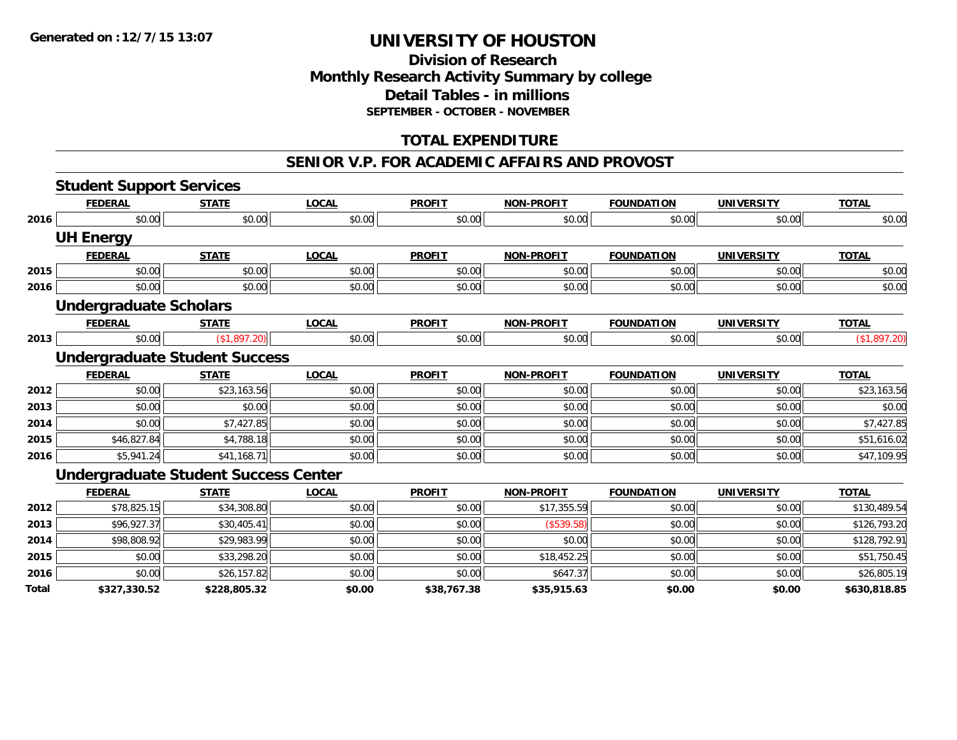## **Division of Research Monthly Research Activity Summary by college Detail Tables - in millions SEPTEMBER - OCTOBER - NOVEMBER**

## **TOTAL EXPENDITURE**

#### **SENIOR V.P. FOR ACADEMIC AFFAIRS AND PROVOST**

|       | <b>Student Support Services</b>             |              |              |               |                   |                   |                   |              |
|-------|---------------------------------------------|--------------|--------------|---------------|-------------------|-------------------|-------------------|--------------|
|       | <b>FEDERAL</b>                              | <b>STATE</b> | <b>LOCAL</b> | <b>PROFIT</b> | <b>NON-PROFIT</b> | <b>FOUNDATION</b> | <b>UNIVERSITY</b> | <b>TOTAL</b> |
| 2016  | \$0.00                                      | \$0.00       | \$0.00       | \$0.00        | \$0.00            | \$0.00            | \$0.00            | \$0.00       |
|       | <b>UH Energy</b>                            |              |              |               |                   |                   |                   |              |
|       | <b>FEDERAL</b>                              | <b>STATE</b> | <b>LOCAL</b> | <b>PROFIT</b> | <b>NON-PROFIT</b> | <b>FOUNDATION</b> | <b>UNIVERSITY</b> | <b>TOTAL</b> |
| 2015  | \$0.00                                      | \$0.00       | \$0.00       | \$0.00        | \$0.00            | \$0.00            | \$0.00            | \$0.00       |
| 2016  | \$0.00                                      | \$0.00       | \$0.00       | \$0.00        | \$0.00            | \$0.00            | \$0.00            | \$0.00       |
|       | <b>Undergraduate Scholars</b>               |              |              |               |                   |                   |                   |              |
|       | <b>FEDERAL</b>                              | <b>STATE</b> | <b>LOCAL</b> | <b>PROFIT</b> | <b>NON-PROFIT</b> | <b>FOUNDATION</b> | <b>UNIVERSITY</b> | <b>TOTAL</b> |
| 2013  | \$0.00                                      | (\$1,897.20) | \$0.00       | \$0.00        | \$0.00            | \$0.00            | \$0.00            | (\$1,897.20) |
|       | <b>Undergraduate Student Success</b>        |              |              |               |                   |                   |                   |              |
|       | <b>FEDERAL</b>                              | <b>STATE</b> | <b>LOCAL</b> | <b>PROFIT</b> | <b>NON-PROFIT</b> | <b>FOUNDATION</b> | <b>UNIVERSITY</b> | <b>TOTAL</b> |
| 2012  | \$0.00                                      | \$23,163.56  | \$0.00       | \$0.00        | \$0.00            | \$0.00            | \$0.00            | \$23,163.56  |
| 2013  | \$0.00                                      | \$0.00       | \$0.00       | \$0.00        | \$0.00            | \$0.00            | \$0.00            | \$0.00       |
| 2014  | \$0.00                                      | \$7,427.85   | \$0.00       | \$0.00        | \$0.00            | \$0.00            | \$0.00            | \$7,427.85   |
| 2015  | \$46,827.84                                 | \$4,788.18   | \$0.00       | \$0.00        | \$0.00            | \$0.00            | \$0.00            | \$51,616.02  |
| 2016  | \$5,941.24                                  | \$41,168.71  | \$0.00       | \$0.00        | \$0.00            | \$0.00            | \$0.00            | \$47,109.95  |
|       | <b>Undergraduate Student Success Center</b> |              |              |               |                   |                   |                   |              |
|       | <b>FEDERAL</b>                              | <b>STATE</b> | <b>LOCAL</b> | <b>PROFIT</b> | <b>NON-PROFIT</b> | <b>FOUNDATION</b> | <b>UNIVERSITY</b> | <b>TOTAL</b> |
| 2012  | \$78,825.15                                 | \$34,308.80  | \$0.00       | \$0.00        | \$17,355.59       | \$0.00            | \$0.00            | \$130,489.54 |
| 2013  | \$96,927.37                                 | \$30,405.41  | \$0.00       | \$0.00        | (\$539.58)        | \$0.00            | \$0.00            | \$126,793.20 |
| 2014  | \$98,808.92                                 | \$29,983.99  | \$0.00       | \$0.00        | \$0.00            | \$0.00            | \$0.00            | \$128,792.91 |
| 2015  | \$0.00                                      | \$33,298.20  | \$0.00       | \$0.00        | \$18,452.25       | \$0.00            | \$0.00            | \$51,750.45  |
| 2016  | \$0.00                                      | \$26,157.82  | \$0.00       | \$0.00        | \$647.37          | \$0.00            | \$0.00            | \$26,805.19  |
| Total | \$327,330.52                                | \$228,805.32 | \$0.00       | \$38,767.38   | \$35,915.63       | \$0.00            | \$0.00            | \$630,818.85 |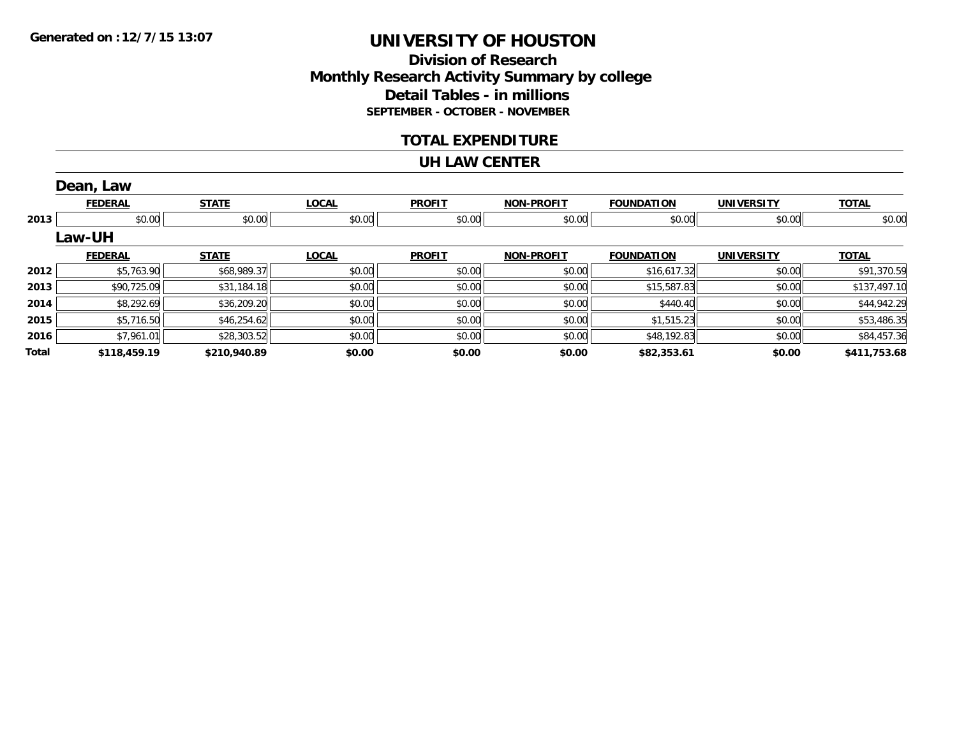## **Division of ResearchMonthly Research Activity Summary by college Detail Tables - in millions SEPTEMBER - OCTOBER - NOVEMBER**

### **TOTAL EXPENDITURE**

#### **UH LAW CENTER**

|       | Dean, Law      |              |              |               |                   |                   |                   |              |
|-------|----------------|--------------|--------------|---------------|-------------------|-------------------|-------------------|--------------|
|       | <b>FEDERAL</b> | <b>STATE</b> | <b>LOCAL</b> | <b>PROFIT</b> | <b>NON-PROFIT</b> | <b>FOUNDATION</b> | <b>UNIVERSITY</b> | <b>TOTAL</b> |
| 2013  | \$0.00         | \$0.00       | \$0.00       | \$0.00        | \$0.00            | \$0.00            | \$0.00            | \$0.00       |
|       | Law-UH         |              |              |               |                   |                   |                   |              |
|       | <b>FEDERAL</b> | <b>STATE</b> | <b>LOCAL</b> | <b>PROFIT</b> | <b>NON-PROFIT</b> | <b>FOUNDATION</b> | <b>UNIVERSITY</b> | <b>TOTAL</b> |
| 2012  | \$5,763.90     | \$68,989.37  | \$0.00       | \$0.00        | \$0.00            | \$16,617.32       | \$0.00            | \$91,370.59  |
| 2013  | \$90,725.09    | \$31,184.18  | \$0.00       | \$0.00        | \$0.00            | \$15,587.83       | \$0.00            | \$137,497.10 |
| 2014  | \$8,292.69     | \$36,209.20  | \$0.00       | \$0.00        | \$0.00            | \$440.40          | \$0.00            | \$44,942.29  |
| 2015  | \$5,716.50     | \$46,254.62  | \$0.00       | \$0.00        | \$0.00            | \$1,515.23        | \$0.00            | \$53,486.35  |
| 2016  | \$7,961.01     | \$28,303.52  | \$0.00       | \$0.00        | \$0.00            | \$48,192.83       | \$0.00            | \$84,457.36  |
| Total | \$118,459.19   | \$210,940.89 | \$0.00       | \$0.00        | \$0.00            | \$82,353.61       | \$0.00            | \$411,753.68 |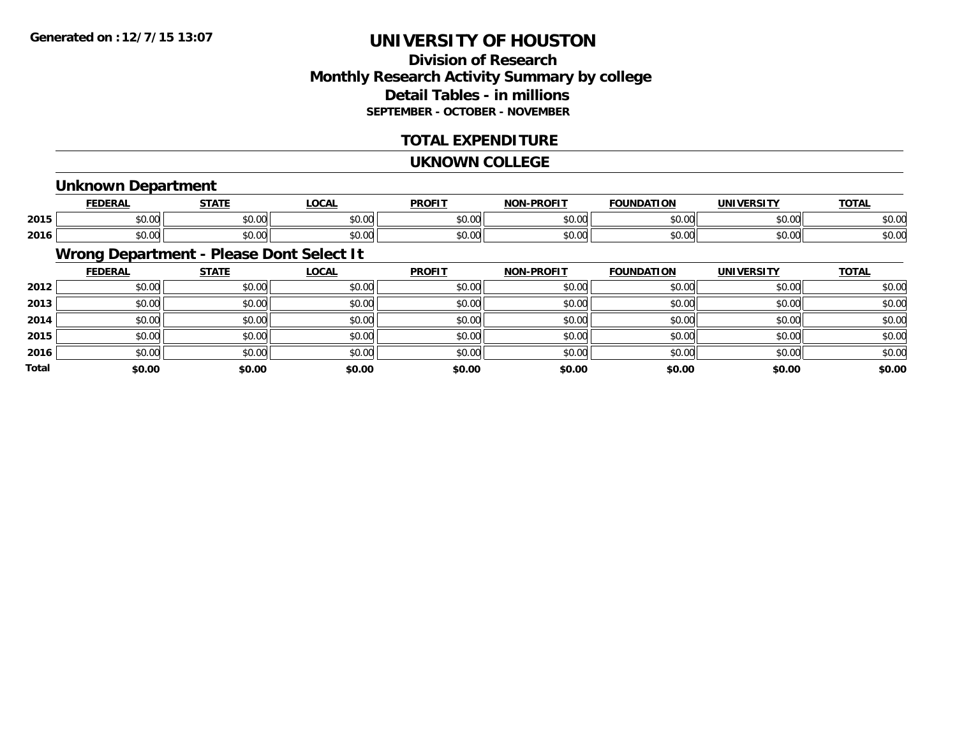## **Division of ResearchMonthly Research Activity Summary by college Detail Tables - in millions SEPTEMBER - OCTOBER - NOVEMBER**

### **TOTAL EXPENDITURE**

#### **UKNOWN COLLEGE**

### **Unknown Department**

|      | <b>FFBFBA</b> | $- - - -$                                    | <b>OCAL</b>                      | <b>DDOEIT</b>  | <b>NIO'</b> | יחי<br>10     |               | $-2$                     |
|------|---------------|----------------------------------------------|----------------------------------|----------------|-------------|---------------|---------------|--------------------------|
| 2015 | ሖ へ           | $\sim$ $\sim$                                | $\uparrow$ $\uparrow$ $\uparrow$ | 0 <sup>n</sup> | $\sim$ 00   | $\sim$ $\sim$ | 0.000         | $\overline{\phantom{a}}$ |
|      | ט.ט           | vv.vv                                        | ט.טע                             | <b>JU.U</b>    | pv.uu       | טט.טע         | vv.vv         | DU.U                     |
|      | ט.ט           | $\mathsf{A} \cap \mathsf{A} \cap \mathsf{A}$ | 0.00                             | 0000           | $\sim$ 00   | 0000          | $\sim$ $\sim$ | $\sim$ $\sim$            |
| 2016 |               | vv.vu                                        | ט.טע                             | JU.U'          | pv.uu       | טט.           | JU.UU         | ⊅∪.∪                     |

## **Wrong Department - Please Dont Select It**

|              | <b>FEDERAL</b> | <b>STATE</b> | <u>LOCAL</u> | <b>PROFIT</b> | <b>NON-PROFIT</b> | <b>FOUNDATION</b> | <b>UNIVERSITY</b> | <b>TOTAL</b> |
|--------------|----------------|--------------|--------------|---------------|-------------------|-------------------|-------------------|--------------|
| 2012         | \$0.00         | \$0.00       | \$0.00       | \$0.00        | \$0.00            | \$0.00            | \$0.00            | \$0.00       |
| 2013         | \$0.00         | \$0.00       | \$0.00       | \$0.00        | \$0.00            | \$0.00            | \$0.00            | \$0.00       |
| 2014         | \$0.00         | \$0.00       | \$0.00       | \$0.00        | \$0.00            | \$0.00            | \$0.00            | \$0.00       |
| 2015         | \$0.00         | \$0.00       | \$0.00       | \$0.00        | \$0.00            | \$0.00            | \$0.00            | \$0.00       |
| 2016         | \$0.00         | \$0.00       | \$0.00       | \$0.00        | \$0.00            | \$0.00            | \$0.00            | \$0.00       |
| <b>Total</b> | \$0.00         | \$0.00       | \$0.00       | \$0.00        | \$0.00            | \$0.00            | \$0.00            | \$0.00       |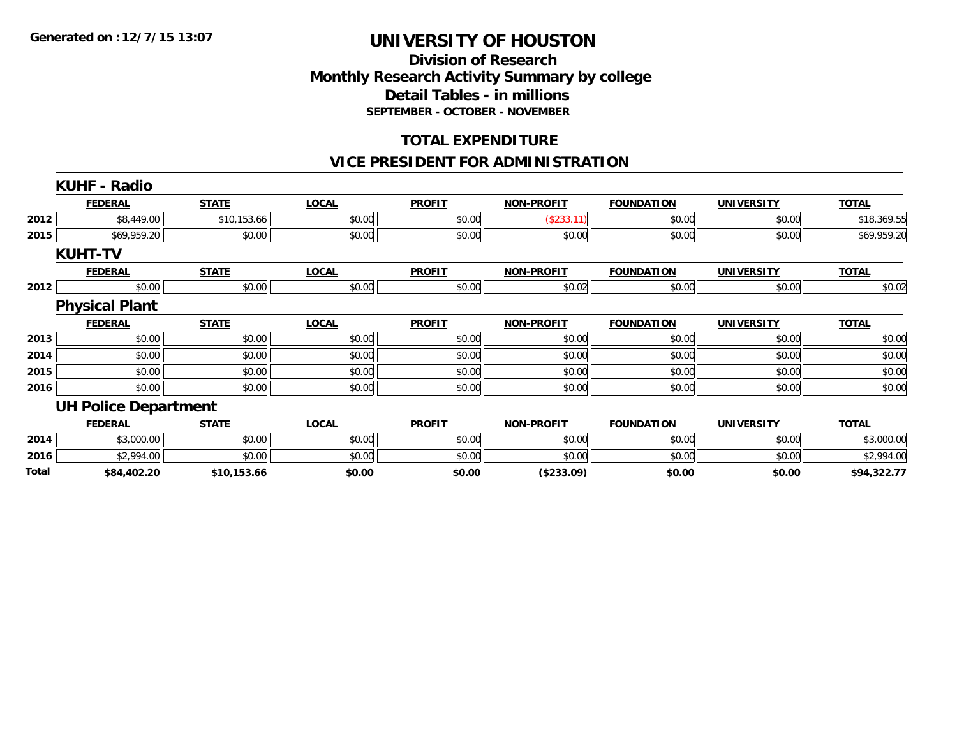## **Division of Research Monthly Research Activity Summary by college Detail Tables - in millions SEPTEMBER - OCTOBER - NOVEMBER**

### **TOTAL EXPENDITURE**

## **VICE PRESIDENT FOR ADMINISTRATION**

|       | <b>KUHF - Radio</b>         |              |              |               |                   |                   |                   |              |
|-------|-----------------------------|--------------|--------------|---------------|-------------------|-------------------|-------------------|--------------|
|       | <b>FEDERAL</b>              | <b>STATE</b> | <b>LOCAL</b> | <b>PROFIT</b> | <b>NON-PROFIT</b> | <b>FOUNDATION</b> | <b>UNIVERSITY</b> | <b>TOTAL</b> |
| 2012  | \$8,449.00                  | \$10,153.66  | \$0.00       | \$0.00        | (\$233.11)        | \$0.00            | \$0.00            | \$18,369.55  |
| 2015  | \$69,959.20                 | \$0.00       | \$0.00       | \$0.00        | \$0.00            | \$0.00            | \$0.00            | \$69,959.20  |
|       | <b>KUHT-TV</b>              |              |              |               |                   |                   |                   |              |
|       | <b>FEDERAL</b>              | <b>STATE</b> | <b>LOCAL</b> | <b>PROFIT</b> | <b>NON-PROFIT</b> | <b>FOUNDATION</b> | <b>UNIVERSITY</b> | <b>TOTAL</b> |
| 2012  | \$0.00                      | \$0.00       | \$0.00       | \$0.00        | \$0.02            | \$0.00            | \$0.00            | \$0.02       |
|       | <b>Physical Plant</b>       |              |              |               |                   |                   |                   |              |
|       | <b>FEDERAL</b>              | <b>STATE</b> | <b>LOCAL</b> | <b>PROFIT</b> | <b>NON-PROFIT</b> | <b>FOUNDATION</b> | <b>UNIVERSITY</b> | <b>TOTAL</b> |
| 2013  | \$0.00                      | \$0.00       | \$0.00       | \$0.00        | \$0.00            | \$0.00            | \$0.00            | \$0.00       |
| 2014  | \$0.00                      | \$0.00       | \$0.00       | \$0.00        | \$0.00            | \$0.00            | \$0.00            | \$0.00       |
| 2015  | \$0.00                      | \$0.00       | \$0.00       | \$0.00        | \$0.00            | \$0.00            | \$0.00            | \$0.00       |
| 2016  | \$0.00                      | \$0.00       | \$0.00       | \$0.00        | \$0.00            | \$0.00            | \$0.00            | \$0.00       |
|       | <b>UH Police Department</b> |              |              |               |                   |                   |                   |              |
|       | <b>FEDERAL</b>              | <b>STATE</b> | <b>LOCAL</b> | <b>PROFIT</b> | <b>NON-PROFIT</b> | <b>FOUNDATION</b> | <b>UNIVERSITY</b> | <b>TOTAL</b> |
| 2014  | \$3,000.00                  | \$0.00       | \$0.00       | \$0.00        | \$0.00            | \$0.00            | \$0.00            | \$3,000.00   |
| 2016  | \$2,994.00                  | \$0.00       | \$0.00       | \$0.00        | \$0.00            | \$0.00            | \$0.00            | \$2,994.00   |
| Total | \$84,402.20                 | \$10,153.66  | \$0.00       | \$0.00        | (\$233.09)        | \$0.00            | \$0.00            | \$94,322.77  |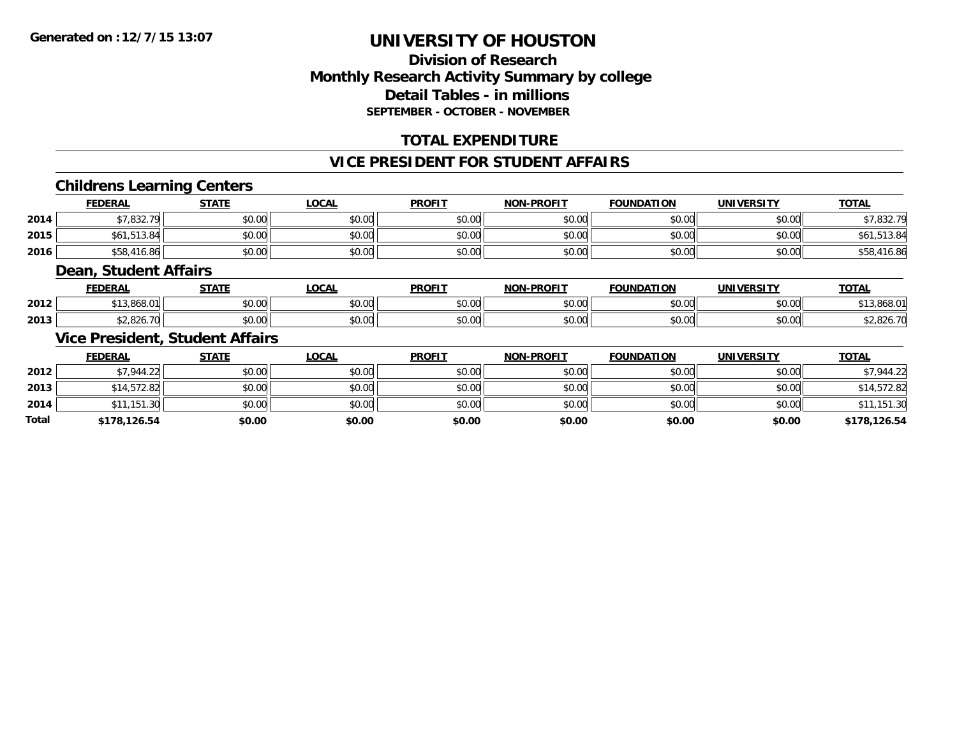## **Division of ResearchMonthly Research Activity Summary by college Detail Tables - in millions SEPTEMBER - OCTOBER - NOVEMBER**

## **TOTAL EXPENDITURE**

### **VICE PRESIDENT FOR STUDENT AFFAIRS**

### **Childrens Learning Centers**

|      | <b>FEDERAL</b>            | <b>STATE</b>          | <u>LOCAL</u>                                | <b>PROFIT</b>         | <b>NON-PROFIT</b> | <b>FOUNDATION</b> | <b>UNIVERSITY</b> | <b>TOTAL</b>      |
|------|---------------------------|-----------------------|---------------------------------------------|-----------------------|-------------------|-------------------|-------------------|-------------------|
| 2014 | \$7,832.79                | ¢Λ<br>$\sim$<br>JU.UU | $\mathfrak{c}\cap\mathfrak{a}\cap$<br>JU.UU | t∩ ∪v<br><b>JU.UU</b> | \$0.00            | \$0.00            | \$0.00            | 022.70<br>7.832 ج |
| 2015 | <b>F10</b><br>\$61,513.84 | \$0.00                | $\mathfrak{c}\cap\mathfrak{a}\cap$<br>DU.U¢ | \$0.00                | \$0.00            | \$0.00            | \$0.00            | \$61,513.84       |
| 2016 | \$58,416.86               | ¢∩<br>$\sim$<br>JU.UU | \$0.00                                      | \$0.00                | \$0.00            | \$0.00            | \$0.00            | \$58,416.86       |

#### **Dean, Student Affairs**

|      | <b>FEDERAL</b>                                    | <b>CTATE</b><br>31 A L | <b>LOCAL</b> | <b>PROFIT</b>                  | -PROFIT<br>NON- | <b>FOUNDATION</b> | UNIVERSITY | <b>TOTAL</b>     |
|------|---------------------------------------------------|------------------------|--------------|--------------------------------|-----------------|-------------------|------------|------------------|
| 2012 | 13.868.01                                         | 0000<br>JU.UU          | \$0.00       | 0 <sub>n</sub><br><b>DU.UU</b> | 0000<br>vu.vu   | \$0.00            | \$0.00     | .808.U           |
| 2013 | $\land \land \land \land \land \land$<br>ა∠.826.7 | 0000<br>JU.UU          | \$0.00       | 0 <sub>n</sub><br>JU.UU        | 0000<br>vu.vu   | \$0.00            | \$0.00     | 0.27<br>32.020.1 |

### **Vice President, Student Affairs**

|              | <b>FEDERAL</b> | <b>STATE</b> | <u>LOCAL</u> | <b>PROFIT</b> | <b>NON-PROFIT</b> | <b>FOUNDATION</b> | <b>UNIVERSITY</b> | <b>TOTAL</b> |
|--------------|----------------|--------------|--------------|---------------|-------------------|-------------------|-------------------|--------------|
| 2012         | \$7,944.22     | \$0.00       | \$0.00       | \$0.00        | \$0.00            | \$0.00            | \$0.00            | \$7,944.22   |
| 2013         | \$14,572.82    | \$0.00       | \$0.00       | \$0.00        | \$0.00            | \$0.00            | \$0.00            | \$14,572.82  |
| 2014         | \$11,151.30    | \$0.00       | \$0.00       | \$0.00        | \$0.00            | \$0.00            | \$0.00            | \$11,151.30  |
| <b>Total</b> | \$178,126.54   | \$0.00       | \$0.00       | \$0.00        | \$0.00            | \$0.00            | \$0.00            | \$178,126.54 |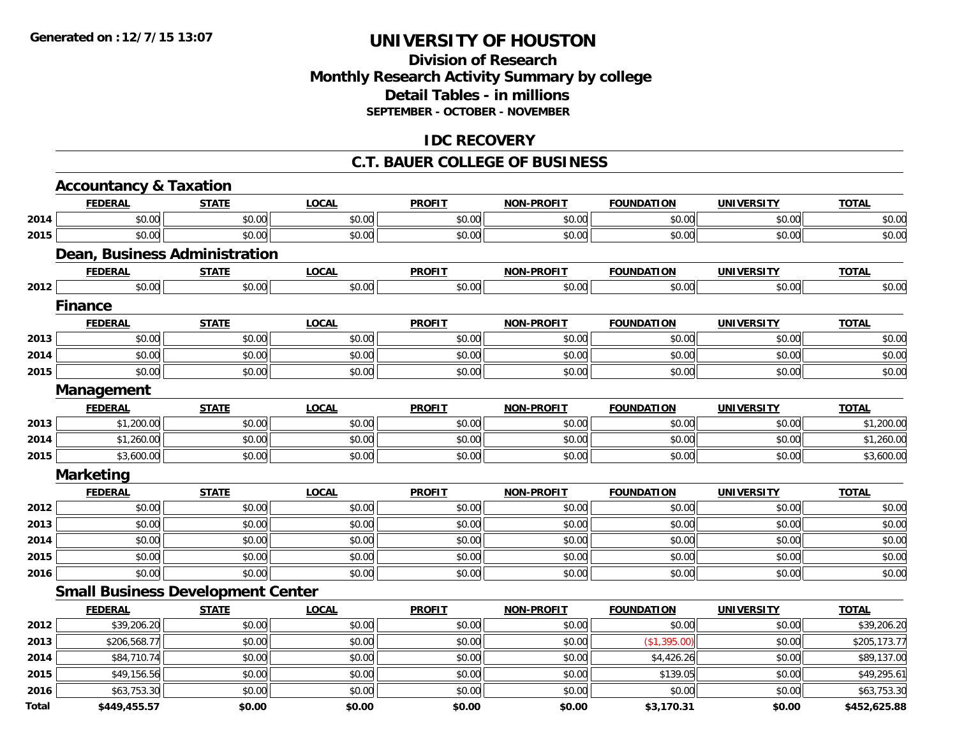## **Division of Research Monthly Research Activity Summary by college Detail Tables - in millions SEPTEMBER - OCTOBER - NOVEMBER**

### **IDC RECOVERY**

#### **C.T. BAUER COLLEGE OF BUSINESS**

| <b>Accountancy &amp; Taxation</b> |                               |                                          |              |               |                   |                   |                   |              |
|-----------------------------------|-------------------------------|------------------------------------------|--------------|---------------|-------------------|-------------------|-------------------|--------------|
|                                   | <b>FEDERAL</b>                | <b>STATE</b>                             | <b>LOCAL</b> | <b>PROFIT</b> | <b>NON-PROFIT</b> | <b>FOUNDATION</b> | <b>UNIVERSITY</b> | <b>TOTAL</b> |
| 2014                              | \$0.00                        | \$0.00                                   | \$0.00       | \$0.00        | \$0.00            | \$0.00            | \$0.00            | \$0.00       |
| 2015                              | \$0.00                        | \$0.00                                   | \$0.00       | \$0.00        | \$0.00            | \$0.00            | \$0.00            | \$0.00       |
|                                   | Dean, Business Administration |                                          |              |               |                   |                   |                   |              |
|                                   | <b>FEDERAL</b>                | <b>STATE</b>                             | <b>LOCAL</b> | <b>PROFIT</b> | <b>NON-PROFIT</b> | <b>FOUNDATION</b> | <b>UNIVERSITY</b> | <b>TOTAL</b> |
| 2012                              | \$0.00                        | \$0.00                                   | \$0.00       | \$0.00        | \$0.00            | \$0.00            | \$0.00            | \$0.00       |
|                                   | <b>Finance</b>                |                                          |              |               |                   |                   |                   |              |
|                                   | <b>FEDERAL</b>                | <b>STATE</b>                             | <b>LOCAL</b> | <b>PROFIT</b> | <b>NON-PROFIT</b> | <b>FOUNDATION</b> | <b>UNIVERSITY</b> | <b>TOTAL</b> |
| 2013                              | \$0.00                        | \$0.00                                   | \$0.00       | \$0.00        | \$0.00            | \$0.00            | \$0.00            | \$0.00       |
| 2014                              | \$0.00                        | \$0.00                                   | \$0.00       | \$0.00        | \$0.00            | \$0.00            | \$0.00            | \$0.00       |
| 2015                              | \$0.00                        | \$0.00                                   | \$0.00       | \$0.00        | \$0.00            | \$0.00            | \$0.00            | \$0.00       |
|                                   | Management                    |                                          |              |               |                   |                   |                   |              |
|                                   | <b>FEDERAL</b>                | <b>STATE</b>                             | <b>LOCAL</b> | <b>PROFIT</b> | <b>NON-PROFIT</b> | <b>FOUNDATION</b> | <b>UNIVERSITY</b> | <b>TOTAL</b> |
| 2013                              | \$1,200.00                    | \$0.00                                   | \$0.00       | \$0.00        | \$0.00            | \$0.00            | \$0.00            | \$1,200.00   |
| 2014                              | \$1,260.00                    | \$0.00                                   | \$0.00       | \$0.00        | \$0.00            | \$0.00            | \$0.00            | \$1,260.00   |
| 2015                              | \$3,600.00                    | \$0.00                                   | \$0.00       | \$0.00        | \$0.00            | \$0.00            | \$0.00            | \$3,600.00   |
|                                   | <b>Marketing</b>              |                                          |              |               |                   |                   |                   |              |
|                                   | <b>FEDERAL</b>                | <b>STATE</b>                             | <b>LOCAL</b> | <b>PROFIT</b> | <b>NON-PROFIT</b> | <b>FOUNDATION</b> | <b>UNIVERSITY</b> | <b>TOTAL</b> |
| 2012                              | \$0.00                        | \$0.00                                   | \$0.00       | \$0.00        | \$0.00            | \$0.00            | \$0.00            | \$0.00       |
| 2013                              | \$0.00                        | \$0.00                                   | \$0.00       | \$0.00        | \$0.00            | \$0.00            | \$0.00            | \$0.00       |
| 2014                              | \$0.00                        | \$0.00                                   | \$0.00       | \$0.00        | \$0.00            | \$0.00            | \$0.00            | \$0.00       |
| 2015                              | \$0.00                        | \$0.00                                   | \$0.00       | \$0.00        | \$0.00            | \$0.00            | \$0.00            | \$0.00       |
| 2016                              | \$0.00                        | \$0.00                                   | \$0.00       | \$0.00        | \$0.00            | \$0.00            | \$0.00            | \$0.00       |
|                                   |                               | <b>Small Business Development Center</b> |              |               |                   |                   |                   |              |
|                                   | <b>FEDERAL</b>                | <b>STATE</b>                             | <b>LOCAL</b> | <b>PROFIT</b> | <b>NON-PROFIT</b> | <b>FOUNDATION</b> | <b>UNIVERSITY</b> | <b>TOTAL</b> |
| 2012                              | \$39,206.20                   | \$0.00                                   | \$0.00       | \$0.00        | \$0.00            | \$0.00            | \$0.00            | \$39,206.20  |
| 2013                              | \$206,568.77                  | \$0.00                                   | \$0.00       | \$0.00        | \$0.00            | (\$1,395.00)      | \$0.00            | \$205,173.77 |
| 2014                              | \$84,710.74                   | \$0.00                                   | \$0.00       | \$0.00        | \$0.00            | \$4,426.26        | \$0.00            | \$89,137.00  |
| 2015                              | \$49,156.56                   | \$0.00                                   | \$0.00       | \$0.00        | \$0.00            | \$139.05          | \$0.00            | \$49,295.61  |
| 2016                              | \$63,753.30                   | \$0.00                                   | \$0.00       | \$0.00        | \$0.00            | \$0.00            | \$0.00            | \$63,753.30  |
| Total                             | \$449,455.57                  | \$0.00                                   | \$0.00       | \$0.00        | \$0.00            | \$3,170.31        | \$0.00            | \$452,625.88 |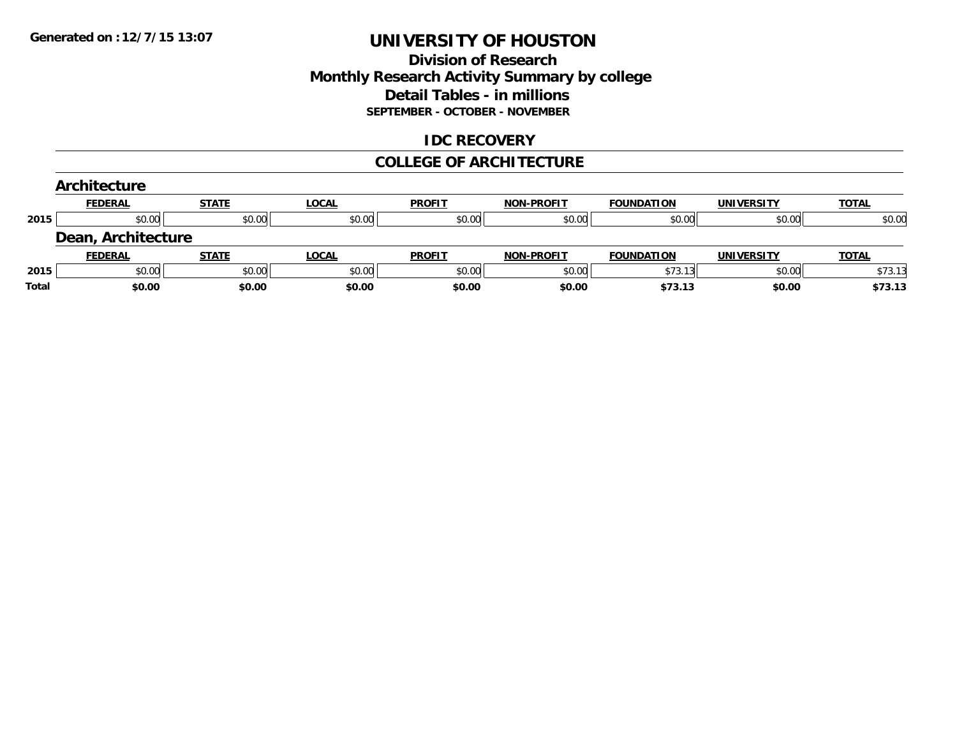## **Division of Research Monthly Research Activity Summary by college Detail Tables - in millions SEPTEMBER - OCTOBER - NOVEMBER**

### **IDC RECOVERY**

#### **COLLEGE OF ARCHITECTURE**

|       | <b>Architecture</b> |              |              |               |                   |                   |                   |              |
|-------|---------------------|--------------|--------------|---------------|-------------------|-------------------|-------------------|--------------|
|       | <b>FEDERAL</b>      | <b>STATE</b> | <b>LOCAL</b> | <b>PROFIT</b> | <b>NON-PROFIT</b> | <b>FOUNDATION</b> | <b>UNIVERSITY</b> | <b>TOTAL</b> |
| 2015  | \$0.00              | \$0.00       | \$0.00       | \$0.00        | \$0.00            | \$0.00            | \$0.00            | \$0.00       |
|       | Dean, Architecture  |              |              |               |                   |                   |                   |              |
|       | <b>FEDERAL</b>      | <b>STATE</b> | LOCAL        | <b>PROFIT</b> | <b>NON-PROFIT</b> | <b>FOUNDATION</b> | <b>UNIVERSITY</b> | <b>TOTAL</b> |
| 2015  | \$0.00              | \$0.00       | \$0.00       | \$0.00        | \$0.00            | \$73.13           | \$0.00            | \$73.13      |
| Total | \$0.00              | \$0.00       | \$0.00       | \$0.00        | \$0.00            | \$73.13           | \$0.00            | \$73.13      |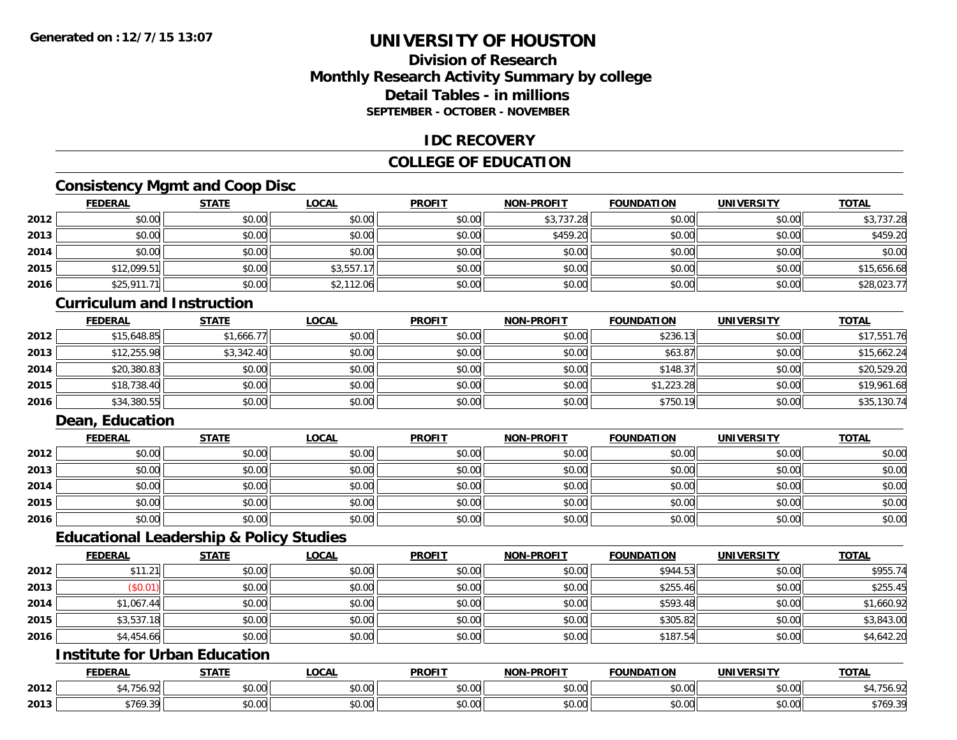## **Division of ResearchMonthly Research Activity Summary by college Detail Tables - in millionsSEPTEMBER - OCTOBER - NOVEMBER**

### **IDC RECOVERY**

## **COLLEGE OF EDUCATION**

## **Consistency Mgmt and Coop Disc**

|      | <b>FEDERAL</b> | <b>STATE</b> | <b>LOCAL</b> | <b>PROFIT</b> | <b>NON-PROFIT</b> | <b>FOUNDATION</b> | <b>UNIVERSITY</b> | <b>TOTAL</b> |
|------|----------------|--------------|--------------|---------------|-------------------|-------------------|-------------------|--------------|
| 2012 | \$0.00         | \$0.00       | \$0.00       | \$0.00        | \$3,737.28        | \$0.00            | \$0.00            | \$3,737.28   |
| 2013 | \$0.00         | \$0.00       | \$0.00       | \$0.00        | \$459.20          | \$0.00            | \$0.00            | \$459.20     |
| 2014 | \$0.00         | \$0.00       | \$0.00       | \$0.00        | \$0.00            | \$0.00            | \$0.00            | \$0.00       |
| 2015 | \$12,099.51    | \$0.00       | \$3,557.17   | \$0.00        | \$0.00            | \$0.00            | \$0.00            | \$15,656.68  |
| 2016 | \$25,911.71    | \$0.00       | \$2,112.06   | \$0.00        | \$0.00            | \$0.00            | \$0.00            | \$28,023.77  |

#### **Curriculum and Instruction**

|      | <u>FEDERAL</u> | <b>STATE</b> | <u>LOCAL</u> | <b>PROFIT</b> | <b>NON-PROFIT</b> | <b>FOUNDATION</b> | <b>UNIVERSITY</b> | <b>TOTAL</b> |
|------|----------------|--------------|--------------|---------------|-------------------|-------------------|-------------------|--------------|
| 2012 | \$15,648.85    | \$1,666.77   | \$0.00       | \$0.00        | \$0.00            | \$236.13          | \$0.00            | \$17,551.76  |
| 2013 | \$12,255.98    | \$3,342.40   | \$0.00       | \$0.00        | \$0.00            | \$63.87           | \$0.00            | \$15,662.24  |
| 2014 | \$20,380.83    | \$0.00       | \$0.00       | \$0.00        | \$0.00            | \$148.37          | \$0.00            | \$20,529.20  |
| 2015 | \$18,738.40    | \$0.00       | \$0.00       | \$0.00        | \$0.00            | \$1,223.28        | \$0.00            | \$19,961.68  |
| 2016 | \$34,380.55    | \$0.00       | \$0.00       | \$0.00        | \$0.00            | \$750.19          | \$0.00            | \$35,130.74  |

## **Dean, Education**

|      | <b>FEDERAL</b> | <b>STATE</b> | <u>LOCAL</u> | <b>PROFIT</b> | <b>NON-PROFIT</b> | <b>FOUNDATION</b> | <b>UNIVERSITY</b> | <b>TOTAL</b> |
|------|----------------|--------------|--------------|---------------|-------------------|-------------------|-------------------|--------------|
| 2012 | \$0.00         | \$0.00       | \$0.00       | \$0.00        | \$0.00            | \$0.00            | \$0.00            | \$0.00       |
| 2013 | \$0.00         | \$0.00       | \$0.00       | \$0.00        | \$0.00            | \$0.00            | \$0.00            | \$0.00       |
| 2014 | \$0.00         | \$0.00       | \$0.00       | \$0.00        | \$0.00            | \$0.00            | \$0.00            | \$0.00       |
| 2015 | \$0.00         | \$0.00       | \$0.00       | \$0.00        | \$0.00            | \$0.00            | \$0.00            | \$0.00       |
| 2016 | \$0.00         | \$0.00       | \$0.00       | \$0.00        | \$0.00            | \$0.00            | \$0.00            | \$0.00       |

## **Educational Leadership & Policy Studies**

|      | <b>FEDERAL</b> | <b>STATE</b> | <u>LOCAL</u> | <b>PROFIT</b> | <b>NON-PROFIT</b> | <b>FOUNDATION</b> | <b>UNIVERSITY</b> | <b>TOTAL</b> |
|------|----------------|--------------|--------------|---------------|-------------------|-------------------|-------------------|--------------|
| 2012 | \$11.21        | \$0.00       | \$0.00       | \$0.00        | \$0.00            | \$944.53          | \$0.00            | \$955.74     |
| 2013 | (\$0.01)       | \$0.00       | \$0.00       | \$0.00        | \$0.00            | \$255.46          | \$0.00            | \$255.45     |
| 2014 | \$1,067.44     | \$0.00       | \$0.00       | \$0.00        | \$0.00            | \$593.48          | \$0.00            | \$1,660.92   |
| 2015 | \$3,537.18     | \$0.00       | \$0.00       | \$0.00        | \$0.00            | \$305.82          | \$0.00            | \$3,843.00   |
| 2016 | \$4,454.66     | \$0.00       | \$0.00       | \$0.00        | \$0.00            | \$187.54          | \$0.00            | \$4,642.20   |

## **Institute for Urban Education**

|      | <b>FEDERAL</b>  | 27.77        | <b>_OCAL</b>          | <b>PROFIT</b>      | <b>M-PROFIT</b><br><b>BIABI</b>             | <b>FOUNDATION</b> | <b>UNIVERSITY</b>         | <b>TOTAL</b>             |
|------|-----------------|--------------|-----------------------|--------------------|---------------------------------------------|-------------------|---------------------------|--------------------------|
| 2012 | $- -$           | 0000<br>,uu  | $\sim$<br>0 t<br>וטט. | ሶስ ስስ<br>DU.UU     | 0.00<br>vv.vv                               | \$0.00            | $\sim$ 00<br><b>JU.UU</b> |                          |
| 2013 | 57/0.20<br>570' | 0.00<br>ט.טע | $\sim$ 00<br>vv.vv    | $\sim$ 00<br>DU.UU | $\uparrow$ $\circ$ $\circ$ $\circ$<br>JU.UU | \$0.00            | $\sim$ 00<br>JU.UU        | 0.7000<br>2 L<br>\$109.3 |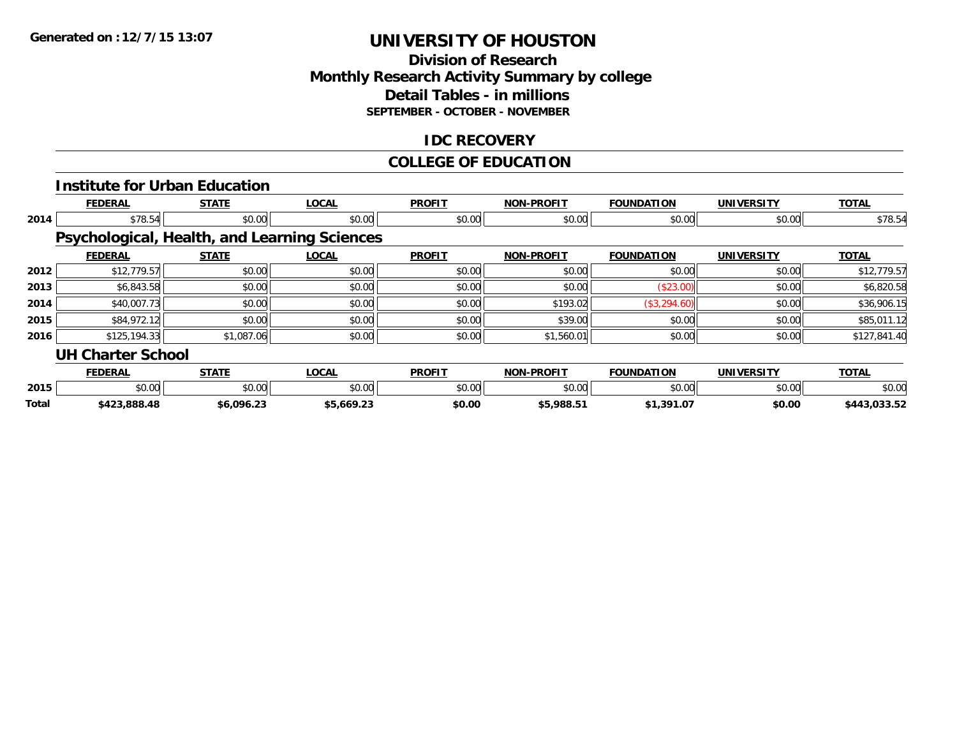## **Division of Research Monthly Research Activity Summary by college Detail Tables - in millions SEPTEMBER - OCTOBER - NOVEMBER**

## **IDC RECOVERY**

#### **COLLEGE OF EDUCATION**

|       |                          | <b>Institute for Urban Education</b> |                                              |               |                   |                   |                   |              |
|-------|--------------------------|--------------------------------------|----------------------------------------------|---------------|-------------------|-------------------|-------------------|--------------|
|       | <b>FEDERAL</b>           | <b>STATE</b>                         | <b>LOCAL</b>                                 | <b>PROFIT</b> | <b>NON-PROFIT</b> | <b>FOUNDATION</b> | <b>UNIVERSITY</b> | <b>TOTAL</b> |
| 2014  | \$78.54                  | \$0.00                               | \$0.00                                       | \$0.00        | \$0.00            | \$0.00            | \$0.00            | \$78.54      |
|       |                          |                                      | Psychological, Health, and Learning Sciences |               |                   |                   |                   |              |
|       | <b>FEDERAL</b>           | <b>STATE</b>                         | <b>LOCAL</b>                                 | <b>PROFIT</b> | <b>NON-PROFIT</b> | <b>FOUNDATION</b> | <b>UNIVERSITY</b> | <b>TOTAL</b> |
| 2012  | \$12,779.57              | \$0.00                               | \$0.00                                       | \$0.00        | \$0.00            | \$0.00            | \$0.00            | \$12,779.57  |
| 2013  | \$6,843.58               | \$0.00                               | \$0.00                                       | \$0.00        | \$0.00            | (\$23.00)         | \$0.00            | \$6,820.58   |
| 2014  | \$40,007.73              | \$0.00                               | \$0.00                                       | \$0.00        | \$193.02          | (\$3,294.60)      | \$0.00            | \$36,906.15  |
| 2015  | \$84,972.12              | \$0.00                               | \$0.00                                       | \$0.00        | \$39.00           | \$0.00            | \$0.00            | \$85,011.12  |
| 2016  | \$125,194.33             | \$1,087.06                           | \$0.00                                       | \$0.00        | \$1,560.01        | \$0.00            | \$0.00            | \$127,841.40 |
|       | <b>UH Charter School</b> |                                      |                                              |               |                   |                   |                   |              |
|       | <b>FEDERAL</b>           | <b>STATE</b>                         | <b>LOCAL</b>                                 | <b>PROFIT</b> | <b>NON-PROFIT</b> | <b>FOUNDATION</b> | <b>UNIVERSITY</b> | <b>TOTAL</b> |
| 2015  | \$0.00                   | \$0.00                               | \$0.00                                       | \$0.00        | \$0.00            | \$0.00            | \$0.00            | \$0.00       |
| Total | \$423,888.48             | \$6,096.23                           | \$5,669.23                                   | \$0.00        | \$5,988.51        | \$1,391.07        | \$0.00            | \$443,033.52 |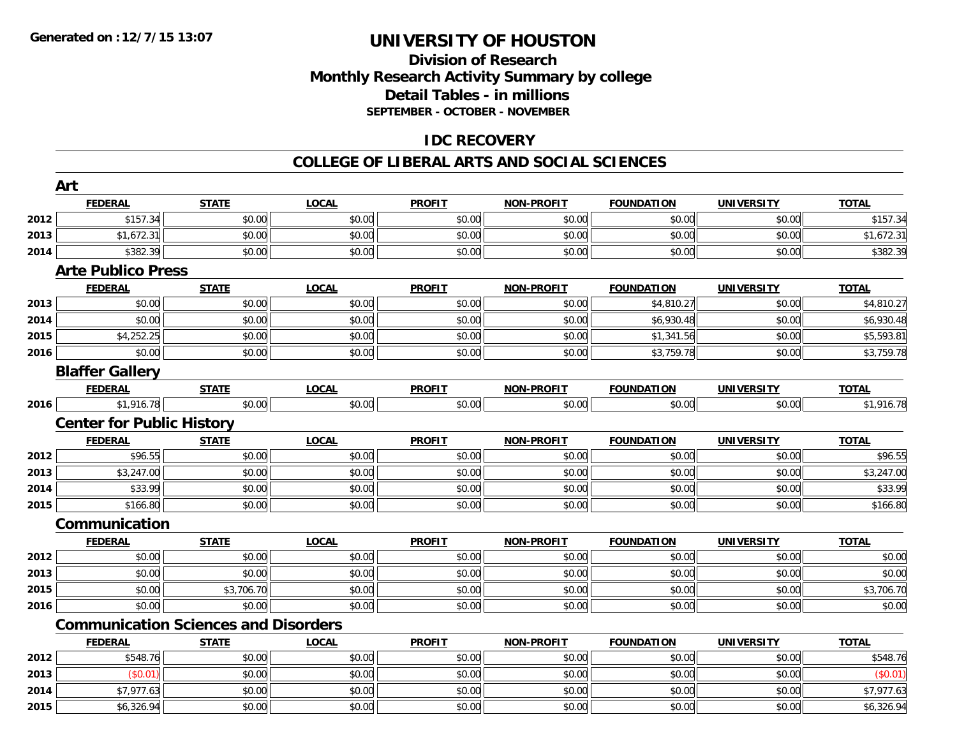## **Division of ResearchMonthly Research Activity Summary by college Detail Tables - in millions SEPTEMBER - OCTOBER - NOVEMBER**

## **IDC RECOVERY**

#### **COLLEGE OF LIBERAL ARTS AND SOCIAL SCIENCES**

|      | Art                                         |              |              |               |                   |                   |                   |              |
|------|---------------------------------------------|--------------|--------------|---------------|-------------------|-------------------|-------------------|--------------|
|      | <b>FEDERAL</b>                              | <b>STATE</b> | <b>LOCAL</b> | <b>PROFIT</b> | <b>NON-PROFIT</b> | <b>FOUNDATION</b> | <b>UNIVERSITY</b> | <b>TOTAL</b> |
| 2012 | \$157.34                                    | \$0.00       | \$0.00       | \$0.00        | \$0.00            | \$0.00            | \$0.00            | \$157.34     |
| 2013 | \$1,672.31                                  | \$0.00       | \$0.00       | \$0.00        | \$0.00            | \$0.00            | \$0.00            | \$1,672.31   |
| 2014 | \$382.39                                    | \$0.00       | \$0.00       | \$0.00        | \$0.00            | \$0.00            | \$0.00            | \$382.39     |
|      | <b>Arte Publico Press</b>                   |              |              |               |                   |                   |                   |              |
|      | <b>FEDERAL</b>                              | <b>STATE</b> | <b>LOCAL</b> | <b>PROFIT</b> | <b>NON-PROFIT</b> | <b>FOUNDATION</b> | <b>UNIVERSITY</b> | <b>TOTAL</b> |
| 2013 | \$0.00                                      | \$0.00       | \$0.00       | \$0.00        | \$0.00            | \$4,810.27        | \$0.00            | \$4,810.27   |
| 2014 | \$0.00                                      | \$0.00       | \$0.00       | \$0.00        | \$0.00            | \$6,930.48        | \$0.00            | \$6,930.48   |
| 2015 | \$4,252.25                                  | \$0.00       | \$0.00       | \$0.00        | \$0.00            | \$1,341.56        | \$0.00            | \$5,593.81   |
| 2016 | \$0.00                                      | \$0.00       | \$0.00       | \$0.00        | \$0.00            | \$3,759.78        | \$0.00            | \$3,759.78   |
|      | <b>Blaffer Gallery</b>                      |              |              |               |                   |                   |                   |              |
|      | <b>FEDERAL</b>                              | <b>STATE</b> | <b>LOCAL</b> | <b>PROFIT</b> | <b>NON-PROFIT</b> | <b>FOUNDATION</b> | <b>UNIVERSITY</b> | <b>TOTAL</b> |
| 2016 | \$1,916.78                                  | \$0.00       | \$0.00       | \$0.00        | \$0.00            | \$0.00            | \$0.00            | \$1,916.78   |
|      | <b>Center for Public History</b>            |              |              |               |                   |                   |                   |              |
|      | <b>FEDERAL</b>                              | <b>STATE</b> | <b>LOCAL</b> | <b>PROFIT</b> | <b>NON-PROFIT</b> | <b>FOUNDATION</b> | <b>UNIVERSITY</b> | <b>TOTAL</b> |
| 2012 | \$96.55                                     | \$0.00       | \$0.00       | \$0.00        | \$0.00            | \$0.00            | \$0.00            | \$96.55      |
| 2013 | \$3,247.00                                  | \$0.00       | \$0.00       | \$0.00        | \$0.00            | \$0.00            | \$0.00            | \$3,247.00   |
| 2014 | \$33.99                                     | \$0.00       | \$0.00       | \$0.00        | \$0.00            | \$0.00            | \$0.00            | \$33.99      |
| 2015 | \$166.80                                    | \$0.00       | \$0.00       | \$0.00        | \$0.00            | \$0.00            | \$0.00            | \$166.80     |
|      | Communication                               |              |              |               |                   |                   |                   |              |
|      | <b>FEDERAL</b>                              | <b>STATE</b> | <b>LOCAL</b> | <b>PROFIT</b> | <b>NON-PROFIT</b> | <b>FOUNDATION</b> | <b>UNIVERSITY</b> | <b>TOTAL</b> |
| 2012 | \$0.00                                      | \$0.00       | \$0.00       | \$0.00        | \$0.00            | \$0.00            | \$0.00            | \$0.00       |
| 2013 | \$0.00                                      | \$0.00       | \$0.00       | \$0.00        | \$0.00            | \$0.00            | \$0.00            | \$0.00       |
| 2015 | \$0.00                                      | \$3,706.70   | \$0.00       | \$0.00        | \$0.00            | \$0.00            | \$0.00            | \$3,706.70   |
| 2016 | \$0.00                                      | \$0.00       | \$0.00       | \$0.00        | \$0.00            | \$0.00            | \$0.00            | \$0.00       |
|      | <b>Communication Sciences and Disorders</b> |              |              |               |                   |                   |                   |              |
|      | <b>FEDERAL</b>                              | <b>STATE</b> | <b>LOCAL</b> | <b>PROFIT</b> | <b>NON-PROFIT</b> | <b>FOUNDATION</b> | <b>UNIVERSITY</b> | <b>TOTAL</b> |
| 2012 | \$548.76                                    | \$0.00       | \$0.00       | \$0.00        | \$0.00            | \$0.00            | \$0.00            | \$548.76     |
| 2013 | (S0.01)                                     | \$0.00       | \$0.00       | \$0.00        | \$0.00            | \$0.00            | \$0.00            | (\$0.01)     |
| 2014 | \$7,977.63                                  | \$0.00       | \$0.00       | \$0.00        | \$0.00            | \$0.00            | \$0.00            | \$7,977.63   |
| 2015 | \$6,326.94                                  | \$0.00       | \$0.00       | \$0.00        | \$0.00            | \$0.00            | \$0.00            | \$6,326.94   |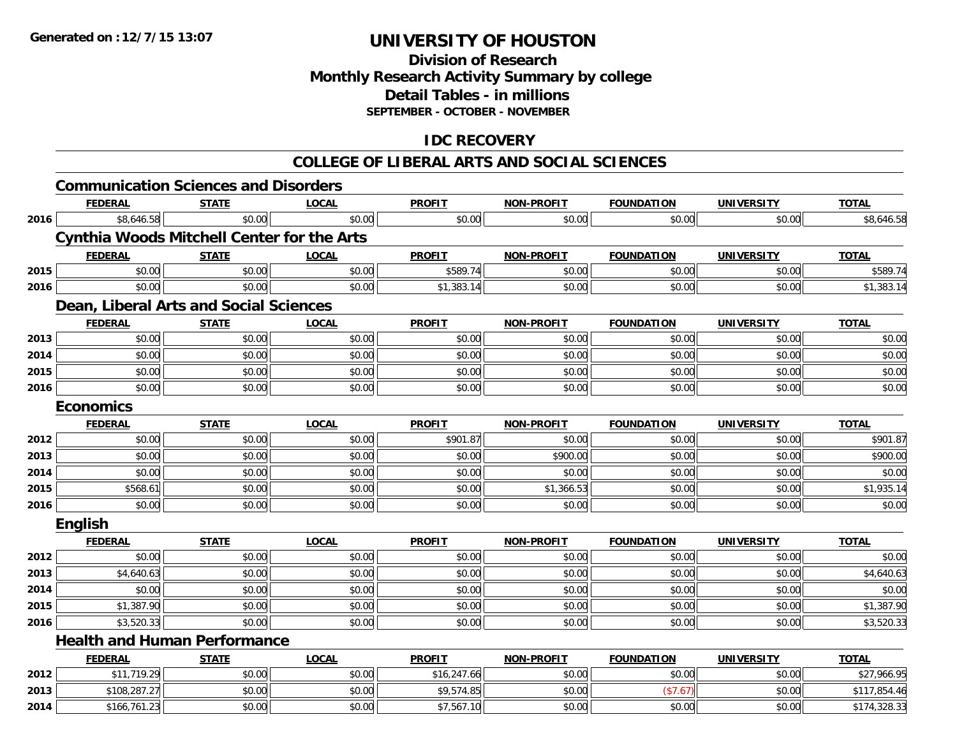## **Division of ResearchMonthly Research Activity Summary by college Detail Tables - in millions SEPTEMBER - OCTOBER - NOVEMBER**

## **IDC RECOVERY**

#### **COLLEGE OF LIBERAL ARTS AND SOCIAL SCIENCES**

|      | <b>Communication Sciences and Disorders</b>       |              |              |               |                   |                   |                   |              |
|------|---------------------------------------------------|--------------|--------------|---------------|-------------------|-------------------|-------------------|--------------|
|      | <b>FEDERAL</b>                                    | <b>STATE</b> | <b>LOCAL</b> | <b>PROFIT</b> | <b>NON-PROFIT</b> | <b>FOUNDATION</b> | <b>UNIVERSITY</b> | <b>TOTAL</b> |
| 2016 | \$8,646.58                                        | \$0.00       | \$0.00       | \$0.00        | \$0.00            | \$0.00            | \$0.00            | \$8,646.58   |
|      | <b>Cynthia Woods Mitchell Center for the Arts</b> |              |              |               |                   |                   |                   |              |
|      | <b>FEDERAL</b>                                    | <b>STATE</b> | <b>LOCAL</b> | <b>PROFIT</b> | <b>NON-PROFIT</b> | <b>FOUNDATION</b> | <b>UNIVERSITY</b> | <b>TOTAL</b> |
| 2015 | \$0.00                                            | \$0.00       | \$0.00       | \$589.74      | \$0.00            | \$0.00            | \$0.00            | \$589.74     |
| 2016 | \$0.00                                            | \$0.00       | \$0.00       | \$1,383.14    | \$0.00            | \$0.00            | \$0.00            | \$1,383.14   |
|      | Dean, Liberal Arts and Social Sciences            |              |              |               |                   |                   |                   |              |
|      | <b>FEDERAL</b>                                    | <b>STATE</b> | <b>LOCAL</b> | <b>PROFIT</b> | <b>NON-PROFIT</b> | <b>FOUNDATION</b> | <b>UNIVERSITY</b> | <b>TOTAL</b> |
| 2013 | \$0.00                                            | \$0.00       | \$0.00       | \$0.00        | \$0.00            | \$0.00            | \$0.00            | \$0.00       |
| 2014 | \$0.00                                            | \$0.00       | \$0.00       | \$0.00        | \$0.00            | \$0.00            | \$0.00            | \$0.00       |
| 2015 | \$0.00                                            | \$0.00       | \$0.00       | \$0.00        | \$0.00            | \$0.00            | \$0.00            | \$0.00       |
| 2016 | \$0.00                                            | \$0.00       | \$0.00       | \$0.00        | \$0.00            | \$0.00            | \$0.00            | \$0.00       |
|      | <b>Economics</b>                                  |              |              |               |                   |                   |                   |              |
|      | <b>FEDERAL</b>                                    | <b>STATE</b> | <b>LOCAL</b> | <b>PROFIT</b> | <b>NON-PROFIT</b> | <b>FOUNDATION</b> | <b>UNIVERSITY</b> | <b>TOTAL</b> |
| 2012 | \$0.00                                            | \$0.00       | \$0.00       | \$901.87      | \$0.00            | \$0.00            | \$0.00            | \$901.87     |
| 2013 | \$0.00                                            | \$0.00       | \$0.00       | \$0.00        | \$900.00          | \$0.00            | \$0.00            | \$900.00     |
| 2014 | \$0.00                                            | \$0.00       | \$0.00       | \$0.00        | \$0.00            | \$0.00            | \$0.00            | \$0.00       |
| 2015 | \$568.61                                          | \$0.00       | \$0.00       | \$0.00        | \$1,366.53        | \$0.00            | \$0.00            | \$1,935.14   |
| 2016 | \$0.00                                            | \$0.00       | \$0.00       | \$0.00        | \$0.00            | \$0.00            | \$0.00            | \$0.00       |
|      | <b>English</b>                                    |              |              |               |                   |                   |                   |              |
|      | <b>FEDERAL</b>                                    | <b>STATE</b> | <b>LOCAL</b> | <b>PROFIT</b> | <b>NON-PROFIT</b> | <b>FOUNDATION</b> | <b>UNIVERSITY</b> | <b>TOTAL</b> |
| 2012 | \$0.00                                            | \$0.00       | \$0.00       | \$0.00        | \$0.00            | \$0.00            | \$0.00            | \$0.00       |
| 2013 | \$4,640.63                                        | \$0.00       | \$0.00       | \$0.00        | \$0.00            | \$0.00            | \$0.00            | \$4,640.63   |
| 2014 | \$0.00                                            | \$0.00       | \$0.00       | \$0.00        | \$0.00            | \$0.00            | \$0.00            | \$0.00       |
| 2015 | \$1,387.90                                        | \$0.00       | \$0.00       | \$0.00        | \$0.00            | \$0.00            | \$0.00            | \$1,387.90   |
| 2016 | \$3,520.33                                        | \$0.00       | \$0.00       | \$0.00        | \$0.00            | \$0.00            | \$0.00            | \$3,520.33   |
|      | <b>Health and Human Performance</b>               |              |              |               |                   |                   |                   |              |
|      | <b>FEDERAL</b>                                    | <b>STATE</b> | <b>LOCAL</b> | <b>PROFIT</b> | <b>NON-PROFIT</b> | <b>FOUNDATION</b> | <b>UNIVERSITY</b> | <b>TOTAL</b> |
| 2012 | \$11,719.29                                       | \$0.00       | \$0.00       | \$16,247.66   | \$0.00            | \$0.00            | \$0.00            | \$27,966.95  |
| 2013 | \$108,287.27                                      | \$0.00       | \$0.00       | \$9,574.85    | \$0.00            | (\$7.67)          | \$0.00            | \$117,854.46 |
| 2014 | \$166,761.23                                      | \$0.00       | \$0.00       | \$7,567.10    | \$0.00            | \$0.00            | \$0.00            | \$174,328.33 |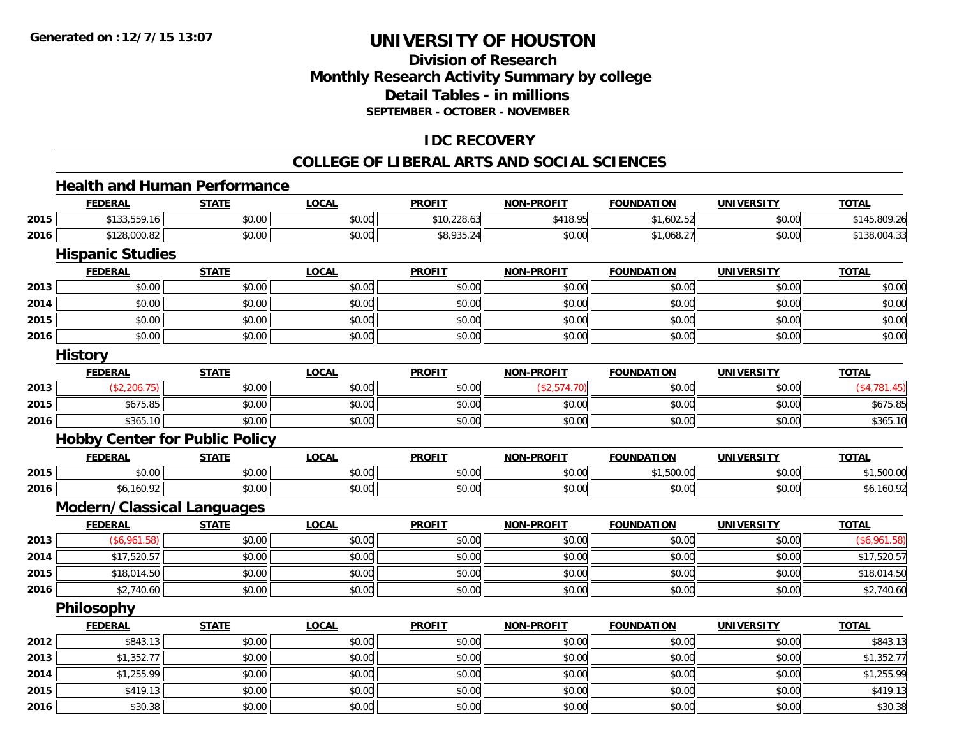## **Division of ResearchMonthly Research Activity Summary by college Detail Tables - in millions SEPTEMBER - OCTOBER - NOVEMBER**

## **IDC RECOVERY**

#### **COLLEGE OF LIBERAL ARTS AND SOCIAL SCIENCES**

## **Health and Human Performance**

|      | <b>FEDERAL</b>                        | <b>STATE</b> | <b>LOCAL</b> | <b>PROFIT</b> | <b>NON-PROFIT</b> | <b>FOUNDATION</b> | <b>UNIVERSITY</b> | <b>TOTAL</b>  |
|------|---------------------------------------|--------------|--------------|---------------|-------------------|-------------------|-------------------|---------------|
| 2015 | \$133,559.16                          | \$0.00       | \$0.00       | \$10,228.63   | \$418.95          | \$1,602.52        | \$0.00            | \$145,809.26  |
| 2016 | \$128,000.82                          | \$0.00       | \$0.00       | \$8,935.24    | \$0.00            | \$1,068.27        | \$0.00            | \$138,004.33  |
|      | <b>Hispanic Studies</b>               |              |              |               |                   |                   |                   |               |
|      | <b>FEDERAL</b>                        | <b>STATE</b> | <b>LOCAL</b> | <b>PROFIT</b> | <b>NON-PROFIT</b> | <b>FOUNDATION</b> | <b>UNIVERSITY</b> | <b>TOTAL</b>  |
| 2013 | \$0.00                                | \$0.00       | \$0.00       | \$0.00        | \$0.00            | \$0.00            | \$0.00            | \$0.00        |
| 2014 | \$0.00                                | \$0.00       | \$0.00       | \$0.00        | \$0.00            | \$0.00            | \$0.00            | \$0.00        |
| 2015 | \$0.00                                | \$0.00       | \$0.00       | \$0.00        | \$0.00            | \$0.00            | \$0.00            | \$0.00        |
| 2016 | \$0.00                                | \$0.00       | \$0.00       | \$0.00        | \$0.00            | \$0.00            | \$0.00            | \$0.00        |
|      | <b>History</b>                        |              |              |               |                   |                   |                   |               |
|      | <b>FEDERAL</b>                        | <b>STATE</b> | <b>LOCAL</b> | <b>PROFIT</b> | <b>NON-PROFIT</b> | <b>FOUNDATION</b> | <b>UNIVERSITY</b> | <b>TOTAL</b>  |
| 2013 | (\$2,206.75)                          | \$0.00       | \$0.00       | \$0.00        | (\$2,574.70)      | \$0.00            | \$0.00            | ( \$4,781.45) |
| 2015 | \$675.85                              | \$0.00       | \$0.00       | \$0.00        | \$0.00            | \$0.00            | \$0.00            | \$675.85      |
| 2016 | \$365.10                              | \$0.00       | \$0.00       | \$0.00        | \$0.00            | \$0.00            | \$0.00            | \$365.10      |
|      | <b>Hobby Center for Public Policy</b> |              |              |               |                   |                   |                   |               |
|      | <b>FEDERAL</b>                        | <b>STATE</b> | <b>LOCAL</b> | <b>PROFIT</b> | <b>NON-PROFIT</b> | <b>FOUNDATION</b> | <b>UNIVERSITY</b> | <b>TOTAL</b>  |
| 2015 | \$0.00                                | \$0.00       | \$0.00       | \$0.00        | \$0.00            | \$1,500.00        | \$0.00            | \$1,500.00    |
| 2016 | \$6,160.92                            | \$0.00       | \$0.00       | \$0.00        | \$0.00            | \$0.00            | \$0.00            | \$6,160.92    |
|      | <b>Modern/Classical Languages</b>     |              |              |               |                   |                   |                   |               |
|      | <b>FEDERAL</b>                        | <b>STATE</b> | <b>LOCAL</b> | <b>PROFIT</b> | <b>NON-PROFIT</b> | <b>FOUNDATION</b> | <b>UNIVERSITY</b> | <b>TOTAL</b>  |
| 2013 | (\$6,961.58)                          | \$0.00       | \$0.00       | \$0.00        | \$0.00            | \$0.00            | \$0.00            | (\$6,961.58)  |
| 2014 | \$17,520.57                           | \$0.00       | \$0.00       | \$0.00        | \$0.00            | \$0.00            | \$0.00            | \$17,520.57   |
| 2015 | \$18,014.50                           | \$0.00       | \$0.00       | \$0.00        | \$0.00            | \$0.00            | \$0.00            | \$18,014.50   |
| 2016 | \$2,740.60                            | \$0.00       | \$0.00       | \$0.00        | \$0.00            | \$0.00            | \$0.00            | \$2,740.60    |
|      | Philosophy                            |              |              |               |                   |                   |                   |               |
|      | <b>FEDERAL</b>                        | <b>STATE</b> | <b>LOCAL</b> | <b>PROFIT</b> | <b>NON-PROFIT</b> | <b>FOUNDATION</b> | <b>UNIVERSITY</b> | <b>TOTAL</b>  |
| 2012 | \$843.13                              | \$0.00       | \$0.00       | \$0.00        | \$0.00            | \$0.00            | \$0.00            | \$843.13      |
| 2013 | \$1,352.77                            | \$0.00       | \$0.00       | \$0.00        | \$0.00            | \$0.00            | \$0.00            | \$1,352.77    |
| 2014 | \$1,255.99                            | \$0.00       | \$0.00       | \$0.00        | \$0.00            | \$0.00            | \$0.00            | \$1,255.99    |
| 2015 | \$419.13                              | \$0.00       | \$0.00       | \$0.00        | \$0.00            | \$0.00            | \$0.00            | \$419.13      |
| 2016 | \$30.38                               | \$0.00       | \$0.00       | \$0.00        | \$0.00            | \$0.00            | \$0.00            | \$30.38       |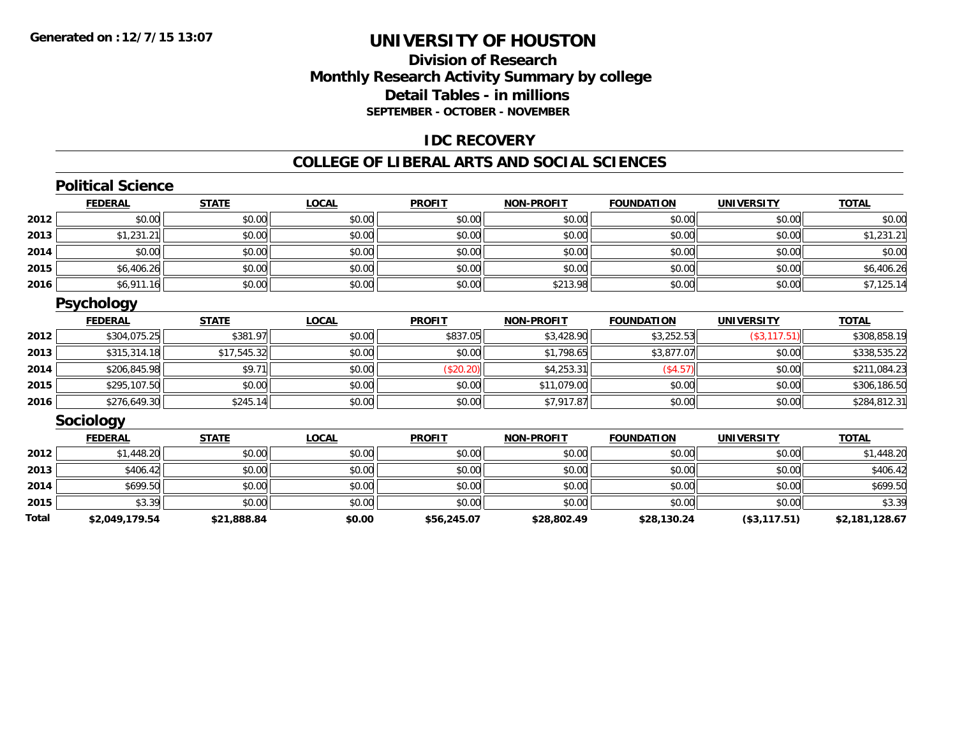## **Division of ResearchMonthly Research Activity Summary by college Detail Tables - in millions SEPTEMBER - OCTOBER - NOVEMBER**

### **IDC RECOVERY**

#### **COLLEGE OF LIBERAL ARTS AND SOCIAL SCIENCES**

## **Political Science**

|      | <b>FEDERAL</b> | <b>STATE</b> | <b>LOCAL</b> | <b>PROFIT</b> | <b>NON-PROFIT</b> | <b>FOUNDATION</b> | <b>UNIVERSITY</b> | <b>TOTAL</b> |
|------|----------------|--------------|--------------|---------------|-------------------|-------------------|-------------------|--------------|
| 2012 | \$0.00         | \$0.00       | \$0.00       | \$0.00        | \$0.00            | \$0.00            | \$0.00            | \$0.00       |
| 2013 | \$1,231.21     | \$0.00       | \$0.00       | \$0.00        | \$0.00            | \$0.00            | \$0.00            | \$1,231.21   |
| 2014 | \$0.00         | \$0.00       | \$0.00       | \$0.00        | \$0.00            | \$0.00            | \$0.00            | \$0.00       |
| 2015 | \$6,406.26     | \$0.00       | \$0.00       | \$0.00        | \$0.00            | \$0.00            | \$0.00            | \$6,406.26   |
| 2016 | \$6,911.16     | \$0.00       | \$0.00       | \$0.00        | \$213.98          | \$0.00            | \$0.00            | \$7,125.14   |

### **Psychology**

|      | <b>FEDERAL</b> | <b>STATE</b> | <u>LOCAL</u> | <b>PROFIT</b> | <b>NON-PROFIT</b> | <b>FOUNDATION</b> | <b>UNIVERSITY</b> | <b>TOTAL</b> |
|------|----------------|--------------|--------------|---------------|-------------------|-------------------|-------------------|--------------|
| 2012 | \$304,075.25   | \$381.97     | \$0.00       | \$837.05      | \$3,428.90        | \$3,252.53        | (\$3, 117.51)     | \$308,858.19 |
| 2013 | \$315,314.18   | \$17,545.32  | \$0.00       | \$0.00        | \$1,798.65        | \$3,877.07        | \$0.00            | \$338,535.22 |
| 2014 | \$206,845.98   | \$9.7        | \$0.00       | \$20.20       | \$4,253.31        | (\$4.57)          | \$0.00            | \$211,084.23 |
| 2015 | \$295,107.50   | \$0.00       | \$0.00       | \$0.00        | \$11,079.00       | \$0.00            | \$0.00            | \$306,186.50 |
| 2016 | \$276,649.30   | \$245.14     | \$0.00       | \$0.00        | \$7,917.87        | \$0.00            | \$0.00            | \$284,812.31 |

### **Sociology**

|       | <u>FEDERAL</u> | <b>STATE</b> | <b>LOCAL</b> | <b>PROFIT</b> | <b>NON-PROFIT</b> | <b>FOUNDATION</b> | <b>UNIVERSITY</b> | <b>TOTAL</b>   |
|-------|----------------|--------------|--------------|---------------|-------------------|-------------------|-------------------|----------------|
| 2012  | \$1,448.20     | \$0.00       | \$0.00       | \$0.00        | \$0.00            | \$0.00            | \$0.00            | \$1,448.20     |
| 2013  | \$406.42       | \$0.00       | \$0.00       | \$0.00        | \$0.00            | \$0.00            | \$0.00            | \$406.42       |
| 2014  | \$699.50       | \$0.00       | \$0.00       | \$0.00        | \$0.00            | \$0.00            | \$0.00            | \$699.50       |
| 2015  | \$3.39         | \$0.00       | \$0.00       | \$0.00        | \$0.00            | \$0.00            | \$0.00            | \$3.39         |
| Total | \$2,049,179.54 | \$21,888.84  | \$0.00       | \$56,245.07   | \$28,802.49       | \$28,130.24       | (\$3,117.51)      | \$2,181,128.67 |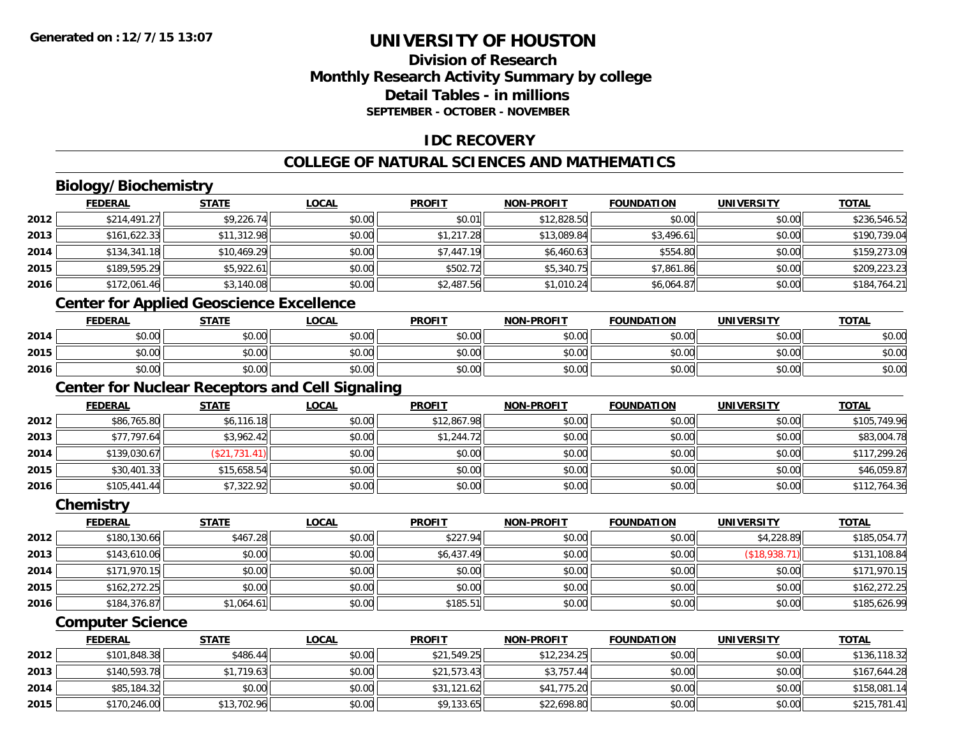## **Division of ResearchMonthly Research Activity Summary by college Detail Tables - in millionsSEPTEMBER - OCTOBER - NOVEMBER**

## **IDC RECOVERY**

## **COLLEGE OF NATURAL SCIENCES AND MATHEMATICS**

## **Biology/Biochemistry**

|      | <b>FEDERAL</b> | <b>STATE</b> | <b>LOCAL</b> | <b>PROFIT</b> | <b>NON-PROFIT</b> | <b>FOUNDATION</b> | <b>UNIVERSITY</b> | <b>TOTAL</b> |
|------|----------------|--------------|--------------|---------------|-------------------|-------------------|-------------------|--------------|
| 2012 | \$214,491.27   | \$9,226.74   | \$0.00       | \$0.01        | \$12,828.50       | \$0.00            | \$0.00            | \$236,546.52 |
| 2013 | \$161,622.33   | \$11,312.98  | \$0.00       | \$1,217.28    | \$13,089.84       | \$3,496.61        | \$0.00            | \$190,739.04 |
| 2014 | \$134,341.18   | \$10,469.29  | \$0.00       | \$7,447.19    | \$6,460.63        | \$554.80          | \$0.00            | \$159,273.09 |
| 2015 | \$189,595.29   | \$5,922.61   | \$0.00       | \$502.72      | \$5,340.75        | \$7,861.86        | \$0.00            | \$209,223.23 |
| 2016 | \$172,061.46   | \$3,140.08   | \$0.00       | \$2,487.56    | \$1,010.24        | \$6,064.87        | \$0.00            | \$184,764.21 |
|      |                |              |              |               |                   |                   |                   |              |

## **Center for Applied Geoscience Excellence**

|      | <b>FEDERAL</b>                                 | <b>STATE</b> | <u>LOCAL</u> | <b>PROFIT</b> | <b>NON-PROFIT</b> | <b>FOUNDATION</b> | UNIVERSITY | <b>TOTAL</b> |
|------|------------------------------------------------|--------------|--------------|---------------|-------------------|-------------------|------------|--------------|
| 2014 | ተ በ<br>JU.UU                                   | \$0.00       | \$0.00       | \$0.00        | \$0.00            | \$0.00            | \$0.00     | \$0.00       |
| 2015 | $\mathfrak{c} \cap \mathfrak{c} \cap$<br>DU.UU | \$0.00       | \$0.00       | \$0.00        | \$0.00            | \$0.00            | \$0.00     | \$0.00       |
| 2016 | \$0.00                                         | \$0.00       | \$0.00       | \$0.00        | \$0.00            | \$0.00            | \$0.00     | \$0.00       |

<u> 1980 - Johann Stoff, deutscher Stoff, der Stoff, der Stoff, der Stoff, der Stoff, der Stoff, der Stoff, der S</u>

## **Center for Nuclear Receptors and Cell Signaling**

|      | <b>FEDERAL</b> | <b>STATE</b>     | <u>LOCAL</u> | <b>PROFIT</b> | <b>NON-PROFIT</b> | FOUNDATION | <b>UNIVERSITY</b> | <b>TOTAL</b> |
|------|----------------|------------------|--------------|---------------|-------------------|------------|-------------------|--------------|
| 2012 | \$86,765.80    | \$6,116.18       | \$0.00       | \$12,867.98   | \$0.00            | \$0.00     | \$0.00            | \$105,749.96 |
| 2013 | \$77,797.64    | \$3,962.42       | \$0.00       | \$1,244.72    | \$0.00            | \$0.00     | \$0.00            | \$83,004.78  |
| 2014 | \$139,030.67   | ,731.41<br>(\$21 | \$0.00       | \$0.00        | \$0.00            | \$0.00     | \$0.00            | \$117,299.26 |
| 2015 | \$30,401.33    | \$15,658.54      | \$0.00       | \$0.00        | \$0.00            | \$0.00     | \$0.00            | \$46,059.87  |
| 2016 | \$105,441.44   | \$7,322.92       | \$0.00       | \$0.00        | \$0.00            | \$0.00     | \$0.00            | \$112,764.36 |

#### **Chemistry**

|      | <b>FEDERAL</b> | <b>STATE</b> | <u>LOCAL</u> | <b>PROFIT</b> | <b>NON-PROFIT</b> | <b>FOUNDATION</b> | <b>UNIVERSITY</b> | <b>TOTAL</b> |
|------|----------------|--------------|--------------|---------------|-------------------|-------------------|-------------------|--------------|
| 2012 | \$180,130.66   | \$467.28     | \$0.00       | \$227.94      | \$0.00            | \$0.00            | \$4,228.89        | \$185,054.77 |
| 2013 | \$143,610.06   | \$0.00       | \$0.00       | \$6,437.49    | \$0.00            | \$0.00            | (\$18,938.71)     | \$131,108.84 |
| 2014 | \$171,970.15   | \$0.00       | \$0.00       | \$0.00        | \$0.00            | \$0.00            | \$0.00            | \$171,970.15 |
| 2015 | \$162,272.25   | \$0.00       | \$0.00       | \$0.00        | \$0.00            | \$0.00            | \$0.00            | \$162,272.25 |
| 2016 | \$184,376.87   | \$1,064.61   | \$0.00       | \$185.51      | \$0.00            | \$0.00            | \$0.00            | \$185,626.99 |

### **Computer Science**

|      | <b>FEDERAL</b> | <u>STATE</u> | <u>LOCAL</u> | <b>PROFIT</b> | <b>NON-PROFIT</b> | FOUNDATION | UNIVERSITY | <b>TOTAL</b> |
|------|----------------|--------------|--------------|---------------|-------------------|------------|------------|--------------|
| 2012 | \$101,848.38   | \$486.44     | \$0.00       | \$21,549.25   | \$12,234.25       | \$0.00     | \$0.00     | \$136,118.32 |
| 2013 | \$140,593.78   | \$1,719.63   | \$0.00       | \$21,573.43   | \$3,757.44        | \$0.00     | \$0.00     | \$167,644.28 |
| 2014 | \$85,184.32    | \$0.00       | \$0.00       | \$31,121.62   | \$41,775.20       | \$0.00     | \$0.00     | \$158,081.14 |
| 2015 | \$170,246.00   | \$13,702.96  | \$0.00       | \$9,133.65    | \$22,698.80       | \$0.00     | \$0.00     | \$215,781.41 |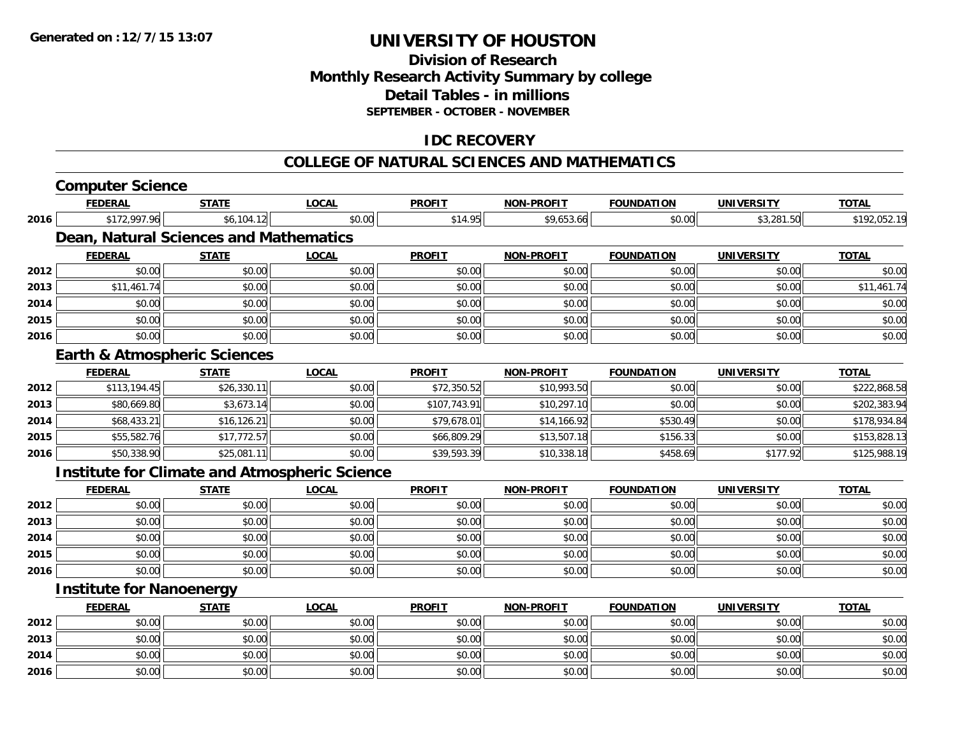**2016**

## **UNIVERSITY OF HOUSTON**

## **Division of ResearchMonthly Research Activity Summary by college Detail Tables - in millions SEPTEMBER - OCTOBER - NOVEMBER**

## **IDC RECOVERY**

#### **COLLEGE OF NATURAL SCIENCES AND MATHEMATICS**

|      | <b>Computer Science</b>                 |              |                                                      |               |                   |                   |                   |              |
|------|-----------------------------------------|--------------|------------------------------------------------------|---------------|-------------------|-------------------|-------------------|--------------|
|      | <b>FEDERAL</b>                          | <b>STATE</b> | <b>LOCAL</b>                                         | <b>PROFIT</b> | <b>NON-PROFIT</b> | <b>FOUNDATION</b> | <b>UNIVERSITY</b> | <b>TOTAL</b> |
| 2016 | \$172,997.96                            | \$6,104.12   | \$0.00                                               | \$14.95       | \$9,653.66        | \$0.00            | \$3,281.50        | \$192,052.19 |
|      | Dean, Natural Sciences and Mathematics  |              |                                                      |               |                   |                   |                   |              |
|      | <b>FEDERAL</b>                          | <b>STATE</b> | <b>LOCAL</b>                                         | <b>PROFIT</b> | <b>NON-PROFIT</b> | <b>FOUNDATION</b> | <b>UNIVERSITY</b> | <b>TOTAL</b> |
| 2012 | \$0.00                                  | \$0.00       | \$0.00                                               | \$0.00        | \$0.00            | \$0.00            | \$0.00            | \$0.00       |
| 2013 | \$11,461.74                             | \$0.00       | \$0.00                                               | \$0.00        | \$0.00            | \$0.00            | \$0.00            | \$11,461.74  |
| 2014 | \$0.00                                  | \$0.00       | \$0.00                                               | \$0.00        | \$0.00            | \$0.00            | \$0.00            | \$0.00       |
| 2015 | \$0.00                                  | \$0.00       | \$0.00                                               | \$0.00        | \$0.00            | \$0.00            | \$0.00            | \$0.00       |
| 2016 | \$0.00                                  | \$0.00       | \$0.00                                               | \$0.00        | \$0.00            | \$0.00            | \$0.00            | \$0.00       |
|      | <b>Earth &amp; Atmospheric Sciences</b> |              |                                                      |               |                   |                   |                   |              |
|      | <b>FEDERAL</b>                          | <b>STATE</b> | <b>LOCAL</b>                                         | <b>PROFIT</b> | <b>NON-PROFIT</b> | <b>FOUNDATION</b> | <b>UNIVERSITY</b> | <b>TOTAL</b> |
| 2012 | \$113,194.45                            | \$26,330.11  | \$0.00                                               | \$72,350.52   | \$10,993.50       | \$0.00            | \$0.00            | \$222,868.58 |
| 2013 | \$80,669.80                             | \$3,673.14   | \$0.00                                               | \$107,743.91  | \$10,297.10       | \$0.00            | \$0.00            | \$202,383.94 |
| 2014 | \$68,433.21                             | \$16,126.21  | \$0.00                                               | \$79,678.01   | \$14,166.92       | \$530.49          | \$0.00            | \$178,934.84 |
| 2015 | \$55,582.76                             | \$17,772.57  | \$0.00                                               | \$66,809.29   | \$13,507.18       | \$156.33          | \$0.00            | \$153,828.13 |
| 2016 | \$50,338.90                             | \$25,081.11  | \$0.00                                               | \$39,593.39   | \$10,338.18       | \$458.69          | \$177.92          | \$125,988.19 |
|      |                                         |              | <b>Institute for Climate and Atmospheric Science</b> |               |                   |                   |                   |              |
|      | <b>FEDERAL</b>                          | <b>STATE</b> | <b>LOCAL</b>                                         | <b>PROFIT</b> | <b>NON-PROFIT</b> | <b>FOUNDATION</b> | <b>UNIVERSITY</b> | <b>TOTAL</b> |
| 2012 | \$0.00                                  | \$0.00       | \$0.00                                               | \$0.00        | \$0.00            | \$0.00            | \$0.00            | \$0.00       |
| 2013 | \$0.00                                  | \$0.00       | \$0.00                                               | \$0.00        | \$0.00            | \$0.00            | \$0.00            | \$0.00       |
| 2014 | \$0.00                                  | \$0.00       | \$0.00                                               | \$0.00        | \$0.00            | \$0.00            | \$0.00            | \$0.00       |
| 2015 | \$0.00                                  | \$0.00       | \$0.00                                               | \$0.00        | \$0.00            | \$0.00            | \$0.00            | \$0.00       |
| 2016 | \$0.00                                  | \$0.00       | \$0.00                                               | \$0.00        | \$0.00            | \$0.00            | \$0.00            | \$0.00       |
|      | <b>Institute for Nanoenergy</b>         |              |                                                      |               |                   |                   |                   |              |
|      | <b>FEDERAL</b>                          | <b>STATE</b> | <b>LOCAL</b>                                         | <b>PROFIT</b> | <b>NON-PROFIT</b> | <b>FOUNDATION</b> | <b>UNIVERSITY</b> | <b>TOTAL</b> |
| 2012 | \$0.00                                  | \$0.00       | \$0.00                                               | \$0.00        | \$0.00            | \$0.00            | \$0.00            | \$0.00       |
| 2013 | \$0.00                                  | \$0.00       | \$0.00                                               | \$0.00        | \$0.00            | \$0.00            | \$0.00            | \$0.00       |
| 2014 | \$0.00                                  | \$0.00       | \$0.00                                               | \$0.00        | \$0.00            | \$0.00            | \$0.00            | \$0.00       |

\$0.00 \$0.00 \$0.00 \$0.00 \$0.00 \$0.00 \$0.00 \$0.00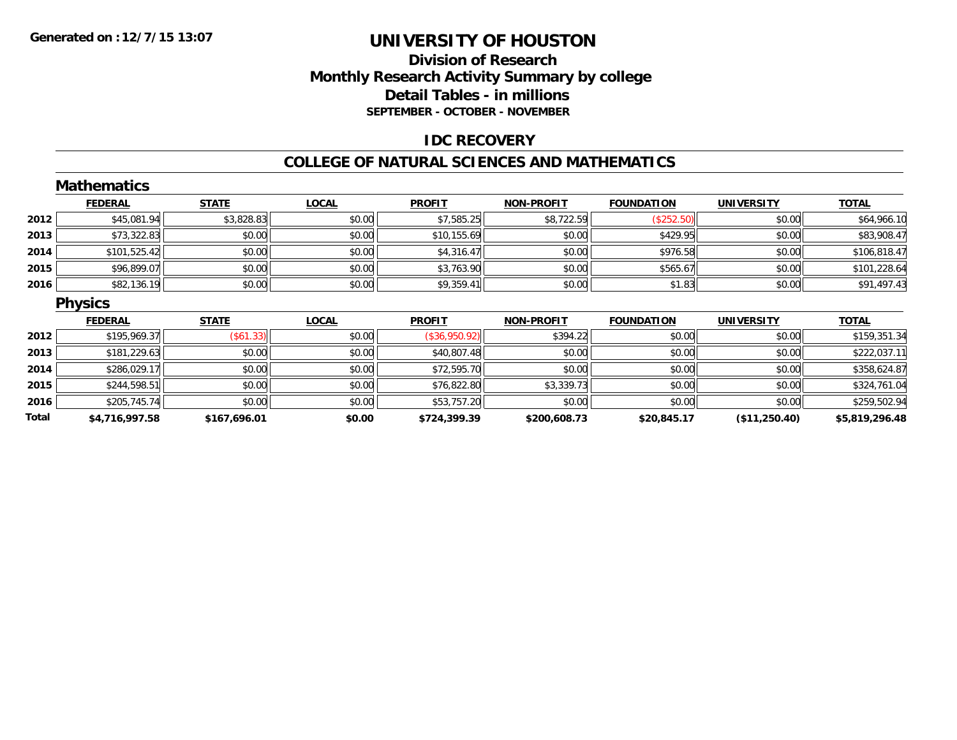## **Division of Research Monthly Research Activity Summary by college Detail Tables - in millions SEPTEMBER - OCTOBER - NOVEMBER**

### **IDC RECOVERY**

#### **COLLEGE OF NATURAL SCIENCES AND MATHEMATICS**

|       | <b>Mathematics</b> |              |              |               |                   |                   |                   |                |
|-------|--------------------|--------------|--------------|---------------|-------------------|-------------------|-------------------|----------------|
|       | <b>FEDERAL</b>     | <b>STATE</b> | <b>LOCAL</b> | <b>PROFIT</b> | <b>NON-PROFIT</b> | <b>FOUNDATION</b> | <b>UNIVERSITY</b> | <b>TOTAL</b>   |
| 2012  | \$45,081.94        | \$3,828.83   | \$0.00       | \$7,585.25    | \$8,722.59        | (\$252.50)        | \$0.00            | \$64,966.10    |
| 2013  | \$73,322.83        | \$0.00       | \$0.00       | \$10,155.69   | \$0.00            | \$429.95          | \$0.00            | \$83,908.47    |
| 2014  | \$101,525.42       | \$0.00       | \$0.00       | \$4,316.47    | \$0.00            | \$976.58          | \$0.00            | \$106,818.47   |
| 2015  | \$96,899.07        | \$0.00       | \$0.00       | \$3,763.90    | \$0.00            | \$565.67          | \$0.00            | \$101,228.64   |
| 2016  | \$82,136.19        | \$0.00       | \$0.00       | \$9,359.41    | \$0.00            | \$1.83            | \$0.00            | \$91,497.43    |
|       | <b>Physics</b>     |              |              |               |                   |                   |                   |                |
|       | <b>FEDERAL</b>     | <b>STATE</b> | <b>LOCAL</b> | <b>PROFIT</b> | <b>NON-PROFIT</b> | <b>FOUNDATION</b> | <b>UNIVERSITY</b> | <b>TOTAL</b>   |
| 2012  | \$195,969.37       | (\$61.33)    | \$0.00       | (\$36,950.92) | \$394.22          | \$0.00            | \$0.00            | \$159,351.34   |
| 2013  | \$181,229.63       | \$0.00       | \$0.00       | \$40,807.48   | \$0.00            | \$0.00            | \$0.00            | \$222,037.11   |
| 2014  | \$286,029.17       | \$0.00       | \$0.00       | \$72,595.70   | \$0.00            | \$0.00            | \$0.00            | \$358,624.87   |
| 2015  | \$244,598.51       | \$0.00       | \$0.00       | \$76,822.80   | \$3,339.73        | \$0.00            | \$0.00            | \$324,761.04   |
| 2016  | \$205,745.74       | \$0.00       | \$0.00       | \$53,757.20   | \$0.00            | \$0.00            | \$0.00            | \$259,502.94   |
| Total | \$4,716,997.58     | \$167,696.01 | \$0.00       | \$724,399.39  | \$200,608.73      | \$20,845.17       | (\$11,250.40)     | \$5,819,296.48 |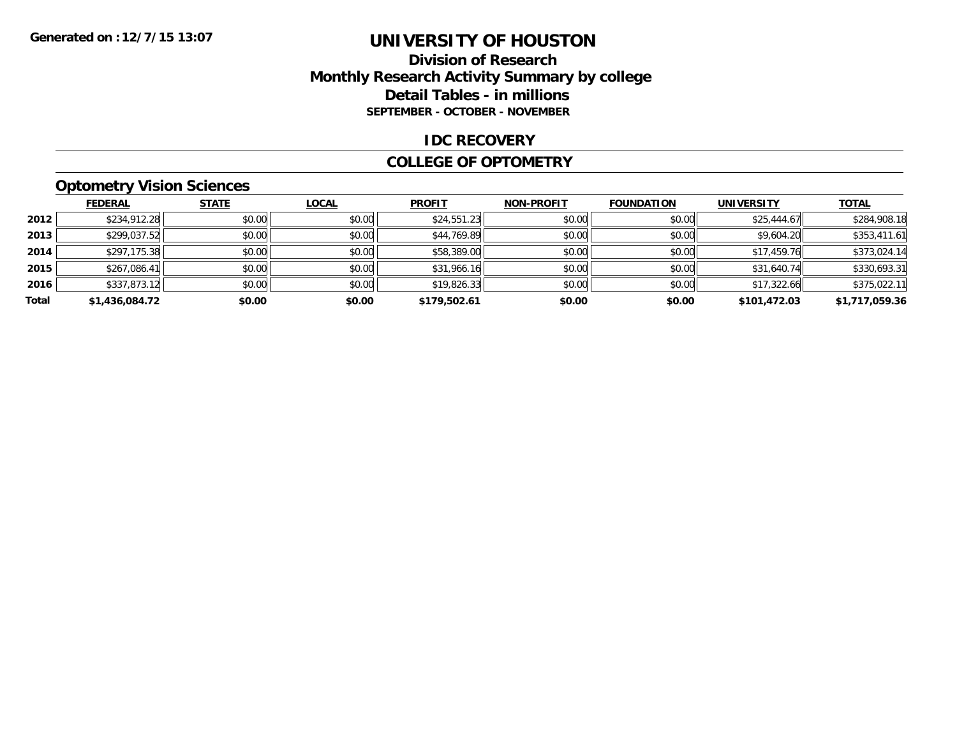## **Division of Research Monthly Research Activity Summary by college Detail Tables - in millions SEPTEMBER - OCTOBER - NOVEMBER**

#### **IDC RECOVERY**

#### **COLLEGE OF OPTOMETRY**

## **Optometry Vision Sciences**

|       | <b>FEDERAL</b> | <b>STATE</b> | <b>LOCAL</b> | <b>PROFIT</b> | <b>NON-PROFIT</b> | <b>FOUNDATION</b> | <b>UNIVERSITY</b> | <b>TOTAL</b>   |
|-------|----------------|--------------|--------------|---------------|-------------------|-------------------|-------------------|----------------|
| 2012  | \$234,912.28   | \$0.00       | \$0.00       | \$24,551.23   | \$0.00            | \$0.00            | \$25,444.67       | \$284,908.18   |
| 2013  | \$299,037.52   | \$0.00       | \$0.00       | \$44,769.89   | \$0.00            | \$0.00            | \$9,604.20        | \$353,411.61   |
| 2014  | \$297,175.38   | \$0.00       | \$0.00       | \$58,389.00   | \$0.00            | \$0.00            | \$17,459.76       | \$373,024.14   |
| 2015  | \$267,086.41   | \$0.00       | \$0.00       | \$31,966.16   | \$0.00            | \$0.00            | \$31,640.74       | \$330,693.31   |
| 2016  | \$337,873.12   | \$0.00       | \$0.00       | \$19,826.33   | \$0.00            | \$0.00            | \$17,322.66       | \$375,022.11   |
| Total | \$1,436,084.72 | \$0.00       | \$0.00       | \$179,502.61  | \$0.00            | \$0.00            | \$101,472.03      | \$1,717,059.36 |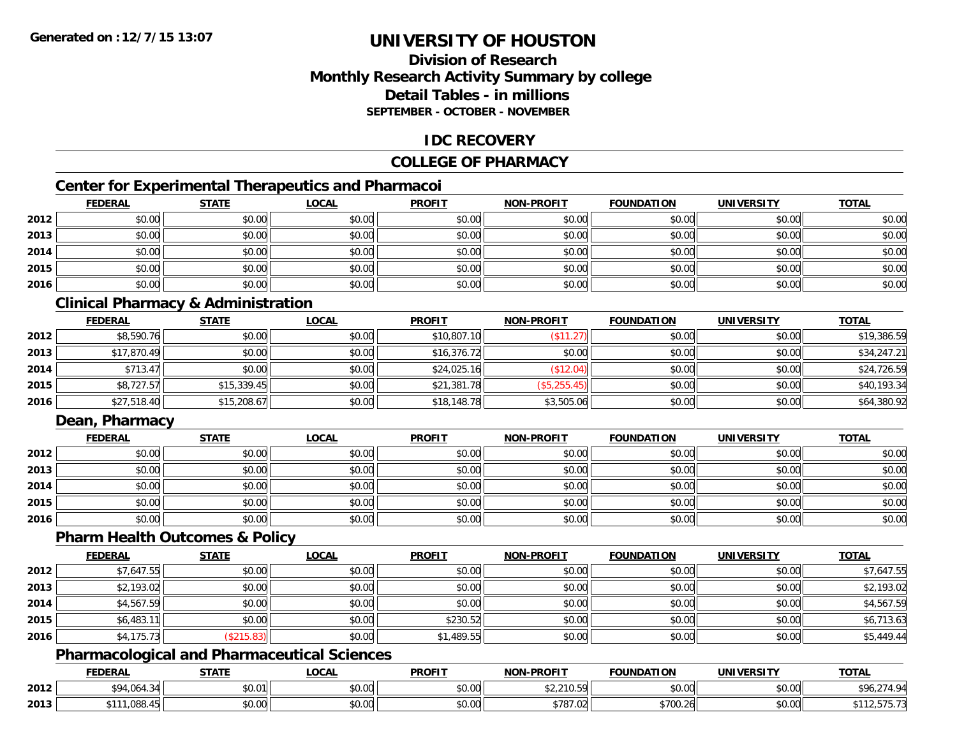## **Division of ResearchMonthly Research Activity Summary by college Detail Tables - in millionsSEPTEMBER - OCTOBER - NOVEMBER**

### **IDC RECOVERY**

## **COLLEGE OF PHARMACY**

## **Center for Experimental Therapeutics and Pharmacoi**

|      | <b>FEDERAL</b> | <b>STATE</b> | <b>LOCAL</b> | <b>PROFIT</b> | <b>NON-PROFIT</b> | <b>FOUNDATION</b> | <b>UNIVERSITY</b> | <b>TOTAL</b> |
|------|----------------|--------------|--------------|---------------|-------------------|-------------------|-------------------|--------------|
| 2012 | \$0.00         | \$0.00       | \$0.00       | \$0.00        | \$0.00            | \$0.00            | \$0.00            | \$0.00       |
| 2013 | \$0.00         | \$0.00       | \$0.00       | \$0.00        | \$0.00            | \$0.00            | \$0.00            | \$0.00       |
| 2014 | \$0.00         | \$0.00       | \$0.00       | \$0.00        | \$0.00            | \$0.00            | \$0.00            | \$0.00       |
| 2015 | \$0.00         | \$0.00       | \$0.00       | \$0.00        | \$0.00            | \$0.00            | \$0.00            | \$0.00       |
| 2016 | \$0.00         | \$0.00       | \$0.00       | \$0.00        | \$0.00            | \$0.00            | \$0.00            | \$0.00       |

## **Clinical Pharmacy & Administration**

|      | <b>FEDERAL</b> | <b>STATE</b> | <u>LOCAL</u> | <b>PROFIT</b> | <b>NON-PROFIT</b> | <b>FOUNDATION</b> | <b>UNIVERSITY</b> | <b>TOTAL</b> |
|------|----------------|--------------|--------------|---------------|-------------------|-------------------|-------------------|--------------|
| 2012 | \$8,590.76     | \$0.00       | \$0.00       | \$10,807.10   | (\$11.27)         | \$0.00            | \$0.00            | \$19,386.59  |
| 2013 | \$17,870.49    | \$0.00       | \$0.00       | \$16,376.72   | \$0.00            | \$0.00            | \$0.00            | \$34,247.21  |
| 2014 | \$713.47       | \$0.00       | \$0.00       | \$24,025.16   | \$12.04)          | \$0.00            | \$0.00            | \$24,726.59  |
| 2015 | \$8,727.57     | \$15,339.45  | \$0.00       | \$21,381.78   | (\$5,255.45)      | \$0.00            | \$0.00            | \$40,193.34  |
| 2016 | \$27,518.40    | \$15,208.67  | \$0.00       | \$18,148.78   | \$3,505.06        | \$0.00            | \$0.00            | \$64,380.92  |

## **Dean, Pharmacy**

|      | <b>FEDERAL</b> | <b>STATE</b> | <u>LOCAL</u> | <b>PROFIT</b> | <b>NON-PROFIT</b> | <b>FOUNDATION</b> | <b>UNIVERSITY</b> | <b>TOTAL</b> |
|------|----------------|--------------|--------------|---------------|-------------------|-------------------|-------------------|--------------|
| 2012 | \$0.00         | \$0.00       | \$0.00       | \$0.00        | \$0.00            | \$0.00            | \$0.00            | \$0.00       |
| 2013 | \$0.00         | \$0.00       | \$0.00       | \$0.00        | \$0.00            | \$0.00            | \$0.00            | \$0.00       |
| 2014 | \$0.00         | \$0.00       | \$0.00       | \$0.00        | \$0.00            | \$0.00            | \$0.00            | \$0.00       |
| 2015 | \$0.00         | \$0.00       | \$0.00       | \$0.00        | \$0.00            | \$0.00            | \$0.00            | \$0.00       |
| 2016 | \$0.00         | \$0.00       | \$0.00       | \$0.00        | \$0.00            | \$0.00            | \$0.00            | \$0.00       |

#### **Pharm Health Outcomes & Policy**

|      | <b>FEDERAL</b> | <b>STATE</b> | <u>LOCAL</u> | <b>PROFIT</b> | <b>NON-PROFIT</b> | <b>FOUNDATION</b> | <b>UNIVERSITY</b> | <b>TOTAL</b> |
|------|----------------|--------------|--------------|---------------|-------------------|-------------------|-------------------|--------------|
| 2012 | \$7,647.55     | \$0.00       | \$0.00       | \$0.00        | \$0.00            | \$0.00            | \$0.00            | \$7,647.55   |
| 2013 | \$2,193.02     | \$0.00       | \$0.00       | \$0.00        | \$0.00            | \$0.00            | \$0.00            | \$2,193.02   |
| 2014 | \$4,567.59     | \$0.00       | \$0.00       | \$0.00        | \$0.00            | \$0.00            | \$0.00            | \$4,567.59   |
| 2015 | \$6,483.11     | \$0.00       | \$0.00       | \$230.52      | \$0.00            | \$0.00            | \$0.00            | \$6,713.63   |
| 2016 | \$4,175.73     | \$215.83     | \$0.00       | \$1,489.55    | \$0.00            | \$0.00            | \$0.00            | \$5,449.44   |

### **Pharmacological and Pharmaceutical Sciences**

|      | <b>EDERAL</b>                  | <b>STATE</b> | LOCAL              | <b>PROFIT</b>        | <b>NON-PROFIT</b>   | <b>FOUNDATION</b> | <b>UNIVERSITY</b>                                            | <b>TOTAL</b>  |
|------|--------------------------------|--------------|--------------------|----------------------|---------------------|-------------------|--------------------------------------------------------------|---------------|
| 2012 | $CDA$ $0A$ $2$<br>wur<br>.     | \$0.01       | $\sim$ 00<br>vv.vv | 0000<br>JU.UU        | 0.0100<br>94,410.J7 | 0.00<br>JU.UU.    | \$0.00                                                       | 274 Q4<br>. ד |
| 2013 | <b>ORR</b><br><b>A11.</b><br>w | \$0.00       | 0000<br>ง∪.∪บ      | 0000<br><b>DU.UG</b> | 0.70709<br>\/87.02  | \$700.26          | $\mathfrak{g}$ $\mathfrak{g}$ $\mathfrak{g}$<br><b>JU.UU</b> | ، ن ر         |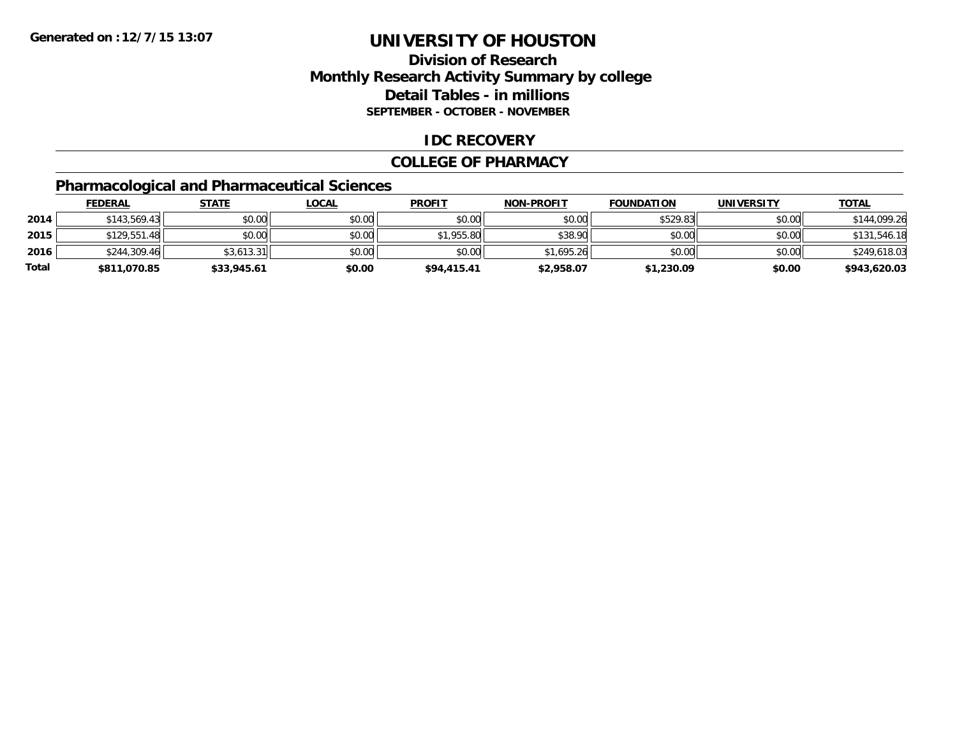## **Division of Research Monthly Research Activity Summary by college Detail Tables - in millions SEPTEMBER - OCTOBER - NOVEMBER**

### **IDC RECOVERY**

#### **COLLEGE OF PHARMACY**

## **Pharmacological and Pharmaceutical Sciences**

|       | <u>FEDERAL</u> | <b>STATE</b> | <u>LOCAL</u> | <b>PROFIT</b> | <b>NON-PROFIT</b> | <b>FOUNDATION</b> | <b>UNIVERSITY</b> | <b>TOTAL</b> |
|-------|----------------|--------------|--------------|---------------|-------------------|-------------------|-------------------|--------------|
| 2014  | \$143,569.43   | \$0.00       | \$0.00       | \$0.00        | \$0.00            | \$529.83          | \$0.00            | \$144,099.26 |
| 2015  | \$129,551.48   | \$0.00       | \$0.00       | \$1,955.80    | \$38.90           | \$0.00            | \$0.00            | \$131,546.18 |
| 2016  | \$244,309.46   | \$3,613.31   | \$0.00       | \$0.00        | \$1,695.26        | \$0.00            | \$0.00            | \$249,618.03 |
| Total | \$811,070.85   | \$33,945.61  | \$0.00       | \$94,415.41   | \$2,958.07        | \$1,230.09        | \$0.00            | \$943,620.03 |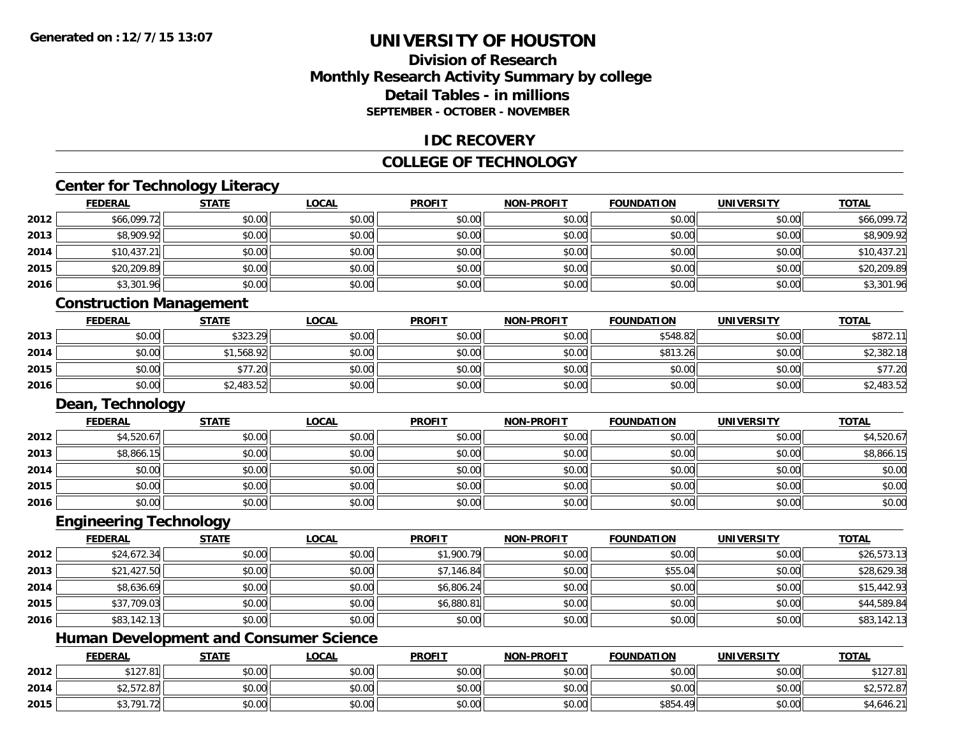## **Division of ResearchMonthly Research Activity Summary by college Detail Tables - in millionsSEPTEMBER - OCTOBER - NOVEMBER**

### **IDC RECOVERY**

#### **COLLEGE OF TECHNOLOGY**

# **Center for Technology Literacy**

|      | <b>FEDERAL</b>                 | <b>STATE</b> | <b>LOCAL</b> | <b>PROFIT</b> | <b>NON-PROFIT</b> | <b>FOUNDATION</b> | <b>UNIVERSITY</b> | <b>TOTAL</b> |
|------|--------------------------------|--------------|--------------|---------------|-------------------|-------------------|-------------------|--------------|
| 2012 | \$66,099.72                    | \$0.00       | \$0.00       | \$0.00        | \$0.00            | \$0.00            | \$0.00            | \$66,099.72  |
| 2013 | \$8,909.92                     | \$0.00       | \$0.00       | \$0.00        | \$0.00            | \$0.00            | \$0.00            | \$8,909.92   |
| 2014 | \$10,437.21                    | \$0.00       | \$0.00       | \$0.00        | \$0.00            | \$0.00            | \$0.00            | \$10,437.21  |
| 2015 | \$20,209.89                    | \$0.00       | \$0.00       | \$0.00        | \$0.00            | \$0.00            | \$0.00            | \$20,209.89  |
| 2016 | \$3,301.96                     | \$0.00       | \$0.00       | \$0.00        | \$0.00            | \$0.00            | \$0.00            | \$3,301.96   |
|      | <b>Construction Management</b> |              |              |               |                   |                   |                   |              |
|      | <b>FEDERAL</b>                 | <b>STATE</b> | <b>LOCAL</b> | <b>PROFIT</b> | <b>NON-PROFIT</b> | <b>FOUNDATION</b> | <b>UNIVERSITY</b> | <b>TOTAL</b> |
| 2013 | \$0.00                         | \$323.29     | \$0.00       | \$0.00        | \$0.00            | \$548.82          | \$0.00            | \$872.11     |
| 2014 | \$0.00                         | \$1,568.92   | \$0.00       | \$0.00        | \$0.00            | \$813.26          | \$0.00            | \$2,382.18   |
| 2015 | \$0.00                         | \$77.20      | \$0.00       | \$0.00        | \$0.00            | \$0.00            | \$0.00            | \$77.20      |
| 2016 | \$0.00                         | \$2,483.52   | \$0.00       | \$0.00        | \$0.00            | \$0.00            | \$0.00            | \$2,483.52   |
|      | Dean, Technology               |              |              |               |                   |                   |                   |              |
|      | <b>FEDERAL</b>                 | <b>STATE</b> | <b>LOCAL</b> | <b>PROFIT</b> | <b>NON-PROFIT</b> | <b>FOUNDATION</b> | <b>UNIVERSITY</b> | <b>TOTAL</b> |
| 2012 | \$4,520.67                     | \$0.00       | \$0.00       | \$0.00        | \$0.00            | \$0.00            | \$0.00            | \$4,520.67   |
| 2013 | \$8,866.15                     | \$0.00       | \$0.00       | \$0.00        | \$0.00            | \$0.00            | \$0.00            | \$8,866.15   |
| 2014 | \$0.00                         | \$0.00       | \$0.00       | \$0.00        | \$0.00            | \$0.00            | \$0.00            | \$0.00       |
| 2015 | \$0.00                         | \$0.00       | \$0.00       | \$0.00        | \$0.00            | \$0.00            | \$0.00            | \$0.00       |
| 2016 | \$0.00                         | \$0.00       | \$0.00       | \$0.00        | \$0.00            | \$0.00            | \$0.00            | \$0.00       |
|      | <b>Engineering Technology</b>  |              |              |               |                   |                   |                   |              |
|      | <b>FEDERAL</b>                 | <b>STATE</b> | <b>LOCAL</b> | <b>PROFIT</b> | <b>NON-PROFIT</b> | <b>FOUNDATION</b> | <b>UNIVERSITY</b> | <b>TOTAL</b> |
| 2012 | \$24,672.34                    | \$0.00       | \$0.00       | \$1,900.79    | \$0.00            | \$0.00            | \$0.00            | \$26,573.13  |
| 2013 | \$21,427.50                    | \$0.00       | \$0.00       | \$7,146.84    | \$0.00            | \$55.04           | \$0.00            | \$28,629.38  |
| 2014 | \$8,636.69                     | \$0.00       | \$0.00       | \$6,806.24    | \$0.00            | \$0.00            | \$0.00            | \$15,442.93  |

## **Human Development and Consumer Science**

**2015**

**2016**

|      | <b>FEDERAL</b>       | <b>STATE</b> | <u>LOCAL</u> | <b>PROFIT</b> | <b>NON-PROFIT</b> | <b>FOUNDATION</b> | <b>UNIVERSITY</b> | <b>TOTAL</b>               |
|------|----------------------|--------------|--------------|---------------|-------------------|-------------------|-------------------|----------------------------|
| 2012 | \$127.81             | \$0.00       | \$0.00       | \$0.00        | \$0.00            | \$0.00            | \$0.00            | \$127.81                   |
| 2014 | \$2,572.87           | \$0.00       | \$0.00       | \$0.00        | \$0.00            | \$0.00            | \$0.00            | <b>E72 07</b><br>92,972.07 |
| 2015 | $\sim$ $\sim$ $\sim$ | \$0.00       | \$0.00       | \$0.00        | \$0.00            | \$854.<br>49      | \$0.00            | \$4,646.21                 |

\$37,709.03 \$0.00 \$0.00 \$6,880.81 \$0.00 \$0.00 \$0.00 \$44,589.84

6 \$83,142.13 \$0.00 \$0.00 \$0.00 \$0.00 \$0.00 \$0.00 \$0.00 \$0.00 \$0.00 \$0.00 \$0.00 \$0.00 \$0.00 \$83,142.13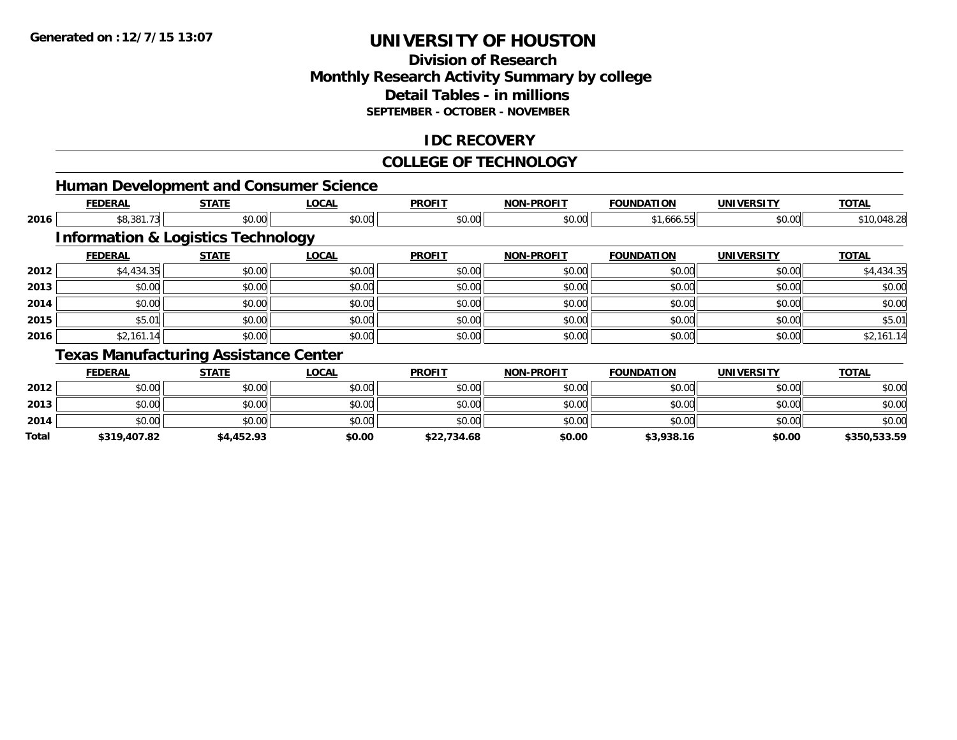**2014**

**Total**

# **UNIVERSITY OF HOUSTON**

## **Division of Research Monthly Research Activity Summary by college Detail Tables - in millions SEPTEMBER - OCTOBER - NOVEMBER**

### **IDC RECOVERY**

#### **COLLEGE OF TECHNOLOGY**

|      |                |                                               | <b>Human Development and Consumer Science</b> |               |                   |                   |                   |              |
|------|----------------|-----------------------------------------------|-----------------------------------------------|---------------|-------------------|-------------------|-------------------|--------------|
|      | <b>FEDERAL</b> | <b>STATE</b>                                  | <b>LOCAL</b>                                  | <b>PROFIT</b> | <b>NON-PROFIT</b> | <b>FOUNDATION</b> | <b>UNIVERSITY</b> | <b>TOTAL</b> |
| 2016 | \$8,381.73     | \$0.00                                        | \$0.00                                        | \$0.00        | \$0.00            | \$1,666.55        | \$0.00            | \$10,048.28  |
|      |                | <b>Information &amp; Logistics Technology</b> |                                               |               |                   |                   |                   |              |
|      | <b>FEDERAL</b> | <b>STATE</b>                                  | <b>LOCAL</b>                                  | <b>PROFIT</b> | <b>NON-PROFIT</b> | <b>FOUNDATION</b> | <b>UNIVERSITY</b> | <b>TOTAL</b> |
| 2012 | \$4,434.35     | \$0.00                                        | \$0.00                                        | \$0.00        | \$0.00            | \$0.00            | \$0.00            | \$4,434.35   |
| 2013 | \$0.00         | \$0.00                                        | \$0.00                                        | \$0.00        | \$0.00            | \$0.00            | \$0.00            | \$0.00       |
| 2014 | \$0.00         | \$0.00                                        | \$0.00                                        | \$0.00        | \$0.00            | \$0.00            | \$0.00            | \$0.00       |
| 2015 | \$5.01         | \$0.00                                        | \$0.00                                        | \$0.00        | \$0.00            | \$0.00            | \$0.00            | \$5.01       |
| 2016 | \$2,161.14     | \$0.00                                        | \$0.00                                        | \$0.00        | \$0.00            | \$0.00            | \$0.00            | \$2,161.14   |
|      |                | <b>Texas Manufacturing Assistance Center</b>  |                                               |               |                   |                   |                   |              |
|      | <b>FEDERAL</b> | <b>STATE</b>                                  | <b>LOCAL</b>                                  | <b>PROFIT</b> | <b>NON-PROFIT</b> | <b>FOUNDATION</b> | <b>UNIVERSITY</b> | <b>TOTAL</b> |
| 2012 | \$0.00         | \$0.00                                        | \$0.00                                        | \$0.00        | \$0.00            | \$0.00            | \$0.00            | \$0.00       |
| 2013 | \$0.00         | \$0.00                                        | \$0.00                                        | \$0.00        | \$0.00            | \$0.00            | \$0.00            | \$0.00       |

4 \$0.00 \$0.00 \$0.00 \$0.00 \$0.00 \$0.00 \$0.00 \$0.00 \$0.00 \$0.00 \$0.00 \$0.00 \$0.00 \$0.00 \$0.00 \$0.00 \$0.00

**\$319,407.82 \$4,452.93 \$0.00 \$22,734.68 \$0.00 \$3,938.16 \$0.00 \$350,533.59**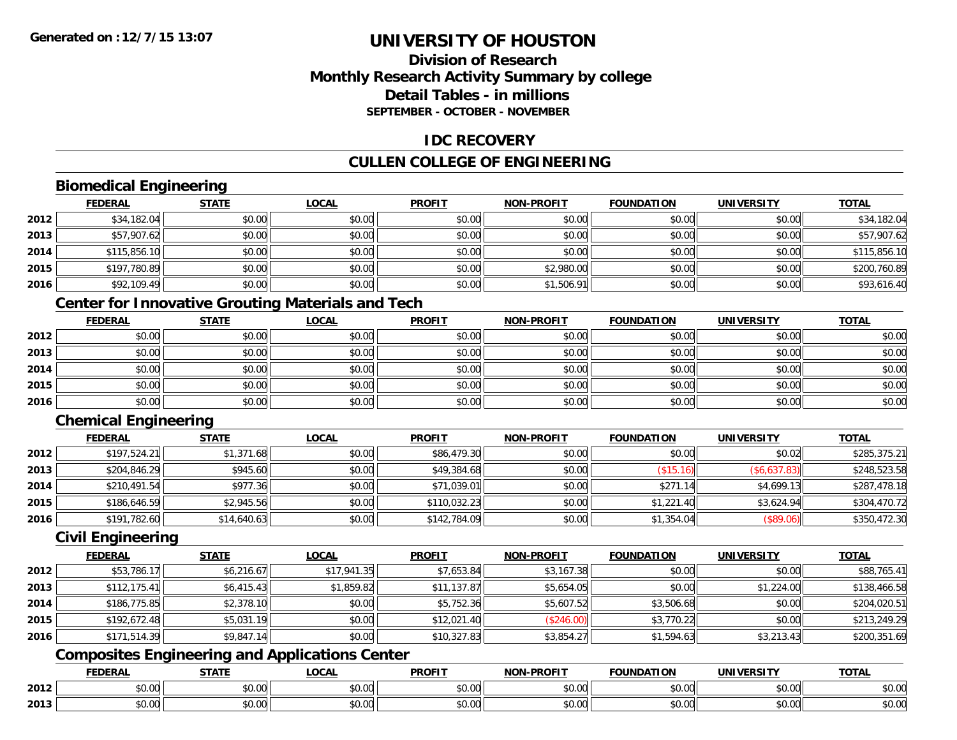### **Division of ResearchMonthly Research Activity Summary by college Detail Tables - in millionsSEPTEMBER - OCTOBER - NOVEMBER**

#### **IDC RECOVERY**

### **CULLEN COLLEGE OF ENGINEERING**

### **Biomedical Engineering**

|      | <b>FEDERAL</b> | <b>STATE</b> | <b>LOCAL</b> | <b>PROFIT</b> | <b>NON-PROFIT</b> | <b>FOUNDATION</b> | <b>UNIVERSITY</b> | <b>TOTAL</b> |
|------|----------------|--------------|--------------|---------------|-------------------|-------------------|-------------------|--------------|
| 2012 | \$34,182.04    | \$0.00       | \$0.00       | \$0.00        | \$0.00            | \$0.00            | \$0.00            | \$34,182.04  |
| 2013 | \$57,907.62    | \$0.00       | \$0.00       | \$0.00        | \$0.00            | \$0.00            | \$0.00            | \$57,907.62  |
| 2014 | \$115,856.10   | \$0.00       | \$0.00       | \$0.00        | \$0.00            | \$0.00            | \$0.00            | \$115,856.10 |
| 2015 | \$197,780.89   | \$0.00       | \$0.00       | \$0.00        | \$2,980.00        | \$0.00            | \$0.00            | \$200,760.89 |
| 2016 | \$92,109.49    | \$0.00       | \$0.00       | \$0.00        | \$1,506.91        | \$0.00            | \$0.00            | \$93,616.40  |

### **Center for Innovative Grouting Materials and Tech**

|      | <u>FEDERAL</u> | <b>STATE</b> | <u>LOCAL</u> | <b>PROFIT</b> | <b>NON-PROFIT</b> | <b>FOUNDATION</b> | <b>UNIVERSITY</b> | <b>TOTAL</b> |
|------|----------------|--------------|--------------|---------------|-------------------|-------------------|-------------------|--------------|
| 2012 | \$0.00         | \$0.00       | \$0.00       | \$0.00        | \$0.00            | \$0.00            | \$0.00            | \$0.00       |
| 2013 | \$0.00         | \$0.00       | \$0.00       | \$0.00        | \$0.00            | \$0.00            | \$0.00            | \$0.00       |
| 2014 | \$0.00         | \$0.00       | \$0.00       | \$0.00        | \$0.00            | \$0.00            | \$0.00            | \$0.00       |
| 2015 | \$0.00         | \$0.00       | \$0.00       | \$0.00        | \$0.00            | \$0.00            | \$0.00            | \$0.00       |
| 2016 | \$0.00         | \$0.00       | \$0.00       | \$0.00        | \$0.00            | \$0.00            | \$0.00            | \$0.00       |

### **Chemical Engineering**

|      | <b>FEDERAL</b> | <b>STATE</b> | <b>LOCAL</b> | <b>PROFIT</b> | <b>NON-PROFIT</b> | <b>FOUNDATION</b> | <b>UNIVERSITY</b> | <b>TOTAL</b> |
|------|----------------|--------------|--------------|---------------|-------------------|-------------------|-------------------|--------------|
| 2012 | \$197,524.21   | \$1,371.68   | \$0.00       | \$86,479.30   | \$0.00            | \$0.00            | \$0.02            | \$285,375.21 |
| 2013 | \$204,846.29   | \$945.60     | \$0.00       | \$49,384.68   | \$0.00            | (\$15.16)         | (\$6,637.83)      | \$248,523.58 |
| 2014 | \$210,491.54   | \$977.36     | \$0.00       | \$71,039.01   | \$0.00            | \$271.14          | \$4,699.13        | \$287,478.18 |
| 2015 | \$186,646.59   | \$2,945.56   | \$0.00       | \$110,032.23  | \$0.00            | \$1,221.40        | \$3,624.94        | \$304,470.72 |
| 2016 | \$191,782.60   | \$14,640.63  | \$0.00       | \$142,784.09  | \$0.00            | \$1,354.04        | (\$89.06)         | \$350,472.30 |

#### **Civil Engineering**

|      | <b>FEDERAL</b> | <u>STATE</u> | <u>LOCAL</u> | <b>PROFIT</b> | <b>NON-PROFIT</b> | <b>FOUNDATION</b> | <b>UNIVERSITY</b> | <b>TOTAL</b> |
|------|----------------|--------------|--------------|---------------|-------------------|-------------------|-------------------|--------------|
| 2012 | \$53,786.17    | \$6,216.67   | \$17,941.35  | \$7,653.84    | \$3,167.38        | \$0.00            | \$0.00            | \$88,765.41  |
| 2013 | \$112, 175.41  | \$6,415.43   | \$1,859.82   | \$11,137.87   | \$5,654.05        | \$0.00            | \$1,224.00        | \$138,466.58 |
| 2014 | \$186,775.85   | \$2,378.10   | \$0.00       | \$5,752.36    | \$5,607.52        | \$3,506.68        | \$0.00            | \$204,020.51 |
| 2015 | \$192,672.48   | \$5,031.19   | \$0.00       | \$12,021.40   | (S246.00)         | \$3,770.22        | \$0.00            | \$213,249.29 |
| 2016 | \$171,514.39   | \$9,847.14   | \$0.00       | \$10,327.83   | \$3,854.27        | \$1,594.63        | \$3,213.43        | \$200,351.69 |

## **Composites Engineering and Applications Center**

|      | DERAI  | CTATI     | .OCAL     | <b>PROFIT</b> | <b>DDOEL1</b><br><b>ארות</b> | ΓΙΟΝ    | UNIVERSITY                                   | <b>TOTAL</b> |
|------|--------|-----------|-----------|---------------|------------------------------|---------|----------------------------------------------|--------------|
| 2012 | $\sim$ | $\sim$    | $\sim$    | $\cdots$      | 0.00                         | 0.00    | $\mathsf{A} \cap \mathsf{A} \cap \mathsf{A}$ | 0000         |
|      | וט.טי  | JU.UU     | vv.vv     | vu.vu         | J∪.∪∪                        | - JU.UU | PO.OO                                        | <b>JU.UU</b> |
|      | 0.00   | $\sim$ 00 | $\sim$ 00 | $\cdots$      | 0.00                         | 0.00    | $\sim$ 00                                    | $\cdots$     |
| 2013 | וט.טי  | JU.L      | JU.UU     | vv.vv         | JU.UU                        | ww.uu   | <b>JU.UU</b>                                 | <b>JU.UU</b> |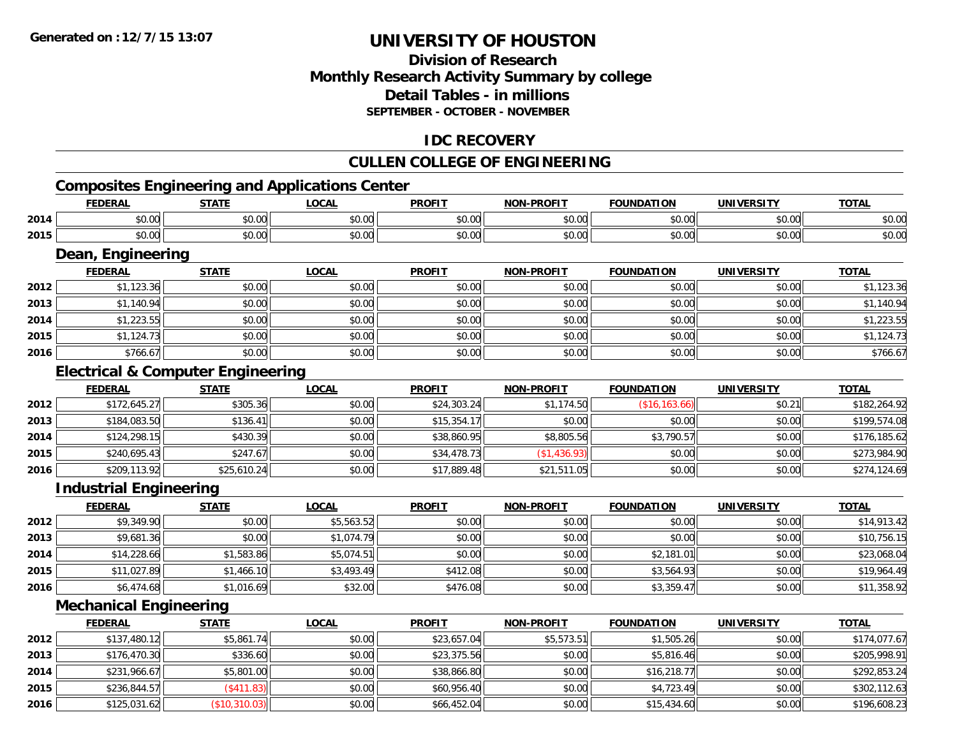### **Division of ResearchMonthly Research Activity Summary by college Detail Tables - in millions SEPTEMBER - OCTOBER - NOVEMBER**

#### **IDC RECOVERY**

#### **CULLEN COLLEGE OF ENGINEERING**

## **Composites Engineering and Applications Center**

|      | <b>FEDERAL</b>                               | <b>STATE</b> | <b>LOCAL</b> | <b>PROFIT</b> | <b>NON-PROFIT</b> | <b>FOUNDATION</b> | <b>UNIVERSITY</b> | <b>TOTAL</b> |  |  |
|------|----------------------------------------------|--------------|--------------|---------------|-------------------|-------------------|-------------------|--------------|--|--|
| 2014 | \$0.00                                       | \$0.00       | \$0.00       | \$0.00        | \$0.00            | \$0.00            | \$0.00            | \$0.00       |  |  |
| 2015 | \$0.00                                       | \$0.00       | \$0.00       | \$0.00        | \$0.00            | \$0.00            | \$0.00            | \$0.00       |  |  |
|      | Dean, Engineering                            |              |              |               |                   |                   |                   |              |  |  |
|      | <b>FEDERAL</b>                               | <b>STATE</b> | <b>LOCAL</b> | <b>PROFIT</b> | <b>NON-PROFIT</b> | <b>FOUNDATION</b> | <b>UNIVERSITY</b> | <b>TOTAL</b> |  |  |
| 2012 | \$1,123.36                                   | \$0.00       | \$0.00       | \$0.00        | \$0.00            | \$0.00            | \$0.00            | \$1,123.36   |  |  |
| 2013 | \$1,140.94                                   | \$0.00       | \$0.00       | \$0.00        | \$0.00            | \$0.00            | \$0.00            | \$1,140.94   |  |  |
| 2014 | \$1,223.55                                   | \$0.00       | \$0.00       | \$0.00        | \$0.00            | \$0.00            | \$0.00            | \$1,223.55   |  |  |
| 2015 | \$1,124.73                                   | \$0.00       | \$0.00       | \$0.00        | \$0.00            | \$0.00            | \$0.00            | \$1,124.73   |  |  |
| 2016 | \$766.67                                     | \$0.00       | \$0.00       | \$0.00        | \$0.00            | \$0.00            | \$0.00            | \$766.67     |  |  |
|      | <b>Electrical &amp; Computer Engineering</b> |              |              |               |                   |                   |                   |              |  |  |
|      | <b>FEDERAL</b>                               | <b>STATE</b> | <b>LOCAL</b> | <b>PROFIT</b> | <b>NON-PROFIT</b> | <b>FOUNDATION</b> | <b>UNIVERSITY</b> | <b>TOTAL</b> |  |  |
| 2012 | \$172,645.27                                 | \$305.36     | \$0.00       | \$24,303.24   | \$1,174.50        | (\$16, 163.66)    | \$0.21            | \$182,264.92 |  |  |
| 2013 | \$184,083.50                                 | \$136.41     | \$0.00       | \$15,354.17   | \$0.00            | \$0.00            | \$0.00            | \$199,574.08 |  |  |
| 2014 | \$124,298.15                                 | \$430.39     | \$0.00       | \$38,860.95   | \$8,805.56        | \$3,790.57        | \$0.00            | \$176,185.62 |  |  |
| 2015 | \$240,695.43                                 | \$247.67     | \$0.00       | \$34,478.73   | \$1,436.93        | \$0.00            | \$0.00            | \$273,984.90 |  |  |
| 2016 | \$209,113.92                                 | \$25,610.24  | \$0.00       | \$17,889.48   | \$21,511.05       | \$0.00            | \$0.00            | \$274,124.69 |  |  |
|      | <b>Industrial Engineering</b>                |              |              |               |                   |                   |                   |              |  |  |
|      | <b>FEDERAL</b>                               | <b>STATE</b> | <b>LOCAL</b> | <b>PROFIT</b> | <b>NON-PROFIT</b> | <b>FOUNDATION</b> | <b>UNIVERSITY</b> | <b>TOTAL</b> |  |  |
| 2012 | \$9,349.90                                   | \$0.00       | \$5,563.52   | \$0.00        | \$0.00            | \$0.00            | \$0.00            | \$14,913.42  |  |  |
|      |                                              |              |              |               |                   |                   |                   |              |  |  |

| 2013 | \$9,681.36  | \$0.00     | \$1,074.79 | \$0.00   | \$0.00 | \$0.00     | \$0.00 | \$10,756.15 |
|------|-------------|------------|------------|----------|--------|------------|--------|-------------|
| 2014 | \$14,228.66 | \$1,583.86 | \$5,074.51 | \$0.00   | \$0.00 | \$2,181.01 | \$0.00 | \$23,068.04 |
| 2015 | \$11,027.89 | \$1,466.10 | \$3,493.49 | \$412.08 | \$0.00 | \$3,564.93 | \$0.00 | \$19,964.49 |
| 2016 | \$6,474.68  | \$1,016.69 | \$32.00    | \$476.08 | \$0.00 | \$3,359.47 | \$0.00 | \$11,358.92 |

### **Mechanical Engineering**

|      | <b>FEDERAL</b> | <u>STATE</u>  | <b>LOCAL</b> | <b>PROFIT</b> | <b>NON-PROFIT</b> | <b>FOUNDATION</b> | <b>UNIVERSITY</b> | <b>TOTAL</b> |
|------|----------------|---------------|--------------|---------------|-------------------|-------------------|-------------------|--------------|
| 2012 | \$137,480.12   | \$5,861.74    | \$0.00       | \$23,657.04   | \$5,573.51        | \$1,505.26        | \$0.00            | \$174,077.67 |
| 2013 | \$176,470.30   | \$336.60      | \$0.00       | \$23,375.56   | \$0.00            | \$5,816.46        | \$0.00            | \$205,998.91 |
| 2014 | \$231,966.67   | \$5,801.00    | \$0.00       | \$38,866.80   | \$0.00            | \$16,218.77       | \$0.00            | \$292,853.24 |
| 2015 | \$236,844.57   | (\$411.83)    | \$0.00       | \$60,956.40   | \$0.00            | \$4,723.49        | \$0.00            | \$302,112.63 |
| 2016 | \$125,031.62   | (\$10,310.03) | \$0.00       | \$66,452.04   | \$0.00            | \$15,434.60       | \$0.00            | \$196,608.23 |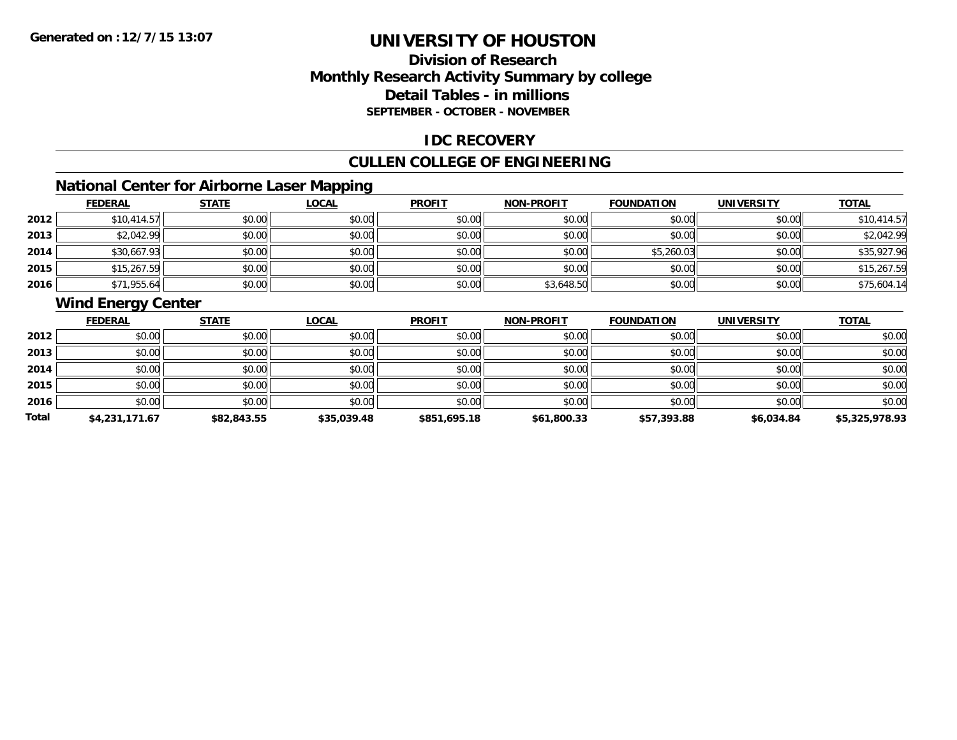### **Division of ResearchMonthly Research Activity Summary by college Detail Tables - in millions SEPTEMBER - OCTOBER - NOVEMBER**

#### **IDC RECOVERY**

### **CULLEN COLLEGE OF ENGINEERING**

### **National Center for Airborne Laser Mapping**

|      | <b>FEDERAL</b> | <b>STATE</b> | <b>LOCAL</b> | <b>PROFIT</b> | <b>NON-PROFIT</b> | <b>FOUNDATION</b> | <b>UNIVERSITY</b> | <b>TOTAL</b> |
|------|----------------|--------------|--------------|---------------|-------------------|-------------------|-------------------|--------------|
| 2012 | \$10,414.57    | \$0.00       | \$0.00       | \$0.00        | \$0.00            | \$0.00            | \$0.00            | \$10,414.57  |
| 2013 | \$2,042.99     | \$0.00       | \$0.00       | \$0.00        | \$0.00            | \$0.00            | \$0.00            | \$2,042.99   |
| 2014 | \$30,667.93    | \$0.00       | \$0.00       | \$0.00        | \$0.00            | \$5,260.03        | \$0.00            | \$35,927.96  |
| 2015 | \$15,267.59    | \$0.00       | \$0.00       | \$0.00        | \$0.00            | \$0.00            | \$0.00            | \$15,267.59  |
| 2016 | \$71,955.64    | \$0.00       | \$0.00       | \$0.00        | \$3,648.50        | \$0.00            | \$0.00            | \$75,604.14  |

### **Wind Energy Center**

|       | <b>FEDERAL</b> | <b>STATE</b> | <u>LOCAL</u> | <b>PROFIT</b> | <b>NON-PROFIT</b> | <b>FOUNDATION</b> | <b>UNIVERSITY</b> | <b>TOTAL</b>   |
|-------|----------------|--------------|--------------|---------------|-------------------|-------------------|-------------------|----------------|
| 2012  | \$0.00         | \$0.00       | \$0.00       | \$0.00        | \$0.00            | \$0.00            | \$0.00            | \$0.00         |
| 2013  | \$0.00         | \$0.00       | \$0.00       | \$0.00        | \$0.00            | \$0.00            | \$0.00            | \$0.00         |
| 2014  | \$0.00         | \$0.00       | \$0.00       | \$0.00        | \$0.00            | \$0.00            | \$0.00            | \$0.00         |
| 2015  | \$0.00         | \$0.00       | \$0.00       | \$0.00        | \$0.00            | \$0.00            | \$0.00            | \$0.00         |
| 2016  | \$0.00         | \$0.00       | \$0.00       | \$0.00        | \$0.00            | \$0.00            | \$0.00            | \$0.00         |
| Total | \$4,231,171.67 | \$82,843.55  | \$35,039.48  | \$851,695.18  | \$61,800.33       | \$57,393.88       | \$6,034.84        | \$5,325,978.93 |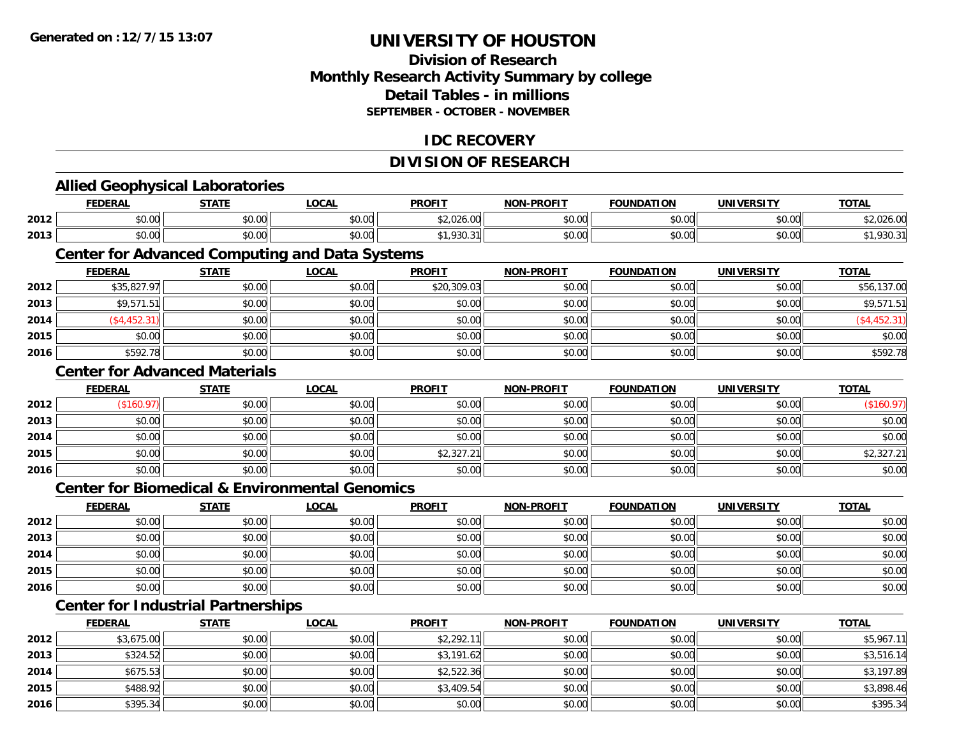**2016**

# **UNIVERSITY OF HOUSTON**

### **Division of ResearchMonthly Research Activity Summary by college Detail Tables - in millions SEPTEMBER - OCTOBER - NOVEMBER**

#### **IDC RECOVERY**

### **DIVISION OF RESEARCH**

|      | <b>Allied Geophysical Laboratories</b>                    |              |              |               |                   |                   |                   |               |
|------|-----------------------------------------------------------|--------------|--------------|---------------|-------------------|-------------------|-------------------|---------------|
|      | <b>FEDERAL</b>                                            | <b>STATE</b> | <b>LOCAL</b> | <b>PROFIT</b> | <b>NON-PROFIT</b> | <b>FOUNDATION</b> | <b>UNIVERSITY</b> | <b>TOTAL</b>  |
| 2012 | \$0.00                                                    | \$0.00       | \$0.00       | \$2,026.00    | \$0.00            | \$0.00            | \$0.00            | \$2,026.00    |
| 2013 | \$0.00                                                    | \$0.00       | \$0.00       | \$1,930.31    | \$0.00            | \$0.00            | \$0.00            | \$1,930.31    |
|      | <b>Center for Advanced Computing and Data Systems</b>     |              |              |               |                   |                   |                   |               |
|      | <b>FEDERAL</b>                                            | <b>STATE</b> | <b>LOCAL</b> | <b>PROFIT</b> | <b>NON-PROFIT</b> | <b>FOUNDATION</b> | <b>UNIVERSITY</b> | <b>TOTAL</b>  |
| 2012 | \$35,827.97                                               | \$0.00       | \$0.00       | \$20,309.03   | \$0.00            | \$0.00            | \$0.00            | \$56,137.00   |
| 2013 | \$9,571.51                                                | \$0.00       | \$0.00       | \$0.00        | \$0.00            | \$0.00            | \$0.00            | \$9,571.51    |
| 2014 | ( \$4,452.31)                                             | \$0.00       | \$0.00       | \$0.00        | \$0.00            | \$0.00            | \$0.00            | ( \$4,452.31) |
| 2015 | \$0.00                                                    | \$0.00       | \$0.00       | \$0.00        | \$0.00            | \$0.00            | \$0.00            | \$0.00        |
| 2016 | \$592.78                                                  | \$0.00       | \$0.00       | \$0.00        | \$0.00            | \$0.00            | \$0.00            | \$592.78      |
|      | <b>Center for Advanced Materials</b>                      |              |              |               |                   |                   |                   |               |
|      | <b>FEDERAL</b>                                            | <b>STATE</b> | <b>LOCAL</b> | <b>PROFIT</b> | <b>NON-PROFIT</b> | <b>FOUNDATION</b> | <b>UNIVERSITY</b> | <b>TOTAL</b>  |
| 2012 | (\$160.97)                                                | \$0.00       | \$0.00       | \$0.00        | \$0.00            | \$0.00            | \$0.00            | (\$160.97)    |
| 2013 | \$0.00                                                    | \$0.00       | \$0.00       | \$0.00        | \$0.00            | \$0.00            | \$0.00            | \$0.00        |
| 2014 | \$0.00                                                    | \$0.00       | \$0.00       | \$0.00        | \$0.00            | \$0.00            | \$0.00            | \$0.00        |
| 2015 | \$0.00                                                    | \$0.00       | \$0.00       | \$2,327.21    | \$0.00            | \$0.00            | \$0.00            | \$2,327.21    |
| 2016 | \$0.00                                                    | \$0.00       | \$0.00       | \$0.00        | \$0.00            | \$0.00            | \$0.00            | \$0.00        |
|      | <b>Center for Biomedical &amp; Environmental Genomics</b> |              |              |               |                   |                   |                   |               |
|      | <b>FEDERAL</b>                                            | <b>STATE</b> | <b>LOCAL</b> | <b>PROFIT</b> | <b>NON-PROFIT</b> | <b>FOUNDATION</b> | <b>UNIVERSITY</b> | <b>TOTAL</b>  |
| 2012 | \$0.00                                                    | \$0.00       | \$0.00       | \$0.00        | \$0.00            | \$0.00            | \$0.00            | \$0.00        |
| 2013 | \$0.00                                                    | \$0.00       | \$0.00       | \$0.00        | \$0.00            | \$0.00            | \$0.00            | \$0.00        |
| 2014 | \$0.00                                                    | \$0.00       | \$0.00       | \$0.00        | \$0.00            | \$0.00            | \$0.00            | \$0.00        |
| 2015 | \$0.00                                                    | \$0.00       | \$0.00       | \$0.00        | \$0.00            | \$0.00            | \$0.00            | \$0.00        |
| 2016 | \$0.00                                                    | \$0.00       | \$0.00       | \$0.00        | \$0.00            | \$0.00            | \$0.00            | \$0.00        |
|      | <b>Center for Industrial Partnerships</b>                 |              |              |               |                   |                   |                   |               |
|      | <b>FEDERAL</b>                                            | <b>STATE</b> | <b>LOCAL</b> | <b>PROFIT</b> | <b>NON-PROFIT</b> | <b>FOUNDATION</b> | <b>UNIVERSITY</b> | <b>TOTAL</b>  |
| 2012 | \$3,675.00                                                | \$0.00       | \$0.00       | \$2,292.11    | \$0.00            | \$0.00            | \$0.00            | \$5,967.11    |
| 2013 | \$324.52                                                  | \$0.00       | \$0.00       | \$3,191.62    | \$0.00            | \$0.00            | \$0.00            | \$3,516.14    |
| 2014 | \$675.53                                                  | \$0.00       | \$0.00       | \$2,522.36    | \$0.00            | \$0.00            | \$0.00            | \$3,197.89    |
| 2015 | \$488.92                                                  | \$0.00       | \$0.00       | \$3,409.54    | \$0.00            | \$0.00            | \$0.00            | \$3,898.46    |

\$395.34 \$0.00 \$0.00 \$0.00 \$0.00 \$0.00 \$0.00 \$395.34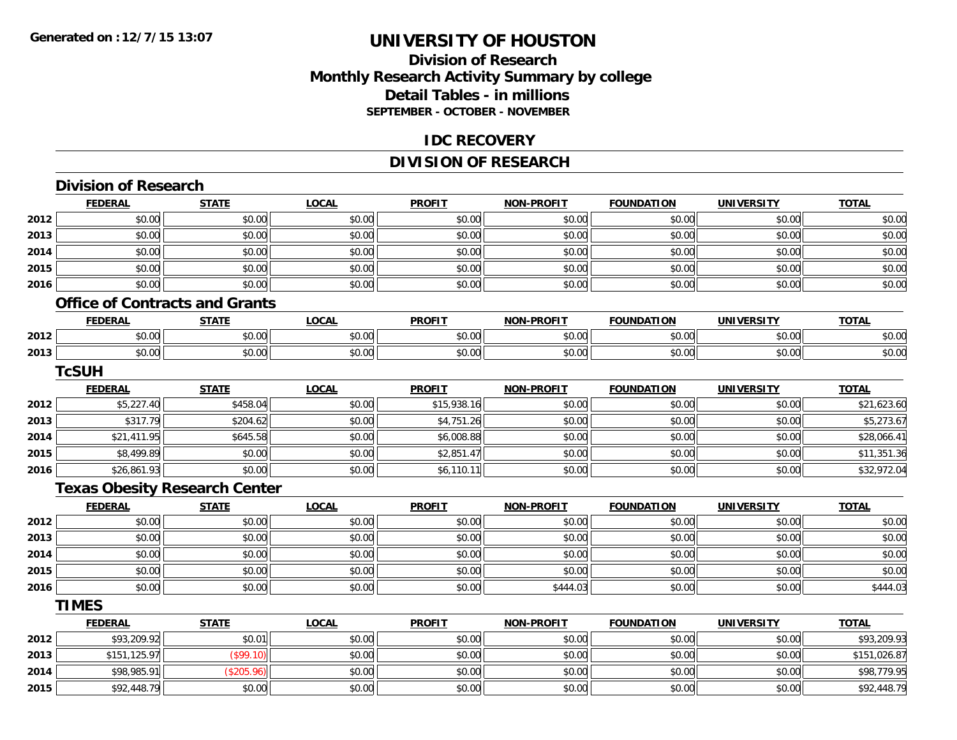#### **Division of Research Monthly Research Activity Summary by college Detail Tables - in millions SEPTEMBER - OCTOBER - NOVEMBER**

#### **IDC RECOVERY**

### **DIVISION OF RESEARCH**

|      | <b>Division of Research</b>           |              |              |               |                   |                   |                   |              |
|------|---------------------------------------|--------------|--------------|---------------|-------------------|-------------------|-------------------|--------------|
|      | <b>FEDERAL</b>                        | <b>STATE</b> | <b>LOCAL</b> | <b>PROFIT</b> | <b>NON-PROFIT</b> | <b>FOUNDATION</b> | <b>UNIVERSITY</b> | <b>TOTAL</b> |
| 2012 | \$0.00                                | \$0.00       | \$0.00       | \$0.00        | \$0.00            | \$0.00            | \$0.00            | \$0.00       |
| 2013 | \$0.00                                | \$0.00       | \$0.00       | \$0.00        | \$0.00            | \$0.00            | \$0.00            | \$0.00       |
| 2014 | \$0.00                                | \$0.00       | \$0.00       | \$0.00        | \$0.00            | \$0.00            | \$0.00            | \$0.00       |
| 2015 | \$0.00                                | \$0.00       | \$0.00       | \$0.00        | \$0.00            | \$0.00            | \$0.00            | \$0.00       |
| 2016 | \$0.00                                | \$0.00       | \$0.00       | \$0.00        | \$0.00            | \$0.00            | \$0.00            | \$0.00       |
|      | <b>Office of Contracts and Grants</b> |              |              |               |                   |                   |                   |              |
|      | <b>FEDERAL</b>                        | <b>STATE</b> | <b>LOCAL</b> | <b>PROFIT</b> | <b>NON-PROFIT</b> | <b>FOUNDATION</b> | <b>UNIVERSITY</b> | <b>TOTAL</b> |
| 2012 | \$0.00                                | \$0.00       | \$0.00       | \$0.00        | \$0.00            | \$0.00            | \$0.00            | \$0.00       |
| 2013 | \$0.00                                | \$0.00       | \$0.00       | \$0.00        | \$0.00            | \$0.00            | \$0.00            | \$0.00       |
|      | <b>TcSUH</b>                          |              |              |               |                   |                   |                   |              |
|      | <b>FEDERAL</b>                        | <b>STATE</b> | <b>LOCAL</b> | <b>PROFIT</b> | <b>NON-PROFIT</b> | <b>FOUNDATION</b> | <b>UNIVERSITY</b> | <b>TOTAL</b> |
| 2012 | \$5,227.40                            | \$458.04     | \$0.00       | \$15,938.16   | \$0.00            | \$0.00            | \$0.00            | \$21,623.60  |
| 2013 | \$317.79                              | \$204.62     | \$0.00       | \$4,751.26    | \$0.00            | \$0.00            | \$0.00            | \$5,273.67   |
| 2014 | \$21,411.95                           | \$645.58     | \$0.00       | \$6,008.88    | \$0.00            | \$0.00            | \$0.00            | \$28,066.41  |
| 2015 | \$8,499.89                            | \$0.00       | \$0.00       | \$2,851.47    | \$0.00            | \$0.00            | \$0.00            | \$11,351.36  |
| 2016 | \$26,861.93                           | \$0.00       | \$0.00       | \$6,110.11    | \$0.00            | \$0.00            | \$0.00            | \$32,972.04  |
|      | <b>Texas Obesity Research Center</b>  |              |              |               |                   |                   |                   |              |
|      | <b>FEDERAL</b>                        | <b>STATE</b> | <b>LOCAL</b> | <b>PROFIT</b> | <b>NON-PROFIT</b> | <b>FOUNDATION</b> | <b>UNIVERSITY</b> | <b>TOTAL</b> |
| 2012 | \$0.00                                | \$0.00       | \$0.00       | \$0.00        | \$0.00            | \$0.00            | \$0.00            | \$0.00       |
| 2013 | \$0.00                                | \$0.00       | \$0.00       | \$0.00        | \$0.00            | \$0.00            | \$0.00            | \$0.00       |
| 2014 | \$0.00                                | \$0.00       | \$0.00       | \$0.00        | \$0.00            | \$0.00            | \$0.00            | \$0.00       |
| 2015 | \$0.00                                | \$0.00       | \$0.00       | \$0.00        | \$0.00            | \$0.00            | \$0.00            | \$0.00       |
| 2016 | \$0.00                                | \$0.00       | \$0.00       | \$0.00        | \$444.03          | \$0.00            | \$0.00            | \$444.03     |
|      | <b>TIMES</b>                          |              |              |               |                   |                   |                   |              |
|      | <b>FEDERAL</b>                        | <b>STATE</b> | <b>LOCAL</b> | <b>PROFIT</b> | <b>NON-PROFIT</b> | <b>FOUNDATION</b> | <b>UNIVERSITY</b> | <b>TOTAL</b> |
| 2012 | \$93,209.92                           | \$0.01       | \$0.00       | \$0.00        | \$0.00            | \$0.00            | \$0.00            | \$93,209.93  |
| 2013 | \$151,125.97                          | (\$99.10)    | \$0.00       | \$0.00        | \$0.00            | \$0.00            | \$0.00            | \$151,026.87 |
| 2014 | \$98,985.91                           | (\$205.96)   | \$0.00       | \$0.00        | \$0.00            | \$0.00            | \$0.00            | \$98,779.95  |
| 2015 | \$92,448.79                           | \$0.00       | \$0.00       | \$0.00        | \$0.00            | \$0.00            | \$0.00            | \$92,448.79  |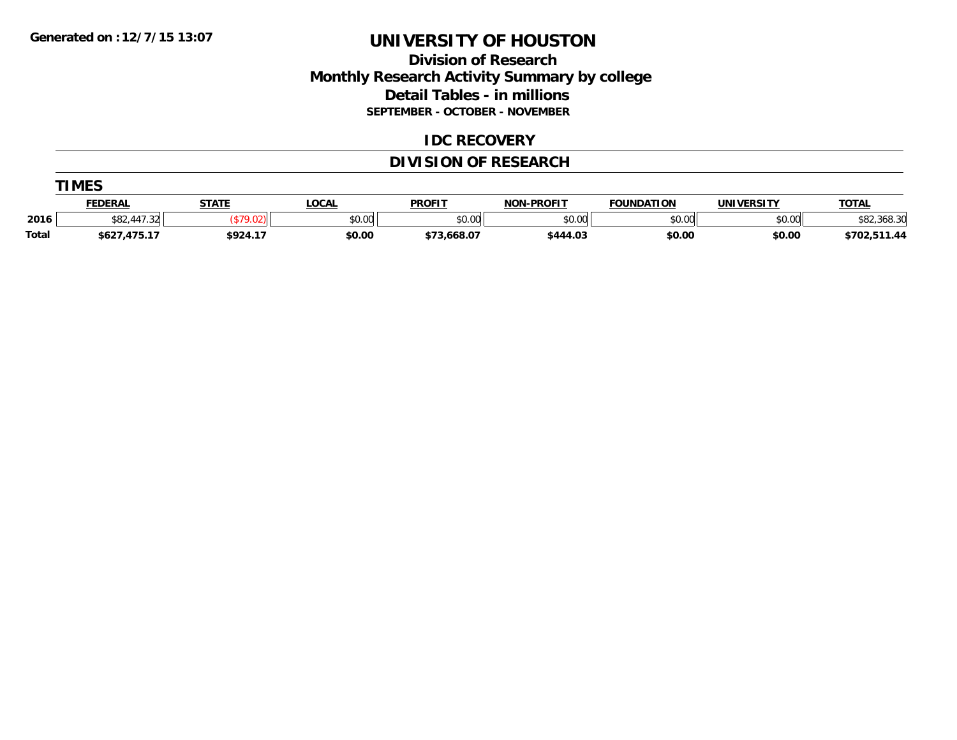### **Division of Research Monthly Research Activity Summary by college Detail Tables - in millions SEPTEMBER - OCTOBER - NOVEMBER**

#### **IDC RECOVERY**

## **DIVISION OF RESEARCH**

|              | <b>TIMES</b>                 |              |              |               |                   |                   |                   |              |  |  |  |
|--------------|------------------------------|--------------|--------------|---------------|-------------------|-------------------|-------------------|--------------|--|--|--|
|              | <b>FEDERAL</b>               | <b>STATE</b> | <b>LOCAL</b> | <b>PROFIT</b> | <b>NON-PROFIT</b> | <b>FOUNDATION</b> | <b>UNIVERSITY</b> | <b>TOTAL</b> |  |  |  |
| 2016         | 11722<br>\$82,447<br>. . 320 |              | \$0.00       | \$0.00        | \$0.00            | \$0.00            | \$0.00            | \$82,368.30  |  |  |  |
| <b>Total</b> | \$627,475.17                 | \$924.17     | \$0.00       | \$73,668.07   | \$444.03          | \$0.00            | \$0.00            | \$702,511.44 |  |  |  |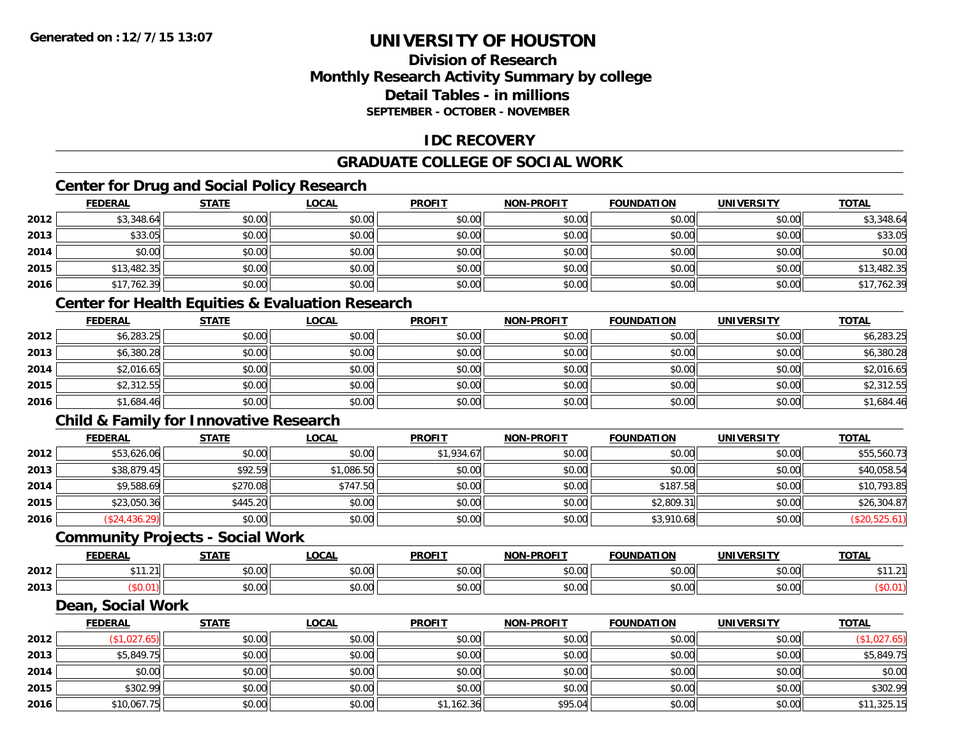### **Division of ResearchMonthly Research Activity Summary by college Detail Tables - in millionsSEPTEMBER - OCTOBER - NOVEMBER**

### **IDC RECOVERY**

### **GRADUATE COLLEGE OF SOCIAL WORK**

### **Center for Drug and Social Policy Research**

|      | <b>FEDERAL</b> | <b>STATE</b> | <b>LOCAL</b> | <b>PROFIT</b> | <b>NON-PROFIT</b> | <b>FOUNDATION</b> | <b>UNIVERSITY</b> | <b>TOTAL</b> |
|------|----------------|--------------|--------------|---------------|-------------------|-------------------|-------------------|--------------|
| 2012 | \$3,348.64     | \$0.00       | \$0.00       | \$0.00        | \$0.00            | \$0.00            | \$0.00            | \$3,348.64   |
| 2013 | \$33.05        | \$0.00       | \$0.00       | \$0.00        | \$0.00            | \$0.00            | \$0.00            | \$33.05      |
| 2014 | \$0.00         | \$0.00       | \$0.00       | \$0.00        | \$0.00            | \$0.00            | \$0.00            | \$0.00       |
| 2015 | \$13,482.35    | \$0.00       | \$0.00       | \$0.00        | \$0.00            | \$0.00            | \$0.00            | \$13,482.35  |
| 2016 | \$17,762.39    | \$0.00       | \$0.00       | \$0.00        | \$0.00            | \$0.00            | \$0.00            | \$17,762.39  |

### **Center for Health Equities & Evaluation Research**

|      | <u>FEDERAL</u> | <b>STATE</b> | <b>LOCAL</b> | <b>PROFIT</b> | <b>NON-PROFIT</b> | <b>FOUNDATION</b> | <b>UNIVERSITY</b> | <b>TOTAL</b> |
|------|----------------|--------------|--------------|---------------|-------------------|-------------------|-------------------|--------------|
| 2012 | \$6,283.25     | \$0.00       | \$0.00       | \$0.00        | \$0.00            | \$0.00            | \$0.00            | \$6,283.25   |
| 2013 | \$6,380.28     | \$0.00       | \$0.00       | \$0.00        | \$0.00            | \$0.00            | \$0.00            | \$6,380.28   |
| 2014 | \$2,016.65     | \$0.00       | \$0.00       | \$0.00        | \$0.00            | \$0.00            | \$0.00            | \$2,016.65   |
| 2015 | \$2,312.55     | \$0.00       | \$0.00       | \$0.00        | \$0.00            | \$0.00            | \$0.00            | \$2,312.55   |
| 2016 | \$1,684.46     | \$0.00       | \$0.00       | \$0.00        | \$0.00            | \$0.00            | \$0.00            | \$1,684.46   |

### **Child & Family for Innovative Research**

|      | <b>FEDERAL</b> | <b>STATE</b> | <b>LOCAL</b> | <b>PROFIT</b> | <b>NON-PROFIT</b> | <b>FOUNDATION</b> | <b>UNIVERSITY</b> | <b>TOTAL</b>  |
|------|----------------|--------------|--------------|---------------|-------------------|-------------------|-------------------|---------------|
| 2012 | \$53,626.06    | \$0.00       | \$0.00       | \$1,934.67    | \$0.00            | \$0.00            | \$0.00            | \$55,560.73   |
| 2013 | \$38,879.45    | \$92.59      | \$1,086.50   | \$0.00        | \$0.00            | \$0.00            | \$0.00            | \$40,058.54   |
| 2014 | \$9,588.69     | \$270.08     | \$747.50     | \$0.00        | \$0.00            | \$187.58          | \$0.00            | \$10,793.85   |
| 2015 | \$23,050.36    | \$445.20     | \$0.00       | \$0.00        | \$0.00            | \$2,809.31        | \$0.00            | \$26,304.87   |
| 2016 | (\$24,436.29)  | \$0.00       | \$0.00       | \$0.00        | \$0.00            | \$3,910.68        | \$0.00            | (\$20,525.61) |

#### **Community Projects - Social Work**

|      | <b>FEDERAL</b> | 27.77          | <b>OCAL</b>   | <b>PROFIT</b>         | <b>NON-PROFIT</b> | <b>FOUNDATION</b>       | UNIVERSITY                      | <b>TOTAL</b>            |
|------|----------------|----------------|---------------|-----------------------|-------------------|-------------------------|---------------------------------|-------------------------|
| 2012 | ***<br>1.21    | ሶስ ሰሰ<br>JU.UU | 0.00<br>JU.UU | JU.UU                 | 0000<br>vv.vv     | 0000<br>⊶∪.∪∪⊩          | $n \cap \Omega$<br><b>JU.UU</b> | ᆠ -<br>$\sim$<br>الكنبي |
| 2013 |                | ሶስ ሰሰ<br>JU.UU | 0.00<br>JU.UU | $\sim$ $\sim$<br>JU.U | 0000<br>JU.UU     | $n \cap \neg$<br>⊸J.UUI | \$0.00                          |                         |

#### **Dean, Social Work**

|      | <b>FEDERAL</b> | <b>STATE</b> | <u>LOCAL</u> | <b>PROFIT</b> | <b>NON-PROFIT</b> | <b>FOUNDATION</b> | <b>UNIVERSITY</b> | <b>TOTAL</b> |
|------|----------------|--------------|--------------|---------------|-------------------|-------------------|-------------------|--------------|
| 2012 | (\$1,027.65)   | \$0.00       | \$0.00       | \$0.00        | \$0.00            | \$0.00            | \$0.00            | \$1,027.65   |
| 2013 | \$5,849.75     | \$0.00       | \$0.00       | \$0.00        | \$0.00            | \$0.00            | \$0.00            | \$5,849.75   |
| 2014 | \$0.00         | \$0.00       | \$0.00       | \$0.00        | \$0.00            | \$0.00            | \$0.00            | \$0.00       |
| 2015 | \$302.99       | \$0.00       | \$0.00       | \$0.00        | \$0.00            | \$0.00            | \$0.00            | \$302.99     |
| 2016 | \$10,067.75    | \$0.00       | \$0.00       | \$1,162.36    | \$95.04           | \$0.00            | \$0.00            | \$11,325.15  |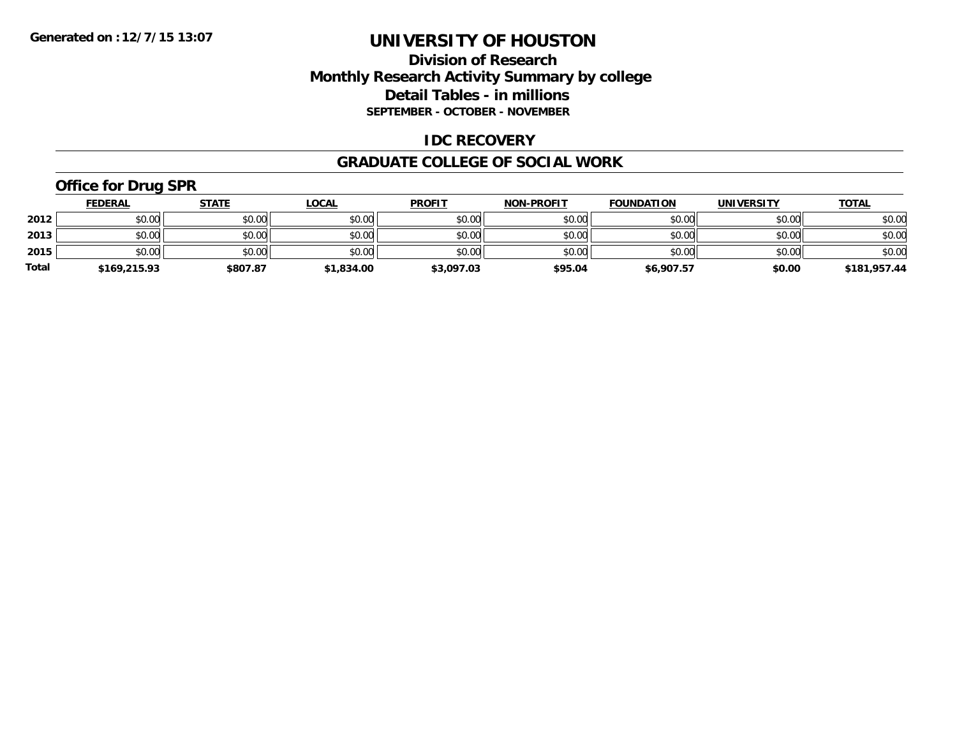### **Division of Research Monthly Research Activity Summary by college Detail Tables - in millions SEPTEMBER - OCTOBER - NOVEMBER**

#### **IDC RECOVERY**

#### **GRADUATE COLLEGE OF SOCIAL WORK**

## **Office for Drug SPR**

|              | <b>FEDERAL</b> | <u>STATE</u> | <u>LOCAL</u> | <b>PROFIT</b> | <b>NON-PROFIT</b> | <b>FOUNDATION</b> | <b>UNIVERSITY</b> | <b>TOTAL</b> |
|--------------|----------------|--------------|--------------|---------------|-------------------|-------------------|-------------------|--------------|
| 2012         | \$0.00         | \$0.00       | \$0.00       | \$0.00        | \$0.00            | \$0.00            | \$0.00            | \$0.00       |
| 2013         | \$0.00         | \$0.00       | \$0.00       | \$0.00        | \$0.00            | \$0.00            | \$0.00            | \$0.00       |
| 2015         | \$0.00         | \$0.00       | \$0.00       | \$0.00        | \$0.00            | \$0.00            | \$0.00            | \$0.00       |
| <b>Total</b> | \$169,215.93   | \$807.87     | \$1,834.00   | \$3,097.03    | \$95.04           | \$6,907.57        | \$0.00            | \$181,957.44 |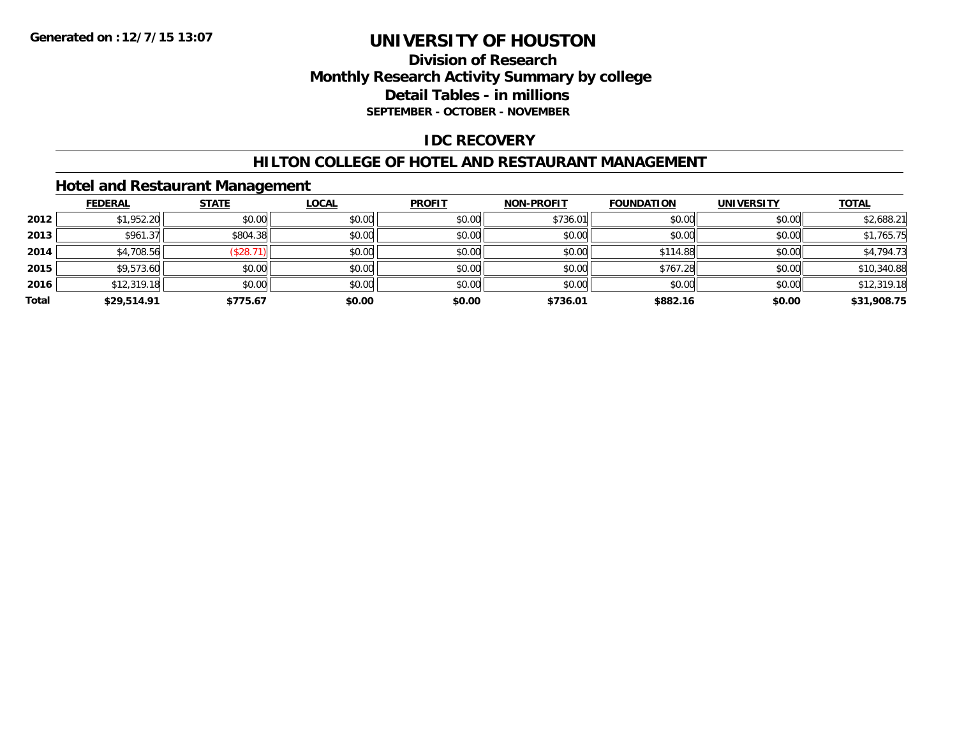### **Division of Research Monthly Research Activity Summary by college Detail Tables - in millions SEPTEMBER - OCTOBER - NOVEMBER**

#### **IDC RECOVERY**

#### **HILTON COLLEGE OF HOTEL AND RESTAURANT MANAGEMENT**

#### **Hotel and Restaurant Management**

|       | <b>FEDERAL</b> | <b>STATE</b> | <b>LOCAL</b> | <b>PROFIT</b> | <b>NON-PROFIT</b> | <b>FOUNDATION</b> | <b>UNIVERSITY</b> | <b>TOTAL</b> |
|-------|----------------|--------------|--------------|---------------|-------------------|-------------------|-------------------|--------------|
| 2012  | \$1,952.20     | \$0.00       | \$0.00       | \$0.00        | \$736.01          | \$0.00            | \$0.00            | \$2,688.21   |
| 2013  | \$961.37       | \$804.38     | \$0.00       | \$0.00        | \$0.00            | \$0.00            | \$0.00            | \$1,765.75   |
| 2014  | \$4,708.56     | (\$28.71)    | \$0.00       | \$0.00        | \$0.00            | \$114.88          | \$0.00            | \$4,794.73   |
| 2015  | \$9,573.60     | \$0.00       | \$0.00       | \$0.00        | \$0.00            | \$767.28          | \$0.00            | \$10,340.88  |
| 2016  | \$12,319.18    | \$0.00       | \$0.00       | \$0.00        | \$0.00            | \$0.00            | \$0.00            | \$12,319.18  |
| Total | \$29,514.91    | \$775.67     | \$0.00       | \$0.00        | \$736.01          | \$882.16          | \$0.00            | \$31,908.75  |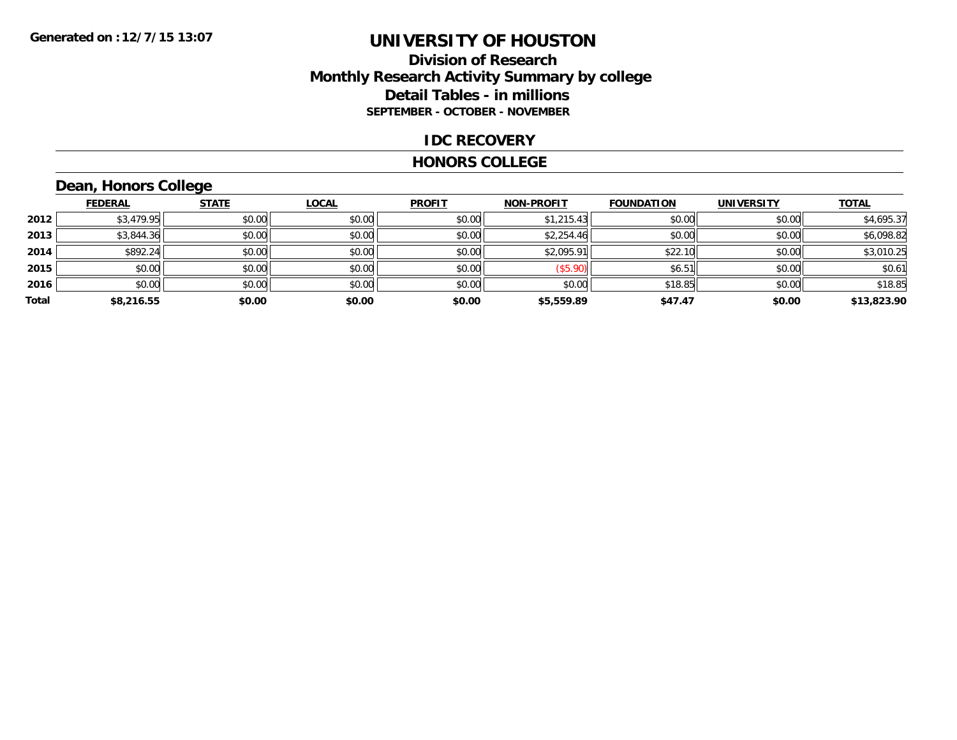#### **Division of Research Monthly Research Activity Summary by college Detail Tables - in millions SEPTEMBER - OCTOBER - NOVEMBER**

#### **IDC RECOVERY**

#### **HONORS COLLEGE**

# **Dean, Honors College**

|       | <b>FEDERAL</b> | <b>STATE</b> | <b>LOCAL</b> | <b>PROFIT</b> | <b>NON-PROFIT</b> | <b>FOUNDATION</b> | <b>UNIVERSITY</b> | <b>TOTAL</b> |
|-------|----------------|--------------|--------------|---------------|-------------------|-------------------|-------------------|--------------|
| 2012  | \$3,479.95     | \$0.00       | \$0.00       | \$0.00        | \$1,215.43        | \$0.00            | \$0.00            | \$4,695.37   |
| 2013  | \$3,844.36     | \$0.00       | \$0.00       | \$0.00        | \$2,254.46        | \$0.00            | \$0.00            | \$6,098.82   |
| 2014  | \$892.24       | \$0.00       | \$0.00       | \$0.00        | \$2,095.91        | \$22.10           | \$0.00            | \$3,010.25   |
| 2015  | \$0.00         | \$0.00       | \$0.00       | \$0.00        | (\$5.90)          | \$6.51            | \$0.00            | \$0.61       |
| 2016  | \$0.00         | \$0.00       | \$0.00       | \$0.00        | \$0.00            | \$18.85           | \$0.00            | \$18.85      |
| Total | \$8,216.55     | \$0.00       | \$0.00       | \$0.00        | \$5,559.89        | \$47.47           | \$0.00            | \$13,823.90  |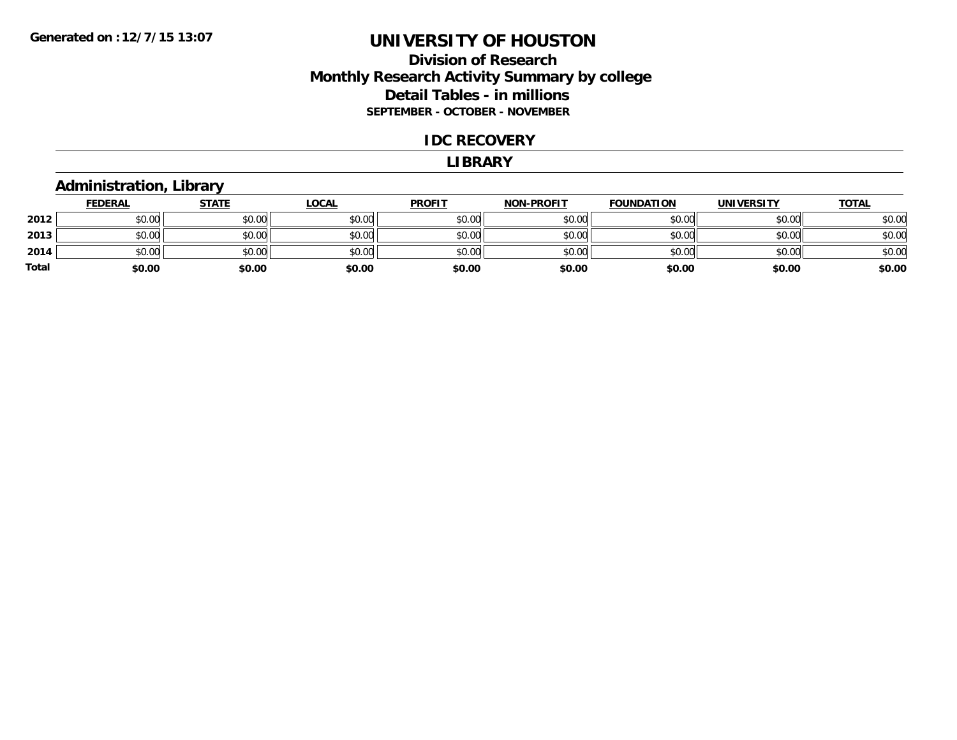### **Division of Research Monthly Research Activity Summary by college Detail Tables - in millions SEPTEMBER - OCTOBER - NOVEMBER**

#### **IDC RECOVERY**

#### **LIBRARY**

#### **Administration, Library**

|       | <b>FEDERAL</b> | <b>STATE</b> | <b>LOCAL</b> | <b>PROFIT</b> | <b>NON-PROFIT</b> | <b>FOUNDATION</b> | <b>UNIVERSITY</b> | <b>TOTAL</b> |
|-------|----------------|--------------|--------------|---------------|-------------------|-------------------|-------------------|--------------|
| 2012  | \$0.00         | \$0.00       | \$0.00       | \$0.00        | \$0.00            | \$0.00            | \$0.00            | \$0.00       |
| 2013  | \$0.00         | \$0.00       | \$0.00       | \$0.00        | \$0.00            | \$0.00            | \$0.00            | \$0.00       |
| 2014  | \$0.00         | \$0.00       | \$0.00       | \$0.00        | \$0.00            | \$0.00            | \$0.00            | \$0.00       |
| Total | \$0.00         | \$0.00       | \$0.00       | \$0.00        | \$0.00            | \$0.00            | \$0.00            | \$0.00       |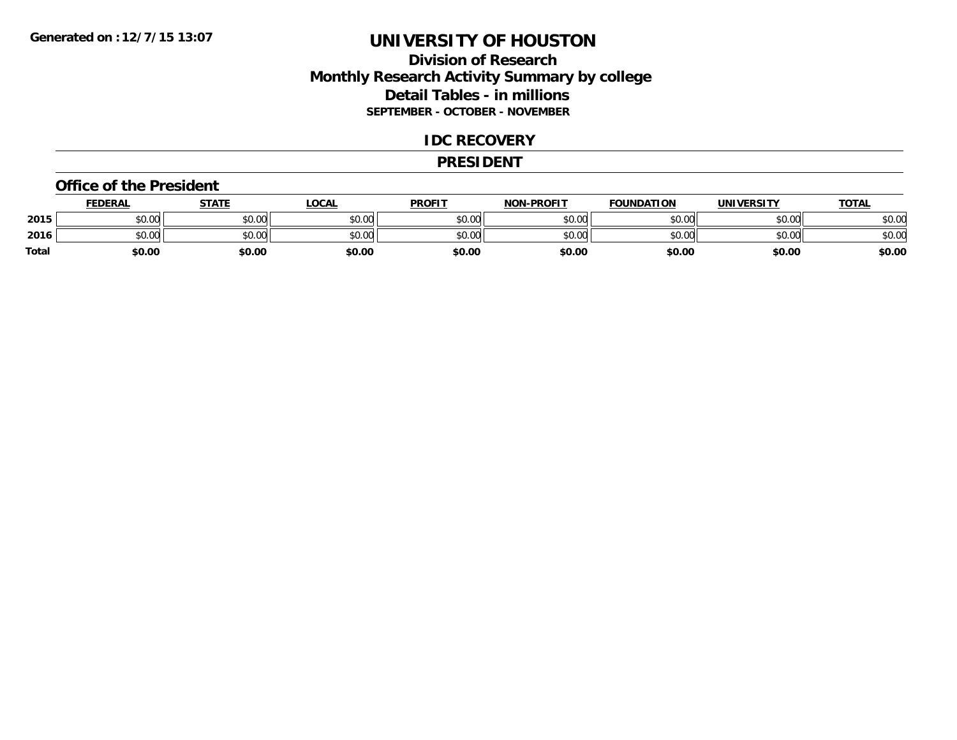### **Division of Research Monthly Research Activity Summary by college Detail Tables - in millions SEPTEMBER - OCTOBER - NOVEMBER**

#### **IDC RECOVERY**

#### **PRESIDENT**

#### **Office of the President**

|       | <b>FEDERAL</b>     | <b>STATE</b> | LOCAL  | <b>PROFIT</b> | <b>NON-PROFIT</b> | <b>FOUNDATION</b> | <b>UNIVERSITY</b> | <u>TOTAL</u> |
|-------|--------------------|--------------|--------|---------------|-------------------|-------------------|-------------------|--------------|
| 2015  | ሐሴ ሰሰ<br>PU.UU     | \$0.00       | \$0.00 | \$0.00        | \$0.00            | \$0.00            | \$0.00            | \$0.00       |
| 2016  | $\sim$ 00<br>DU.UU | \$0.00       | \$0.00 | \$0.00        | \$0.00            | \$0.00            | \$0.00            | \$0.00       |
| Total | \$0.00             | \$0.00       | \$0.00 | \$0.00        | \$0.00            | \$0.00            | \$0.00            | \$0.00       |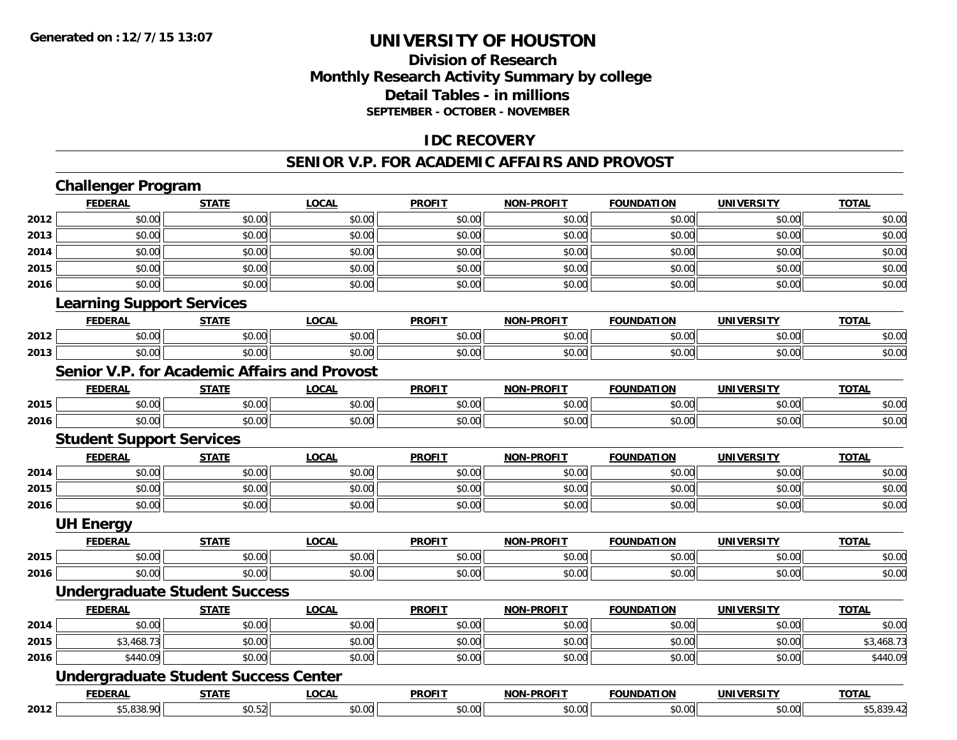### **Division of Research Monthly Research Activity Summary by college Detail Tables - in millions SEPTEMBER - OCTOBER - NOVEMBER**

#### **IDC RECOVERY**

#### **SENIOR V.P. FOR ACADEMIC AFFAIRS AND PROVOST**

|      | <b>Challenger Program</b>                           |              |              |               |                   |                   |                   |              |
|------|-----------------------------------------------------|--------------|--------------|---------------|-------------------|-------------------|-------------------|--------------|
|      | <b>FEDERAL</b>                                      | <b>STATE</b> | <b>LOCAL</b> | <b>PROFIT</b> | <b>NON-PROFIT</b> | <b>FOUNDATION</b> | <b>UNIVERSITY</b> | <b>TOTAL</b> |
| 2012 | \$0.00                                              | \$0.00       | \$0.00       | \$0.00        | \$0.00            | \$0.00            | \$0.00            | \$0.00       |
| 2013 | \$0.00                                              | \$0.00       | \$0.00       | \$0.00        | \$0.00            | \$0.00            | \$0.00            | \$0.00       |
| 2014 | \$0.00                                              | \$0.00       | \$0.00       | \$0.00        | \$0.00            | \$0.00            | \$0.00            | \$0.00       |
| 2015 | \$0.00                                              | \$0.00       | \$0.00       | \$0.00        | \$0.00            | \$0.00            | \$0.00            | \$0.00       |
| 2016 | \$0.00                                              | \$0.00       | \$0.00       | \$0.00        | \$0.00            | \$0.00            | \$0.00            | \$0.00       |
|      | <b>Learning Support Services</b>                    |              |              |               |                   |                   |                   |              |
|      | <b>FEDERAL</b>                                      | <b>STATE</b> | <b>LOCAL</b> | <b>PROFIT</b> | <b>NON-PROFIT</b> | <b>FOUNDATION</b> | <b>UNIVERSITY</b> | <b>TOTAL</b> |
| 2012 | \$0.00                                              | \$0.00       | \$0.00       | \$0.00        | \$0.00            | \$0.00            | \$0.00            | \$0.00       |
| 2013 | \$0.00                                              | \$0.00       | \$0.00       | \$0.00        | \$0.00            | \$0.00            | \$0.00            | \$0.00       |
|      | <b>Senior V.P. for Academic Affairs and Provost</b> |              |              |               |                   |                   |                   |              |
|      | <b>FEDERAL</b>                                      | <b>STATE</b> | <b>LOCAL</b> | <b>PROFIT</b> | <b>NON-PROFIT</b> | <b>FOUNDATION</b> | <b>UNIVERSITY</b> | <b>TOTAL</b> |
| 2015 | \$0.00                                              | \$0.00       | \$0.00       | \$0.00        | \$0.00            | \$0.00            | \$0.00            | \$0.00       |
| 2016 | \$0.00                                              | \$0.00       | \$0.00       | \$0.00        | \$0.00            | \$0.00            | \$0.00            | \$0.00       |
|      | <b>Student Support Services</b>                     |              |              |               |                   |                   |                   |              |
|      | <b>FEDERAL</b>                                      | <b>STATE</b> | <b>LOCAL</b> | <b>PROFIT</b> | <b>NON-PROFIT</b> | <b>FOUNDATION</b> | <b>UNIVERSITY</b> | <b>TOTAL</b> |
| 2014 | \$0.00                                              | \$0.00       | \$0.00       | \$0.00        | \$0.00            | \$0.00            | \$0.00            | \$0.00       |
| 2015 | \$0.00                                              | \$0.00       | \$0.00       | \$0.00        | \$0.00            | \$0.00            | \$0.00            | \$0.00       |
| 2016 | \$0.00                                              | \$0.00       | \$0.00       | \$0.00        | \$0.00            | \$0.00            | \$0.00            | \$0.00       |
|      | <b>UH Energy</b>                                    |              |              |               |                   |                   |                   |              |
|      | <b>FEDERAL</b>                                      | <b>STATE</b> | <b>LOCAL</b> | <b>PROFIT</b> | <b>NON-PROFIT</b> | <b>FOUNDATION</b> | <b>UNIVERSITY</b> | <b>TOTAL</b> |
| 2015 | \$0.00                                              | \$0.00       | \$0.00       | \$0.00        | \$0.00            | \$0.00            | \$0.00            | \$0.00       |
| 2016 | \$0.00                                              | \$0.00       | \$0.00       | \$0.00        | \$0.00            | \$0.00            | \$0.00            | \$0.00       |
|      | <b>Undergraduate Student Success</b>                |              |              |               |                   |                   |                   |              |
|      | <b>FEDERAL</b>                                      | <b>STATE</b> | <b>LOCAL</b> | <b>PROFIT</b> | <b>NON-PROFIT</b> | <b>FOUNDATION</b> | <b>UNIVERSITY</b> | <b>TOTAL</b> |
| 2014 | \$0.00                                              | \$0.00       | \$0.00       | \$0.00        | \$0.00            | \$0.00            | \$0.00            | \$0.00       |
| 2015 | \$3,468.73                                          | \$0.00       | \$0.00       | \$0.00        | \$0.00            | \$0.00            | \$0.00            | \$3,468.73   |
| 2016 | \$440.09                                            | \$0.00       | \$0.00       | \$0.00        | \$0.00            | \$0.00            | \$0.00            | \$440.09     |
|      | <b>Undergraduate Student Success Center</b>         |              |              |               |                   |                   |                   |              |
|      | <b>FEDERAL</b>                                      | <b>STATE</b> | <b>LOCAL</b> | <b>PROFIT</b> | <b>NON-PROFIT</b> | <b>FOUNDATION</b> | <b>UNIVERSITY</b> | <b>TOTAL</b> |
| 2012 | \$5,838.90                                          | \$0.52       | \$0.00       | \$0.00        | \$0.00            | \$0.00            | \$0.00            | \$5,839.42   |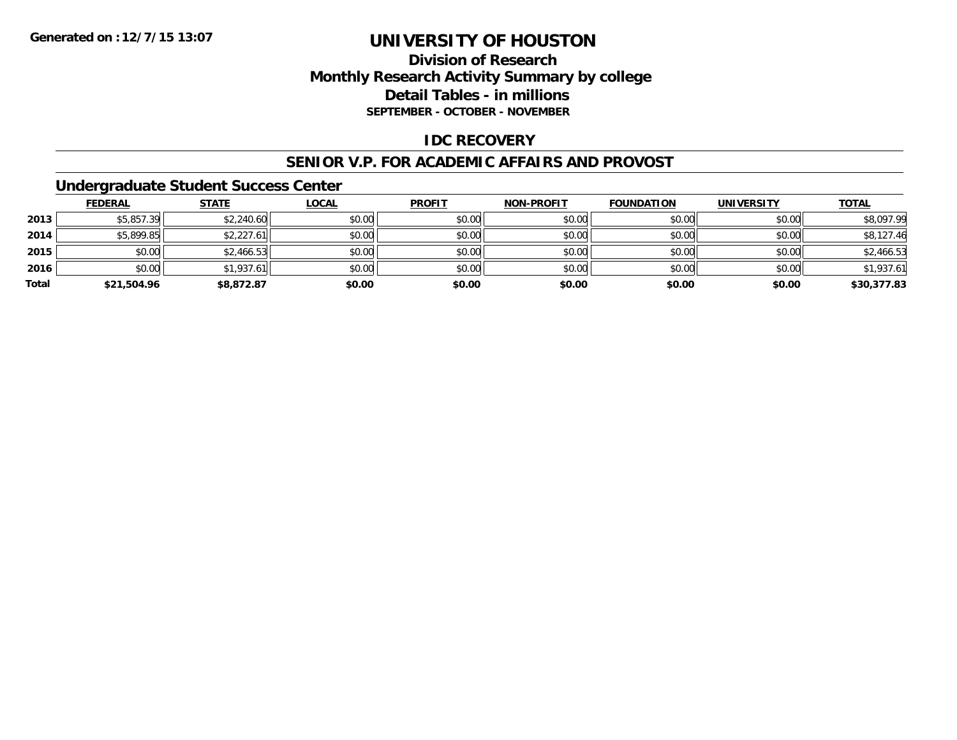### **Division of Research Monthly Research Activity Summary by college Detail Tables - in millions SEPTEMBER - OCTOBER - NOVEMBER**

#### **IDC RECOVERY**

#### **SENIOR V.P. FOR ACADEMIC AFFAIRS AND PROVOST**

#### **Undergraduate Student Success Center**

|       | <b>FEDERAL</b> | <u>STATE</u> | <b>LOCAL</b> | <b>PROFIT</b> | <b>NON-PROFIT</b> | <b>FOUNDATION</b> | <b>UNIVERSITY</b> | <b>TOTAL</b> |
|-------|----------------|--------------|--------------|---------------|-------------------|-------------------|-------------------|--------------|
| 2013  | \$5,857.39     | \$2,240.60   | \$0.00       | \$0.00        | \$0.00            | \$0.00            | \$0.00            | \$8,097.99   |
| 2014  | \$5,899.85     | \$2,227.61   | \$0.00       | \$0.00        | \$0.00            | \$0.00            | \$0.00            | \$8,127.46   |
| 2015  | \$0.00         | \$2,466.53   | \$0.00       | \$0.00        | \$0.00            | \$0.00            | \$0.00            | \$2,466.53   |
| 2016  | \$0.00         | \$1,937.61   | \$0.00       | \$0.00        | \$0.00            | \$0.00            | \$0.00            | \$1,937.61   |
| Total | \$21,504.96    | \$8,872.87   | \$0.00       | \$0.00        | \$0.00            | \$0.00            | \$0.00            | \$30,377.83  |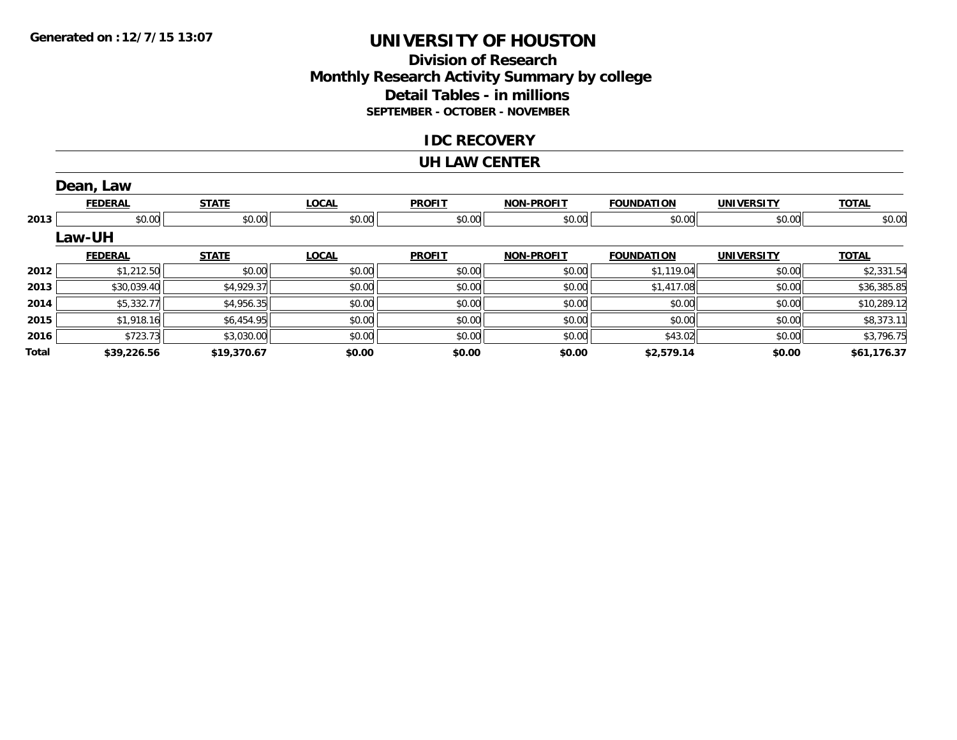### **Division of ResearchMonthly Research Activity Summary by college Detail Tables - in millions SEPTEMBER - OCTOBER - NOVEMBER**

#### **IDC RECOVERY**

#### **UH LAW CENTER**

|       | Dean, Law      |              |              |               |                   |                   |                   |              |
|-------|----------------|--------------|--------------|---------------|-------------------|-------------------|-------------------|--------------|
|       | <b>FEDERAL</b> | <b>STATE</b> | <b>LOCAL</b> | <b>PROFIT</b> | <b>NON-PROFIT</b> | <b>FOUNDATION</b> | <b>UNIVERSITY</b> | <b>TOTAL</b> |
| 2013  | \$0.00         | \$0.00       | \$0.00       | \$0.00        | \$0.00            | \$0.00            | \$0.00            | \$0.00       |
|       | <b>Law-UH</b>  |              |              |               |                   |                   |                   |              |
|       | <b>FEDERAL</b> | <b>STATE</b> | <b>LOCAL</b> | <b>PROFIT</b> | <b>NON-PROFIT</b> | <b>FOUNDATION</b> | <b>UNIVERSITY</b> | <b>TOTAL</b> |
| 2012  | \$1,212.50     | \$0.00       | \$0.00       | \$0.00        | \$0.00            | \$1,119.04        | \$0.00            | \$2,331.54   |
| 2013  | \$30,039.40    | \$4,929.37   | \$0.00       | \$0.00        | \$0.00            | \$1,417.08        | \$0.00            | \$36,385.85  |
| 2014  | \$5,332.77     | \$4,956.35   | \$0.00       | \$0.00        | \$0.00            | \$0.00            | \$0.00            | \$10,289.12  |
| 2015  | \$1,918.16     | \$6,454.95   | \$0.00       | \$0.00        | \$0.00            | \$0.00            | \$0.00            | \$8,373.11   |
| 2016  | \$723.73       | \$3,030.00   | \$0.00       | \$0.00        | \$0.00            | \$43.02           | \$0.00            | \$3,796.75   |
| Total | \$39,226.56    | \$19,370.67  | \$0.00       | \$0.00        | \$0.00            | \$2,579.14        | \$0.00            | \$61,176.37  |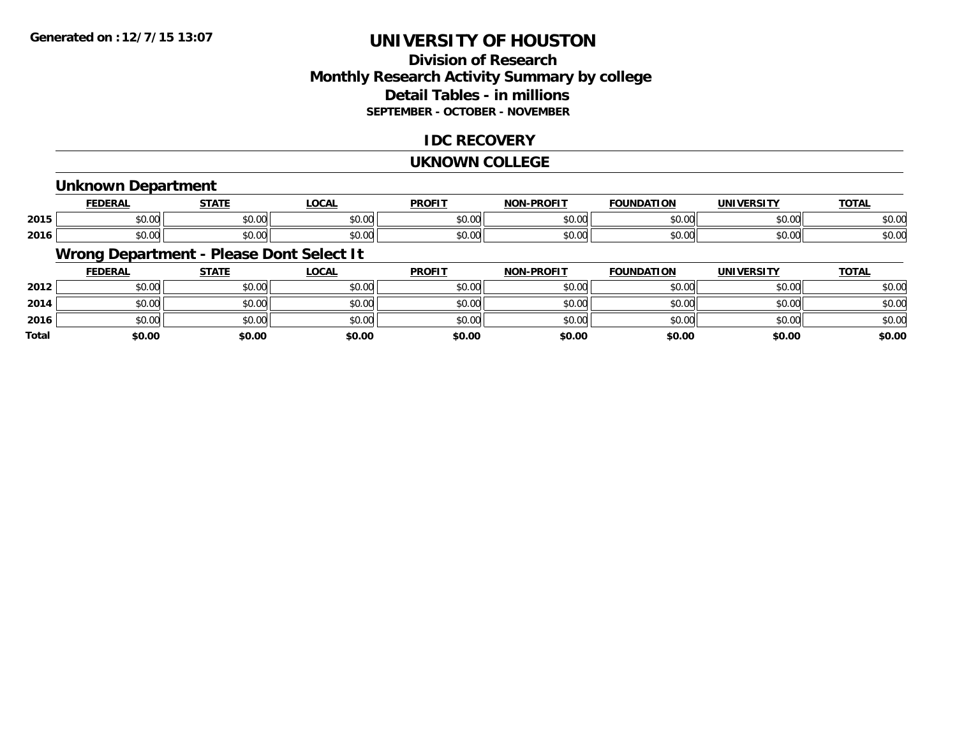### **Division of ResearchMonthly Research Activity Summary by college Detail Tables - in millions SEPTEMBER - OCTOBER - NOVEMBER**

#### **IDC RECOVERY**

#### **UKNOWN COLLEGE**

#### **Unknown Department**

|      | <b>FEDERAL</b>                 | 27.77                  | .OCAL  | <b>PROFIT</b>          | <b>DDOFIT</b><br>חחו<br>. . | <b>DATION</b><br><b>FAUSH</b> | <b>TINE</b><br><u>urneitu</u> | <u>TOTAL</u> |
|------|--------------------------------|------------------------|--------|------------------------|-----------------------------|-------------------------------|-------------------------------|--------------|
| 2015 | $\sim$<br>$\sim$<br>ט.טע       | $\sim$ $\sim$<br>JU.UU | \$0.00 | 0 <sub>n</sub><br>JU.U | 0000<br>vv.vv               | 0000                          | \$0.00                        | \$0.00       |
| 2016 | $\triangle$<br>$\sim$<br>טט.טע | $\sim$ $\sim$<br>JU.UU | \$0.00 | 0 <sub>n</sub><br>JU.U | 0000<br>JU.UU               | ልስ ለሰ<br>U.UU                 | \$0.00                        | \$0.00       |

### **Wrong Department - Please Dont Select It**

|              | <b>FEDERAL</b> | <b>STATE</b> | <b>LOCAL</b> | <b>PROFIT</b> | <b>NON-PROFIT</b> | <b>FOUNDATION</b> | <b>UNIVERSITY</b> | <b>TOTAL</b> |
|--------------|----------------|--------------|--------------|---------------|-------------------|-------------------|-------------------|--------------|
| 2012         | \$0.00         | \$0.00       | \$0.00       | \$0.00        | \$0.00            | \$0.00            | \$0.00            | \$0.00       |
| 2014         | \$0.00         | \$0.00       | \$0.00       | \$0.00        | \$0.00            | \$0.00            | \$0.00            | \$0.00       |
| 2016         | \$0.00         | \$0.00       | \$0.00       | \$0.00        | \$0.00            | \$0.00            | \$0.00            | \$0.00       |
| <b>Total</b> | \$0.00         | \$0.00       | \$0.00       | \$0.00        | \$0.00            | \$0.00            | \$0.00            | \$0.00       |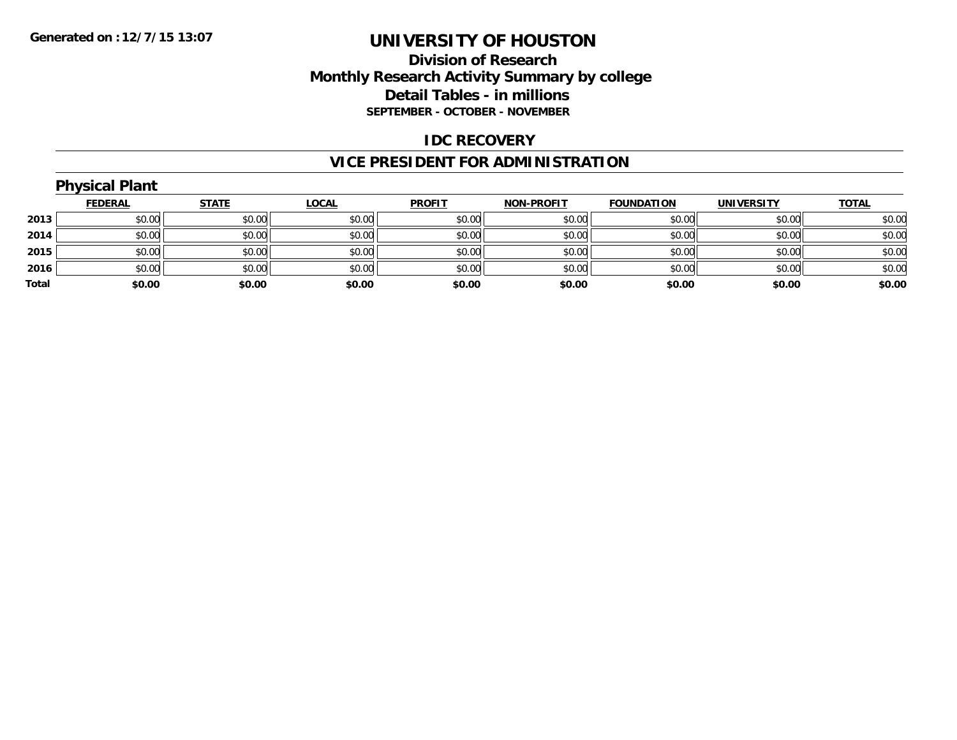### **Division of Research Monthly Research Activity Summary by college Detail Tables - in millions SEPTEMBER - OCTOBER - NOVEMBER**

#### **IDC RECOVERY**

## **VICE PRESIDENT FOR ADMINISTRATION**

|       | <b>Physical Plant</b> |              |              |               |                   |                   |                   |              |
|-------|-----------------------|--------------|--------------|---------------|-------------------|-------------------|-------------------|--------------|
|       | <b>FEDERAL</b>        | <b>STATE</b> | <b>LOCAL</b> | <b>PROFIT</b> | <b>NON-PROFIT</b> | <b>FOUNDATION</b> | <b>UNIVERSITY</b> | <b>TOTAL</b> |
| 2013  | \$0.00                | \$0.00       | \$0.00       | \$0.00        | \$0.00            | \$0.00            | \$0.00            | \$0.00       |
| 2014  | \$0.00                | \$0.00       | \$0.00       | \$0.00        | \$0.00            | \$0.00            | \$0.00            | \$0.00       |
| 2015  | \$0.00                | \$0.00       | \$0.00       | \$0.00        | \$0.00            | \$0.00            | \$0.00            | \$0.00       |
| 2016  | \$0.00                | \$0.00       | \$0.00       | \$0.00        | \$0.00            | \$0.00            | \$0.00            | \$0.00       |
| Total | \$0.00                | \$0.00       | \$0.00       | \$0.00        | \$0.00            | \$0.00            | \$0.00            | \$0.00       |
|       |                       |              |              |               |                   |                   |                   |              |

#### **Physical Plant**